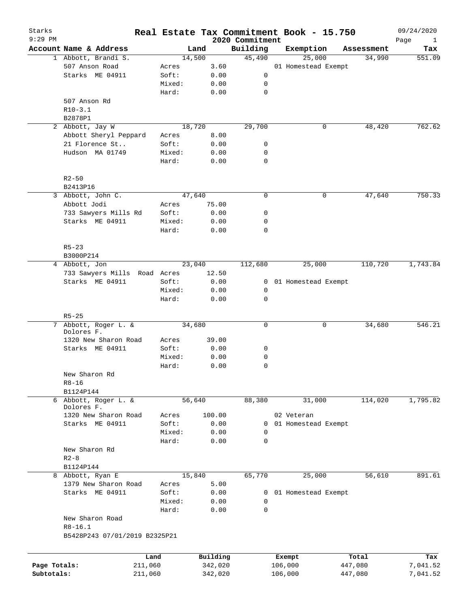| Starks       |                               |        |          |                             |         | Real Estate Tax Commitment Book - 15.750 |            | 09/24/2020                  |
|--------------|-------------------------------|--------|----------|-----------------------------|---------|------------------------------------------|------------|-----------------------------|
| $9:29$ PM    | Account Name & Address        | Land   |          | 2020 Commitment<br>Building |         | Exemption                                | Assessment | Page<br>$\mathbf{1}$<br>Tax |
|              | 1 Abbott, Brandi S.           | 14,500 |          | 45,490                      |         | 25,000                                   | 34,990     | 551.09                      |
|              | 507 Anson Road                | Acres  | 3.60     |                             |         | 01 Homestead Exempt                      |            |                             |
|              | Starks ME 04911               | Soft:  | 0.00     | 0                           |         |                                          |            |                             |
|              |                               | Mixed: | 0.00     | 0                           |         |                                          |            |                             |
|              |                               | Hard:  | 0.00     | $\mathbf 0$                 |         |                                          |            |                             |
|              | 507 Anson Rd                  |        |          |                             |         |                                          |            |                             |
|              | $R10-3.1$                     |        |          |                             |         |                                          |            |                             |
|              | B2878P1                       |        |          |                             |         |                                          |            |                             |
|              | 2 Abbott, Jay W               | 18,720 |          | 29,700                      |         | 0                                        | 48,420     | 762.62                      |
|              | Abbott Sheryl Peppard         |        | 8.00     |                             |         |                                          |            |                             |
|              |                               | Acres  |          |                             |         |                                          |            |                             |
|              | 21 Florence St                | Soft:  | 0.00     | 0                           |         |                                          |            |                             |
|              | Hudson MA 01749               | Mixed: | 0.00     | 0                           |         |                                          |            |                             |
|              |                               | Hard:  | 0.00     | $\mathbf 0$                 |         |                                          |            |                             |
|              |                               |        |          |                             |         |                                          |            |                             |
|              | $R2 - 50$                     |        |          |                             |         |                                          |            |                             |
|              | B2413P16                      |        |          |                             |         |                                          |            |                             |
|              | 3 Abbott, John C.             | 47,640 |          | $\mathbf 0$                 |         | 0                                        | 47,640     | 750.33                      |
|              | Abbott Jodi                   | Acres  | 75.00    |                             |         |                                          |            |                             |
|              | 733 Sawyers Mills Rd          | Soft:  | 0.00     | 0                           |         |                                          |            |                             |
|              | Starks ME 04911               | Mixed: | 0.00     | 0                           |         |                                          |            |                             |
|              |                               | Hard:  | 0.00     | $\mathbf 0$                 |         |                                          |            |                             |
|              |                               |        |          |                             |         |                                          |            |                             |
|              | $R5 - 23$                     |        |          |                             |         |                                          |            |                             |
|              | B3000P214                     |        |          |                             |         |                                          |            |                             |
|              | 4 Abbott, Jon                 | 23,040 |          | 112,680                     |         | 25,000                                   | 110,720    | 1,743.84                    |
|              | 733 Sawyers Mills Road Acres  |        | 12.50    |                             |         |                                          |            |                             |
|              | Starks ME 04911               | Soft:  | 0.00     | 0                           |         | 01 Homestead Exempt                      |            |                             |
|              |                               | Mixed: | 0.00     | 0                           |         |                                          |            |                             |
|              |                               | Hard:  | 0.00     | $\mathbf 0$                 |         |                                          |            |                             |
|              |                               |        |          |                             |         |                                          |            |                             |
|              | $R5 - 25$                     |        |          |                             |         |                                          |            |                             |
| 7            | Abbott, Roger L. &            |        | 34,680   |                             |         | 0                                        | 34,680     | 546.21                      |
|              | Dolores F.                    |        |          |                             |         |                                          |            |                             |
|              | 1320 New Sharon Road          | Acres  | 39.00    |                             |         |                                          |            |                             |
|              | Starks ME 04911               | Soft:  | 0.00     | 0                           |         |                                          |            |                             |
|              |                               | Mixed: | 0.00     | 0                           |         |                                          |            |                             |
|              |                               | Hard:  | 0.00     | $\mathbf 0$                 |         |                                          |            |                             |
|              | New Sharon Rd                 |        |          |                             |         |                                          |            |                             |
|              | $R8 - 16$                     |        |          |                             |         |                                          |            |                             |
|              | B1124P144                     |        |          |                             |         |                                          |            |                             |
|              | 6 Abbott, Roger L. &          | 56,640 |          | 88,380                      |         | 31,000                                   | 114,020    | 1,795.82                    |
|              | Dolores F.                    |        |          |                             |         |                                          |            |                             |
|              | 1320 New Sharon Road          | Acres  | 100.00   |                             |         | 02 Veteran                               |            |                             |
|              | Starks ME 04911               | Soft:  | 0.00     | 0                           |         | 01 Homestead Exempt                      |            |                             |
|              |                               | Mixed: | 0.00     | 0                           |         |                                          |            |                             |
|              |                               | Hard:  | 0.00     | 0                           |         |                                          |            |                             |
|              | New Sharon Rd                 |        |          |                             |         |                                          |            |                             |
|              | $R2 - 8$                      |        |          |                             |         |                                          |            |                             |
|              | B1124P144                     |        |          |                             |         |                                          |            |                             |
| 8            | Abbott, Ryan E                | 15,840 |          | 65,770                      |         | 25,000                                   | 56,610     | 891.61                      |
|              | 1379 New Sharon Road          | Acres  | 5.00     |                             |         |                                          |            |                             |
|              | Starks ME 04911               | Soft:  | 0.00     | 0                           |         | 01 Homestead Exempt                      |            |                             |
|              |                               | Mixed: | 0.00     | 0                           |         |                                          |            |                             |
|              |                               | Hard:  | 0.00     | $\mathbf 0$                 |         |                                          |            |                             |
|              | New Sharon Road               |        |          |                             |         |                                          |            |                             |
|              | $R8 - 16.1$                   |        |          |                             |         |                                          |            |                             |
|              | B5428P243 07/01/2019 B2325P21 |        |          |                             |         |                                          |            |                             |
|              |                               |        |          |                             |         |                                          |            |                             |
|              |                               | Land   | Building |                             |         | Exempt                                   | Total      | Tax                         |
| Page Totals: | 211,060                       |        | 342,020  |                             | 106,000 |                                          | 447,080    | 7,041.52                    |
| Subtotals:   | 211,060                       |        | 342,020  |                             | 106,000 |                                          | 447,080    | 7,041.52                    |
|              |                               |        |          |                             |         |                                          |            |                             |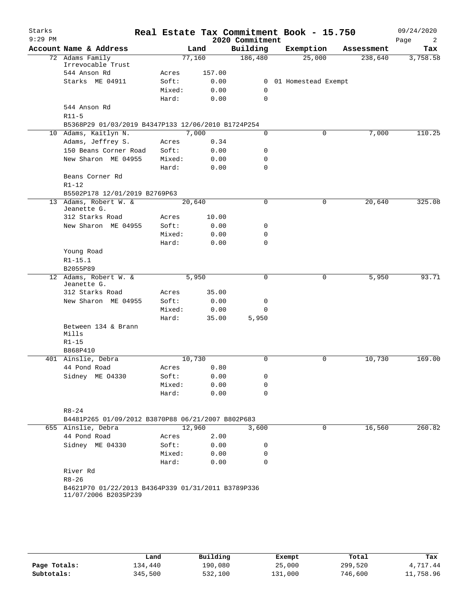| Starks<br>$9:29$ PM |                                                    |        |        | 2020 Commitment | Real Estate Tax Commitment Book - 15.750 |            | 09/24/2020<br>Page<br>2 |
|---------------------|----------------------------------------------------|--------|--------|-----------------|------------------------------------------|------------|-------------------------|
|                     | Account Name & Address                             |        | Land   | Building        | Exemption                                | Assessment | Tax                     |
|                     | 72 Adams Family                                    |        | 77,160 | 186,480         | 25,000                                   | 238,640    | 3,758.58                |
|                     | Irrevocable Trust                                  |        |        |                 |                                          |            |                         |
|                     | 544 Anson Rd                                       | Acres  | 157.00 |                 |                                          |            |                         |
|                     | Starks ME 04911                                    | Soft:  | 0.00   |                 | 0 01 Homestead Exempt                    |            |                         |
|                     |                                                    | Mixed: | 0.00   | 0               |                                          |            |                         |
|                     |                                                    | Hard:  | 0.00   | $\mathbf 0$     |                                          |            |                         |
|                     | 544 Anson Rd                                       |        |        |                 |                                          |            |                         |
|                     | $R11-5$                                            |        |        |                 |                                          |            |                         |
|                     | B5368P29 01/03/2019 B4347P133 12/06/2010 B1724P254 |        |        |                 |                                          |            |                         |
|                     | 10 Adams, Kaitlyn N.                               |        | 7,000  | 0               | 0                                        | 7,000      | 110.25                  |
|                     | Adams, Jeffrey S.                                  | Acres  | 0.34   |                 |                                          |            |                         |
|                     | 150 Beans Corner Road                              | Soft:  | 0.00   | 0               |                                          |            |                         |
|                     | New Sharon ME 04955                                | Mixed: | 0.00   | 0               |                                          |            |                         |
|                     |                                                    | Hard:  | 0.00   | $\Omega$        |                                          |            |                         |
|                     | Beans Corner Rd                                    |        |        |                 |                                          |            |                         |
|                     | $R1 - 12$                                          |        |        |                 |                                          |            |                         |
|                     | B5502P178 12/01/2019 B2769P63                      |        |        |                 |                                          |            |                         |
|                     | 13 Adams, Robert W. &<br>Jeanette G.               |        | 20,640 | 0               | $\mathbf 0$                              | 20,640     | 325.08                  |
|                     | 312 Starks Road                                    | Acres  | 10.00  |                 |                                          |            |                         |
|                     | New Sharon ME 04955                                | Soft:  | 0.00   | 0               |                                          |            |                         |
|                     |                                                    | Mixed: | 0.00   | 0               |                                          |            |                         |
|                     |                                                    | Hard:  | 0.00   | $\mathbf 0$     |                                          |            |                         |
|                     | Young Road                                         |        |        |                 |                                          |            |                         |
|                     | $R1 - 15.1$                                        |        |        |                 |                                          |            |                         |
|                     | B2055P89                                           |        |        |                 |                                          |            |                         |
|                     | 12 Adams, Robert W. &                              |        | 5,950  | $\mathbf 0$     | $\mathbf 0$                              | 5,950      | 93.71                   |
|                     | Jeanette G.                                        |        |        |                 |                                          |            |                         |
|                     | 312 Starks Road                                    | Acres  | 35.00  |                 |                                          |            |                         |
|                     | New Sharon ME 04955                                | Soft:  | 0.00   | 0               |                                          |            |                         |
|                     |                                                    | Mixed: | 0.00   | 0               |                                          |            |                         |
|                     |                                                    | Hard:  | 35.00  | 5,950           |                                          |            |                         |
|                     | Between 134 & Brann                                |        |        |                 |                                          |            |                         |
|                     | Mills<br>$R1 - 15$                                 |        |        |                 |                                          |            |                         |
|                     | B868P410                                           |        |        |                 |                                          |            |                         |
|                     | 401 Ainslie, Debra                                 |        | 10,730 | 0               | $\mathbf 0$                              | 10,730     | 169.00                  |
|                     | 44 Pond Road                                       | Acres  |        |                 |                                          |            |                         |
|                     |                                                    |        | 0.80   |                 |                                          |            |                         |
|                     | Sidney ME 04330                                    | Soft:  | 0.00   | 0               |                                          |            |                         |
|                     |                                                    | Mixed: | 0.00   | 0               |                                          |            |                         |
|                     |                                                    | Hard:  | 0.00   | 0               |                                          |            |                         |
|                     | $R8 - 24$                                          |        |        |                 |                                          |            |                         |
|                     | B4481P265 01/09/2012 B3870P88 06/21/2007 B802P683  |        |        |                 |                                          |            |                         |
|                     | 655 Ainslie, Debra                                 |        | 12,960 | 3,600           | 0                                        | 16,560     | 260.82                  |
|                     | 44 Pond Road                                       | Acres  | 2.00   |                 |                                          |            |                         |
|                     | Sidney ME 04330                                    | Soft:  | 0.00   | 0               |                                          |            |                         |
|                     |                                                    | Mixed: | 0.00   | 0               |                                          |            |                         |
|                     |                                                    | Hard:  | 0.00   | 0               |                                          |            |                         |
|                     | River Rd                                           |        |        |                 |                                          |            |                         |
|                     | $R8 - 26$                                          |        |        |                 |                                          |            |                         |
|                     | B4621P70 01/22/2013 B4364P339 01/31/2011 B3789P336 |        |        |                 |                                          |            |                         |
|                     | 11/07/2006 B2035P239                               |        |        |                 |                                          |            |                         |
|                     |                                                    |        |        |                 |                                          |            |                         |
|                     |                                                    |        |        |                 |                                          |            |                         |
|                     |                                                    |        |        |                 |                                          |            |                         |

|              | Land    | Building | Exempt  | Total   | Tax       |
|--------------|---------|----------|---------|---------|-----------|
| Page Totals: | 134,440 | 190,080  | 25,000  | 299,520 | 4,717.44  |
| Subtotals:   | 345,500 | 532,100  | 131,000 | 746,600 | 11,758.96 |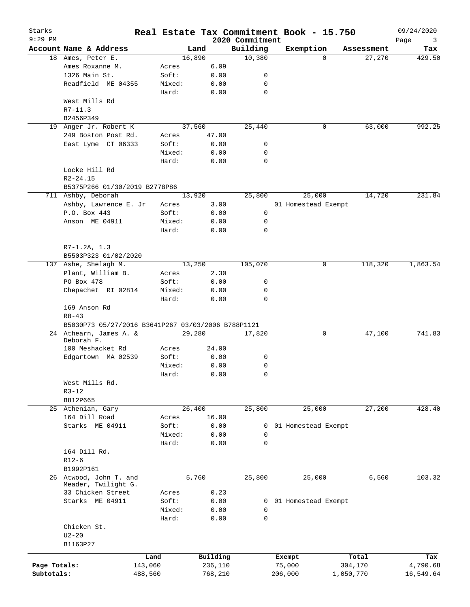| Starks<br>$9:29$ PM |                                                    |                |          | 2020 Commitment | Real Estate Tax Commitment Book - 15.750 |                    | 09/24/2020<br>Page<br>3 |
|---------------------|----------------------------------------------------|----------------|----------|-----------------|------------------------------------------|--------------------|-------------------------|
|                     | Account Name & Address                             |                | Land     | Building        | Exemption                                | Assessment         | Tax                     |
|                     | 18 Ames, Peter E.                                  |                | 16,890   | 10,380          |                                          | 27,270<br>$\Omega$ | 429.50                  |
|                     | Ames Roxanne M.                                    | Acres          |          | 6.09            |                                          |                    |                         |
|                     | 1326 Main St.                                      | Soft:          |          | 0.00            | 0                                        |                    |                         |
|                     | Readfield ME 04355                                 | Mixed:         |          | 0.00            | 0                                        |                    |                         |
|                     |                                                    | Hard:          |          | 0.00            | $\mathbf 0$                              |                    |                         |
|                     | West Mills Rd                                      |                |          |                 |                                          |                    |                         |
|                     | $R7-11.3$                                          |                |          |                 |                                          |                    |                         |
|                     | B2456P349                                          |                |          |                 |                                          |                    |                         |
|                     | 19 Anger Jr. Robert K                              |                | 37,560   | 25,440          |                                          | 63,000<br>0        | 992.25                  |
|                     | 249 Boston Post Rd.                                | Acres          | 47.00    |                 |                                          |                    |                         |
|                     | East Lyme CT 06333                                 | Soft:          |          | 0.00            | 0                                        |                    |                         |
|                     |                                                    | Mixed:         |          | 0.00            | 0                                        |                    |                         |
|                     |                                                    | Hard:          |          | 0.00            | $\mathbf 0$                              |                    |                         |
|                     | Locke Hill Rd                                      |                |          |                 |                                          |                    |                         |
|                     | $R2 - 24.15$                                       |                |          |                 |                                          |                    |                         |
|                     | B5375P266 01/30/2019 B2778P86                      |                |          |                 |                                          |                    |                         |
|                     | 711 Ashby, Deborah                                 |                | 13,920   | 25,800          | 25,000                                   | 14,720             | 231.84                  |
|                     | Ashby, Lawrence E. Jr                              | Acres          |          | 3.00            | 01 Homestead Exempt                      |                    |                         |
|                     | P.O. Box 443                                       | Soft:          |          | 0.00            | 0                                        |                    |                         |
|                     | Anson ME 04911                                     | Mixed:         |          | 0.00            | 0                                        |                    |                         |
|                     |                                                    | Hard:          |          | 0.00            | $\mathbf 0$                              |                    |                         |
|                     |                                                    |                |          |                 |                                          |                    |                         |
|                     | $R7-1.2A, 1.3$                                     |                |          |                 |                                          |                    |                         |
|                     | B5503P323 01/02/2020                               |                |          |                 |                                          |                    |                         |
| 137                 |                                                    |                | 13,250   | 105,070         |                                          | 0<br>118,320       | 1,863.54                |
|                     | Ashe, Shelagh M.<br>Plant, William B.              |                |          |                 |                                          |                    |                         |
|                     |                                                    | Acres          |          | 2.30            |                                          |                    |                         |
|                     | PO Box 478                                         | Soft:          |          | 0.00            | 0                                        |                    |                         |
|                     | Chepachet RI 02814                                 | Mixed:         |          | 0.00            | 0                                        |                    |                         |
|                     |                                                    | Hard:          |          | 0.00            | $\mathbf 0$                              |                    |                         |
|                     | 169 Anson Rd                                       |                |          |                 |                                          |                    |                         |
|                     | $R8 - 43$                                          |                |          |                 |                                          |                    |                         |
|                     | B5030P73 05/27/2016 B3641P267 03/03/2006 B788P1121 |                |          |                 |                                          |                    |                         |
|                     | 24 Athearn, James A. &<br>Deborah F.               |                | 29,280   | 17,820          |                                          | 0<br>47,100        | 741.83                  |
|                     | 100 Meshacket Rd                                   | Acres          | 24.00    |                 |                                          |                    |                         |
|                     | Edgartown MA 02539                                 | Soft:          |          | 0.00            | 0                                        |                    |                         |
|                     |                                                    | Mixed:         |          | 0.00            | 0                                        |                    |                         |
|                     |                                                    | Hard:          |          | 0.00            | 0                                        |                    |                         |
|                     | West Mills Rd.                                     |                |          |                 |                                          |                    |                         |
|                     | $R3 - 12$                                          |                |          |                 |                                          |                    |                         |
|                     | B812P665                                           |                |          |                 |                                          |                    |                         |
|                     | 25 Athenian, Gary                                  |                | 26,400   | 25,800          | 25,000                                   | 27,200             | 428.40                  |
|                     | 164 Dill Road                                      |                | 16.00    |                 |                                          |                    |                         |
|                     | Starks ME 04911                                    | Acres<br>Soft: |          | 0.00            |                                          |                    |                         |
|                     |                                                    |                |          |                 | 01 Homestead Exempt<br>0                 |                    |                         |
|                     |                                                    | Mixed:         |          | 0.00            | $\mathbf 0$                              |                    |                         |
|                     |                                                    | Hard:          |          | 0.00            | $\mathbf 0$                              |                    |                         |
|                     | 164 Dill Rd.                                       |                |          |                 |                                          |                    |                         |
|                     | $R12-6$                                            |                |          |                 |                                          |                    |                         |
|                     | B1992P161                                          |                |          |                 |                                          |                    |                         |
|                     | 26 Atwood, John T. and                             |                | 5,760    | 25,800          | 25,000                                   | 6,560              | 103.32                  |
|                     | Meader, Twilight G.<br>33 Chicken Street           |                |          | 0.23            |                                          |                    |                         |
|                     | Starks ME 04911                                    | Acres<br>Soft: |          | 0.00            | 0 01 Homestead Exempt                    |                    |                         |
|                     |                                                    | Mixed:         |          | 0.00            | 0                                        |                    |                         |
|                     |                                                    |                |          |                 |                                          |                    |                         |
|                     |                                                    | Hard:          |          | 0.00            | $\mathbf 0$                              |                    |                         |
|                     | Chicken St.                                        |                |          |                 |                                          |                    |                         |
|                     | $U2 - 20$                                          |                |          |                 |                                          |                    |                         |
|                     | B1163P27                                           |                |          |                 |                                          |                    |                         |
|                     |                                                    | Land           | Building |                 | Exempt                                   | Total              | Tax                     |
| Page Totals:        |                                                    | 143,060        | 236,110  |                 | 75,000                                   | 304,170            | 4,790.68                |
| Subtotals:          |                                                    | 488,560        | 768,210  |                 | 206,000                                  | 1,050,770          | 16,549.64               |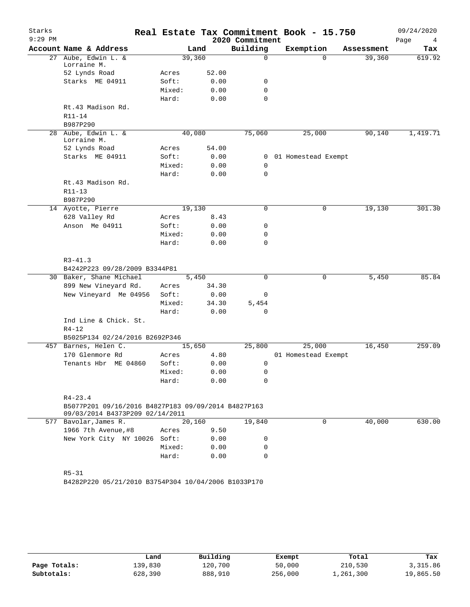| Starks<br>$9:29$ PM |                                                                                        |        |       |                             | Real Estate Tax Commitment Book - 15.750 |            | 09/24/2020       |
|---------------------|----------------------------------------------------------------------------------------|--------|-------|-----------------------------|------------------------------------------|------------|------------------|
|                     | Account Name & Address                                                                 |        | Land  | 2020 Commitment<br>Building | Exemption                                | Assessment | Page<br>4<br>Tax |
| 27                  | Aube, Edwin L. &                                                                       | 39,360 |       | 0                           | $\Omega$                                 | 39,360     | 619.92           |
|                     | Lorraine M.                                                                            |        |       |                             |                                          |            |                  |
|                     | 52 Lynds Road                                                                          | Acres  | 52.00 |                             |                                          |            |                  |
|                     | Starks ME 04911                                                                        | Soft:  | 0.00  | 0                           |                                          |            |                  |
|                     |                                                                                        | Mixed: | 0.00  | 0                           |                                          |            |                  |
|                     |                                                                                        | Hard:  | 0.00  | 0                           |                                          |            |                  |
|                     | Rt.43 Madison Rd.                                                                      |        |       |                             |                                          |            |                  |
|                     | R11-14                                                                                 |        |       |                             |                                          |            |                  |
|                     | B987P290                                                                               | 40,080 |       |                             |                                          |            |                  |
|                     | 28 Aube, Edwin L. &<br>Lorraine M.                                                     |        |       | 75,060                      | 25,000                                   | 90,140     | 1,419.71         |
|                     | 52 Lynds Road                                                                          | Acres  | 54.00 |                             |                                          |            |                  |
|                     | Starks ME 04911                                                                        | Soft:  | 0.00  | 0                           | 01 Homestead Exempt                      |            |                  |
|                     |                                                                                        | Mixed: | 0.00  | 0                           |                                          |            |                  |
|                     |                                                                                        | Hard:  | 0.00  | 0                           |                                          |            |                  |
|                     | Rt.43 Madison Rd.                                                                      |        |       |                             |                                          |            |                  |
|                     | R11-13                                                                                 |        |       |                             |                                          |            |                  |
|                     | B987P290                                                                               |        |       |                             |                                          |            |                  |
|                     | 14 Ayotte, Pierre                                                                      | 19,130 |       | 0                           | 0                                        | 19,130     | 301.30           |
|                     | 628 Valley Rd                                                                          | Acres  | 8.43  |                             |                                          |            |                  |
|                     | Anson Me 04911                                                                         | Soft:  | 0.00  | 0                           |                                          |            |                  |
|                     |                                                                                        | Mixed: | 0.00  | 0                           |                                          |            |                  |
|                     |                                                                                        | Hard:  | 0.00  | 0                           |                                          |            |                  |
|                     |                                                                                        |        |       |                             |                                          |            |                  |
|                     | $R3 - 41.3$                                                                            |        |       |                             |                                          |            |                  |
|                     | B4242P223 09/28/2009 B3344P81<br>30 Baker, Shane Michael                               | 5,450  |       | 0                           | $\mathbf 0$                              | 5,450      | 85.84            |
|                     | 899 New Vineyard Rd.                                                                   | Acres  | 34.30 |                             |                                          |            |                  |
|                     | New Vineyard Me 04956                                                                  | Soft:  | 0.00  | 0                           |                                          |            |                  |
|                     |                                                                                        | Mixed: | 34.30 | 5,454                       |                                          |            |                  |
|                     |                                                                                        | Hard:  | 0.00  | 0                           |                                          |            |                  |
|                     | Ind Line & Chick. St.                                                                  |        |       |                             |                                          |            |                  |
|                     | $R4 - 12$                                                                              |        |       |                             |                                          |            |                  |
|                     | B5025P134 02/24/2016 B2692P346                                                         |        |       |                             |                                          |            |                  |
| 457                 | Barnes, Helen C.                                                                       | 15,650 |       | 25,800                      | 25,000                                   | 16,450     | 259.09           |
|                     | 170 Glenmore Rd                                                                        | Acres  | 4.80  |                             | 01 Homestead Exempt                      |            |                  |
|                     | Tenants Hbr ME 04860                                                                   | Soft:  | 0.00  | 0                           |                                          |            |                  |
|                     |                                                                                        | Mixed: | 0.00  | 0                           |                                          |            |                  |
|                     |                                                                                        | Hard:  | 0.00  | 0                           |                                          |            |                  |
|                     |                                                                                        |        |       |                             |                                          |            |                  |
|                     | $R4 - 23.4$                                                                            |        |       |                             |                                          |            |                  |
|                     | B5077P201 09/16/2016 B4827P183 09/09/2014 B4827P163<br>09/03/2014 B4373P209 02/14/2011 |        |       |                             |                                          |            |                  |
|                     | 577 Bavolar, James R.                                                                  | 20,160 |       | 19,840                      | $\Omega$                                 | 40,000     | 630.00           |
|                     | 1966 7th Avenue, #8                                                                    | Acres  | 9.50  |                             |                                          |            |                  |
|                     | New York City NY 10026 Soft:                                                           |        | 0.00  | 0                           |                                          |            |                  |
|                     |                                                                                        | Mixed: | 0.00  | 0                           |                                          |            |                  |
|                     |                                                                                        | Hard:  | 0.00  | 0                           |                                          |            |                  |
|                     |                                                                                        |        |       |                             |                                          |            |                  |
|                     | $R5 - 31$                                                                              |        |       |                             |                                          |            |                  |
|                     | B4282P220 05/21/2010 B3754P304 10/04/2006 B1033P170                                    |        |       |                             |                                          |            |                  |
|                     |                                                                                        |        |       |                             |                                          |            |                  |
|                     |                                                                                        |        |       |                             |                                          |            |                  |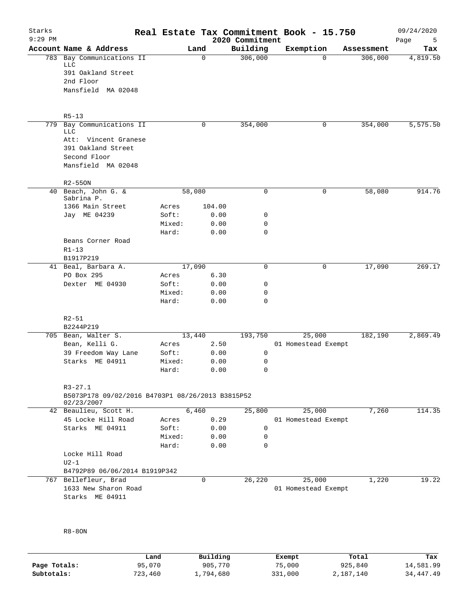| Starks<br>$9:29$ PM |                                                  |        |          | 2020 Commitment | Real Estate Tax Commitment Book - 15.750 |            | 09/24/2020<br>Page<br>5 |
|---------------------|--------------------------------------------------|--------|----------|-----------------|------------------------------------------|------------|-------------------------|
|                     | Account Name & Address                           | Land   |          | Building        | Exemption                                | Assessment | Tax                     |
|                     | 783 Bay Communications II                        |        | $\Omega$ | 306,000         | $\Omega$                                 | 306,000    | 4,819.50                |
|                     | LLC                                              |        |          |                 |                                          |            |                         |
|                     | 391 Oakland Street                               |        |          |                 |                                          |            |                         |
|                     | 2nd Floor                                        |        |          |                 |                                          |            |                         |
|                     | Mansfield MA 02048                               |        |          |                 |                                          |            |                         |
|                     |                                                  |        |          |                 |                                          |            |                         |
|                     | $R5 - 13$                                        |        |          |                 |                                          |            |                         |
|                     | 779 Bay Communications II                        |        | 0        | 354,000         | 0                                        | 354,000    | 5,575.50                |
|                     | <b>LLC</b>                                       |        |          |                 |                                          |            |                         |
|                     | Att: Vincent Granese                             |        |          |                 |                                          |            |                         |
|                     | 391 Oakland Street                               |        |          |                 |                                          |            |                         |
|                     | Second Floor                                     |        |          |                 |                                          |            |                         |
|                     | Mansfield MA 02048                               |        |          |                 |                                          |            |                         |
|                     | $R2 - 550N$                                      |        |          |                 |                                          |            |                         |
|                     | 40 Beach, John G. &                              | 58,080 |          | $\mathbf 0$     | 0                                        | 58,080     | 914.76                  |
|                     | Sabrina P.                                       |        |          |                 |                                          |            |                         |
|                     | 1366 Main Street                                 | Acres  | 104.00   |                 |                                          |            |                         |
|                     | Jay ME 04239                                     | Soft:  | 0.00     | 0               |                                          |            |                         |
|                     |                                                  | Mixed: | 0.00     | 0               |                                          |            |                         |
|                     |                                                  | Hard:  | 0.00     | $\Omega$        |                                          |            |                         |
|                     | Beans Corner Road                                |        |          |                 |                                          |            |                         |
|                     | $R1 - 13$                                        |        |          |                 |                                          |            |                         |
|                     |                                                  |        |          |                 |                                          |            |                         |
|                     | B1917P219                                        |        |          |                 |                                          |            |                         |
|                     | 41 Beal, Barbara A.                              | 17,090 |          | 0               | 0                                        | 17,090     | 269.17                  |
|                     | PO Box 295                                       | Acres  | 6.30     |                 |                                          |            |                         |
|                     | Dexter ME 04930                                  | Soft:  | 0.00     | 0               |                                          |            |                         |
|                     |                                                  | Mixed: | 0.00     | 0               |                                          |            |                         |
|                     |                                                  | Hard:  | 0.00     | $\mathbf 0$     |                                          |            |                         |
|                     | $R2 - 51$                                        |        |          |                 |                                          |            |                         |
|                     | B2244P219                                        |        |          |                 |                                          |            |                         |
|                     | 705 Bean, Walter S.                              | 13,440 |          | 193,750         | 25,000                                   | 182,190    | 2,869.49                |
|                     | Bean, Kelli G.                                   | Acres  | 2.50     |                 | 01 Homestead Exempt                      |            |                         |
|                     | 39 Freedom Way Lane                              | Soft:  | 0.00     | 0               |                                          |            |                         |
|                     | Starks ME 04911                                  | Mixed: | 0.00     | 0               |                                          |            |                         |
|                     |                                                  | Hard:  | 0.00     | $\Omega$        |                                          |            |                         |
|                     |                                                  |        |          |                 |                                          |            |                         |
|                     | $R3 - 27.1$                                      |        |          |                 |                                          |            |                         |
|                     | B5073P178 09/02/2016 B4703P1 08/26/2013 B3815P52 |        |          |                 |                                          |            |                         |
|                     | 02/23/2007                                       |        |          |                 |                                          |            |                         |
|                     | 42 Beaulieu, Scott H.                            | 6,460  |          | 25,800          | 25,000                                   | 7,260      | 114.35                  |
|                     | 45 Locke Hill Road                               | Acres  | 0.29     |                 | 01 Homestead Exempt                      |            |                         |
|                     | Starks ME 04911                                  | Soft:  | 0.00     | 0               |                                          |            |                         |
|                     |                                                  | Mixed: | 0.00     | 0               |                                          |            |                         |
|                     |                                                  | Hard:  | 0.00     | 0               |                                          |            |                         |
|                     | Locke Hill Road                                  |        |          |                 |                                          |            |                         |
|                     | $U2-1$                                           |        |          |                 |                                          |            |                         |
|                     | B4792P89 06/06/2014 B1919P342                    |        |          |                 |                                          |            |                         |
|                     | 767 Bellefleur, Brad                             |        | 0        | 26,220          | 25,000                                   | 1,220      | 19.22                   |
|                     | 1633 New Sharon Road                             |        |          |                 | 01 Homestead Exempt                      |            |                         |
|                     | Starks ME 04911                                  |        |          |                 |                                          |            |                         |
|                     |                                                  |        |          |                 |                                          |            |                         |
|                     |                                                  |        |          |                 |                                          |            |                         |
|                     |                                                  |        |          |                 |                                          |            |                         |
|                     | $R8-8ON$                                         |        |          |                 |                                          |            |                         |

|              | Land    | Building  | Exempt  | Total     | Tax       |
|--------------|---------|-----------|---------|-----------|-----------|
| Page Totals: | 95,070  | 905,770   | 75,000  | 925,840   | 14,581.99 |
| Subtotals:   | 723,460 | .,794,680 | 331,000 | 2,187,140 | 34,447.49 |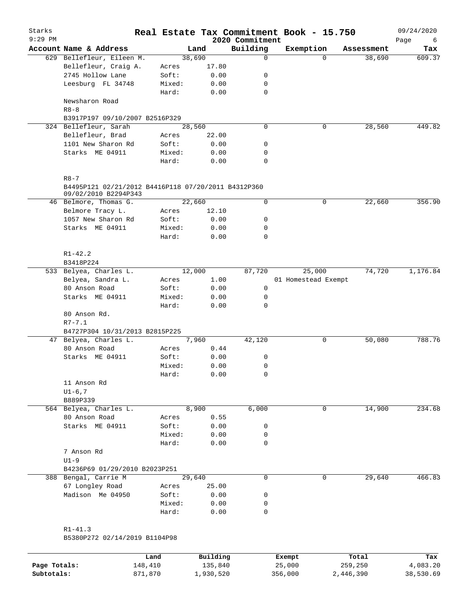| $9:29$ PM |                                                                 |                |                | 2020 Commitment | Real Estate Tax Commitment Book - 15.750 |            | 09/24/2020       |
|-----------|-----------------------------------------------------------------|----------------|----------------|-----------------|------------------------------------------|------------|------------------|
|           | Account Name & Address                                          |                | Land           | Building        | Exemption                                | Assessment | Page<br>6<br>Tax |
|           | 629 Bellefleur, Eileen M.                                       |                | 38,690         | 0               | $\Omega$                                 | 38,690     | 609.37           |
|           | Bellefleur, Craig A.                                            | Acres          | 17.80          |                 |                                          |            |                  |
|           | 2745 Hollow Lane                                                | Soft:          | 0.00           | 0               |                                          |            |                  |
|           | Leesburg FL 34748                                               | Mixed:         | 0.00           | 0               |                                          |            |                  |
|           |                                                                 | Hard:          | 0.00           | $\mathbf 0$     |                                          |            |                  |
|           | Newsharon Road                                                  |                |                |                 |                                          |            |                  |
|           | $R8 - 8$                                                        |                |                |                 |                                          |            |                  |
|           | B3917P197 09/10/2007 B2516P329                                  |                |                |                 |                                          |            |                  |
|           | 324 Bellefleur, Sarah                                           |                | 28,560         | $\mathbf 0$     | 0                                        | 28,560     | 449.82           |
|           | Bellefleur, Brad                                                | Acres          | 22.00          |                 |                                          |            |                  |
|           | 1101 New Sharon Rd                                              | Soft:          | 0.00           | 0               |                                          |            |                  |
|           | Starks ME 04911                                                 | Mixed:         | 0.00           | 0               |                                          |            |                  |
|           |                                                                 | Hard:          | 0.00           | $\mathbf 0$     |                                          |            |                  |
|           |                                                                 |                |                |                 |                                          |            |                  |
|           | $R8 - 7$<br>B4495P121 02/21/2012 B4416P118 07/20/2011 B4312P360 |                |                |                 |                                          |            |                  |
|           | 09/02/2010 B2294P343                                            |                |                |                 |                                          |            |                  |
|           | 46 Belmore, Thomas G.                                           |                | 22,660         | $\mathbf 0$     | 0                                        | 22,660     | 356.90           |
|           | Belmore Tracy L.                                                | Acres          | 12.10          |                 |                                          |            |                  |
|           | 1057 New Sharon Rd                                              | Soft:          | 0.00           | 0               |                                          |            |                  |
|           | Starks ME 04911                                                 | Mixed:         | 0.00           | 0               |                                          |            |                  |
|           |                                                                 | Hard:          | 0.00           | 0               |                                          |            |                  |
|           |                                                                 |                |                |                 |                                          |            |                  |
|           | $R1 - 42.2$<br>B3418P224                                        |                |                |                 |                                          |            |                  |
|           |                                                                 |                |                |                 |                                          |            |                  |
|           | 533 Belyea, Charles L.<br>Belyea, Sandra L.                     |                | 12,000<br>1.00 | 87,720          | 25,000<br>01 Homestead Exempt            | 74,720     | 1,176.84         |
|           | 80 Anson Road                                                   | Acres<br>Soft: | 0.00           | 0               |                                          |            |                  |
|           | Starks ME 04911                                                 | Mixed:         | 0.00           | 0               |                                          |            |                  |
|           |                                                                 | Hard:          | 0.00           | 0               |                                          |            |                  |
|           | 80 Anson Rd.                                                    |                |                |                 |                                          |            |                  |
|           | $R7 - 7.1$                                                      |                |                |                 |                                          |            |                  |
|           | B4727P304 10/31/2013 B2815P225                                  |                |                |                 |                                          |            |                  |
|           | 47 Belyea, Charles L.                                           |                | 7,960          | 42,120          | 0                                        | 50,080     | 788.76           |
|           | 80 Anson Road                                                   | Acres          | 0.44           |                 |                                          |            |                  |
|           | Starks ME 04911                                                 | Soft:          | 0.00           | 0               |                                          |            |                  |
|           |                                                                 | Mixed:         | 0.00           | 0               |                                          |            |                  |
|           |                                                                 | Hard:          | 0.00           | 0               |                                          |            |                  |
|           | 11 Anson Rd                                                     |                |                |                 |                                          |            |                  |
|           | $UI-6, 7$                                                       |                |                |                 |                                          |            |                  |
|           | B889P339                                                        |                |                |                 |                                          |            |                  |
|           | 564 Belyea, Charles L.                                          |                | 8,900          | 6,000           | 0                                        | 14,900     | 234.68           |
|           | 80 Anson Road                                                   | Acres          | 0.55           |                 |                                          |            |                  |
|           | Starks ME 04911                                                 | Soft:          | 0.00           | 0               |                                          |            |                  |
|           |                                                                 | Mixed:         | 0.00           | 0               |                                          |            |                  |
|           |                                                                 | Hard:          | 0.00           | $\mathbf 0$     |                                          |            |                  |
|           | 7 Anson Rd                                                      |                |                |                 |                                          |            |                  |
|           | $U1-9$                                                          |                |                |                 |                                          |            |                  |
|           | B4236P69 01/29/2010 B2023P251                                   |                |                |                 |                                          |            |                  |
|           | 388 Bengal, Carrie M                                            |                | 29,640         | $\mathbf 0$     | $\mathbf 0$                              | 29,640     | 466.83           |
|           | 67 Longley Road                                                 | Acres          | 25.00          |                 |                                          |            |                  |
|           | Madison Me 04950                                                | Soft:          | 0.00           | 0               |                                          |            |                  |
|           |                                                                 | Mixed:         | 0.00           | 0               |                                          |            |                  |
|           |                                                                 | Hard:          | 0.00           | 0               |                                          |            |                  |
|           |                                                                 |                |                |                 |                                          |            |                  |

|              | Land    | Building  | Exempt  | Total     | Tax       |
|--------------|---------|-----------|---------|-----------|-----------|
| Page Totals: | 148,410 | 135,840   | 25,000  | 259,250   | 4,083.20  |
| Subtotals:   | 871,870 | l,930,520 | 356,000 | 2,446,390 | 38,530.69 |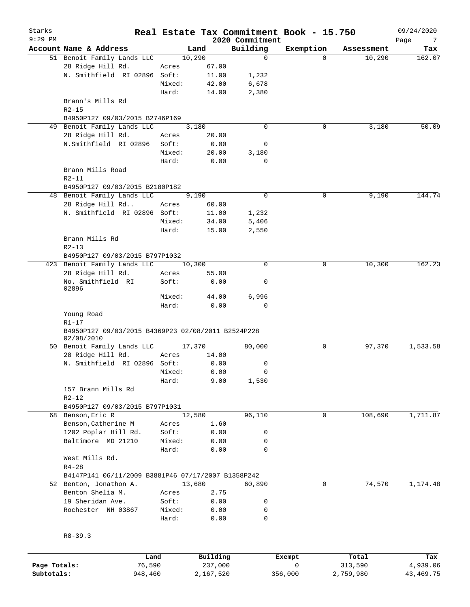| Starks<br>$9:29$ PM |                                                                 |        |                | 2020 Commitment | Real Estate Tax Commitment Book - 15.750 |            | 09/24/2020<br>Page<br>7 |
|---------------------|-----------------------------------------------------------------|--------|----------------|-----------------|------------------------------------------|------------|-------------------------|
|                     | Account Name & Address                                          |        | Land           | Building        | Exemption                                | Assessment | Tax                     |
|                     | 51 Benoit Family Lands LLC                                      |        | 10,290         | $\mathbf 0$     | $\Omega$                                 | 10,290     | 162.07                  |
|                     | 28 Ridge Hill Rd.                                               | Acres  | 67.00          |                 |                                          |            |                         |
|                     | N. Smithfield RI 02896 Soft:                                    |        | 11.00          | 1,232           |                                          |            |                         |
|                     |                                                                 | Mixed: | 42.00          | 6,678           |                                          |            |                         |
|                     |                                                                 | Hard:  | 14.00          | 2,380           |                                          |            |                         |
|                     | Brann's Mills Rd<br>$R2 - 15$                                   |        |                |                 |                                          |            |                         |
|                     | B4950P127 09/03/2015 B2746P169                                  |        |                |                 |                                          |            |                         |
|                     | 49 Benoit Family Lands LLC                                      |        | 3,180          | $\mathbf 0$     | 0                                        | 3,180      | 50.09                   |
|                     | 28 Ridge Hill Rd.                                               | Acres  | 20.00          |                 |                                          |            |                         |
|                     | N.Smithfield RI 02896                                           | Soft:  | 0.00           | 0               |                                          |            |                         |
|                     |                                                                 | Mixed: | 20.00          | 3,180           |                                          |            |                         |
|                     |                                                                 | Hard:  | 0.00           | 0               |                                          |            |                         |
|                     | Brann Mills Road<br>$R2 - 11$                                   |        |                |                 |                                          |            |                         |
|                     | B4950P127 09/03/2015 B2180P182                                  |        |                |                 |                                          |            |                         |
|                     | 48 Benoit Family Lands LLC                                      |        | 9,190          | $\mathbf 0$     | 0                                        | 9,190      | 144.74                  |
|                     | 28 Ridge Hill Rd                                                | Acres  | 60.00          |                 |                                          |            |                         |
|                     | N. Smithfield RI 02896 Soft:                                    |        | 11.00          | 1,232           |                                          |            |                         |
|                     |                                                                 | Mixed: | 34.00          | 5,406           |                                          |            |                         |
|                     |                                                                 | Hard:  | 15.00          | 2,550           |                                          |            |                         |
|                     | Brann Mills Rd                                                  |        |                |                 |                                          |            |                         |
|                     | $R2 - 13$                                                       |        |                |                 |                                          |            |                         |
|                     | B4950P127 09/03/2015 B797P1032                                  |        |                |                 |                                          |            |                         |
|                     | 423 Benoit Family Lands LLC                                     |        | 10,300         | $\mathbf 0$     | 0                                        | 10,300     | 162.23                  |
|                     | 28 Ridge Hill Rd.                                               | Acres  | 55.00          |                 |                                          |            |                         |
|                     | No. Smithfield RI<br>02896                                      | Soft:  | 0.00           | 0               |                                          |            |                         |
|                     |                                                                 | Mixed: | 44.00          | 6,996           |                                          |            |                         |
|                     |                                                                 | Hard:  | 0.00           | 0               |                                          |            |                         |
|                     | Young Road                                                      |        |                |                 |                                          |            |                         |
|                     | $R1 - 17$<br>B4950P127 09/03/2015 B4369P23 02/08/2011 B2524P228 |        |                |                 |                                          |            |                         |
|                     | 02/08/2010                                                      |        |                |                 |                                          |            |                         |
|                     | 50 Benoit Family Lands LLC                                      |        | 17,370         | 80,000          | 0                                        | 97,370     | 1,533.58                |
|                     | 28 Ridge Hill Rd.                                               | Acres  | 14.00          |                 |                                          |            |                         |
|                     | N. Smithfield RI 02896 Soft:                                    |        | 0.00           | 0               |                                          |            |                         |
|                     |                                                                 | Mixed: | 0.00           | 0               |                                          |            |                         |
|                     |                                                                 | Hard:  | 9.00           | 1,530           |                                          |            |                         |
|                     | 157 Brann Mills Rd                                              |        |                |                 |                                          |            |                         |
|                     | $R2 - 12$                                                       |        |                |                 |                                          |            |                         |
|                     | B4950P127 09/03/2015 B797P1031                                  |        |                |                 |                                          |            |                         |
|                     | 68 Benson, Eric R                                               |        | 12,580         | 96,110          | 0                                        | 108,690    | 1,711.87                |
|                     | Benson, Catherine M                                             | Acres  | 1.60           |                 |                                          |            |                         |
|                     | 1202 Poplar Hill Rd.                                            | Soft:  | 0.00           | 0               |                                          |            |                         |
|                     | Baltimore MD 21210                                              | Mixed: | 0.00           | 0               |                                          |            |                         |
|                     |                                                                 | Hard:  | 0.00           | 0               |                                          |            |                         |
|                     | West Mills Rd.                                                  |        |                |                 |                                          |            |                         |
|                     | $R4 - 28$                                                       |        |                |                 |                                          |            |                         |
|                     | B4147P141 06/11/2009 B3881P46 07/17/2007 B1358P242              |        |                |                 | 0                                        |            | 1,174.48                |
|                     | 52 Benton, Jonathon A.<br>Benton Shelia M.                      | Acres  | 13,680<br>2.75 | 60,890          |                                          | 74,570     |                         |
|                     | 19 Sheridan Ave.                                                | Soft:  | 0.00           | 0               |                                          |            |                         |
|                     | Rochester NH 03867                                              | Mixed: | 0.00           | 0               |                                          |            |                         |
|                     |                                                                 | Hard:  | 0.00           | $\mathbf 0$     |                                          |            |                         |
|                     |                                                                 |        |                |                 |                                          |            |                         |
|                     | $R8 - 39.3$                                                     |        |                |                 |                                          |            |                         |
|                     |                                                                 |        |                |                 |                                          |            |                         |
|                     | Land                                                            |        | Building       |                 | Exempt                                   | Total      | Tax                     |

|              | Land    | Building  | Exempt  | Total     | Tax       |
|--------------|---------|-----------|---------|-----------|-----------|
| Page Totals: | 76,590  | 237,000   |         | 313,590   | 4,939.06  |
| Subtotals:   | 948,460 | 2,167,520 | 356,000 | 2,759,980 | 43,469.75 |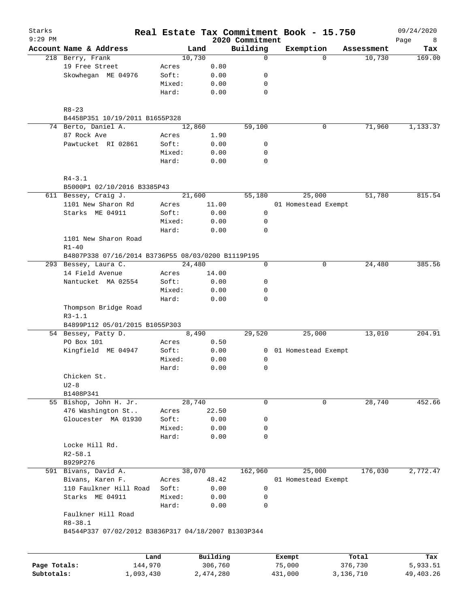| Starks<br>9:29 PM |                                                                    |                |           | 2020 Commitment | Real Estate Tax Commitment Book - 15.750 |            | 09/24/2020<br>Page<br>8 |
|-------------------|--------------------------------------------------------------------|----------------|-----------|-----------------|------------------------------------------|------------|-------------------------|
|                   | Account Name & Address                                             |                | Land      | Building        | Exemption                                | Assessment | Tax                     |
|                   | 218 Berry, Frank                                                   |                | 10,730    | $\mathbf 0$     |                                          | $\Omega$   | 10,730<br>169.00        |
|                   | 19 Free Street                                                     | Acres          | 0.80      |                 |                                          |            |                         |
|                   | Skowhegan ME 04976                                                 | Soft:          | 0.00      | 0               |                                          |            |                         |
|                   |                                                                    | Mixed:         | 0.00      | 0               |                                          |            |                         |
|                   |                                                                    | Hard:          | 0.00      | 0               |                                          |            |                         |
|                   |                                                                    |                |           |                 |                                          |            |                         |
|                   | $R8 - 23$<br>B4458P351 10/19/2011 B1655P328                        |                |           |                 |                                          |            |                         |
|                   | 74 Berto, Daniel A.                                                |                | 12,860    | 59,100          |                                          | 0          | 71,960<br>1,133.37      |
|                   | 87 Rock Ave                                                        | Acres          | 1.90      |                 |                                          |            |                         |
|                   | Pawtucket RI 02861                                                 | Soft:          | 0.00      | 0               |                                          |            |                         |
|                   |                                                                    | Mixed:         | 0.00      | 0               |                                          |            |                         |
|                   |                                                                    | Hard:          | 0.00      | $\mathbf 0$     |                                          |            |                         |
|                   | $R4 - 3.1$                                                         |                |           |                 |                                          |            |                         |
|                   | B5000P1 02/10/2016 B3385P43                                        |                |           |                 |                                          |            |                         |
|                   | 611 Bessey, Craig J.                                               |                | 21,600    | 55,180          | 25,000                                   |            | 51,780<br>815.54        |
|                   | 1101 New Sharon Rd                                                 | Acres          | 11.00     |                 | 01 Homestead Exempt                      |            |                         |
|                   | Starks ME 04911                                                    | Soft:          | 0.00      | 0               |                                          |            |                         |
|                   |                                                                    | Mixed:         | 0.00      | 0               |                                          |            |                         |
|                   |                                                                    | Hard:          | 0.00      | 0               |                                          |            |                         |
|                   | 1101 New Sharon Road                                               |                |           |                 |                                          |            |                         |
|                   | $R1 - 40$                                                          |                |           |                 |                                          |            |                         |
|                   | B4807P338 07/16/2014 B3736P55 08/03/0200 B1119P195                 |                |           |                 |                                          |            |                         |
|                   | 293 Bessey, Laura C.                                               |                | 24,480    | $\mathbf 0$     |                                          | 0          | 24,480<br>385.56        |
|                   | 14 Field Avenue                                                    | Acres          | 14.00     |                 |                                          |            |                         |
|                   | Nantucket MA 02554                                                 | Soft:          | 0.00      | 0               |                                          |            |                         |
|                   |                                                                    | Mixed:         | 0.00      | 0               |                                          |            |                         |
|                   |                                                                    | Hard:          | 0.00      | $\mathbf 0$     |                                          |            |                         |
|                   | Thompson Bridge Road<br>$R3 - 1.1$                                 |                |           |                 |                                          |            |                         |
|                   | B4899P112 05/01/2015 B1055P303                                     |                |           |                 |                                          |            |                         |
|                   | 54 Bessey, Patty D.                                                |                | 8,490     | 29,520          | 25,000                                   |            | 204.91<br>13,010        |
|                   | PO Box 101                                                         | Acres          | 0.50      |                 |                                          |            |                         |
|                   | Kingfield ME 04947                                                 | Soft:          | 0.00      | 0               | 01 Homestead Exempt                      |            |                         |
|                   |                                                                    | Mixed:         | 0.00      | 0               |                                          |            |                         |
|                   |                                                                    | Hard:          | 0.00      | 0               |                                          |            |                         |
|                   | Chicken St.                                                        |                |           |                 |                                          |            |                         |
|                   | $U2-8$                                                             |                |           |                 |                                          |            |                         |
|                   | B1408P341                                                          |                |           |                 |                                          |            |                         |
|                   | 55 Bishop, John H. Jr.                                             |                | 28,740    | 0               |                                          | 0          | 28,740<br>452.66        |
|                   | 476 Washington St                                                  |                | 22.50     |                 |                                          |            |                         |
|                   | Gloucester MA 01930                                                | Acres<br>Soft: |           |                 |                                          |            |                         |
|                   |                                                                    | Mixed:         | 0.00      | 0               |                                          |            |                         |
|                   |                                                                    |                | 0.00      | 0               |                                          |            |                         |
|                   |                                                                    | Hard:          | 0.00      | $\mathbf 0$     |                                          |            |                         |
|                   | Locke Hill Rd.                                                     |                |           |                 |                                          |            |                         |
|                   | $R2 - 58.1$                                                        |                |           |                 |                                          |            |                         |
|                   | B929P276                                                           |                |           |                 |                                          |            |                         |
|                   | 591 Bivans, David A.                                               |                | 38,070    | 162,960         | 25,000                                   | 176,030    | 2,772.47                |
|                   | Bivans, Karen F.                                                   | Acres          | 48.42     |                 | 01 Homestead Exempt                      |            |                         |
|                   | 110 Faulkner Hill Road                                             | Soft:          | 0.00      | 0               |                                          |            |                         |
|                   | Starks ME 04911                                                    | Mixed:         | 0.00      | 0               |                                          |            |                         |
|                   |                                                                    | Hard:          | 0.00      | $\mathbf 0$     |                                          |            |                         |
|                   | Faulkner Hill Road                                                 |                |           |                 |                                          |            |                         |
|                   | $R8 - 38.1$<br>B4544P337 07/02/2012 B3836P317 04/18/2007 B1303P344 |                |           |                 |                                          |            |                         |
|                   |                                                                    |                |           |                 |                                          |            |                         |
|                   |                                                                    | Land           | Building  |                 | Exempt                                   | Total      | Tax                     |
| Page Totals:      | 144,970                                                            |                | 306,760   |                 | 75,000                                   | 376,730    | 5,933.51                |
| Subtotals:        | 1,093,430                                                          |                | 2,474,280 |                 | 431,000                                  | 3,136,710  | 49, 403. 26             |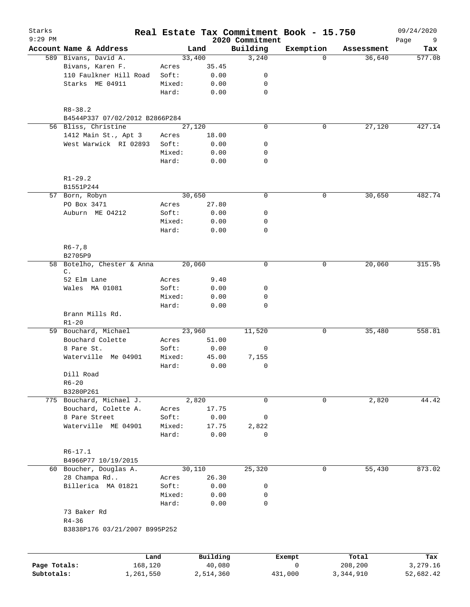| Starks<br>$9:29$ PM |                                           |        |          | 2020 Commitment | Real Estate Tax Commitment Book - 15.750 |            | 09/24/2020<br>Page<br>9 |
|---------------------|-------------------------------------------|--------|----------|-----------------|------------------------------------------|------------|-------------------------|
|                     | Account Name & Address                    |        | Land     | Building        | Exemption                                | Assessment | Tax                     |
|                     | 589 Bivans, David A.                      |        | 33,400   | 3,240           | $\Omega$                                 | 36,640     | 577.08                  |
|                     | Bivans, Karen F.                          | Acres  | 35.45    |                 |                                          |            |                         |
|                     | 110 Faulkner Hill Road                    | Soft:  | 0.00     | 0               |                                          |            |                         |
|                     | Starks ME 04911                           | Mixed: | 0.00     | 0               |                                          |            |                         |
|                     |                                           | Hard:  | 0.00     | $\mathbf 0$     |                                          |            |                         |
|                     | $R8 - 38.2$                               |        |          |                 |                                          |            |                         |
|                     | B4544P337 07/02/2012 B2866P284            |        |          |                 |                                          |            |                         |
|                     | 56 Bliss, Christine                       |        | 27,120   | $\mathbf 0$     | 0                                        | 27,120     | 427.14                  |
|                     | 1412 Main St., Apt 3                      | Acres  | 18.00    |                 |                                          |            |                         |
|                     | West Warwick RI 02893                     | Soft:  | 0.00     | 0               |                                          |            |                         |
|                     |                                           | Mixed: | 0.00     | 0               |                                          |            |                         |
|                     |                                           | Hard:  | 0.00     | $\mathbf 0$     |                                          |            |                         |
|                     | $R1 - 29.2$                               |        |          |                 |                                          |            |                         |
|                     | B1551P244                                 |        |          |                 |                                          |            |                         |
|                     | 57 Born, Robyn                            |        | 30,650   | 0               | 0                                        | 30,650     | 482.74                  |
|                     | PO Box 3471                               | Acres  | 27.80    |                 |                                          |            |                         |
|                     | Auburn ME 04212                           | Soft:  | 0.00     | 0               |                                          |            |                         |
|                     |                                           | Mixed: | 0.00     | 0               |                                          |            |                         |
|                     |                                           | Hard:  | 0.00     | $\mathbf 0$     |                                          |            |                         |
|                     | $R6 - 7, 8$                               |        |          |                 |                                          |            |                         |
|                     | B2705P9                                   |        |          |                 |                                          |            |                         |
| 58                  | Botelho, Chester & Anna<br>$\mathsf{C}$ . |        | 20,060   | $\mathbf 0$     | 0                                        | 20,060     | 315.95                  |
|                     | 52 Elm Lane                               | Acres  | 9.40     |                 |                                          |            |                         |
|                     | Wales MA 01081                            | Soft:  | 0.00     | 0               |                                          |            |                         |
|                     |                                           | Mixed: | 0.00     | 0               |                                          |            |                         |
|                     |                                           | Hard:  | 0.00     | 0               |                                          |            |                         |
|                     | Brann Mills Rd.                           |        |          |                 |                                          |            |                         |
|                     | $R1 - 20$                                 |        |          |                 |                                          |            |                         |
|                     | 59 Bouchard, Michael                      |        | 23,960   | 11,520          | 0                                        | 35,480     | 558.81                  |
|                     | Bouchard Colette                          | Acres  | 51.00    |                 |                                          |            |                         |
|                     | 8 Pare St.                                | Soft:  | 0.00     | 0               |                                          |            |                         |
|                     | Waterville Me 04901                       | Mixed: | 45.00    | 7,155           |                                          |            |                         |
|                     |                                           | Hard:  | 0.00     | 0               |                                          |            |                         |
|                     | Dill Road                                 |        |          |                 |                                          |            |                         |
|                     | $R6 - 20$                                 |        |          |                 |                                          |            |                         |
|                     | B3280P261                                 |        |          |                 |                                          |            |                         |
|                     | 775 Bouchard, Michael J.                  |        | 2,820    | 0               | 0                                        | 2,820      | 44.42                   |
|                     | Bouchard, Colette A.                      | Acres  | 17.75    |                 |                                          |            |                         |
|                     | 8 Pare Street                             | Soft:  | 0.00     | 0               |                                          |            |                         |
|                     | Waterville ME 04901                       | Mixed: | 17.75    | 2,822           |                                          |            |                         |
|                     |                                           | Hard:  | 0.00     | 0               |                                          |            |                         |
|                     | $R6 - 17.1$                               |        |          |                 |                                          |            |                         |
|                     | B4966P77 10/19/2015                       |        |          |                 |                                          |            |                         |
|                     | 60 Boucher, Douglas A.                    |        | 30,110   | 25,320          | $\mathbf 0$                              | 55,430     | 873.02                  |
|                     | 28 Champa Rd                              | Acres  | 26.30    |                 |                                          |            |                         |
|                     | Billerica MA 01821                        | Soft:  | 0.00     | 0               |                                          |            |                         |
|                     |                                           | Mixed: | 0.00     | 0               |                                          |            |                         |
|                     |                                           | Hard:  | 0.00     | 0               |                                          |            |                         |
|                     | 73 Baker Rd                               |        |          |                 |                                          |            |                         |
|                     | $R4 - 36$                                 |        |          |                 |                                          |            |                         |
|                     | B3838P176 03/21/2007 B995P252             |        |          |                 |                                          |            |                         |
|                     |                                           |        |          |                 |                                          |            |                         |
|                     | Land                                      |        | Building |                 | Exempt                                   | Total      | Tax                     |

|              | ⊔and      | Building  | Exempt  | Total     | Tax       |
|--------------|-----------|-----------|---------|-----------|-----------|
| Page Totals: | 168,120   | 40,080    |         | 208,200   | 3,279.16  |
| Subtotals:   | 1,261,550 | 2,514,360 | 431,000 | 3,344,910 | 52,682.42 |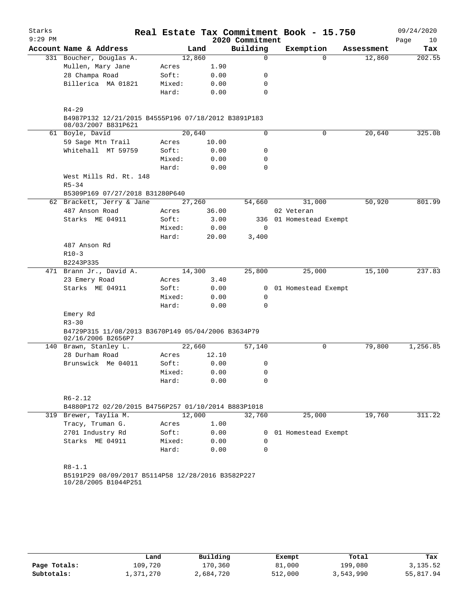| Starks    |                                                                            |        |       |                 | Real Estate Tax Commitment Book - 15.750 |            | 09/24/2020 |
|-----------|----------------------------------------------------------------------------|--------|-------|-----------------|------------------------------------------|------------|------------|
| $9:29$ PM |                                                                            |        |       | 2020 Commitment |                                          |            | Page<br>10 |
|           | Account Name & Address                                                     |        | Land  | Building        | Exemption                                | Assessment | Tax        |
|           | 331 Boucher, Douglas A.                                                    | 12,860 |       | $\Omega$        | 0                                        | 12,860     | 202.55     |
|           | Mullen, Mary Jane                                                          | Acres  | 1.90  |                 |                                          |            |            |
|           | 28 Champa Road                                                             | Soft:  | 0.00  | 0               |                                          |            |            |
|           | Billerica MA 01821                                                         | Mixed: | 0.00  | 0               |                                          |            |            |
|           |                                                                            | Hard:  | 0.00  | 0               |                                          |            |            |
|           | $R4 - 29$                                                                  |        |       |                 |                                          |            |            |
|           | B4987P132 12/21/2015 B4555P196 07/18/2012 B3891P183<br>08/03/2007 B831P621 |        |       |                 |                                          |            |            |
|           | 61 Boyle, David                                                            | 20,640 |       | 0               | 0                                        | 20,640     | 325.08     |
|           | 59 Sage Mtn Trail                                                          | Acres  | 10.00 |                 |                                          |            |            |
|           | Whitehall MT 59759                                                         | Soft:  | 0.00  | 0               |                                          |            |            |
|           |                                                                            | Mixed: | 0.00  | 0               |                                          |            |            |
|           |                                                                            | Hard:  | 0.00  | 0               |                                          |            |            |
|           | West Mills Rd. Rt. 148<br>$R5 - 34$                                        |        |       |                 |                                          |            |            |
|           | B5309P169 07/27/2018 B31280P640                                            |        |       |                 |                                          |            |            |
|           | 62 Brackett, Jerry & Jane                                                  | 27,260 |       | 54,660          | 31,000                                   | 50,920     | 801.99     |
|           |                                                                            |        |       |                 |                                          |            |            |
|           | 487 Anson Road                                                             | Acres  | 36.00 |                 | 02 Veteran                               |            |            |
|           | Starks ME 04911                                                            | Soft:  | 3.00  |                 | 336 01 Homestead Exempt                  |            |            |
|           |                                                                            | Mixed: | 0.00  | 0               |                                          |            |            |
|           |                                                                            | Hard:  | 20.00 | 3,400           |                                          |            |            |
|           | 487 Anson Rd                                                               |        |       |                 |                                          |            |            |
|           | $R10-3$<br>B2243P335                                                       |        |       |                 |                                          |            |            |
|           | 471 Brann Jr., David A.                                                    | 14,300 |       | 25,800          | 25,000                                   | 15,100     | 237.83     |
|           | 23 Emery Road                                                              | Acres  | 3.40  |                 |                                          |            |            |
|           | Starks ME 04911                                                            | Soft:  | 0.00  | 0               | 01 Homestead Exempt                      |            |            |
|           |                                                                            | Mixed: | 0.00  | 0               |                                          |            |            |
|           |                                                                            | Hard:  | 0.00  | 0               |                                          |            |            |
|           | Emery Rd                                                                   |        |       |                 |                                          |            |            |
|           | $R3 - 30$                                                                  |        |       |                 |                                          |            |            |
|           | B4729P315 11/08/2013 B3670P149 05/04/2006 B3634P79<br>02/16/2006 B2656P7   |        |       |                 |                                          |            |            |
|           | 140 Brawn, Stanley L.                                                      | 22,660 |       | 57,140          | 0                                        | 79,800     | 1,256.85   |
|           | 28 Durham Road                                                             | Acres  | 12.10 |                 |                                          |            |            |
|           | Brunswick Me 04011                                                         | Soft:  | 0.00  | 0               |                                          |            |            |
|           |                                                                            | Mixed: | 0.00  | 0               |                                          |            |            |
|           |                                                                            | Hard:  | 0.00  | 0               |                                          |            |            |
|           | $R6 - 2.12$                                                                |        |       |                 |                                          |            |            |
|           | B4880P172 02/20/2015 B4756P257 01/10/2014 B883P1018                        |        |       |                 |                                          |            |            |
|           | 319 Brewer, Taylia M.                                                      | 12,000 |       | 32,760          | 25,000                                   | 19,760     | 311.22     |
|           | Tracy, Truman G.                                                           | Acres  | 1.00  |                 |                                          |            |            |
|           | 2701 Industry Rd                                                           | Soft:  | 0.00  | 0               | 01 Homestead Exempt                      |            |            |
|           | Starks ME 04911                                                            | Mixed: | 0.00  | 0               |                                          |            |            |
|           |                                                                            | Hard:  | 0.00  | $\Omega$        |                                          |            |            |
|           |                                                                            |        |       |                 |                                          |            |            |
|           | $R8 - 1.1$                                                                 |        |       |                 |                                          |            |            |
|           | B5191P29 08/09/2017 B5114P58 12/28/2016 B3582P227                          |        |       |                 |                                          |            |            |
|           | 10/28/2005 B1044P251                                                       |        |       |                 |                                          |            |            |
|           |                                                                            |        |       |                 |                                          |            |            |
|           |                                                                            |        |       |                 |                                          |            |            |
|           |                                                                            |        |       |                 |                                          |            |            |

|              | Land      | Building  | Exempt  | Total     | Tax       |
|--------------|-----------|-----------|---------|-----------|-----------|
| Page Totals: | 109,720   | 170,360   | 81,000  | 199,080   | 3,135.52  |
| Subtotals:   | 1,371,270 | 2,684,720 | 512,000 | 3,543,990 | 55,817.94 |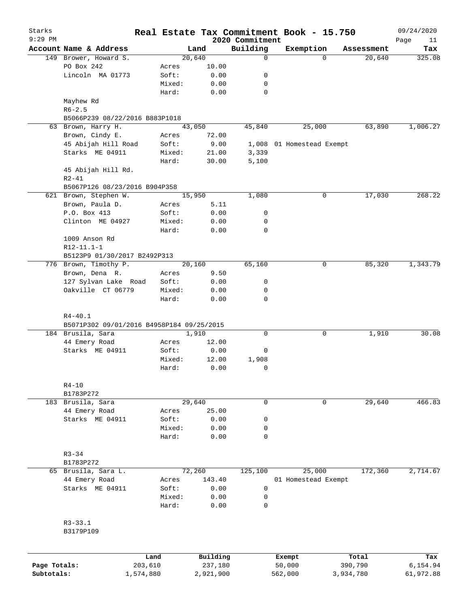| Starks<br>$9:29$ PM |                                                                |         | Real Estate Tax Commitment Book - 15.750 | 2020 Commitment |                           |             |            | 09/24/2020        |
|---------------------|----------------------------------------------------------------|---------|------------------------------------------|-----------------|---------------------------|-------------|------------|-------------------|
|                     | Account Name & Address                                         |         | Land                                     | Building        | Exemption                 |             | Assessment | Page<br>11<br>Tax |
|                     | 149 Brower, Howard S.                                          |         | 20,640                                   | $\mathbf 0$     |                           | $\Omega$    | 20,640     | 325.08            |
|                     | PO Box 242                                                     | Acres   | 10.00                                    |                 |                           |             |            |                   |
|                     | Lincoln MA 01773                                               | Soft:   | 0.00                                     | 0               |                           |             |            |                   |
|                     |                                                                | Mixed:  | 0.00                                     | 0               |                           |             |            |                   |
|                     |                                                                | Hard:   | 0.00                                     | 0               |                           |             |            |                   |
|                     | Mayhew Rd                                                      |         |                                          |                 |                           |             |            |                   |
|                     | $R6 - 2.5$                                                     |         |                                          |                 |                           |             |            |                   |
|                     | B5066P239 08/22/2016 B883P1018                                 |         |                                          |                 |                           |             |            |                   |
|                     | 63 Brown, Harry H.                                             |         | 43,050                                   | 45,840          | 25,000                    |             | 63,890     | 1,006.27          |
|                     | Brown, Cindy E.                                                | Acres   | 72.00                                    |                 |                           |             |            |                   |
|                     | 45 Abijah Hill Road                                            | Soft:   | 9.00                                     |                 | 1,008 01 Homestead Exempt |             |            |                   |
|                     | Starks ME 04911                                                | Mixed:  |                                          | 3,339           |                           |             |            |                   |
|                     |                                                                |         | 21.00                                    |                 |                           |             |            |                   |
|                     |                                                                | Hard:   | 30.00                                    | 5,100           |                           |             |            |                   |
|                     | 45 Abijah Hill Rd.                                             |         |                                          |                 |                           |             |            |                   |
|                     | $R2 - 41$                                                      |         |                                          |                 |                           |             |            |                   |
|                     | B5067P126 08/23/2016 B904P358                                  |         |                                          |                 |                           |             |            |                   |
|                     | 621 Brown, Stephen W.                                          |         | 15,950                                   | 1,080           |                           | 0           | 17,030     | 268.22            |
|                     | Brown, Paula D.                                                | Acres   | 5.11                                     |                 |                           |             |            |                   |
|                     | P.O. Box 413                                                   | Soft:   | 0.00                                     | 0               |                           |             |            |                   |
|                     | Clinton ME 04927                                               | Mixed:  | 0.00                                     | 0               |                           |             |            |                   |
|                     |                                                                | Hard:   | 0.00                                     | 0               |                           |             |            |                   |
|                     | 1009 Anson Rd                                                  |         |                                          |                 |                           |             |            |                   |
|                     | $R12-11.1-1$                                                   |         |                                          |                 |                           |             |            |                   |
|                     | B5123P9 01/30/2017 B2492P313                                   |         |                                          |                 |                           |             |            |                   |
|                     | 776 Brown, Timothy P.                                          |         | 20,160                                   | 65,160          |                           | 0           | 85,320     | 1,343.79          |
|                     | Brown, Dena R.                                                 | Acres   | 9.50                                     |                 |                           |             |            |                   |
|                     | 127 Sylvan Lake Road                                           | Soft:   | 0.00                                     | 0               |                           |             |            |                   |
|                     | Oakville CT 06779                                              | Mixed:  |                                          | 0               |                           |             |            |                   |
|                     |                                                                | Hard:   | 0.00<br>0.00                             | 0               |                           |             |            |                   |
|                     | B5071P302 09/01/2016 B4958P184 09/25/2015<br>184 Brusila, Sara |         | 1,910                                    | 0               |                           | 0           | 1,910      | 30.08             |
|                     | 44 Emery Road                                                  | Acres   | 12.00                                    |                 |                           |             |            |                   |
|                     | Starks ME 04911                                                | Soft:   | 0.00                                     | 0               |                           |             |            |                   |
|                     |                                                                | Mixed:  | 12.00                                    | 1,908           |                           |             |            |                   |
|                     |                                                                | Hard:   | 0.00                                     | $\mathbf 0$     |                           |             |            |                   |
|                     |                                                                |         |                                          |                 |                           |             |            |                   |
|                     | $R4-10$                                                        |         |                                          |                 |                           |             |            |                   |
|                     | B1783P272                                                      |         |                                          |                 |                           |             |            |                   |
|                     | 183 Brusila, Sara                                              |         | 29,640                                   | 0               |                           | $\mathbf 0$ | 29,640     | 466.83            |
|                     | 44 Emery Road                                                  | Acres   | 25.00                                    |                 |                           |             |            |                   |
|                     | Starks ME 04911                                                | Soft:   | 0.00                                     | 0               |                           |             |            |                   |
|                     |                                                                | Mixed:  | 0.00                                     | 0               |                           |             |            |                   |
|                     |                                                                | Hard:   | 0.00                                     | $\mathbf 0$     |                           |             |            |                   |
|                     |                                                                |         |                                          |                 |                           |             |            |                   |
|                     |                                                                |         |                                          |                 |                           |             |            |                   |
|                     | $R3 - 34$                                                      |         |                                          |                 |                           |             |            |                   |
|                     | B1783P272                                                      |         |                                          |                 |                           |             |            |                   |
|                     | 65 Brusila, Sara L.                                            |         | 72,260                                   | 125,100         | 25,000                    |             | 172,360    | 2,714.67          |
|                     | 44 Emery Road                                                  | Acres   | 143.40                                   |                 | 01 Homestead Exempt       |             |            |                   |
|                     | Starks ME 04911                                                | Soft:   | 0.00                                     | 0               |                           |             |            |                   |
|                     |                                                                | Mixed:  | 0.00                                     | 0               |                           |             |            |                   |
|                     |                                                                | Hard:   | 0.00                                     | $\mathbf 0$     |                           |             |            |                   |
|                     |                                                                |         |                                          |                 |                           |             |            |                   |
|                     | $R3 - 33.1$                                                    |         |                                          |                 |                           |             |            |                   |
|                     | B3179P109                                                      |         |                                          |                 |                           |             |            |                   |
|                     |                                                                |         |                                          |                 |                           |             |            |                   |
|                     |                                                                | Land    | Building                                 |                 | Exempt                    |             | Total      | Tax               |
| Page Totals:        |                                                                | 203,610 | 237,180                                  |                 | 50,000                    |             | 390,790    | 6,154.94          |
| Subtotals:          | 1,574,880                                                      |         | 2,921,900                                |                 | 562,000                   |             | 3,934,780  | 61,972.88         |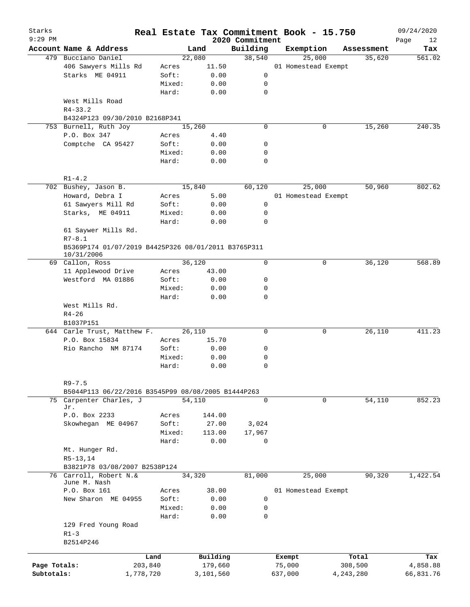| Starks<br>$9:29$ PM |                                                                   |           |        |           | 2020 Commitment | Real Estate Tax Commitment Book - 15.750 |             |            | 09/24/2020<br>Page<br>12 |
|---------------------|-------------------------------------------------------------------|-----------|--------|-----------|-----------------|------------------------------------------|-------------|------------|--------------------------|
|                     | Account Name & Address                                            |           | Land   |           | Building        | Exemption                                |             | Assessment | Tax                      |
|                     | 479 Bucciano Daniel                                               |           | 22,080 |           | 38,540          | 25,000                                   |             | 35,620     | 561.02                   |
|                     | 406 Sawyers Mills Rd                                              |           | Acres  | 11.50     |                 | 01 Homestead Exempt                      |             |            |                          |
|                     | Starks ME 04911                                                   |           | Soft:  | 0.00      | 0               |                                          |             |            |                          |
|                     |                                                                   |           | Mixed: | 0.00      | 0               |                                          |             |            |                          |
|                     |                                                                   |           | Hard:  | 0.00      | 0               |                                          |             |            |                          |
|                     | West Mills Road<br>$R4 - 33.2$                                    |           |        |           |                 |                                          |             |            |                          |
|                     | B4324P123 09/30/2010 B2168P341                                    |           |        |           |                 |                                          |             |            |                          |
|                     | 753 Burnell, Ruth Joy                                             |           | 15,260 |           | $\mathbf 0$     | 0                                        |             | 15,260     | 240.35                   |
|                     | P.O. Box 347                                                      |           | Acres  | 4.40      |                 |                                          |             |            |                          |
|                     | Comptche CA 95427                                                 |           | Soft:  | 0.00      | 0               |                                          |             |            |                          |
|                     |                                                                   |           | Mixed: | 0.00      | 0               |                                          |             |            |                          |
|                     |                                                                   |           | Hard:  | 0.00      | 0               |                                          |             |            |                          |
|                     | $R1 - 4.2$                                                        |           |        |           |                 |                                          |             |            |                          |
|                     | 702 Bushey, Jason B.                                              |           | 15,840 |           | 60,120          | 25,000                                   |             | 50,960     | 802.62                   |
|                     | Howard, Debra I                                                   |           | Acres  | 5.00      |                 | 01 Homestead Exempt                      |             |            |                          |
|                     | 61 Sawyers Mill Rd                                                |           | Soft:  | 0.00      | 0               |                                          |             |            |                          |
|                     | Starks, ME 04911                                                  |           | Mixed: | 0.00      | 0               |                                          |             |            |                          |
|                     |                                                                   |           | Hard:  | 0.00      | 0               |                                          |             |            |                          |
|                     |                                                                   |           |        |           |                 |                                          |             |            |                          |
|                     | 61 Saywer Mills Rd.<br>$R7 - 8.1$                                 |           |        |           |                 |                                          |             |            |                          |
|                     | B5369P174 01/07/2019 B4425P326 08/01/2011 B3765P311<br>10/31/2006 |           |        |           |                 |                                          |             |            |                          |
|                     | 69 Callon, Ross                                                   |           | 36,120 |           | $\mathbf 0$     | 0                                        |             | 36,120     | 568.89                   |
|                     | 11 Applewood Drive                                                |           | Acres  | 43.00     |                 |                                          |             |            |                          |
|                     | Westford MA 01886                                                 |           | Soft:  | 0.00      | 0               |                                          |             |            |                          |
|                     |                                                                   |           | Mixed: | 0.00      | 0               |                                          |             |            |                          |
|                     |                                                                   |           | Hard:  | 0.00      | $\mathbf 0$     |                                          |             |            |                          |
|                     | West Mills Rd.<br>$R4 - 26$                                       |           |        |           |                 |                                          |             |            |                          |
|                     | B1037P151                                                         |           |        |           |                 |                                          |             |            |                          |
|                     |                                                                   |           | 26,110 |           | 0               | 0                                        |             |            | 411.23                   |
|                     | 644 Carle Trust, Matthew F.                                       |           |        |           |                 |                                          |             | 26,110     |                          |
|                     | P.O. Box 15834                                                    |           | Acres  | 15.70     |                 |                                          |             |            |                          |
|                     | Rio Rancho NM 87174                                               |           | Soft:  | 0.00      | 0               |                                          |             |            |                          |
|                     |                                                                   |           | Mixed: | 0.00      | 0               |                                          |             |            |                          |
|                     |                                                                   |           | Hard:  | 0.00      | 0               |                                          |             |            |                          |
|                     | $R9 - 7.5$                                                        |           |        |           |                 |                                          |             |            |                          |
|                     | B5044P113 06/22/2016 B3545P99 08/08/2005 B1444P263                |           |        |           |                 |                                          |             |            |                          |
|                     | 75 Carpenter Charles, J                                           |           | 54,110 |           | $\mathbf 0$     | 0                                        |             | 54,110     | 852.23                   |
|                     | Jr.<br>P.O. Box 2233                                              |           | Acres  | 144.00    |                 |                                          |             |            |                          |
|                     |                                                                   |           |        |           |                 |                                          |             |            |                          |
|                     | Skowhegan ME 04967                                                |           | Soft:  | 27.00     | 3,024           |                                          |             |            |                          |
|                     |                                                                   |           | Mixed: | 113.00    | 17,967          |                                          |             |            |                          |
|                     |                                                                   |           | Hard:  | 0.00      | 0               |                                          |             |            |                          |
|                     | Mt. Hunger Rd.                                                    |           |        |           |                 |                                          |             |            |                          |
|                     | $R5-13,14$                                                        |           |        |           |                 |                                          |             |            |                          |
|                     | B3821P78 03/08/2007 B2538P124                                     |           |        |           |                 |                                          |             |            |                          |
| 76                  | Carroll, Robert N.&                                               |           | 34,320 |           | 81,000          | 25,000                                   |             | 90,320     | 1,422.54                 |
|                     | June M. Nash                                                      |           |        |           |                 |                                          |             |            |                          |
|                     | P.O. Box 161                                                      |           | Acres  | 38.00     |                 | 01 Homestead Exempt                      |             |            |                          |
|                     | New Sharon ME 04955                                               |           | Soft:  | 0.00      | 0               |                                          |             |            |                          |
|                     |                                                                   |           | Mixed: | 0.00      | 0               |                                          |             |            |                          |
|                     |                                                                   |           | Hard:  | 0.00      | 0               |                                          |             |            |                          |
|                     | 129 Fred Young Road                                               |           |        |           |                 |                                          |             |            |                          |
|                     | $R1-3$                                                            |           |        |           |                 |                                          |             |            |                          |
|                     | B2514P246                                                         |           |        |           |                 |                                          |             |            |                          |
|                     |                                                                   | Land      |        | Building  |                 | Exempt                                   |             | Total      | Tax                      |
| Page Totals:        |                                                                   | 203,840   |        | 179,660   |                 | 75,000                                   |             | 308,500    | 4,858.88                 |
| Subtotals:          |                                                                   | 1,778,720 |        | 3,101,560 |                 | 637,000                                  | 4, 243, 280 |            | 66,831.76                |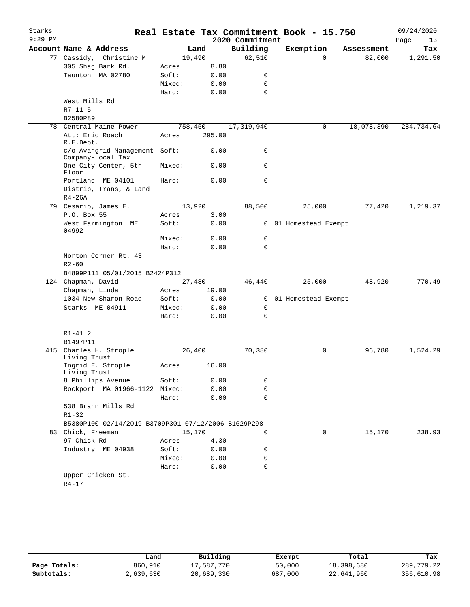| Starks    |                                                     |        |         |        |                 | Real Estate Tax Commitment Book - 15.750 |          |            |      | 09/24/2020 |
|-----------|-----------------------------------------------------|--------|---------|--------|-----------------|------------------------------------------|----------|------------|------|------------|
| $9:29$ PM |                                                     |        |         |        | 2020 Commitment |                                          |          |            | Page | 13         |
|           | Account Name & Address                              |        | Land    |        | Building        | Exemption                                |          | Assessment |      | Tax        |
|           | 77 Cassidy, Christine M                             |        | 19,490  |        | 62,510          |                                          | $\Omega$ | 82,000     |      | 1,291.50   |
|           | 305 Shag Bark Rd.                                   | Acres  |         | 8.80   |                 |                                          |          |            |      |            |
|           | Taunton MA 02780                                    | Soft:  |         | 0.00   | 0               |                                          |          |            |      |            |
|           |                                                     | Mixed: |         | 0.00   | 0               |                                          |          |            |      |            |
|           |                                                     | Hard:  |         | 0.00   | 0               |                                          |          |            |      |            |
|           | West Mills Rd                                       |        |         |        |                 |                                          |          |            |      |            |
|           | $R7 - 11.5$                                         |        |         |        |                 |                                          |          |            |      |            |
|           | B2580P89                                            |        |         |        |                 |                                          |          |            |      |            |
| 78        | Central Maine Power                                 |        | 758,450 |        | 17,319,940      |                                          | 0        | 18,078,390 |      | 284,734.64 |
|           | Att: Eric Roach<br>R.E.Dept.                        | Acres  |         | 295.00 |                 |                                          |          |            |      |            |
|           | c/o Avangrid Management Soft:<br>Company-Local Tax  |        |         | 0.00   | 0               |                                          |          |            |      |            |
|           | One City Center, 5th<br>Floor                       | Mixed: |         | 0.00   | 0               |                                          |          |            |      |            |
|           | Portland ME 04101                                   | Hard:  |         | 0.00   | $\mathbf 0$     |                                          |          |            |      |            |
|           | Distrib, Trans, & Land                              |        |         |        |                 |                                          |          |            |      |            |
|           | $R4-26A$                                            |        |         |        |                 |                                          |          |            |      |            |
|           | 79 Cesario, James E.                                |        | 13,920  |        | 88,500          | 25,000                                   |          | 77,420     |      | 1,219.37   |
|           | P.O. Box 55                                         | Acres  |         | 3.00   |                 |                                          |          |            |      |            |
|           | West Farmington ME<br>04992                         | Soft:  |         | 0.00   | $\mathbf{0}$    | 01 Homestead Exempt                      |          |            |      |            |
|           |                                                     | Mixed: |         | 0.00   | 0               |                                          |          |            |      |            |
|           |                                                     | Hard:  |         | 0.00   | 0               |                                          |          |            |      |            |
|           | Norton Corner Rt. 43                                |        |         |        |                 |                                          |          |            |      |            |
|           | $R2 - 60$                                           |        |         |        |                 |                                          |          |            |      |            |
|           | B4899P111 05/01/2015 B2424P312                      |        |         |        |                 |                                          |          |            |      |            |
|           | 124 Chapman, David                                  |        | 27,480  |        | 46,440          | 25,000                                   |          | 48,920     |      | 770.49     |
|           | Chapman, Linda                                      | Acres  |         | 19.00  |                 |                                          |          |            |      |            |
|           | 1034 New Sharon Road                                | Soft:  |         | 0.00   | 0               | 01 Homestead Exempt                      |          |            |      |            |
|           | Starks ME 04911                                     | Mixed: |         | 0.00   | 0               |                                          |          |            |      |            |
|           |                                                     | Hard:  |         | 0.00   | $\Omega$        |                                          |          |            |      |            |
|           | $R1 - 41.2$                                         |        |         |        |                 |                                          |          |            |      |            |
|           | B1497P11                                            |        |         |        |                 |                                          |          |            |      |            |
| 415       | Charles H. Strople<br>Living Trust                  |        | 26,400  |        | 70,380          |                                          | 0        | 96,780     |      | 1,524.29   |
|           | Ingrid E. Strople<br>Living Trust                   | Acres  |         | 16.00  |                 |                                          |          |            |      |            |
|           | 8 Phillips Avenue                                   | Soft:  |         | 0.00   | 0               |                                          |          |            |      |            |
|           | Rockport MA 01966-1122 Mixed:                       |        |         | 0.00   | 0               |                                          |          |            |      |            |
|           |                                                     | Hard:  |         | 0.00   | 0               |                                          |          |            |      |            |
|           | 538 Brann Mills Rd                                  |        |         |        |                 |                                          |          |            |      |            |
|           | $R1 - 32$                                           |        |         |        |                 |                                          |          |            |      |            |
|           | B5380P100 02/14/2019 B3709P301 07/12/2006 B1629P298 |        |         |        |                 |                                          |          |            |      |            |
|           | 83 Chick, Freeman                                   |        | 15,170  |        | $\mathbf 0$     |                                          | 0        | 15,170     |      | 238.93     |
|           | 97 Chick Rd                                         | Acres  |         | 4.30   |                 |                                          |          |            |      |            |
|           | Industry ME 04938                                   | Soft:  |         | 0.00   | 0               |                                          |          |            |      |            |
|           |                                                     | Mixed: |         | 0.00   | 0               |                                          |          |            |      |            |
|           |                                                     | Hard:  |         | 0.00   | 0               |                                          |          |            |      |            |
|           | Upper Chicken St.                                   |        |         |        |                 |                                          |          |            |      |            |
|           | $R4 - 17$                                           |        |         |        |                 |                                          |          |            |      |            |

|              | Land      | Building   | Exempt  | Total      | Tax        |
|--------------|-----------|------------|---------|------------|------------|
| Page Totals: | 860,910   | 17,587,770 | 50,000  | 18,398,680 | 289,779.22 |
| Subtotals:   | 2,639,630 | 20,689,330 | 687,000 | 22,641,960 | 356,610.98 |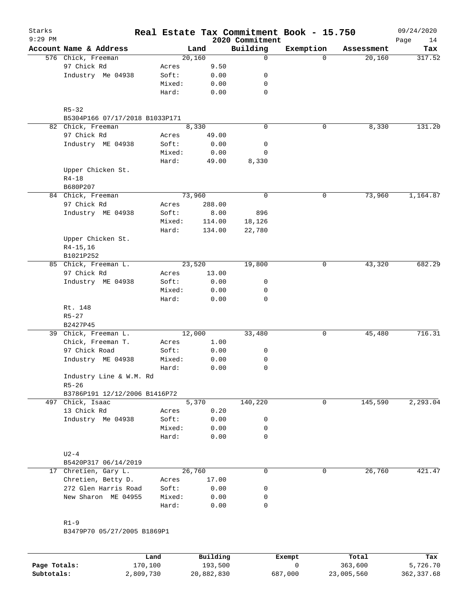|                                |        |        | 2020 Commitment | Real Estate Tax Commitment Book - 15.750 |            | 09/24/2020<br>Page<br>14 |
|--------------------------------|--------|--------|-----------------|------------------------------------------|------------|--------------------------|
|                                | Land   |        | Building        | Exemption                                | Assessment | Tax                      |
|                                | 20,160 |        | 0               | $\Omega$                                 | 20,160     | 317.52                   |
| Acres                          |        | 9.50   |                 |                                          |            |                          |
| Soft:                          |        | 0.00   | 0               |                                          |            |                          |
| Mixed:                         |        | 0.00   | 0               |                                          |            |                          |
| Hard:                          |        | 0.00   | 0               |                                          |            |                          |
|                                |        |        |                 |                                          |            |                          |
| B5304P166 07/17/2018 B1033P171 |        |        |                 |                                          |            |                          |
|                                | 8,330  |        | 0               | 0                                        | 8,330      | 131.20                   |
| Acres                          |        | 49.00  |                 |                                          |            |                          |
| Soft:                          |        | 0.00   | 0               |                                          |            |                          |
| Mixed:                         |        | 0.00   | $\mathbf 0$     |                                          |            |                          |
| Hard:                          |        | 49.00  | 8,330           |                                          |            |                          |
|                                |        |        |                 |                                          |            |                          |
|                                |        |        |                 |                                          |            |                          |
|                                | 73,960 |        | $\mathsf{O}$    | 0                                        | 73,960     | 1,164.87                 |
| Acres                          |        | 288.00 |                 |                                          |            |                          |
| Soft:                          |        | 8.00   | 896             |                                          |            |                          |
| Mixed:                         |        | 114.00 | 18,126          |                                          |            |                          |
| Hard:                          |        | 134.00 | 22,780          |                                          |            |                          |
|                                |        |        |                 |                                          |            |                          |
|                                |        |        |                 |                                          |            |                          |
|                                |        |        |                 |                                          |            |                          |
|                                | 23,520 |        | 19,800          | 0                                        | 43,320     | 682.29                   |
| Acres                          |        | 13.00  |                 |                                          |            |                          |
| Soft:                          |        | 0.00   | 0               |                                          |            |                          |
| Mixed:                         |        | 0.00   | 0               |                                          |            |                          |
| Hard:                          |        | 0.00   | 0               |                                          |            |                          |
|                                |        |        |                 |                                          |            |                          |
|                                |        |        |                 |                                          |            |                          |
|                                |        |        |                 |                                          |            |                          |
|                                | 12,000 |        | 33,480          | 0                                        | 45,480     | 716.31                   |
| Acres                          |        | 1.00   |                 |                                          |            |                          |
| Soft:                          |        | 0.00   | 0               |                                          |            |                          |
| Mixed:                         |        | 0.00   | 0               |                                          |            |                          |
| Hard:                          |        | 0.00   | 0               |                                          |            |                          |
| Industry Line & W.M. Rd        |        |        |                 |                                          |            |                          |
|                                |        |        |                 |                                          |            |                          |
| B3786P191 12/12/2006 B1416P72  |        |        |                 |                                          |            |                          |
|                                | 5,370  |        | 140,220         | 0                                        | 145,590    | 2, 293.04                |
| Acres                          |        | 0.20   |                 |                                          |            |                          |
| Soft:                          |        | 0.00   | 0               |                                          |            |                          |
| Mixed:                         |        | 0.00   | 0               |                                          |            |                          |
| Hard:                          |        | 0.00   | 0               |                                          |            |                          |
|                                |        |        |                 |                                          |            |                          |
|                                |        |        |                 |                                          |            |                          |
|                                | 26,760 |        | 0               | 0                                        | 26,760     | 421.47                   |
| Acres                          |        | 17.00  |                 |                                          |            |                          |
| Soft:                          |        | 0.00   | 0               |                                          |            |                          |
| Mixed:                         |        | 0.00   | 0               |                                          |            |                          |
| Hard:                          |        | 0.00   | 0               |                                          |            |                          |
|                                |        |        |                 |                                          |            |                          |
|                                |        |        |                 |                                          |            |                          |
| B3479P70 05/27/2005 B1869P1    |        |        |                 |                                          |            |                          |
|                                |        |        |                 |                                          |            |                          |

|              | Land      | Building   | Exempt  | Total      | Tax         |
|--------------|-----------|------------|---------|------------|-------------|
| Page Totals: | 170,100   | 193,500    |         | 363,600    | 5,726.70    |
| Subtotals:   | 2,809,730 | 20,882,830 | 687,000 | 23,005,560 | 362, 337.68 |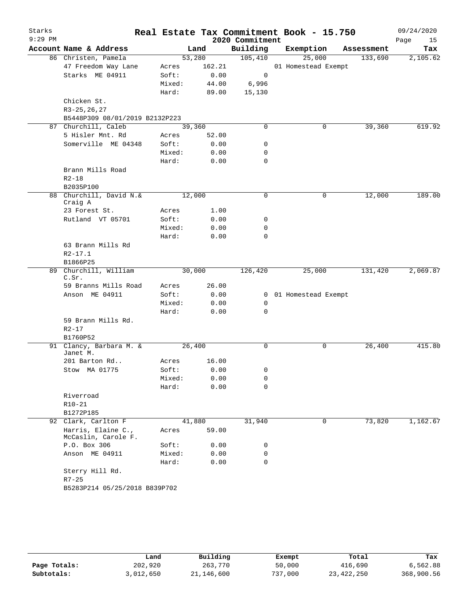| Starks<br>$9:29$ PM |                                |                 |        | 2020 Commitment | Real Estate Tax Commitment Book - 15.750 |            | 09/24/2020<br>Page<br>15 |
|---------------------|--------------------------------|-----------------|--------|-----------------|------------------------------------------|------------|--------------------------|
|                     | Account Name & Address         |                 | Land   | Building        | Exemption                                | Assessment | Tax                      |
|                     | 86 Christen, Pamela            | 53,280          |        | 105,410         | 25,000                                   | 133,690    | 2,105.62                 |
|                     | 47 Freedom Way Lane            | Acres           | 162.21 |                 | 01 Homestead Exempt                      |            |                          |
|                     | Starks ME 04911                | Soft:           | 0.00   | 0               |                                          |            |                          |
|                     |                                | Mixed:          | 44.00  | 6,996           |                                          |            |                          |
|                     |                                | Hard:           | 89.00  | 15,130          |                                          |            |                          |
|                     | Chicken St.                    |                 |        |                 |                                          |            |                          |
|                     | $R3-25, 26, 27$                |                 |        |                 |                                          |            |                          |
|                     | B5448P309 08/01/2019 B2132P223 |                 |        |                 |                                          |            |                          |
|                     | 87 Churchill, Caleb            | 39,360          |        | $\Omega$        | 0                                        | 39,360     | 619.92                   |
|                     | 5 Hisler Mnt. Rd               | Acres           | 52.00  |                 |                                          |            |                          |
|                     | Somerville ME 04348            | Soft:           | 0.00   | 0               |                                          |            |                          |
|                     |                                | Mixed:          | 0.00   | 0               |                                          |            |                          |
|                     |                                | Hard:           | 0.00   | 0               |                                          |            |                          |
|                     | Brann Mills Road               |                 |        |                 |                                          |            |                          |
|                     | $R2 - 18$                      |                 |        |                 |                                          |            |                          |
|                     | B2035P100                      |                 |        |                 |                                          |            |                          |
|                     | 88 Churchill, David N.&        | 12,000          |        | 0               | 0                                        | 12,000     | 189.00                   |
|                     | Craig A<br>23 Forest St.       | Acres           | 1.00   |                 |                                          |            |                          |
|                     | Rutland VT 05701               | Soft:           | 0.00   | 0               |                                          |            |                          |
|                     |                                | Mixed:          | 0.00   | 0               |                                          |            |                          |
|                     |                                | Hard:           | 0.00   | $\Omega$        |                                          |            |                          |
|                     | 63 Brann Mills Rd              |                 |        |                 |                                          |            |                          |
|                     | $R2 - 17.1$                    |                 |        |                 |                                          |            |                          |
|                     | B1866P25                       |                 |        |                 |                                          |            |                          |
|                     | 89 Churchill, William          | 30,000          |        | 126,420         | 25,000                                   | 131,420    | 2,069.87                 |
|                     | C.Sr.                          |                 |        |                 |                                          |            |                          |
|                     | 59 Branns Mills Road           | Acres           | 26.00  |                 |                                          |            |                          |
|                     | Anson ME 04911                 | Soft:           | 0.00   | $\mathbf{0}$    | 01 Homestead Exempt                      |            |                          |
|                     |                                | Mixed:          | 0.00   | 0               |                                          |            |                          |
|                     |                                | Hard:           | 0.00   | 0               |                                          |            |                          |
|                     | 59 Brann Mills Rd.             |                 |        |                 |                                          |            |                          |
|                     | $R2 - 17$                      |                 |        |                 |                                          |            |                          |
|                     | B1760P52                       |                 |        |                 |                                          |            |                          |
|                     | 91 Clancy, Barbara M. &        | 26,400          |        | 0               | 0                                        | 26,400     | 415.80                   |
|                     | Janet M.                       |                 |        |                 |                                          |            |                          |
|                     | 201 Barton Rd                  | Acres           | 16.00  |                 |                                          |            |                          |
|                     | Stow MA 01775                  | Soft:<br>Mixed: | 0.00   | 0               |                                          |            |                          |
|                     |                                | Hard:           | 0.00   | 0<br>0          |                                          |            |                          |
|                     | Riverroad                      |                 | 0.00   |                 |                                          |            |                          |
|                     | $R10-21$                       |                 |        |                 |                                          |            |                          |
|                     | B1272P185                      |                 |        |                 |                                          |            |                          |
|                     | 92 Clark, Carlton F            | 41,880          |        | 31,940          | 0                                        | 73,820     | 1,162.67                 |
|                     | Harris, Elaine C.,             | Acres           | 59.00  |                 |                                          |            |                          |
|                     | McCaslin, Carole F.            |                 |        |                 |                                          |            |                          |
|                     | P.O. Box 306                   | Soft:           | 0.00   | 0               |                                          |            |                          |
|                     | Anson ME 04911                 | Mixed:          | 0.00   | 0               |                                          |            |                          |
|                     |                                | Hard:           | 0.00   | 0               |                                          |            |                          |
|                     | Sterry Hill Rd.                |                 |        |                 |                                          |            |                          |
|                     | $R7 - 25$                      |                 |        |                 |                                          |            |                          |
|                     | B5283P214 05/25/2018 B839P702  |                 |        |                 |                                          |            |                          |

|              | Land      | Building   | Exempt  | Total        | Tax        |
|--------------|-----------|------------|---------|--------------|------------|
| Page Totals: | 202,920   | 263,770    | 50,000  | 416,690      | 6,562.88   |
| Subtotals:   | 3,012,650 | 21,146,600 | 737,000 | 23, 422, 250 | 368,900.56 |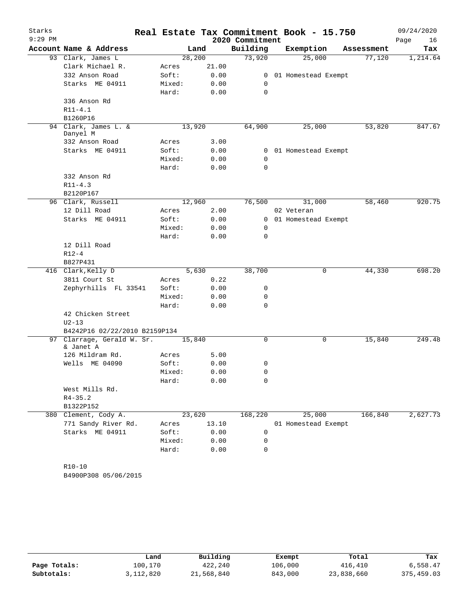| Starks    |                                         |        |         |                 | Real Estate Tax Commitment Book - 15.750 |            | 09/24/2020 |
|-----------|-----------------------------------------|--------|---------|-----------------|------------------------------------------|------------|------------|
| $9:29$ PM |                                         |        |         | 2020 Commitment |                                          |            | Page<br>16 |
|           | Account Name & Address                  |        | Land    | Building        | Exemption                                | Assessment | Tax        |
|           | 93 Clark, James L                       |        | 28, 200 | 73,920          | 25,000                                   | 77,120     | 1,214.64   |
|           | Clark Michael R.                        | Acres  | 21.00   |                 |                                          |            |            |
|           | 332 Anson Road                          | Soft:  | 0.00    | $\overline{0}$  | 01 Homestead Exempt                      |            |            |
|           | Starks ME 04911                         | Mixed: | 0.00    | 0               |                                          |            |            |
|           |                                         | Hard:  | 0.00    | 0               |                                          |            |            |
|           | 336 Anson Rd                            |        |         |                 |                                          |            |            |
|           | $R11 - 4.1$                             |        |         |                 |                                          |            |            |
|           | B1260P16                                |        |         |                 |                                          |            |            |
|           | 94 Clark, James L. &<br>Danyel M        |        | 13,920  | 64,900          | 25,000                                   | 53,820     | 847.67     |
|           | 332 Anson Road                          | Acres  | 3.00    |                 |                                          |            |            |
|           | Starks ME 04911                         | Soft:  | 0.00    |                 | 0 01 Homestead Exempt                    |            |            |
|           |                                         | Mixed: | 0.00    | 0               |                                          |            |            |
|           |                                         | Hard:  | 0.00    | $\Omega$        |                                          |            |            |
|           | 332 Anson Rd                            |        |         |                 |                                          |            |            |
|           | $R11 - 4.3$                             |        |         |                 |                                          |            |            |
|           | B2120P167                               |        |         |                 |                                          |            |            |
|           | 96 Clark, Russell                       |        | 12,960  | 76,500          | 31,000                                   | 58,460     | 920.75     |
|           | 12 Dill Road                            | Acres  | 2.00    |                 | 02 Veteran                               |            |            |
|           | Starks ME 04911                         | Soft:  | 0.00    |                 | 0 01 Homestead Exempt                    |            |            |
|           |                                         | Mixed: | 0.00    | 0               |                                          |            |            |
|           |                                         | Hard:  | 0.00    | 0               |                                          |            |            |
|           | 12 Dill Road                            |        |         |                 |                                          |            |            |
|           | $R12 - 4$                               |        |         |                 |                                          |            |            |
|           | B827P431                                |        |         |                 |                                          |            |            |
|           | 416 Clark, Kelly D                      |        | 5,630   | 38,700          | 0                                        | 44,330     | 698.20     |
|           | 3811 Court St                           | Acres  | 0.22    |                 |                                          |            |            |
|           | Zephyrhills FL 33541                    | Soft:  | 0.00    | 0               |                                          |            |            |
|           |                                         | Mixed: | 0.00    | 0               |                                          |            |            |
|           |                                         | Hard:  | 0.00    | 0               |                                          |            |            |
|           | 42 Chicken Street                       |        |         |                 |                                          |            |            |
|           | $U2 - 13$                               |        |         |                 |                                          |            |            |
|           | B4242P16 02/22/2010 B2159P134           |        |         |                 |                                          |            |            |
|           | 97 Clarrage, Gerald W. Sr.<br>& Janet A |        | 15,840  | 0               | 0                                        | 15,840     | 249.48     |
|           | 126 Mildram Rd.                         | Acres  | 5.00    |                 |                                          |            |            |
|           | Wells ME 04090                          | Soft:  | 0.00    | 0               |                                          |            |            |
|           |                                         | Mixed: | 0.00    | 0               |                                          |            |            |
|           |                                         | Hard:  | 0.00    | 0               |                                          |            |            |
|           | West Mills Rd.                          |        |         |                 |                                          |            |            |
|           | $R4 - 35.2$                             |        |         |                 |                                          |            |            |
|           | B1322P152                               |        |         |                 |                                          |            |            |
|           | 380 Clement, Cody A.                    |        | 23,620  | 168,220         | 25,000                                   | 166,840    | 2,627.73   |
|           | 771 Sandy River Rd.                     | Acres  | 13.10   |                 | 01 Homestead Exempt                      |            |            |
|           | Starks ME 04911                         | Soft:  | 0.00    | 0               |                                          |            |            |
|           |                                         | Mixed: | 0.00    | 0               |                                          |            |            |
|           |                                         | Hard:  | 0.00    | 0               |                                          |            |            |
|           |                                         |        |         |                 |                                          |            |            |
|           | $R10 - 10$                              |        |         |                 |                                          |            |            |
|           | B4900P308 05/06/2015                    |        |         |                 |                                          |            |            |

|              | Land      | Building   | Exempt  | Total      | Tax        |
|--------------|-----------|------------|---------|------------|------------|
| Page Totals: | 100.170   | 422,240    | 106,000 | 416,410    | 6,558.47   |
| Subtotals:   | 3,112,820 | 21,568,840 | 843,000 | 23,838,660 | 375,459.03 |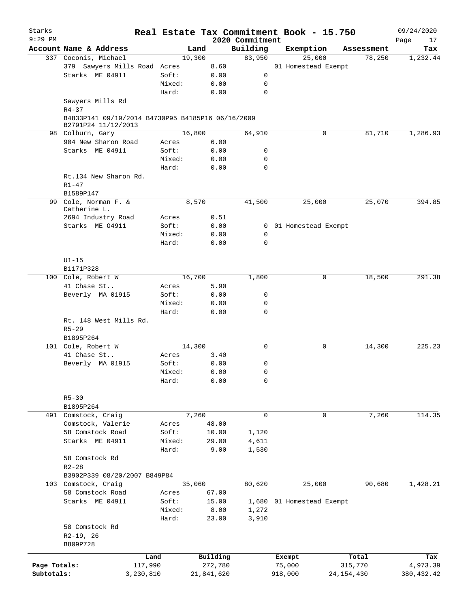| Starks       |                                                                          |         |            |                 | Real Estate Tax Commitment Book - 15.750 |            |            | 09/24/2020  |
|--------------|--------------------------------------------------------------------------|---------|------------|-----------------|------------------------------------------|------------|------------|-------------|
| $9:29$ PM    |                                                                          |         |            | 2020 Commitment |                                          |            |            | Page<br>17  |
|              | Account Name & Address                                                   |         | Land       | Building        | Exemption                                |            | Assessment | Tax         |
|              | 337 Coconis, Michael                                                     |         | 19,300     | 83,950          | 25,000                                   |            | 78,250     | 1,232.44    |
|              | 379 Sawyers Mills Road Acres                                             |         | 8.60       |                 | 01 Homestead Exempt                      |            |            |             |
|              | Starks ME 04911                                                          | Soft:   | 0.00       | 0               |                                          |            |            |             |
|              |                                                                          | Mixed:  | 0.00       | 0               |                                          |            |            |             |
|              |                                                                          | Hard:   | 0.00       | $\mathbf 0$     |                                          |            |            |             |
|              | Sawyers Mills Rd<br>$R4 - 37$                                            |         |            |                 |                                          |            |            |             |
|              | B4833P141 09/19/2014 B4730P95 B4185P16 06/16/2009<br>B2791P24 11/12/2013 |         |            |                 |                                          |            |            |             |
|              | 98 Colburn, Gary                                                         |         | 16,800     | 64,910          |                                          | 0          | 81,710     | 1,286.93    |
|              | 904 New Sharon Road                                                      | Acres   | 6.00       |                 |                                          |            |            |             |
|              | Starks ME 04911                                                          | Soft:   | 0.00       | 0               |                                          |            |            |             |
|              |                                                                          | Mixed:  | 0.00       | 0               |                                          |            |            |             |
|              |                                                                          | Hard:   | 0.00       | $\mathbf 0$     |                                          |            |            |             |
|              | Rt.134 New Sharon Rd.                                                    |         |            |                 |                                          |            |            |             |
|              | $R1 - 47$                                                                |         |            |                 |                                          |            |            |             |
|              | B1589P147                                                                |         |            |                 |                                          |            |            |             |
|              | 99 Cole, Norman F. &<br>Catherine L.                                     |         | 8,570      | 41,500          | 25,000                                   |            | 25,070     | 394.85      |
|              | 2694 Industry Road                                                       | Acres   | 0.51       |                 |                                          |            |            |             |
|              | Starks ME 04911                                                          | Soft:   | 0.00       |                 | 0 01 Homestead Exempt                    |            |            |             |
|              |                                                                          | Mixed:  | 0.00       | 0               |                                          |            |            |             |
|              |                                                                          | Hard:   | 0.00       | $\mathbf 0$     |                                          |            |            |             |
|              |                                                                          |         |            |                 |                                          |            |            |             |
|              |                                                                          |         |            |                 |                                          |            |            |             |
|              | $U1-15$                                                                  |         |            |                 |                                          |            |            |             |
|              | B1171P328                                                                |         |            |                 |                                          |            |            |             |
|              | 100 Cole, Robert W                                                       |         | 16,700     | 1,800           |                                          | 0          | 18,500     | 291.38      |
|              | 41 Chase St                                                              | Acres   | 5.90       |                 |                                          |            |            |             |
|              | Beverly MA 01915                                                         | Soft:   | 0.00       | 0               |                                          |            |            |             |
|              |                                                                          | Mixed:  | 0.00       | 0               |                                          |            |            |             |
|              |                                                                          | Hard:   | 0.00       | $\mathbf 0$     |                                          |            |            |             |
|              | Rt. 148 West Mills Rd.                                                   |         |            |                 |                                          |            |            |             |
|              | $R5 - 29$                                                                |         |            |                 |                                          |            |            |             |
|              | B1895P264                                                                |         |            |                 |                                          |            |            |             |
|              | 101 Cole, Robert W                                                       |         | 14,300     | $\mathbf 0$     |                                          | 0          | 14,300     | 225.23      |
|              | 41 Chase St                                                              | Acres   | 3.40       |                 |                                          |            |            |             |
|              | Beverly MA 01915                                                         | Soft:   | 0.00       | 0               |                                          |            |            |             |
|              |                                                                          | Mixed:  | 0.00       | 0               |                                          |            |            |             |
|              |                                                                          | Hard:   | 0.00       | 0               |                                          |            |            |             |
|              | $R5 - 30$                                                                |         |            |                 |                                          |            |            |             |
|              | B1895P264                                                                |         |            |                 |                                          |            |            |             |
|              | 491 Comstock, Craig                                                      |         | 7,260      | $\mathbf 0$     |                                          | 0          | 7,260      | 114.35      |
|              | Comstock, Valerie                                                        | Acres   | 48.00      |                 |                                          |            |            |             |
|              | 58 Comstock Road                                                         | Soft:   | 10.00      | 1,120           |                                          |            |            |             |
|              | Starks ME 04911                                                          | Mixed:  | 29.00      | 4,611           |                                          |            |            |             |
|              |                                                                          | Hard:   | 9.00       | 1,530           |                                          |            |            |             |
|              | 58 Comstock Rd                                                           |         |            |                 |                                          |            |            |             |
|              | $R2 - 28$                                                                |         |            |                 |                                          |            |            |             |
|              | B3902P339 08/20/2007 B849P84                                             |         |            |                 |                                          |            |            |             |
|              | 103 Comstock, Craig                                                      |         | 35,060     | 80,620          | 25,000                                   |            | 90,680     | 1,428.21    |
|              |                                                                          |         |            |                 |                                          |            |            |             |
|              | 58 Comstock Road                                                         | Acres   | 67.00      |                 |                                          |            |            |             |
|              | Starks ME 04911                                                          | Soft:   | 15.00      |                 | 1,680 01 Homestead Exempt                |            |            |             |
|              |                                                                          | Mixed:  | 8.00       | 1,272           |                                          |            |            |             |
|              |                                                                          | Hard:   | 23.00      | 3,910           |                                          |            |            |             |
|              | 58 Comstock Rd                                                           |         |            |                 |                                          |            |            |             |
|              | $R2-19, 26$                                                              |         |            |                 |                                          |            |            |             |
|              | B809P728                                                                 |         |            |                 |                                          |            |            |             |
|              |                                                                          | Land    | Building   |                 | Exempt                                   |            | Total      | Tax         |
| Page Totals: |                                                                          | 117,990 | 272,780    |                 | 75,000                                   | 315,770    |            | 4,973.39    |
| Subtotals:   | 3,230,810                                                                |         | 21,841,620 |                 | 918,000                                  | 24,154,430 |            | 380, 432.42 |
|              |                                                                          |         |            |                 |                                          |            |            |             |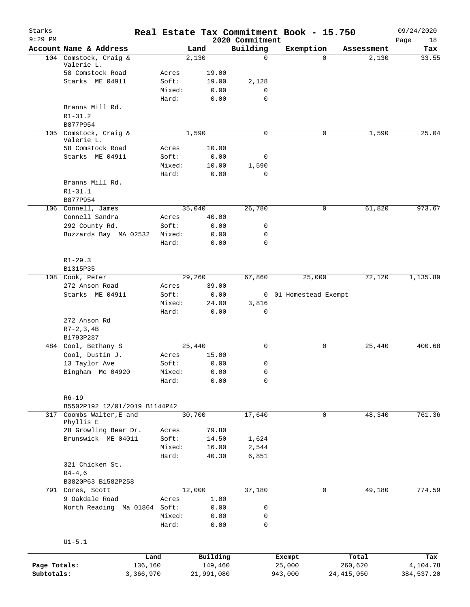| Starks<br>$9:29$ PM |                                            |                |            | 2020 Commitment | Real Estate Tax Commitment Book - 15.750 |              | 09/24/2020<br>Page<br>18 |
|---------------------|--------------------------------------------|----------------|------------|-----------------|------------------------------------------|--------------|--------------------------|
|                     | Account Name & Address                     |                | Land       | Building        | Exemption                                | Assessment   | Tax                      |
|                     | 104 Comstock, Craig &                      |                | 2,130      | $\mathbf 0$     | $\Omega$                                 | 2,130        | 33.55                    |
|                     | Valerie L.                                 |                |            |                 |                                          |              |                          |
|                     | 58 Comstock Road                           | Acres          | 19.00      |                 |                                          |              |                          |
|                     | Starks ME 04911                            | Soft:          | 19.00      | 2,128           |                                          |              |                          |
|                     |                                            | Mixed:         | 0.00       | $\mathbf 0$     |                                          |              |                          |
|                     |                                            | Hard:          | 0.00       | $\mathbf 0$     |                                          |              |                          |
|                     | Branns Mill Rd.                            |                |            |                 |                                          |              |                          |
|                     | $R1 - 31.2$                                |                |            |                 |                                          |              |                          |
|                     | B877P954                                   |                |            |                 |                                          |              |                          |
|                     | 105 Comstock, Craig &<br>Valerie L.        |                | 1,590      | $\mathbf 0$     | 0                                        | 1,590        | 25.04                    |
|                     | 58 Comstock Road                           | Acres          | 10.00      |                 |                                          |              |                          |
|                     | Starks ME 04911                            | Soft:          | 0.00       | 0               |                                          |              |                          |
|                     |                                            | Mixed:         | 10.00      | 1,590           |                                          |              |                          |
|                     |                                            | Hard:          | 0.00       | 0               |                                          |              |                          |
|                     | Branns Mill Rd.                            |                |            |                 |                                          |              |                          |
|                     | $R1 - 31.1$                                |                |            |                 |                                          |              |                          |
|                     | B877P954                                   |                |            |                 |                                          |              |                          |
|                     | 106 Connell, James                         |                | 35,040     | 26,780          | 0                                        | 61,820       | 973.67                   |
|                     | Connell Sandra                             |                | 40.00      |                 |                                          |              |                          |
|                     |                                            | Acres          |            |                 |                                          |              |                          |
|                     | 292 County Rd.                             | Soft:          | 0.00       | 0               |                                          |              |                          |
|                     | Buzzards Bay MA 02532                      | Mixed:         | 0.00       | 0               |                                          |              |                          |
|                     |                                            | Hard:          | 0.00       | $\mathbf 0$     |                                          |              |                          |
|                     |                                            |                |            |                 |                                          |              |                          |
|                     | $R1 - 29.3$                                |                |            |                 |                                          |              |                          |
|                     | B1315P35                                   |                |            |                 |                                          |              |                          |
|                     | 108 Cook, Peter                            |                | 29,260     | 67,860          | 25,000                                   | 72,120       | 1,135.89                 |
|                     | 272 Anson Road                             | Acres          | 39.00      |                 |                                          |              |                          |
|                     | Starks ME 04911                            | Soft:          | 0.00       |                 | 0 01 Homestead Exempt                    |              |                          |
|                     |                                            | Mixed:         | 24.00      | 3,816           |                                          |              |                          |
|                     |                                            | Hard:          | 0.00       | 0               |                                          |              |                          |
|                     | 272 Anson Rd                               |                |            |                 |                                          |              |                          |
|                     | $R7-2, 3, 4B$                              |                |            |                 |                                          |              |                          |
|                     | B1793P287                                  |                |            |                 |                                          |              |                          |
|                     | 484 Cool, Bethany S                        |                | 25,440     | 0               | 0                                        | 25,440       | 400.68                   |
|                     | Cool, Dustin J.                            | Acres          | 15.00      |                 |                                          |              |                          |
|                     | 13 Taylor Ave                              | Soft:          | 0.00       | 0               |                                          |              |                          |
|                     | Bingham Me 04920                           | Mixed:         | 0.00       | 0               |                                          |              |                          |
|                     |                                            | Hard:          | 0.00       | 0               |                                          |              |                          |
|                     |                                            |                |            |                 |                                          |              |                          |
|                     | $R6 - 19$                                  |                |            |                 |                                          |              |                          |
|                     | B5502P192 12/01/2019 B1144P42              |                |            |                 |                                          |              |                          |
| 317                 | Coombs Walter, E and                       |                | 30,700     | 17,640          | 0                                        | 48,340       | 761.36                   |
|                     | Phyllis E                                  |                |            |                 |                                          |              |                          |
|                     | 28 Growling Bear Dr.<br>Brunswick ME 04011 | Acres<br>Soft: | 79.80      |                 |                                          |              |                          |
|                     |                                            |                | 14.50      | 1,624           |                                          |              |                          |
|                     |                                            | Mixed:         | 16.00      | 2,544           |                                          |              |                          |
|                     |                                            | Hard:          | 40.30      | 6,851           |                                          |              |                          |
|                     | 321 Chicken St.                            |                |            |                 |                                          |              |                          |
|                     | $R4 - 4, 6$                                |                |            |                 |                                          |              |                          |
|                     | B3820P63 B1582P258                         |                |            |                 |                                          |              |                          |
| 791                 | Cores, Scott                               |                | 12,000     | 37,180          | 0                                        | 49,180       | 774.59                   |
|                     | 9 Oakdale Road                             | Acres          | 1.00       |                 |                                          |              |                          |
|                     | North Reading Ma 01864                     | Soft:          | 0.00       | 0               |                                          |              |                          |
|                     |                                            | Mixed:         | 0.00       | 0               |                                          |              |                          |
|                     |                                            | Hard:          | 0.00       | 0               |                                          |              |                          |
|                     |                                            |                |            |                 |                                          |              |                          |
|                     | $UI - 5.1$                                 |                |            |                 |                                          |              |                          |
|                     |                                            | Land           | Building   |                 | Exempt                                   | Total        | Tax                      |
| Page Totals:        |                                            | 136,160        | 149,460    |                 | 25,000                                   | 260,620      | 4,104.78                 |
| Subtotals:          |                                            | 3,366,970      | 21,991,080 |                 | 943,000                                  | 24, 415, 050 | 384,537.20               |
|                     |                                            |                |            |                 |                                          |              |                          |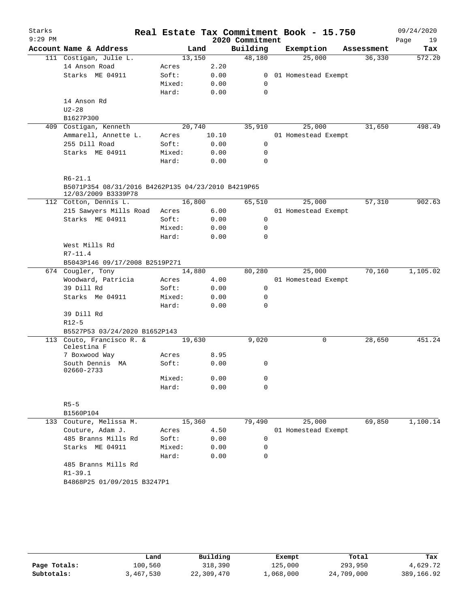| Starks    |                                                    |                 |              |                 | Real Estate Tax Commitment Book - 15.750 |            | 09/24/2020 |
|-----------|----------------------------------------------------|-----------------|--------------|-----------------|------------------------------------------|------------|------------|
| $9:29$ PM |                                                    |                 |              | 2020 Commitment |                                          |            | Page<br>19 |
|           | Account Name & Address                             |                 | Land         | Building        | Exemption                                | Assessment | Tax        |
|           | 111 Costigan, Julie L.                             | 13,150          |              | 48,180          | 25,000                                   | 36,330     | 572.20     |
|           | 14 Anson Road                                      | Acres           | 2.20         |                 |                                          |            |            |
|           | Starks ME 04911                                    | Soft:           | 0.00         | $\mathbf{0}$    | 01 Homestead Exempt                      |            |            |
|           |                                                    | Mixed:          | 0.00         | 0               |                                          |            |            |
|           |                                                    | Hard:           | 0.00         | $\mathbf 0$     |                                          |            |            |
|           | 14 Anson Rd                                        |                 |              |                 |                                          |            |            |
|           | $U2 - 28$                                          |                 |              |                 |                                          |            |            |
|           | B1627P300                                          |                 |              |                 |                                          |            |            |
|           | 409 Costigan, Kenneth                              | 20,740          |              | 35,910          | 25,000                                   | 31,650     | 498.49     |
|           | Ammarell, Annette L.                               | Acres           | 10.10        |                 | 01 Homestead Exempt                      |            |            |
|           | 255 Dill Road                                      | Soft:           | 0.00         | 0               |                                          |            |            |
|           | Starks ME 04911                                    | Mixed:<br>Hard: | 0.00<br>0.00 | 0<br>0          |                                          |            |            |
|           |                                                    |                 |              |                 |                                          |            |            |
|           | $R6 - 21.1$                                        |                 |              |                 |                                          |            |            |
|           | B5071P354 08/31/2016 B4262P135 04/23/2010 B4219P65 |                 |              |                 |                                          |            |            |
|           | 12/03/2009 B3339P78                                |                 |              |                 |                                          |            |            |
|           | 112 Cotton, Dennis L.                              | 16,800          |              | 65,510          | 25,000                                   | 57,310     | 902.63     |
|           | 215 Sawyers Mills Road                             | Acres           | 6.00         |                 | 01 Homestead Exempt                      |            |            |
|           | Starks ME 04911                                    | Soft:           | 0.00         | 0               |                                          |            |            |
|           |                                                    | Mixed:          | 0.00         | 0               |                                          |            |            |
|           |                                                    | Hard:           | 0.00         | 0               |                                          |            |            |
|           | West Mills Rd                                      |                 |              |                 |                                          |            |            |
|           | $R7 - 11.4$                                        |                 |              |                 |                                          |            |            |
|           | B5043P146 09/17/2008 B2519P271                     |                 |              |                 |                                          |            |            |
|           | 674 Cougler, Tony                                  | 14,880          |              | 80,280          | 25,000                                   | 70,160     | 1,105.02   |
|           | Woodward, Patricia                                 | Acres           | 4.00         |                 | 01 Homestead Exempt                      |            |            |
|           | 39 Dill Rd                                         | Soft:           | 0.00         | 0               |                                          |            |            |
|           | Starks Me 04911                                    | Mixed:          | 0.00         | 0               |                                          |            |            |
|           | 39 Dill Rd                                         | Hard:           | 0.00         | 0               |                                          |            |            |
|           | $R12-5$                                            |                 |              |                 |                                          |            |            |
|           | B5527P53 03/24/2020 B1652P143                      |                 |              |                 |                                          |            |            |
|           | 113 Couto, Francisco R. &                          | 19,630          |              | 9,020           | 0                                        | 28,650     | 451.24     |
|           | Celestina F                                        |                 |              |                 |                                          |            |            |
|           | 7 Boxwood Way                                      | Acres           | 8.95         |                 |                                          |            |            |
|           | South Dennis MA                                    | Soft:           | 0.00         | 0               |                                          |            |            |
|           | 02660-2733                                         |                 |              |                 |                                          |            |            |
|           |                                                    | Mixed:          | 0.00         | 0               |                                          |            |            |
|           |                                                    | Hard:           | 0.00         | 0               |                                          |            |            |
|           | $R5 - 5$                                           |                 |              |                 |                                          |            |            |
|           | B1560P104                                          |                 |              |                 |                                          |            |            |
|           | 133 Couture, Melissa M.                            | 15,360          |              | 79,490          | 25,000                                   | 69,850     | 1,100.14   |
|           | Couture, Adam J.                                   | Acres           | 4.50         |                 | 01 Homestead Exempt                      |            |            |
|           | 485 Branns Mills Rd                                | Soft:           | 0.00         | 0               |                                          |            |            |
|           | Starks ME 04911                                    | Mixed:          | 0.00         | 0               |                                          |            |            |
|           |                                                    | Hard:           | 0.00         | 0               |                                          |            |            |
|           | 485 Branns Mills Rd                                |                 |              |                 |                                          |            |            |
|           | $R1 - 39.1$                                        |                 |              |                 |                                          |            |            |
|           | B4868P25 01/09/2015 B3247P1                        |                 |              |                 |                                          |            |            |
|           |                                                    |                 |              |                 |                                          |            |            |

|              | Land      | Building   | Exempt    | Total      | Tax        |
|--------------|-----------|------------|-----------|------------|------------|
| Page Totals: | 100,560   | 318,390    | 125,000   | 293,950    | 4,629.72   |
| Subtotals:   | 3,467,530 | 22,309,470 | 1,068,000 | 24,709,000 | 389,166.92 |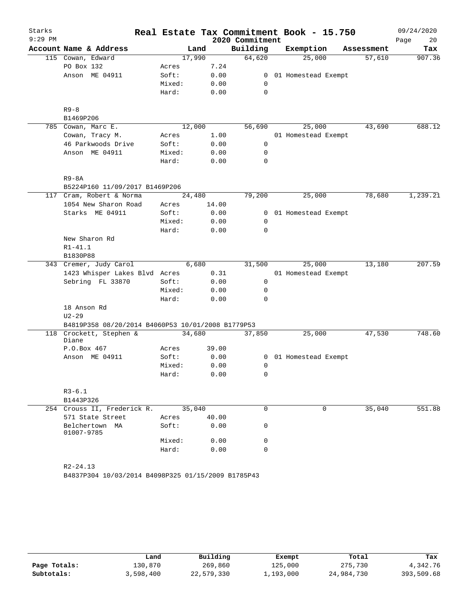| $9:29$ PM<br>2020 Commitment<br>20<br>Page<br>Building<br>Account Name & Address<br>Exemption<br>Land<br>Tax<br>Assessment<br>64,620<br>25,000<br>115 Cowan, Edward<br>17,990<br>907.36<br>57,610<br>PO Box 132<br>7.24<br>Acres<br>Anson ME 04911<br>0.00<br>Soft:<br>$\overline{0}$<br>01 Homestead Exempt<br>Mixed:<br>0.00<br>0<br>Hard:<br>0.00<br>$\mathbf 0$<br>$R9 - 8$<br>B1469P206<br>25,000<br>688.12<br>785 Cowan, Marc E.<br>12,000<br>56,690<br>43,690<br>Cowan, Tracy M.<br>1.00<br>01 Homestead Exempt<br>Acres<br>46 Parkwoods Drive<br>0.00<br>$\mathbf 0$<br>Soft:<br>Anson ME 04911<br>Mixed:<br>0.00<br>0<br>Hard:<br>0.00<br>0<br>$R9 - 8A$<br>B5224P160 11/09/2017 B1469P206<br>1,239.21<br>117 Cram, Robert & Norma<br>24,480<br>79,200<br>25,000<br>78,680<br>1054 New Sharon Road<br>14.00<br>Acres<br>01 Homestead Exempt<br>$\overline{0}$ | Starks |                 |       |      |  | Real Estate Tax Commitment Book - 15.750 | 09/24/2020 |
|------------------------------------------------------------------------------------------------------------------------------------------------------------------------------------------------------------------------------------------------------------------------------------------------------------------------------------------------------------------------------------------------------------------------------------------------------------------------------------------------------------------------------------------------------------------------------------------------------------------------------------------------------------------------------------------------------------------------------------------------------------------------------------------------------------------------------------------------------------------------|--------|-----------------|-------|------|--|------------------------------------------|------------|
|                                                                                                                                                                                                                                                                                                                                                                                                                                                                                                                                                                                                                                                                                                                                                                                                                                                                        |        |                 |       |      |  |                                          |            |
|                                                                                                                                                                                                                                                                                                                                                                                                                                                                                                                                                                                                                                                                                                                                                                                                                                                                        |        |                 |       |      |  |                                          |            |
|                                                                                                                                                                                                                                                                                                                                                                                                                                                                                                                                                                                                                                                                                                                                                                                                                                                                        |        |                 |       |      |  |                                          |            |
|                                                                                                                                                                                                                                                                                                                                                                                                                                                                                                                                                                                                                                                                                                                                                                                                                                                                        |        |                 |       |      |  |                                          |            |
|                                                                                                                                                                                                                                                                                                                                                                                                                                                                                                                                                                                                                                                                                                                                                                                                                                                                        |        |                 |       |      |  |                                          |            |
|                                                                                                                                                                                                                                                                                                                                                                                                                                                                                                                                                                                                                                                                                                                                                                                                                                                                        |        |                 |       |      |  |                                          |            |
|                                                                                                                                                                                                                                                                                                                                                                                                                                                                                                                                                                                                                                                                                                                                                                                                                                                                        |        |                 |       |      |  |                                          |            |
|                                                                                                                                                                                                                                                                                                                                                                                                                                                                                                                                                                                                                                                                                                                                                                                                                                                                        |        |                 |       |      |  |                                          |            |
|                                                                                                                                                                                                                                                                                                                                                                                                                                                                                                                                                                                                                                                                                                                                                                                                                                                                        |        |                 |       |      |  |                                          |            |
|                                                                                                                                                                                                                                                                                                                                                                                                                                                                                                                                                                                                                                                                                                                                                                                                                                                                        |        |                 |       |      |  |                                          |            |
|                                                                                                                                                                                                                                                                                                                                                                                                                                                                                                                                                                                                                                                                                                                                                                                                                                                                        |        |                 |       |      |  |                                          |            |
|                                                                                                                                                                                                                                                                                                                                                                                                                                                                                                                                                                                                                                                                                                                                                                                                                                                                        |        |                 |       |      |  |                                          |            |
|                                                                                                                                                                                                                                                                                                                                                                                                                                                                                                                                                                                                                                                                                                                                                                                                                                                                        |        |                 |       |      |  |                                          |            |
|                                                                                                                                                                                                                                                                                                                                                                                                                                                                                                                                                                                                                                                                                                                                                                                                                                                                        |        |                 |       |      |  |                                          |            |
|                                                                                                                                                                                                                                                                                                                                                                                                                                                                                                                                                                                                                                                                                                                                                                                                                                                                        |        |                 |       |      |  |                                          |            |
|                                                                                                                                                                                                                                                                                                                                                                                                                                                                                                                                                                                                                                                                                                                                                                                                                                                                        |        |                 |       |      |  |                                          |            |
|                                                                                                                                                                                                                                                                                                                                                                                                                                                                                                                                                                                                                                                                                                                                                                                                                                                                        |        |                 |       |      |  |                                          |            |
|                                                                                                                                                                                                                                                                                                                                                                                                                                                                                                                                                                                                                                                                                                                                                                                                                                                                        |        |                 |       |      |  |                                          |            |
|                                                                                                                                                                                                                                                                                                                                                                                                                                                                                                                                                                                                                                                                                                                                                                                                                                                                        |        | Starks ME 04911 | Soft: | 0.00 |  |                                          |            |
| Mixed:<br>0.00<br>0                                                                                                                                                                                                                                                                                                                                                                                                                                                                                                                                                                                                                                                                                                                                                                                                                                                    |        |                 |       |      |  |                                          |            |
| Hard:<br>0.00<br>0                                                                                                                                                                                                                                                                                                                                                                                                                                                                                                                                                                                                                                                                                                                                                                                                                                                     |        |                 |       |      |  |                                          |            |
| New Sharon Rd                                                                                                                                                                                                                                                                                                                                                                                                                                                                                                                                                                                                                                                                                                                                                                                                                                                          |        |                 |       |      |  |                                          |            |
| $R1 - 41.1$                                                                                                                                                                                                                                                                                                                                                                                                                                                                                                                                                                                                                                                                                                                                                                                                                                                            |        |                 |       |      |  |                                          |            |
| B1830P88                                                                                                                                                                                                                                                                                                                                                                                                                                                                                                                                                                                                                                                                                                                                                                                                                                                               |        |                 |       |      |  |                                          |            |
| 6,680<br>25,000<br>13,180<br>207.59<br>343 Cremer, Judy Carol<br>31,500                                                                                                                                                                                                                                                                                                                                                                                                                                                                                                                                                                                                                                                                                                                                                                                                |        |                 |       |      |  |                                          |            |
| 1423 Whisper Lakes Blvd Acres<br>0.31<br>01 Homestead Exempt                                                                                                                                                                                                                                                                                                                                                                                                                                                                                                                                                                                                                                                                                                                                                                                                           |        |                 |       |      |  |                                          |            |
| Sebring FL 33870<br>Soft:<br>0.00<br>0                                                                                                                                                                                                                                                                                                                                                                                                                                                                                                                                                                                                                                                                                                                                                                                                                                 |        |                 |       |      |  |                                          |            |
| Mixed:<br>0.00<br>0                                                                                                                                                                                                                                                                                                                                                                                                                                                                                                                                                                                                                                                                                                                                                                                                                                                    |        |                 |       |      |  |                                          |            |
| Hard:<br>0.00<br>0                                                                                                                                                                                                                                                                                                                                                                                                                                                                                                                                                                                                                                                                                                                                                                                                                                                     |        |                 |       |      |  |                                          |            |
| 18 Anson Rd                                                                                                                                                                                                                                                                                                                                                                                                                                                                                                                                                                                                                                                                                                                                                                                                                                                            |        |                 |       |      |  |                                          |            |
| $U2 - 29$                                                                                                                                                                                                                                                                                                                                                                                                                                                                                                                                                                                                                                                                                                                                                                                                                                                              |        |                 |       |      |  |                                          |            |
| B4819P358 08/20/2014 B4060P53 10/01/2008 B1779P53                                                                                                                                                                                                                                                                                                                                                                                                                                                                                                                                                                                                                                                                                                                                                                                                                      |        |                 |       |      |  |                                          |            |
| 748.60<br>Crockett, Stephen &<br>34,680<br>47,530<br>118<br>37,850<br>25,000<br>Diane                                                                                                                                                                                                                                                                                                                                                                                                                                                                                                                                                                                                                                                                                                                                                                                  |        |                 |       |      |  |                                          |            |
| P.O.Box 467<br>39.00<br>Acres                                                                                                                                                                                                                                                                                                                                                                                                                                                                                                                                                                                                                                                                                                                                                                                                                                          |        |                 |       |      |  |                                          |            |
| Soft:<br>Anson ME 04911<br>0.00<br>0<br>01 Homestead Exempt                                                                                                                                                                                                                                                                                                                                                                                                                                                                                                                                                                                                                                                                                                                                                                                                            |        |                 |       |      |  |                                          |            |
| Mixed:<br>0.00<br>0                                                                                                                                                                                                                                                                                                                                                                                                                                                                                                                                                                                                                                                                                                                                                                                                                                                    |        |                 |       |      |  |                                          |            |
| 0.00<br>0<br>Hard:                                                                                                                                                                                                                                                                                                                                                                                                                                                                                                                                                                                                                                                                                                                                                                                                                                                     |        |                 |       |      |  |                                          |            |
| $R3 - 6.1$                                                                                                                                                                                                                                                                                                                                                                                                                                                                                                                                                                                                                                                                                                                                                                                                                                                             |        |                 |       |      |  |                                          |            |
| B1443P326                                                                                                                                                                                                                                                                                                                                                                                                                                                                                                                                                                                                                                                                                                                                                                                                                                                              |        |                 |       |      |  |                                          |            |
| 35,040<br>0<br>$\mathbf 0$<br>35,040<br>551.88<br>254 Crouss II, Frederick R.                                                                                                                                                                                                                                                                                                                                                                                                                                                                                                                                                                                                                                                                                                                                                                                          |        |                 |       |      |  |                                          |            |
| 571 State Street<br>40.00<br>Acres                                                                                                                                                                                                                                                                                                                                                                                                                                                                                                                                                                                                                                                                                                                                                                                                                                     |        |                 |       |      |  |                                          |            |
| 0.00<br>0<br>Belchertown MA<br>Soft:<br>01007-9785                                                                                                                                                                                                                                                                                                                                                                                                                                                                                                                                                                                                                                                                                                                                                                                                                     |        |                 |       |      |  |                                          |            |
| Mixed:<br>0.00<br>0                                                                                                                                                                                                                                                                                                                                                                                                                                                                                                                                                                                                                                                                                                                                                                                                                                                    |        |                 |       |      |  |                                          |            |
| $\Omega$<br>Hard:<br>0.00                                                                                                                                                                                                                                                                                                                                                                                                                                                                                                                                                                                                                                                                                                                                                                                                                                              |        |                 |       |      |  |                                          |            |
| $R2 - 24.13$                                                                                                                                                                                                                                                                                                                                                                                                                                                                                                                                                                                                                                                                                                                                                                                                                                                           |        |                 |       |      |  |                                          |            |

B4837P304 10/03/2014 B4098P325 01/15/2009 B1785P43

|              | Land      | Building   | Exempt    | Total      | Tax        |
|--------------|-----------|------------|-----------|------------|------------|
| Page Totals: | 130,870   | 269,860    | 125,000   | 275,730    | 4,342.76   |
| Subtotals:   | 3,598,400 | 22,579,330 | 1,193,000 | 24,984,730 | 393,509.68 |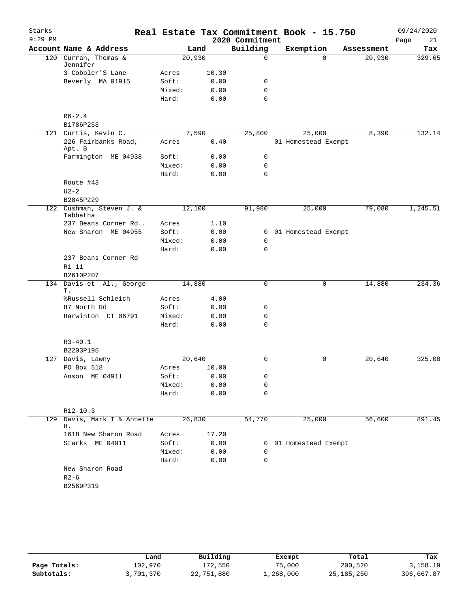| Starks    |                                  |        |       |                 | Real Estate Tax Commitment Book - 15.750 |            | 09/24/2020 |
|-----------|----------------------------------|--------|-------|-----------------|------------------------------------------|------------|------------|
| $9:29$ PM |                                  |        |       | 2020 Commitment |                                          |            | 21<br>Page |
|           | Account Name & Address           |        | Land  | Building        | Exemption                                | Assessment | Tax        |
|           | 120 Curran, Thomas &<br>Jennifer | 20,930 |       | $\mathbf 0$     | $\Omega$                                 | 20,930     | 329.65     |
|           | 3 Cobbler'S Lane                 | Acres  | 10.30 |                 |                                          |            |            |
|           | Beverly MA 01915                 | Soft:  | 0.00  | 0               |                                          |            |            |
|           |                                  | Mixed: | 0.00  | $\mathbf 0$     |                                          |            |            |
|           |                                  | Hard:  | 0.00  | $\mathbf 0$     |                                          |            |            |
|           | $R6 - 2.4$                       |        |       |                 |                                          |            |            |
|           | B1786P253                        |        |       |                 |                                          |            |            |
|           | 121 Curtis, Kevin C.             |        | 7,590 | 25,800          | 25,000                                   | 8,390      | 132.14     |
|           | 226 Fairbanks Road,<br>Apt. B    | Acres  | 0.40  |                 | 01 Homestead Exempt                      |            |            |
|           | Farmington ME 04938              | Soft:  | 0.00  | 0               |                                          |            |            |
|           |                                  | Mixed: | 0.00  | $\mathbf 0$     |                                          |            |            |
|           |                                  | Hard:  | 0.00  | $\mathbf 0$     |                                          |            |            |
|           | Route #43                        |        |       |                 |                                          |            |            |
|           | $U2-2$                           |        |       |                 |                                          |            |            |
|           | B2845P229                        |        |       |                 |                                          |            |            |
| 122       | Cushman, Steven J. &<br>Tabbatha | 12,100 |       | 91,980          | 25,000                                   | 79,080     | 1,245.51   |
|           | 237 Beans Corner Rd              | Acres  | 1.10  |                 |                                          |            |            |
|           | New Sharon ME 04955              | Soft:  | 0.00  |                 | 0 01 Homestead Exempt                    |            |            |
|           |                                  | Mixed: | 0.00  | $\mathbf 0$     |                                          |            |            |
|           |                                  | Hard:  | 0.00  | 0               |                                          |            |            |
|           | 237 Beans Corner Rd              |        |       |                 |                                          |            |            |
|           | $R1 - 11$                        |        |       |                 |                                          |            |            |
|           | B2610P207                        |        |       |                 |                                          |            |            |
|           | 134 Davis et Al., George<br>Т.   | 14,880 |       | 0               | 0                                        | 14,880     | 234.36     |
|           | %Russell Schleich                | Acres  | 4.00  |                 |                                          |            |            |
|           | 87 North Rd                      | Soft:  | 0.00  | 0               |                                          |            |            |
|           | Harwinton CT 06791               | Mixed: | 0.00  | 0               |                                          |            |            |
|           |                                  | Hard:  | 0.00  | $\Omega$        |                                          |            |            |
|           | $R3 - 40.1$                      |        |       |                 |                                          |            |            |
|           | B2203P195                        |        |       |                 |                                          |            |            |
|           | 127 Davis, Lawny                 | 20,640 |       | 0               | 0                                        | 20,640     | 325.08     |
|           | PO Box 518                       | Acres  | 10.00 |                 |                                          |            |            |
|           | Anson ME 04911                   | Soft:  | 0.00  | 0               |                                          |            |            |
|           |                                  | Mixed: | 0.00  | 0               |                                          |            |            |
|           |                                  | Hard:  | 0.00  | 0               |                                          |            |            |
|           | $R12-10.3$                       |        |       |                 |                                          |            |            |
| 129       | Davis, Mark T & Annette<br>Η.    | 26,830 |       | 54,770          | 25,000                                   | 56,600     | 891.45     |
|           | 1618 New Sharon Road             | Acres  | 17.20 |                 |                                          |            |            |
|           | Starks ME 04911                  | Soft:  | 0.00  |                 | 0 01 Homestead Exempt                    |            |            |
|           |                                  | Mixed: | 0.00  | 0               |                                          |            |            |
|           |                                  | Hard:  | 0.00  | 0               |                                          |            |            |
|           | New Sharon Road                  |        |       |                 |                                          |            |            |
|           | $R2 - 6$                         |        |       |                 |                                          |            |            |
|           | B2569P319                        |        |       |                 |                                          |            |            |
|           |                                  |        |       |                 |                                          |            |            |

|              | Land      | Building   | Exempt    | Total        | Tax        |
|--------------|-----------|------------|-----------|--------------|------------|
| Page Totals: | 102,970   | 172,550    | 75,000    | 200,520      | 3,158.19   |
| Subtotals:   | 3,701,370 | 22,751,880 | 1,268,000 | 25, 185, 250 | 396,667.87 |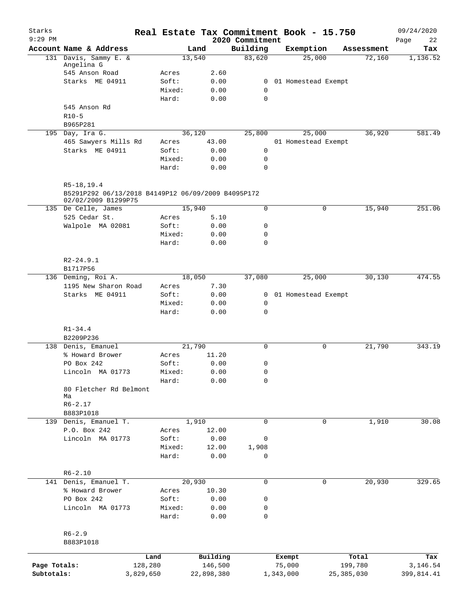| Starks<br>$9:29$ PM |                                                                                            |           |                 |               | 2020 Commitment            | Real Estate Tax Commitment Book - 15.750 |              | 09/24/2020<br>22 |
|---------------------|--------------------------------------------------------------------------------------------|-----------|-----------------|---------------|----------------------------|------------------------------------------|--------------|------------------|
|                     | Account Name & Address                                                                     |           | Land            |               | Building                   | Exemption                                | Assessment   | Page<br>Tax      |
|                     | 131 Davis, Sammy E. &                                                                      |           | 13,540          |               | 83,620                     | 25,000                                   | 72,160       | 1,136.52         |
|                     | Angelina G                                                                                 |           |                 |               |                            |                                          |              |                  |
|                     | 545 Anson Road                                                                             |           | Acres           | 2.60          |                            |                                          |              |                  |
|                     | Starks ME 04911                                                                            |           | Soft:           | 0.00          | $\overline{0}$             | 01 Homestead Exempt                      |              |                  |
|                     |                                                                                            |           | Mixed:<br>Hard: | 0.00<br>0.00  | $\mathbf 0$<br>$\mathbf 0$ |                                          |              |                  |
|                     | 545 Anson Rd                                                                               |           |                 |               |                            |                                          |              |                  |
|                     | $R10-5$                                                                                    |           |                 |               |                            |                                          |              |                  |
|                     | B965P281                                                                                   |           |                 |               |                            |                                          |              |                  |
|                     | 195 Day, Ira G.                                                                            |           | 36,120          |               | 25,800                     | 25,000                                   | 36,920       | 581.49           |
|                     | 465 Sawyers Mills Rd                                                                       |           | Acres           | 43.00         |                            | 01 Homestead Exempt                      |              |                  |
|                     | Starks ME 04911                                                                            |           | Soft:           | 0.00          | 0                          |                                          |              |                  |
|                     |                                                                                            |           | Mixed:          | 0.00          | $\mathbf 0$                |                                          |              |                  |
|                     |                                                                                            |           | Hard:           | 0.00          | $\mathbf 0$                |                                          |              |                  |
|                     |                                                                                            |           |                 |               |                            |                                          |              |                  |
|                     | $R5-18, 19.4$<br>B5291P292 06/13/2018 B4149P12 06/09/2009 B4095P172<br>02/02/2009 B1299P75 |           |                 |               |                            |                                          |              |                  |
|                     | 135 De Celle, James                                                                        |           | 15,940          |               | 0                          | 0                                        | 15,940       | 251.06           |
|                     | 525 Cedar St.                                                                              |           | Acres           | 5.10          |                            |                                          |              |                  |
|                     | Walpole MA 02081                                                                           |           | Soft:           | 0.00          | 0                          |                                          |              |                  |
|                     |                                                                                            |           | Mixed:          | 0.00          | $\mathbf 0$                |                                          |              |                  |
|                     |                                                                                            |           | Hard:           | 0.00          | $\mathbf 0$                |                                          |              |                  |
|                     |                                                                                            |           |                 |               |                            |                                          |              |                  |
|                     | $R2 - 24.9.1$                                                                              |           |                 |               |                            |                                          |              |                  |
|                     | B1717P56<br>136 Deming, Roi A.                                                             |           | 18,050          |               | 37,080                     | 25,000                                   | 30,130       | 474.55           |
|                     | 1195 New Sharon Road                                                                       |           | Acres           | 7.30          |                            |                                          |              |                  |
|                     | Starks ME 04911                                                                            |           | Soft:           | 0.00          |                            | 0 01 Homestead Exempt                    |              |                  |
|                     |                                                                                            |           | Mixed:          | 0.00          | 0                          |                                          |              |                  |
|                     |                                                                                            |           | Hard:           | 0.00          | $\mathbf 0$                |                                          |              |                  |
|                     |                                                                                            |           |                 |               |                            |                                          |              |                  |
|                     | $R1 - 34.4$                                                                                |           |                 |               |                            |                                          |              |                  |
|                     | B2209P236                                                                                  |           |                 |               |                            |                                          |              |                  |
|                     | 138 Denis, Emanuel<br>% Howard Brower                                                      |           | 21,790<br>Acres | 11.20         | 0                          | 0                                        | 21,790       | 343.19           |
|                     | PO Box 242                                                                                 |           | Soft:           | 0.00          | 0                          |                                          |              |                  |
|                     | Lincoln MA 01773                                                                           |           | Mixed:          | 0.00          | 0                          |                                          |              |                  |
|                     |                                                                                            |           | Hard:           | 0.00          | 0                          |                                          |              |                  |
|                     | 80 Fletcher Rd Belmont                                                                     |           |                 |               |                            |                                          |              |                  |
|                     | Ma                                                                                         |           |                 |               |                            |                                          |              |                  |
|                     | $R6 - 2.17$                                                                                |           |                 |               |                            |                                          |              |                  |
|                     | B883P1018                                                                                  |           |                 |               |                            |                                          |              |                  |
|                     | 139 Denis, Emanuel T.                                                                      |           | 1,910           |               | $\mathbf 0$                | $\mathbf 0$                              | 1,910        | 30.08            |
|                     | P.O. Box 242<br>Lincoln MA 01773                                                           |           | Acres<br>Soft:  | 12.00<br>0.00 | 0                          |                                          |              |                  |
|                     |                                                                                            |           | Mixed:          | 12.00         | 1,908                      |                                          |              |                  |
|                     |                                                                                            |           | Hard:           | 0.00          | 0                          |                                          |              |                  |
|                     |                                                                                            |           |                 |               |                            |                                          |              |                  |
|                     | $R6 - 2.10$                                                                                |           |                 |               |                            |                                          |              |                  |
|                     | 141 Denis, Emanuel T.                                                                      |           | 20,930          |               | $\mathsf{O}$               | 0                                        | 20,930       | 329.65           |
|                     | % Howard Brower                                                                            |           | Acres           | 10.30         |                            |                                          |              |                  |
|                     | PO Box 242                                                                                 |           | Soft:           | 0.00          | 0                          |                                          |              |                  |
|                     | Lincoln MA 01773                                                                           |           | Mixed:          | 0.00          | 0                          |                                          |              |                  |
|                     |                                                                                            |           | Hard:           | 0.00          | $\mathbf 0$                |                                          |              |                  |
|                     | $R6 - 2.9$                                                                                 |           |                 |               |                            |                                          |              |                  |
|                     | B883P1018                                                                                  |           |                 |               |                            |                                          |              |                  |
|                     |                                                                                            |           |                 |               |                            |                                          |              |                  |
|                     |                                                                                            | Land      |                 | Building      |                            | Exempt                                   | Total        | Tax              |
| Page Totals:        |                                                                                            | 128,280   |                 | 146,500       |                            | 75,000                                   | 199,780      | 3,146.54         |
| Subtotals:          |                                                                                            | 3,829,650 |                 | 22,898,380    |                            | 1,343,000                                | 25, 385, 030 | 399,814.41       |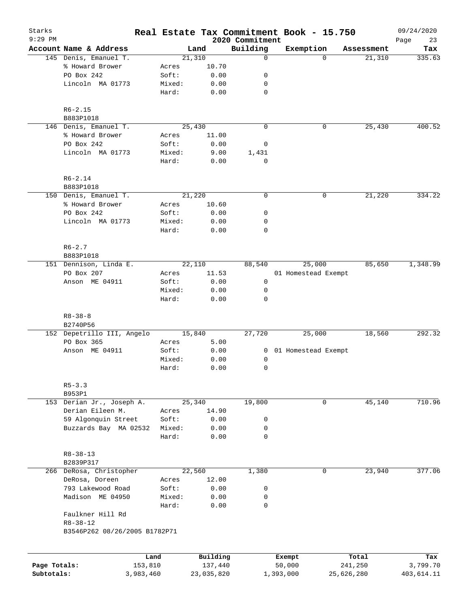| Starks<br>$9:29$ PM        |                                        |                      |                 |        |                       | 2020 Commitment | Real Estate Tax Commitment Book - 15.750 |            |            | 09/24/2020<br>23<br>Page |
|----------------------------|----------------------------------------|----------------------|-----------------|--------|-----------------------|-----------------|------------------------------------------|------------|------------|--------------------------|
|                            | Account Name & Address                 |                      |                 | Land   |                       | Building        | Exemption                                |            | Assessment | Tax                      |
|                            | 145 Denis, Emanuel T.                  |                      |                 | 21,310 |                       | $\mathbf 0$     |                                          | $\Omega$   | 21,310     | 335.63                   |
|                            | % Howard Brower                        |                      | Acres           |        | 10.70                 |                 |                                          |            |            |                          |
|                            | PO Box 242                             |                      | Soft:           |        | 0.00                  | 0               |                                          |            |            |                          |
|                            | Lincoln MA 01773                       |                      | Mixed:          |        | 0.00                  | 0               |                                          |            |            |                          |
|                            |                                        |                      | Hard:           |        | 0.00                  | $\mathbf 0$     |                                          |            |            |                          |
|                            | $R6 - 2.15$                            |                      |                 |        |                       |                 |                                          |            |            |                          |
|                            | B883P1018                              |                      |                 |        |                       |                 |                                          |            |            |                          |
|                            | 146 Denis, Emanuel T.                  |                      |                 | 25,430 |                       | $\mathbf 0$     |                                          | 0          | 25,430     | 400.52                   |
|                            | % Howard Brower                        |                      | Acres           |        | 11.00                 |                 |                                          |            |            |                          |
|                            | PO Box 242                             |                      | Soft:           |        | 0.00                  | 0               |                                          |            |            |                          |
|                            | Lincoln MA 01773                       |                      | Mixed:          |        | 9.00                  | 1,431           |                                          |            |            |                          |
|                            |                                        |                      | Hard:           |        | 0.00                  | $\mathbf 0$     |                                          |            |            |                          |
|                            | $R6 - 2.14$                            |                      |                 |        |                       |                 |                                          |            |            |                          |
|                            | B883P1018                              |                      |                 |        |                       |                 |                                          |            |            |                          |
|                            | 150 Denis, Emanuel T.                  |                      |                 | 21,220 |                       | $\mathbf 0$     |                                          | 0          | 21,220     | 334.22                   |
|                            | % Howard Brower                        |                      | Acres           |        | 10.60                 |                 |                                          |            |            |                          |
|                            | PO Box 242                             |                      | Soft:           |        | 0.00                  | 0               |                                          |            |            |                          |
|                            | Lincoln MA 01773                       |                      | Mixed:          |        | 0.00                  | 0               |                                          |            |            |                          |
|                            |                                        |                      | Hard:           |        | 0.00                  | $\mathbf 0$     |                                          |            |            |                          |
|                            | $R6 - 2.7$                             |                      |                 |        |                       |                 |                                          |            |            |                          |
|                            | B883P1018                              |                      |                 |        |                       |                 |                                          |            |            |                          |
|                            | 151 Dennison, Linda E.                 |                      |                 | 22,110 |                       | 88,540          | 25,000                                   |            | 85,650     | 1,348.99                 |
|                            | PO Box 207                             |                      | Acres           |        | 11.53                 |                 | 01 Homestead Exempt                      |            |            |                          |
|                            | Anson ME 04911                         |                      | Soft:           |        | 0.00                  | 0               |                                          |            |            |                          |
|                            |                                        |                      | Mixed:          |        | 0.00                  | 0               |                                          |            |            |                          |
|                            |                                        |                      | Hard:           |        | 0.00                  | $\mathbf 0$     |                                          |            |            |                          |
|                            | $R8 - 38 - 8$                          |                      |                 |        |                       |                 |                                          |            |            |                          |
|                            | B2740P56<br>152 Depetrillo III, Angelo |                      |                 | 15,840 |                       | 27,720          | 25,000                                   |            | 18,560     | 292.32                   |
|                            | PO Box 365                             |                      | Acres           |        | 5.00                  |                 |                                          |            |            |                          |
|                            | Anson ME 04911                         |                      | Soft:           |        | 0.00                  | $\mathbf{0}$    | 01 Homestead Exempt                      |            |            |                          |
|                            |                                        |                      | Mixed:          |        | 0.00                  | 0               |                                          |            |            |                          |
|                            |                                        |                      | Hard:           |        | 0.00                  | 0               |                                          |            |            |                          |
|                            |                                        |                      |                 |        |                       |                 |                                          |            |            |                          |
|                            | $R5 - 3.3$                             |                      |                 |        |                       |                 |                                          |            |            |                          |
|                            | B953P1                                 |                      |                 |        |                       |                 |                                          |            |            |                          |
|                            | 153 Derian Jr., Joseph A.              |                      |                 | 25,340 |                       | 19,800          |                                          | 0          | 45,140     | 710.96                   |
|                            | Derian Eileen M.                       |                      | Acres           |        | 14.90                 |                 |                                          |            |            |                          |
|                            | 59 Algonquin Street                    |                      | Soft:           |        | 0.00                  | 0               |                                          |            |            |                          |
|                            | Buzzards Bay MA 02532                  |                      | Mixed:          |        | 0.00                  | 0               |                                          |            |            |                          |
|                            |                                        |                      | Hard:           |        | 0.00                  | 0               |                                          |            |            |                          |
|                            | $R8 - 38 - 13$<br>B2839P317            |                      |                 |        |                       |                 |                                          |            |            |                          |
|                            | 266 DeRosa, Christopher                |                      |                 | 22,560 |                       | 1,380           |                                          | 0          | 23,940     | 377.06                   |
|                            | DeRosa, Doreen                         |                      | Acres           |        | 12.00                 |                 |                                          |            |            |                          |
|                            | 793 Lakewood Road                      |                      | Soft:           |        | 0.00                  | 0               |                                          |            |            |                          |
|                            | Madison ME 04950                       |                      |                 |        |                       |                 |                                          |            |            |                          |
|                            |                                        |                      | Mixed:<br>Hard: |        | 0.00<br>0.00          | 0<br>0          |                                          |            |            |                          |
|                            | Faulkner Hill Rd                       |                      |                 |        |                       |                 |                                          |            |            |                          |
|                            | $R8 - 38 - 12$                         |                      |                 |        |                       |                 |                                          |            |            |                          |
|                            | B3546P262 08/26/2005 B1782P71          |                      |                 |        |                       |                 |                                          |            |            |                          |
|                            |                                        |                      |                 |        |                       |                 |                                          |            |            |                          |
|                            |                                        | Land                 |                 |        | Building              |                 | Exempt                                   |            | Total      | Tax                      |
| Page Totals:<br>Subtotals: |                                        | 153,810<br>3,983,460 |                 |        | 137,440<br>23,035,820 |                 | 50,000<br>1,393,000                      | 25,626,280 | 241,250    | 3,799.70<br>403,614.11   |
|                            |                                        |                      |                 |        |                       |                 |                                          |            |            |                          |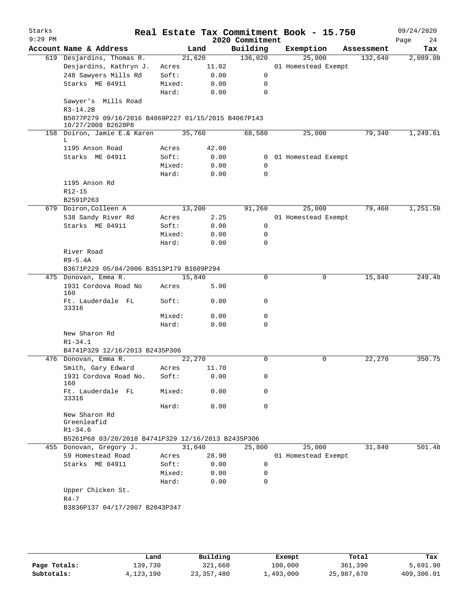| Starks<br>$9:29$ PM |                                                                           |        |        | 2020 Commitment | Real Estate Tax Commitment Book - 15.750 |            | 09/24/2020<br>Page<br>24 |
|---------------------|---------------------------------------------------------------------------|--------|--------|-----------------|------------------------------------------|------------|--------------------------|
|                     | Account Name & Address                                                    |        | Land   | Building        | Exemption                                | Assessment | Tax                      |
|                     | 619 Desjardins, Thomas R.                                                 |        | 21,620 | 136,020         | 25,000                                   | 132,640    | 2,089.08                 |
|                     | Desjardins, Kathryn J.                                                    | Acres  | 11.02  |                 | 01 Homestead Exempt                      |            |                          |
|                     | 248 Sawyers Mills Rd                                                      | Soft:  | 0.00   | 0               |                                          |            |                          |
|                     | Starks ME 04911                                                           | Mixed: | 0.00   | 0               |                                          |            |                          |
|                     |                                                                           | Hard:  | 0.00   | $\mathbf 0$     |                                          |            |                          |
|                     | Sawyer's Mills Road<br>$R3 - 14.2B$                                       |        |        |                 |                                          |            |                          |
|                     | B5077P279 09/16/2016 B4869P227 01/15/2015 B4067P143<br>10/27/2008 B2628P8 |        |        |                 |                                          |            |                          |
|                     | 158 Doiron, Jamie E.& Karen<br>L                                          |        | 35,760 | 68,580          | 25,000                                   | 79,340     | 1,249.61                 |
|                     | 1195 Anson Road                                                           | Acres  | 42.00  |                 |                                          |            |                          |
|                     | Starks ME 04911                                                           | Soft:  | 0.00   | $\mathbf{0}$    | 01 Homestead Exempt                      |            |                          |
|                     |                                                                           | Mixed: | 0.00   | 0               |                                          |            |                          |
|                     |                                                                           | Hard:  | 0.00   | $\mathbf 0$     |                                          |            |                          |
|                     | 1195 Anson Rd                                                             |        |        |                 |                                          |            |                          |
|                     | $R12 - 15$                                                                |        |        |                 |                                          |            |                          |
|                     | B2591P263                                                                 |        |        |                 |                                          |            |                          |
|                     | 679 Doiron, Colleen A                                                     |        | 13,200 | 91,260          | 25,000                                   | 79,460     | 1,251.50                 |
|                     | 538 Sandy River Rd                                                        | Acres  | 2.25   |                 | 01 Homestead Exempt                      |            |                          |
|                     | Starks ME 04911                                                           | Soft:  | 0.00   | 0               |                                          |            |                          |
|                     |                                                                           | Mixed: | 0.00   | 0               |                                          |            |                          |
|                     |                                                                           | Hard:  | 0.00   | 0               |                                          |            |                          |
|                     | River Road                                                                |        |        |                 |                                          |            |                          |
|                     | $R9-5.4A$                                                                 |        |        |                 |                                          |            |                          |
|                     | B3671P229 05/04/2006 B3513P179 B1609P294                                  |        |        |                 |                                          |            |                          |
|                     | 475 Donovan, Emma R.                                                      |        | 15,840 | 0               | 0                                        | 15,840     | 249.48                   |
|                     | 1931 Cordova Road No<br>160                                               | Acres  | 5.00   |                 |                                          |            |                          |
|                     | Ft. Lauderdale FL<br>33316                                                | Soft:  | 0.00   | 0               |                                          |            |                          |
|                     |                                                                           | Mixed: | 0.00   | 0               |                                          |            |                          |
|                     |                                                                           | Hard:  | 0.00   | $\mathbf 0$     |                                          |            |                          |
|                     | New Sharon Rd                                                             |        |        |                 |                                          |            |                          |
|                     | $R1 - 34.1$                                                               |        |        |                 |                                          |            |                          |
|                     | B4741P329 12/16/2013 B2435P306                                            |        |        |                 |                                          |            |                          |
|                     | 476 Donovan, Emma R.                                                      |        | 22,270 | 0               | 0                                        | 22,270     | 350.75                   |
|                     | Smith, Gary Edward                                                        | Acres  | 11.70  |                 |                                          |            |                          |
|                     | 1931 Cordova Road No.<br>160                                              | Soft:  | 0.00   | 0               |                                          |            |                          |
|                     | Ft. Lauderdale FL<br>33316                                                | Mixed: | 0.00   | 0               |                                          |            |                          |
|                     |                                                                           | Hard:  | 0.00   | 0               |                                          |            |                          |
|                     | New Sharon Rd<br>Greenleafid<br>$R1 - 34.6$                               |        |        |                 |                                          |            |                          |
|                     | B5261P68 03/20/2018 B4741P329 12/16/2013 B2435P306                        |        |        |                 |                                          |            |                          |
|                     | 455 Donovan, Gregory J.                                                   |        | 31,040 | 25,800          | 25,000                                   | 31,840     | 501.48                   |
|                     | 59 Homestead Road                                                         | Acres  | 28.90  |                 | 01 Homestead Exempt                      |            |                          |
|                     | Starks ME 04911                                                           | Soft:  | 0.00   | 0               |                                          |            |                          |
|                     |                                                                           | Mixed: | 0.00   | 0               |                                          |            |                          |
|                     |                                                                           | Hard:  | 0.00   | 0               |                                          |            |                          |
|                     | Upper Chicken St.                                                         |        |        |                 |                                          |            |                          |
|                     | $R4 - 7$                                                                  |        |        |                 |                                          |            |                          |
|                     | B3836P137 04/17/2007 B2043P347                                            |        |        |                 |                                          |            |                          |
|                     |                                                                           |        |        |                 |                                          |            |                          |
|                     |                                                                           |        |        |                 |                                          |            |                          |
|                     |                                                                           |        |        |                 |                                          |            |                          |
|                     |                                                                           |        |        |                 |                                          |            |                          |

|              | Land        | Building     | Exempt    | Total      | Tax        |
|--------------|-------------|--------------|-----------|------------|------------|
| Page Totals: | 139,730     | 321,660      | 100,000   | 361,390    | 5,691.90   |
| Subtotals:   | 4, 123, 190 | 23, 357, 480 | 1,493,000 | 25,987,670 | 409,306.01 |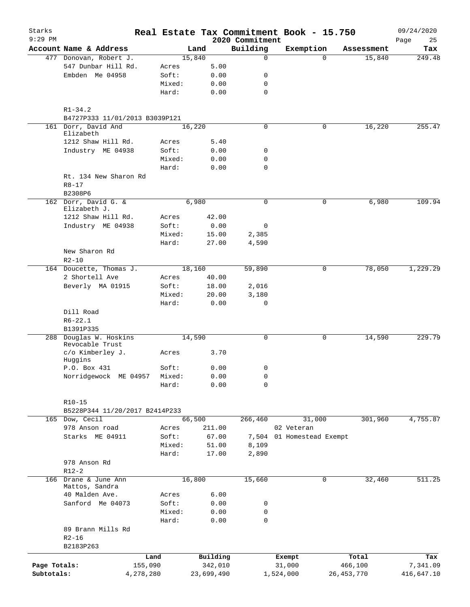| Starks<br>$9:29$ PM |                                        |                 |            |                     | Real Estate Tax Commitment Book - 15.750<br>2020 Commitment |                  |                     |                  | 09/24/2020<br>25<br>Page |
|---------------------|----------------------------------------|-----------------|------------|---------------------|-------------------------------------------------------------|------------------|---------------------|------------------|--------------------------|
|                     | Account Name & Address                 |                 | Land       |                     | Building                                                    | Exemption        |                     | Assessment       | Tax                      |
|                     | 477 Donovan, Robert J.                 |                 | 15,840     |                     | $\mathbf 0$                                                 |                  | $\Omega$            | 15,840           | 249.48                   |
|                     | 547 Dunbar Hill Rd.                    | Acres           |            | 5.00                |                                                             |                  |                     |                  |                          |
|                     | Embden Me 04958                        | Soft:           |            | 0.00                | 0                                                           |                  |                     |                  |                          |
|                     |                                        | Mixed:          |            | 0.00                | 0                                                           |                  |                     |                  |                          |
|                     |                                        | Hard:           |            | 0.00                | $\mathbf 0$                                                 |                  |                     |                  |                          |
|                     | $R1 - 34.2$                            |                 |            |                     |                                                             |                  |                     |                  |                          |
|                     | B4727P333 11/01/2013 B3039P121         |                 |            |                     |                                                             |                  |                     |                  |                          |
|                     | 161 Dorr, David And<br>Elizabeth       |                 | 16,220     |                     | $\mathbf 0$                                                 |                  | 0                   | 16,220           | 255.47                   |
|                     | 1212 Shaw Hill Rd.                     | Acres           |            | 5.40                |                                                             |                  |                     |                  |                          |
|                     | Industry ME 04938                      | Soft:           |            | 0.00                | 0                                                           |                  |                     |                  |                          |
|                     |                                        | Mixed:          |            | 0.00                | $\mathbf 0$                                                 |                  |                     |                  |                          |
|                     |                                        | Hard:           |            | 0.00                | $\mathbf 0$                                                 |                  |                     |                  |                          |
|                     | Rt. 134 New Sharon Rd                  |                 |            |                     |                                                             |                  |                     |                  |                          |
|                     | $R8 - 17$                              |                 |            |                     |                                                             |                  |                     |                  |                          |
|                     | B2308P6                                |                 |            |                     |                                                             |                  |                     |                  |                          |
|                     | 162 Dorr, David G. &<br>Elizabeth J.   |                 | 6,980      |                     | 0                                                           |                  | 0                   | 6,980            | 109.94                   |
|                     | 1212 Shaw Hill Rd.                     | Acres           |            | 42.00               |                                                             |                  |                     |                  |                          |
|                     | Industry ME 04938                      | Soft:           |            | 0.00                | 0                                                           |                  |                     |                  |                          |
|                     |                                        | Mixed:          |            | 15.00               | 2,385                                                       |                  |                     |                  |                          |
|                     |                                        | Hard:           |            | 27.00               | 4,590                                                       |                  |                     |                  |                          |
|                     | New Sharon Rd                          |                 |            |                     |                                                             |                  |                     |                  |                          |
|                     | $R2 - 10$                              |                 |            |                     |                                                             |                  |                     |                  |                          |
|                     | 164 Doucette, Thomas J.                |                 | 18,160     |                     | 59,890                                                      |                  | 0                   | 78,050           | 1,229.29                 |
|                     | 2 Shortell Ave                         | Acres           |            | 40.00               |                                                             |                  |                     |                  |                          |
|                     | Beverly MA 01915                       | Soft:           |            | 18.00               | 2,016                                                       |                  |                     |                  |                          |
|                     |                                        | Mixed:          |            | 20.00               | 3,180                                                       |                  |                     |                  |                          |
|                     |                                        | Hard:           |            | 0.00                | 0                                                           |                  |                     |                  |                          |
|                     | Dill Road                              |                 |            |                     |                                                             |                  |                     |                  |                          |
|                     | $R6 - 22.1$                            |                 |            |                     |                                                             |                  |                     |                  |                          |
|                     | B1391P335                              |                 |            |                     |                                                             |                  |                     |                  |                          |
|                     | 288 Douglas W. Hoskins                 |                 | 14,590     |                     | $\mathbf 0$                                                 |                  | 0                   | 14,590           | 229.79                   |
|                     | Revocable Trust                        |                 |            |                     |                                                             |                  |                     |                  |                          |
|                     | c/o Kimberley J.                       | Acres           |            | 3.70                |                                                             |                  |                     |                  |                          |
|                     | Huggins                                |                 |            |                     |                                                             |                  |                     |                  |                          |
|                     | P.O. Box 431                           | Soft:           |            | 0.00                | 0                                                           |                  |                     |                  |                          |
|                     | Norridgewock ME 04957                  | Mixed:          |            | 0.00                | 0                                                           |                  |                     |                  |                          |
|                     |                                        | Hard:           |            | 0.00                | $\mathbf 0$                                                 |                  |                     |                  |                          |
|                     |                                        |                 |            |                     |                                                             |                  |                     |                  |                          |
|                     | $R10-15$                               |                 |            |                     |                                                             |                  |                     |                  |                          |
|                     | B5228P344 11/20/2017 B2414P233         |                 |            |                     |                                                             |                  |                     |                  |                          |
|                     | 165 Dow, Cecil                         |                 | 66,500     |                     | 266,460                                                     |                  | 31,000              | 301,960          | 4,755.87                 |
|                     | 978 Anson road                         | Acres           |            | 211.00              |                                                             | 02 Veteran       |                     |                  |                          |
|                     | Starks ME 04911                        | Soft:           |            | 67.00               | 7,504                                                       |                  | 01 Homestead Exempt |                  |                          |
|                     |                                        | Mixed:          |            | 51.00               | 8,109                                                       |                  |                     |                  |                          |
|                     |                                        | Hard:           |            | 17.00               | 2,890                                                       |                  |                     |                  |                          |
|                     | 978 Anson Rd                           |                 |            |                     |                                                             |                  |                     |                  |                          |
|                     | $R12-2$                                |                 |            |                     |                                                             |                  |                     |                  |                          |
|                     | 166 Drane & June Ann<br>Mattos, Sandra |                 | 16,800     |                     | 15,660                                                      |                  | 0                   | 32,460           | 511.25                   |
|                     | 40 Malden Ave.                         | Acres           |            | 6.00                |                                                             |                  |                     |                  |                          |
|                     | Sanford Me 04073                       | Soft:           |            | 0.00                | 0                                                           |                  |                     |                  |                          |
|                     |                                        | Mixed:          |            | 0.00                | 0                                                           |                  |                     |                  |                          |
|                     |                                        | Hard:           |            | 0.00                | 0                                                           |                  |                     |                  |                          |
|                     | 89 Brann Mills Rd                      |                 |            |                     |                                                             |                  |                     |                  |                          |
|                     | $R2 - 16$                              |                 |            |                     |                                                             |                  |                     |                  |                          |
|                     | B2183P263                              |                 |            |                     |                                                             |                  |                     |                  |                          |
|                     |                                        |                 |            |                     |                                                             |                  |                     |                  |                          |
| Page Totals:        |                                        | Land<br>155,090 |            | Building<br>342,010 |                                                             | Exempt<br>31,000 |                     | Total<br>466,100 | Tax<br>7,341.09          |
| Subtotals:          | 4,278,280                              |                 | 23,699,490 |                     |                                                             | 1,524,000        |                     | 26, 453, 770     | 416,647.10               |
|                     |                                        |                 |            |                     |                                                             |                  |                     |                  |                          |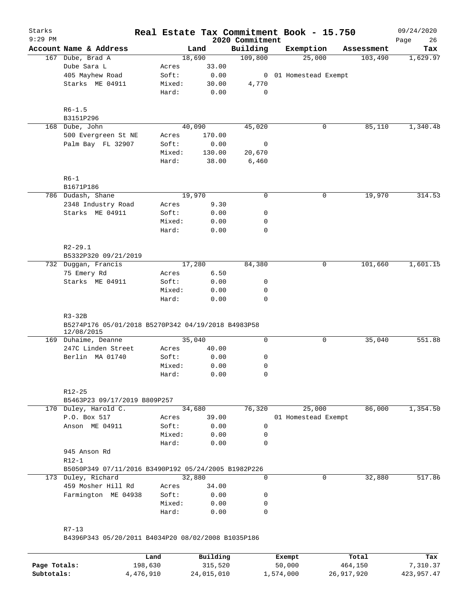| Starks<br>$9:29$ PM |                                                                              |        |          | 2020 Commitment | Real Estate Tax Commitment Book - 15.750 |            | 09/24/2020<br>Page<br>26 |
|---------------------|------------------------------------------------------------------------------|--------|----------|-----------------|------------------------------------------|------------|--------------------------|
|                     | Account Name & Address                                                       |        | Land     | Building        | Exemption                                | Assessment | Tax                      |
|                     | 167 Dube, Brad A                                                             |        | 18,690   | 109,800         | 25,000                                   | 103,490    | 1,629.97                 |
|                     | Dube Sara L                                                                  | Acres  | 33.00    |                 |                                          |            |                          |
|                     | 405 Mayhew Road                                                              | Soft:  | 0.00     |                 | 0 01 Homestead Exempt                    |            |                          |
|                     | Starks ME 04911                                                              | Mixed: | 30.00    | 4,770           |                                          |            |                          |
|                     |                                                                              | Hard:  | 0.00     | 0               |                                          |            |                          |
|                     | $R6 - 1.5$                                                                   |        |          |                 |                                          |            |                          |
|                     | B3151P296                                                                    |        |          |                 |                                          |            |                          |
|                     | 168 Dube, John                                                               |        | 40,090   | 45,020          | 0                                        | 85,110     | 1,340.48                 |
|                     | 500 Evergreen St NE                                                          | Acres  | 170.00   |                 |                                          |            |                          |
|                     | Palm Bay FL 32907                                                            | Soft:  | 0.00     | 0               |                                          |            |                          |
|                     |                                                                              | Mixed: | 130.00   | 20,670          |                                          |            |                          |
|                     |                                                                              | Hard:  | 38.00    | 6,460           |                                          |            |                          |
|                     | $R6-1$                                                                       |        |          |                 |                                          |            |                          |
|                     | B1671P186                                                                    |        |          |                 |                                          |            |                          |
|                     | 786 Dudash, Shane                                                            |        | 19,970   | $\mathbf 0$     | 0                                        | 19,970     | 314.53                   |
|                     | 2348 Industry Road                                                           | Acres  | 9.30     |                 |                                          |            |                          |
|                     | Starks ME 04911                                                              | Soft:  | 0.00     | 0               |                                          |            |                          |
|                     |                                                                              | Mixed: | 0.00     | 0               |                                          |            |                          |
|                     |                                                                              | Hard:  | 0.00     | 0               |                                          |            |                          |
|                     | $R2 - 29.1$                                                                  |        |          |                 |                                          |            |                          |
|                     | B5332P320 09/21/2019                                                         |        |          |                 |                                          |            |                          |
|                     | 732 Duggan, Francis                                                          |        | 17,280   | 84,380          | 0                                        | 101,660    | 1,601.15                 |
|                     | 75 Emery Rd                                                                  | Acres  | 6.50     |                 |                                          |            |                          |
|                     | Starks ME 04911                                                              | Soft:  | 0.00     | 0               |                                          |            |                          |
|                     |                                                                              | Mixed: | 0.00     | 0               |                                          |            |                          |
|                     |                                                                              | Hard:  | 0.00     | 0               |                                          |            |                          |
|                     | $R3-32B$<br>B5274P176 05/01/2018 B5270P342 04/19/2018 B4983P58<br>12/08/2015 |        |          |                 |                                          |            |                          |
|                     | 169 Duhaime, Deanne                                                          |        | 35,040   | 0               | 0                                        | 35,040     | 551.88                   |
|                     | 247C Linden Street                                                           | Acres  | 40.00    |                 |                                          |            |                          |
|                     | Berlin MA 01740                                                              | Soft:  | 0.00     | 0               |                                          |            |                          |
|                     |                                                                              | Mixed: | 0.00     | 0               |                                          |            |                          |
|                     |                                                                              | Hard:  | 0.00     | 0               |                                          |            |                          |
|                     | $R12 - 25$                                                                   |        |          |                 |                                          |            |                          |
|                     | B5463P23 09/17/2019 B809P257                                                 |        |          |                 |                                          |            |                          |
|                     | 170 Duley, Harold C.                                                         |        | 34,680   | 76,320          | 25,000                                   | 86,000     | 1,354.50                 |
|                     | P.O. Box 517                                                                 | Acres  | 39.00    |                 | 01 Homestead Exempt                      |            |                          |
|                     | Anson ME 04911                                                               | Soft:  | 0.00     | $\mathbf 0$     |                                          |            |                          |
|                     |                                                                              | Mixed: | 0.00     | 0               |                                          |            |                          |
|                     |                                                                              | Hard:  | 0.00     | 0               |                                          |            |                          |
|                     | 945 Anson Rd                                                                 |        |          |                 |                                          |            |                          |
|                     | $R12-1$                                                                      |        |          |                 |                                          |            |                          |
|                     | B5050P349 07/11/2016 B3490P192 05/24/2005 B1982P226                          |        |          |                 |                                          |            |                          |
|                     | 173 Duley, Richard                                                           |        | 32,880   | 0               | $\Omega$                                 | 32,880     | 517.86                   |
|                     | 459 Mosher Hill Rd                                                           | Acres  | 34.00    |                 |                                          |            |                          |
|                     | Farmington ME 04938                                                          | Soft:  | 0.00     | 0               |                                          |            |                          |
|                     |                                                                              | Mixed: | 0.00     | 0               |                                          |            |                          |
|                     |                                                                              | Hard:  | 0.00     | 0               |                                          |            |                          |
|                     | $R7 - 13$                                                                    |        |          |                 |                                          |            |                          |
|                     | B4396P343 05/20/2011 B4034P20 08/02/2008 B1035P186                           |        |          |                 |                                          |            |                          |
|                     |                                                                              |        |          |                 |                                          |            |                          |
|                     |                                                                              | Land   | Building |                 | Exempt                                   | Total      | Tax                      |

|              | Land      | Building   | Exempt    | Total      | Tax        |
|--------------|-----------|------------|-----------|------------|------------|
| Page Totals: | 198,630   | 315,520    | 50,000    | 464,150    | 7,310.37   |
| Subtotals:   | 4,476,910 | 24,015,010 | 1,574,000 | 26,917,920 | 423,957.47 |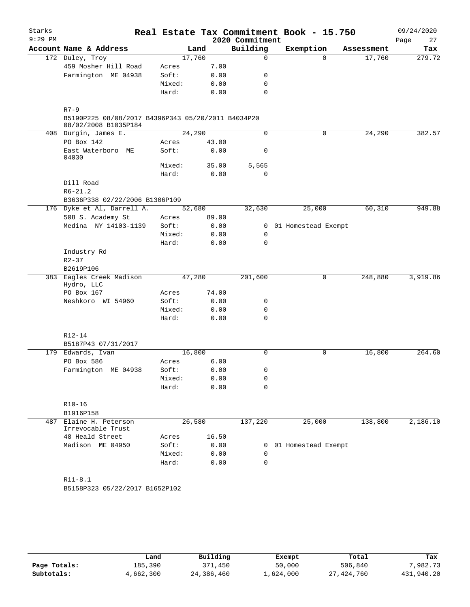| Starks    |                                                                            |        |        |       |                 | Real Estate Tax Commitment Book - 15.750 |            | 09/24/2020 |
|-----------|----------------------------------------------------------------------------|--------|--------|-------|-----------------|------------------------------------------|------------|------------|
| $9:29$ PM |                                                                            |        |        |       | 2020 Commitment |                                          |            | 27<br>Page |
|           | Account Name & Address                                                     |        | Land   |       | Building        | Exemption                                | Assessment | Tax        |
|           | 172 Duley, Troy                                                            |        | 17,760 |       | $\mathbf 0$     | $\Omega$                                 | 17,760     | 279.72     |
|           | 459 Mosher Hill Road                                                       | Acres  |        | 7.00  |                 |                                          |            |            |
|           | Farmington ME 04938                                                        | Soft:  |        | 0.00  | 0               |                                          |            |            |
|           |                                                                            | Mixed: |        | 0.00  | 0               |                                          |            |            |
|           |                                                                            | Hard:  |        | 0.00  | $\mathbf 0$     |                                          |            |            |
|           | $R7-9$                                                                     |        |        |       |                 |                                          |            |            |
|           | B5190P225 08/08/2017 B4396P343 05/20/2011 B4034P20<br>08/02/2008 B1035P184 |        |        |       |                 |                                          |            |            |
|           | 408 Durgin, James E.                                                       |        | 24,290 |       | $\Omega$        | 0                                        | 24,290     | 382.57     |
|           | PO Box 142                                                                 | Acres  |        | 43.00 |                 |                                          |            |            |
|           | East Waterboro ME<br>04030                                                 | Soft:  |        | 0.00  | $\mathsf{O}$    |                                          |            |            |
|           |                                                                            | Mixed: |        | 35.00 | 5,565           |                                          |            |            |
|           |                                                                            | Hard:  |        | 0.00  | 0               |                                          |            |            |
|           | Dill Road                                                                  |        |        |       |                 |                                          |            |            |
|           | $R6 - 21.2$                                                                |        |        |       |                 |                                          |            |            |
|           | B3636P338 02/22/2006 B1306P109                                             |        |        |       |                 |                                          |            |            |
|           | 176 Dyke et Al, Darrell A.                                                 |        | 52,680 |       | 32,630          | 25,000                                   | 60,310     | 949.88     |
|           | 508 S. Academy St                                                          | Acres  |        | 89.00 |                 |                                          |            |            |
|           | Medina NY 14103-1139                                                       | Soft:  |        | 0.00  | $\mathbf{0}$    | 01 Homestead Exempt                      |            |            |
|           |                                                                            | Mixed: |        | 0.00  | 0               |                                          |            |            |
|           |                                                                            | Hard:  |        | 0.00  | 0               |                                          |            |            |
|           | Industry Rd                                                                |        |        |       |                 |                                          |            |            |
|           | $R2 - 37$                                                                  |        |        |       |                 |                                          |            |            |
|           | B2619P106                                                                  |        |        |       |                 |                                          |            |            |
|           | 383 Eagles Creek Madison                                                   |        | 47,280 |       | 201,600         | 0                                        | 248,880    | 3,919.86   |
|           | Hydro, LLC                                                                 |        |        |       |                 |                                          |            |            |
|           | PO Box 167                                                                 | Acres  |        | 74.00 |                 |                                          |            |            |
|           | Neshkoro WI 54960                                                          | Soft:  |        | 0.00  | 0               |                                          |            |            |
|           |                                                                            | Mixed: |        | 0.00  | 0               |                                          |            |            |
|           |                                                                            | Hard:  |        | 0.00  | 0               |                                          |            |            |
|           | R12-14                                                                     |        |        |       |                 |                                          |            |            |
|           | B5187P43 07/31/2017                                                        |        |        |       |                 |                                          |            |            |
|           | 179 Edwards, Ivan                                                          |        | 16,800 |       | $\Omega$        | 0                                        | 16,800     | 264.60     |
|           | PO Box 586                                                                 | Acres  |        | 6.00  |                 |                                          |            |            |
|           | Farmington ME 04938                                                        | Soft:  |        | 0.00  | $\Omega$        |                                          |            |            |
|           |                                                                            | Mixed: |        | 0.00  | 0               |                                          |            |            |
|           |                                                                            | Hard:  |        | 0.00  | $\Omega$        |                                          |            |            |
|           | $R10 - 16$                                                                 |        |        |       |                 |                                          |            |            |
|           | B1916P158                                                                  |        |        |       |                 |                                          |            |            |
|           | 487 Elaine H. Peterson<br>Irrevocable Trust                                |        | 26,580 |       | 137,220         | 25,000                                   | 138,800    | 2,186.10   |
|           | 48 Heald Street                                                            | Acres  |        | 16.50 |                 |                                          |            |            |
|           | Madison ME 04950                                                           | Soft:  |        | 0.00  |                 | 0 01 Homestead Exempt                    |            |            |
|           |                                                                            | Mixed: |        | 0.00  | 0               |                                          |            |            |
|           |                                                                            | Hard:  |        | 0.00  | $\mathbf 0$     |                                          |            |            |
|           |                                                                            |        |        |       |                 |                                          |            |            |
|           | $R11 - 8.1$                                                                |        |        |       |                 |                                          |            |            |
|           | B5158P323 05/22/2017 B1652P102                                             |        |        |       |                 |                                          |            |            |

|              | Land      | Building   | Exempt    | Total      | Tax        |
|--------------|-----------|------------|-----------|------------|------------|
| Page Totals: | 185,390   | 371,450    | 50,000    | 506,840    | 7.982.73   |
| Subtotals:   | 4,662,300 | 24,386,460 | 1,624,000 | 27,424,760 | 431,940.20 |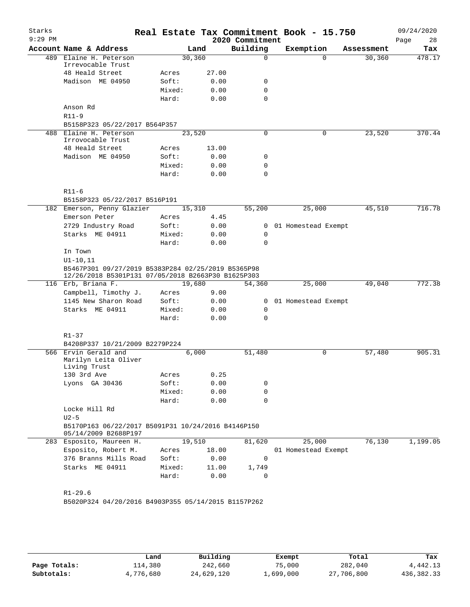| Starks<br>$9:29$ PM |                                                                                                          |        |         | 2020 Commitment | Real Estate Tax Commitment Book - 15.750 |            | 09/24/2020<br>28<br>Page |
|---------------------|----------------------------------------------------------------------------------------------------------|--------|---------|-----------------|------------------------------------------|------------|--------------------------|
|                     | Account Name & Address                                                                                   |        | Land    | Building        | Exemption                                | Assessment | Tax                      |
|                     | 489 Elaine H. Peterson<br>Irrevocable Trust                                                              |        | 30, 360 | $\Omega$        |                                          | $\Omega$   | 478.17<br>30,360         |
|                     | 48 Heald Street                                                                                          | Acres  | 27.00   |                 |                                          |            |                          |
|                     | Madison ME 04950                                                                                         | Soft:  | 0.00    | 0               |                                          |            |                          |
|                     |                                                                                                          | Mixed: | 0.00    | 0               |                                          |            |                          |
|                     |                                                                                                          | Hard:  | 0.00    | $\Omega$        |                                          |            |                          |
|                     | Anson Rd                                                                                                 |        |         |                 |                                          |            |                          |
|                     | $R11 - 9$                                                                                                |        |         |                 |                                          |            |                          |
|                     | B5158P323 05/22/2017 B564P357                                                                            |        |         |                 |                                          |            |                          |
| 488                 | Elaine H. Peterson                                                                                       |        | 23,520  | 0               |                                          | 0          | 23,520<br>370.44         |
|                     | Irrovocable Trust                                                                                        |        |         |                 |                                          |            |                          |
|                     | 48 Heald Street                                                                                          | Acres  | 13.00   |                 |                                          |            |                          |
|                     | Madison ME 04950                                                                                         | Soft:  | 0.00    | 0               |                                          |            |                          |
|                     |                                                                                                          | Mixed: | 0.00    | 0               |                                          |            |                          |
|                     |                                                                                                          | Hard:  | 0.00    | $\Omega$        |                                          |            |                          |
|                     | $R11-6$                                                                                                  |        |         |                 |                                          |            |                          |
|                     | B5158P323 05/22/2017 B516P191                                                                            |        |         |                 |                                          |            |                          |
|                     | 182 Emerson, Penny Glazier                                                                               |        | 15,310  | 55,200          | 25,000                                   |            | 716.78<br>45,510         |
|                     | Emerson Peter                                                                                            | Acres  | 4.45    |                 |                                          |            |                          |
|                     | 2729 Industry Road                                                                                       | Soft:  | 0.00    | 0               | 01 Homestead Exempt                      |            |                          |
|                     | Starks ME 04911                                                                                          | Mixed: | 0.00    | 0               |                                          |            |                          |
|                     |                                                                                                          | Hard:  | 0.00    | $\Omega$        |                                          |            |                          |
|                     | In Town                                                                                                  |        |         |                 |                                          |            |                          |
|                     | $UI-10, 11$                                                                                              |        |         |                 |                                          |            |                          |
|                     | B5467P301 09/27/2019 B5383P284 02/25/2019 B5365P98<br>12/26/2018 B5301P131 07/05/2018 B2663P30 B1625P303 |        |         |                 |                                          |            |                          |
|                     | 116 Erb, Briana F.                                                                                       |        | 19,680  | 54,360          | 25,000                                   |            | 772.38<br>49,040         |
|                     | Campbell, Timothy J.                                                                                     | Acres  | 9.00    |                 |                                          |            |                          |
|                     | 1145 New Sharon Road                                                                                     | Soft:  | 0.00    | 0               | 01 Homestead Exempt                      |            |                          |
|                     | Starks ME 04911                                                                                          | Mixed: | 0.00    | 0               |                                          |            |                          |
|                     |                                                                                                          | Hard:  | 0.00    | $\Omega$        |                                          |            |                          |
|                     | $R1 - 37$                                                                                                |        |         |                 |                                          |            |                          |
|                     | B4208P337 10/21/2009 B2279P224                                                                           |        |         |                 |                                          |            |                          |
|                     | 566 Ervin Gerald and<br>Marilyn Leita Oliver                                                             |        | 6,000   | 51,480          |                                          | 0          | 905.31<br>57,480         |
|                     | Living Trust                                                                                             |        |         |                 |                                          |            |                          |
|                     | 130 3rd Ave                                                                                              | Acres  | 0.25    |                 |                                          |            |                          |
|                     | Lyons GA 30436                                                                                           | Soft:  | 0.00    | 0               |                                          |            |                          |
|                     |                                                                                                          | Mixed: | 0.00    | 0               |                                          |            |                          |
|                     |                                                                                                          | Hard:  | 0.00    | 0               |                                          |            |                          |
|                     | Locke Hill Rd<br>$U2-5$                                                                                  |        |         |                 |                                          |            |                          |
|                     | B5170P163 06/22/2017 B5091P31 10/24/2016 B4146P150<br>05/14/2009 B2688P197                               |        |         |                 |                                          |            |                          |
|                     | 283 Esposito, Maureen H.                                                                                 |        | 19,510  | 81,620          | 25,000                                   |            | 76, 130<br>1,199.05      |
|                     | Esposito, Robert M.                                                                                      | Acres  | 18.00   |                 | 01 Homestead Exempt                      |            |                          |
|                     | 376 Branns Mills Road                                                                                    | Soft:  | 0.00    | $\mathbf 0$     |                                          |            |                          |
|                     | Starks ME 04911                                                                                          | Mixed: | 11.00   | 1,749           |                                          |            |                          |
|                     |                                                                                                          | Hard:  | 0.00    | 0               |                                          |            |                          |
|                     | $R1 - 29.6$                                                                                              |        |         |                 |                                          |            |                          |
|                     | B5020P324 04/20/2016 B4903P355 05/14/2015 B1157P262                                                      |        |         |                 |                                          |            |                          |
|                     |                                                                                                          |        |         |                 |                                          |            |                          |

|              | Land      | Building   | Exempt    | Total      | Tax          |
|--------------|-----------|------------|-----------|------------|--------------|
| Page Totals: | 114,380   | 242,660    | 75,000    | 282,040    | 4,442.13     |
| Subtotals:   | 4,776,680 | 24,629,120 | 1,699,000 | 27,706,800 | 436, 382. 33 |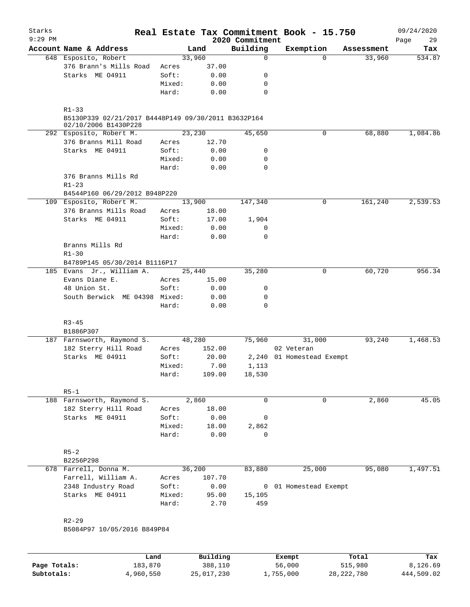| Starks<br>$9:29$ PM |                                                                             |                 |               |                             | Real Estate Tax Commitment Book - 15.750 |                      | 09/24/2020    |
|---------------------|-----------------------------------------------------------------------------|-----------------|---------------|-----------------------------|------------------------------------------|----------------------|---------------|
|                     | Account Name & Address                                                      |                 | Land          | 2020 Commitment<br>Building | Exemption                                |                      | 29<br>Page    |
|                     | 648 Esposito, Robert                                                        |                 | 33,960        | $\mathbf 0$                 | $\Omega$                                 | Assessment<br>33,960 | Tax<br>534.87 |
|                     | 376 Brann's Mills Road                                                      | Acres           | 37.00         |                             |                                          |                      |               |
|                     | Starks ME 04911                                                             | Soft:           | 0.00          | 0                           |                                          |                      |               |
|                     |                                                                             | Mixed:          | 0.00          | 0                           |                                          |                      |               |
|                     |                                                                             | Hard:           | 0.00          | $\mathbf 0$                 |                                          |                      |               |
|                     | $R1 - 33$                                                                   |                 |               |                             |                                          |                      |               |
|                     | B5130P339 02/21/2017 B4448P149 09/30/2011 B3632P164<br>02/10/2006 B1430P228 |                 |               |                             |                                          |                      |               |
|                     | 292 Esposito, Robert M.                                                     |                 | 23,230        | 45,650                      | 0                                        | 68,880               | 1,084.86      |
|                     | 376 Branns Mill Road                                                        | Acres           | 12.70         |                             |                                          |                      |               |
|                     | Starks ME 04911                                                             | Soft:           | 0.00          | 0                           |                                          |                      |               |
|                     |                                                                             | Mixed:          | 0.00          | 0                           |                                          |                      |               |
|                     |                                                                             | Hard:           | 0.00          | 0                           |                                          |                      |               |
|                     | 376 Branns Mills Rd<br>$R1 - 23$                                            |                 |               |                             |                                          |                      |               |
|                     | B4544P160 06/29/2012 B948P220                                               |                 |               |                             |                                          |                      |               |
|                     | 109 Esposito, Robert M.                                                     |                 | 13,900        | 147,340                     | 0                                        | 161,240              | 2,539.53      |
|                     | 376 Branns Mills Road                                                       | Acres           | 18.00         |                             |                                          |                      |               |
|                     | Starks ME 04911                                                             | Soft:           | 17.00         | 1,904                       |                                          |                      |               |
|                     |                                                                             | Mixed:          | 0.00          | 0                           |                                          |                      |               |
|                     |                                                                             | Hard:           | 0.00          | 0                           |                                          |                      |               |
|                     | Branns Mills Rd<br>$R1 - 30$                                                |                 |               |                             |                                          |                      |               |
|                     | B4789P145 05/30/2014 B1116P17                                               |                 |               |                             |                                          |                      |               |
|                     | 185 Evans Jr., William A.                                                   |                 | 25,440        | 35,280                      | 0                                        | 60,720               | 956.34        |
|                     | Evans Diane E.                                                              | Acres           | 15.00         |                             |                                          |                      |               |
|                     | 48 Union St.                                                                | Soft:           | 0.00          | 0                           |                                          |                      |               |
|                     | South Berwick ME 04398 Mixed:                                               |                 | 0.00          | 0                           |                                          |                      |               |
|                     |                                                                             | Hard:           | 0.00          | 0                           |                                          |                      |               |
|                     | $R3 - 45$<br>B1886P307                                                      |                 |               |                             |                                          |                      |               |
|                     | 187 Farnsworth, Raymond S.                                                  |                 | 48,280        | 75,960                      | 31,000                                   | 93,240               | 1,468.53      |
|                     | 182 Sterry Hill Road                                                        | Acres           | 152.00        |                             | 02 Veteran                               |                      |               |
|                     | Starks ME 04911                                                             | Soft:           | 20.00         |                             | 2,240 01 Homestead Exempt                |                      |               |
|                     |                                                                             | Mixed:          | 7.00          | 1,113                       |                                          |                      |               |
|                     |                                                                             | Hard:           | 109.00        | 18,530                      |                                          |                      |               |
|                     | $R5-1$                                                                      |                 |               |                             |                                          |                      |               |
|                     | 188 Farnsworth, Raymond S.                                                  |                 | 2,860         | $\mathbf 0$                 | 0                                        | 2,860                | 45.05         |
|                     | 182 Sterry Hill Road                                                        | Acres           | 18.00         |                             |                                          |                      |               |
|                     | Starks ME 04911                                                             | Soft:           | 0.00          | 0                           |                                          |                      |               |
|                     |                                                                             | Mixed:          | 18.00         | 2,862                       |                                          |                      |               |
|                     |                                                                             | Hard:           | 0.00          | 0                           |                                          |                      |               |
|                     | $R5 - 2$                                                                    |                 |               |                             |                                          |                      |               |
|                     | B2256P298                                                                   |                 |               |                             |                                          |                      |               |
|                     | 678 Farrell, Donna M.                                                       |                 | 36,200        | 83,880                      | 25,000                                   | 95,080               | 1,497.51      |
|                     | Farrell, William A.                                                         | Acres           | 107.70        |                             |                                          |                      |               |
|                     | 2348 Industry Road                                                          | Soft:           | 0.00          |                             | 0 01 Homestead Exempt                    |                      |               |
|                     | Starks ME 04911                                                             | Mixed:<br>Hard: | 95.00<br>2.70 | 15,105<br>459               |                                          |                      |               |
|                     |                                                                             |                 |               |                             |                                          |                      |               |
|                     | $R2 - 29$                                                                   |                 |               |                             |                                          |                      |               |
|                     | B5084P97 10/05/2016 B849P84                                                 |                 |               |                             |                                          |                      |               |
|                     |                                                                             |                 |               |                             |                                          |                      |               |
|                     | Land                                                                        |                 | Building      |                             | Exempt                                   | Total                | Tax           |
| Page Totals:        | 183,870                                                                     |                 | 388,110       |                             | 56,000                                   | 515,980              | 8,126.69      |

**Subtotals:** 4,960,550 25,017,230 1,755,000 28,222,780 444,509.02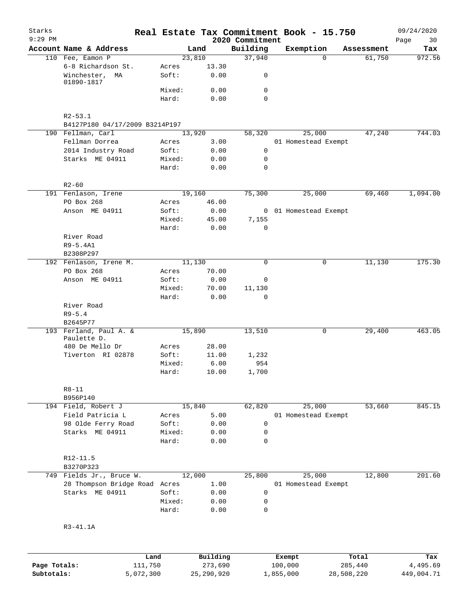| Starks<br>$9:29$ PM        |                                 |        |                         |                             | Real Estate Tax Commitment Book - 15.750 |            | 09/24/2020             |
|----------------------------|---------------------------------|--------|-------------------------|-----------------------------|------------------------------------------|------------|------------------------|
|                            | Account Name & Address          |        | Land                    | 2020 Commitment<br>Building | Exemption                                | Assessment | Page<br>30<br>Tax      |
|                            | 110 Fee, Eamon P                |        | 23,810                  | 37,940                      | $\Omega$                                 | 61,750     | 972.56                 |
|                            | 6-8 Richardson St.              | Acres  | 13.30                   |                             |                                          |            |                        |
|                            | Winchester,<br>МA<br>01890-1817 | Soft:  | 0.00                    | 0                           |                                          |            |                        |
|                            |                                 | Mixed: | 0.00                    | 0                           |                                          |            |                        |
|                            |                                 | Hard:  | 0.00                    | $\mathbf 0$                 |                                          |            |                        |
|                            |                                 |        |                         |                             |                                          |            |                        |
|                            | $R2 - 53.1$                     |        |                         |                             |                                          |            |                        |
|                            | B4127P180 04/17/2009 B3214P197  |        |                         |                             |                                          |            |                        |
|                            | 190 Fellman, Carl               |        | 13,920                  | 58,320                      | 25,000                                   | 47,240     | 744.03                 |
|                            | Fellman Dorrea                  | Acres  | 3.00                    |                             | 01 Homestead Exempt                      |            |                        |
|                            | 2014 Industry Road              | Soft:  | 0.00                    | 0                           |                                          |            |                        |
|                            | Starks ME 04911                 | Mixed: | 0.00                    | 0                           |                                          |            |                        |
|                            |                                 | Hard:  | 0.00                    | 0                           |                                          |            |                        |
|                            | $R2 - 60$                       |        |                         |                             |                                          |            |                        |
|                            | 191 Fenlason, Irene             |        | 19,160                  | 75,300                      | 25,000                                   | 69,460     | 1,094.00               |
|                            | PO Box 268                      | Acres  | 46.00                   |                             |                                          |            |                        |
|                            | Anson ME 04911                  | Soft:  | 0.00                    |                             | 0 01 Homestead Exempt                    |            |                        |
|                            |                                 | Mixed: | 45.00                   | 7,155                       |                                          |            |                        |
|                            |                                 | Hard:  | 0.00                    | $\mathbf 0$                 |                                          |            |                        |
|                            | River Road                      |        |                         |                             |                                          |            |                        |
|                            | $R9 - 5.4A1$                    |        |                         |                             |                                          |            |                        |
|                            | B2308P297                       |        |                         |                             |                                          |            |                        |
|                            | 192 Fenlason, Irene M.          |        | 11,130                  | $\mathbf 0$                 | 0                                        | 11,130     | 175.30                 |
|                            | PO Box 268                      | Acres  | 70.00                   |                             |                                          |            |                        |
|                            | Anson ME 04911                  | Soft:  | 0.00                    | 0                           |                                          |            |                        |
|                            |                                 | Mixed: | 70.00                   | 11,130                      |                                          |            |                        |
|                            |                                 | Hard:  | 0.00                    | $\Omega$                    |                                          |            |                        |
|                            | River Road                      |        |                         |                             |                                          |            |                        |
|                            | $R9 - 5.4$                      |        |                         |                             |                                          |            |                        |
|                            | B2645P77                        |        |                         |                             |                                          |            |                        |
|                            | 193 Ferland, Paul A. &          |        | 15,890                  | 13,510                      | 0                                        | 29,400     | 463.05                 |
|                            | Paulette D.                     |        |                         |                             |                                          |            |                        |
|                            | 480 De Mello Dr                 | Acres  | 28.00                   |                             |                                          |            |                        |
|                            | Tiverton RI 02878               | Soft:  | 11.00                   | 1,232                       |                                          |            |                        |
|                            |                                 | Mixed: | 6.00                    | 954                         |                                          |            |                        |
|                            |                                 | Hard:  | 10.00                   | 1,700                       |                                          |            |                        |
|                            | $R8 - 11$                       |        |                         |                             |                                          |            |                        |
|                            | B956P140                        |        |                         |                             |                                          |            |                        |
|                            | 194 Field, Robert J             |        | 15,840                  | 62,820                      | 25,000                                   | 53,660     | 845.15                 |
|                            | Field Patricia L                | Acres  | 5.00                    |                             | 01 Homestead Exempt                      |            |                        |
|                            | 98 Olde Ferry Road              | Soft:  | 0.00                    | 0                           |                                          |            |                        |
|                            | Starks ME 04911                 | Mixed: | 0.00                    | 0                           |                                          |            |                        |
|                            |                                 | Hard:  | 0.00                    | 0                           |                                          |            |                        |
|                            | R12-11.5                        |        |                         |                             |                                          |            |                        |
|                            | B3270P323                       |        |                         |                             |                                          |            |                        |
|                            | 749 Fields Jr., Bruce W.        |        | 12,000                  | 25,800                      | 25,000                                   | 12,800     | 201.60                 |
|                            | 28 Thompson Bridge Road Acres   |        | 1.00                    |                             | 01 Homestead Exempt                      |            |                        |
|                            | Starks ME 04911                 | Soft:  | 0.00                    | 0                           |                                          |            |                        |
|                            |                                 | Mixed: | 0.00                    | 0                           |                                          |            |                        |
|                            |                                 | Hard:  | 0.00                    | $\mathbf 0$                 |                                          |            |                        |
|                            |                                 |        |                         |                             |                                          |            |                        |
|                            | R3-41.1A                        |        |                         |                             |                                          |            |                        |
|                            |                                 |        |                         |                             |                                          |            |                        |
|                            | Land                            |        | Building                |                             | Exempt                                   | Total      | Tax                    |
| Page Totals:<br>Subtotals: | 111,750<br>5,072,300            |        | 273,690<br>25, 290, 920 |                             | 100,000<br>1,855,000<br>28,508,220       | 285,440    | 4,495.69<br>449,004.71 |
|                            |                                 |        |                         |                             |                                          |            |                        |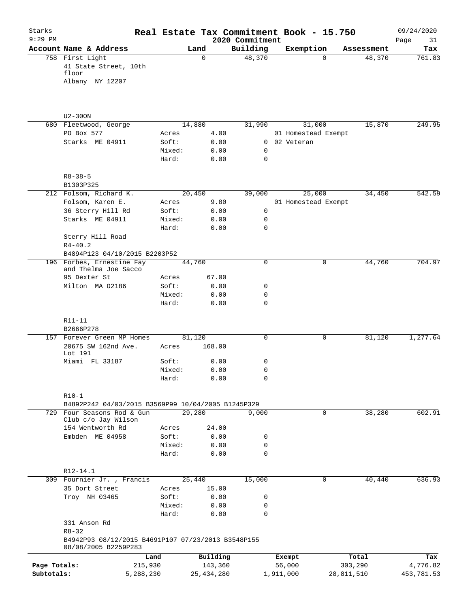| Starks<br>$9:29$ PM        |                                                                            |                      |        |                         | Real Estate Tax Commitment Book - 15.750<br>2020 Commitment |                     |             |                       | 09/24/2020<br>Page<br>31 |
|----------------------------|----------------------------------------------------------------------------|----------------------|--------|-------------------------|-------------------------------------------------------------|---------------------|-------------|-----------------------|--------------------------|
|                            | Account Name & Address                                                     |                      | Land   |                         | Building                                                    | Exemption           |             | Assessment            | Tax                      |
|                            | 758 First Light<br>41 State Street, 10th<br>floor<br>Albany NY 12207       |                      |        | $\Omega$                | 48,370                                                      |                     | $\Omega$    | 48,370                | 761.83                   |
|                            | $U2 - 300N$                                                                |                      |        |                         |                                                             |                     |             |                       |                          |
|                            | 680 Fleetwood, George                                                      |                      | 14,880 |                         | 31,990                                                      |                     | 31,000      | 15,870                | 249.95                   |
|                            | PO Box 577                                                                 | Acres                |        | 4.00                    |                                                             | 01 Homestead Exempt |             |                       |                          |
|                            | Starks ME 04911                                                            | Soft:                |        | 0.00                    | 0                                                           | 02 Veteran          |             |                       |                          |
|                            |                                                                            | Mixed:<br>Hard:      |        | 0.00<br>0.00            | 0<br>0                                                      |                     |             |                       |                          |
|                            | $R8 - 38 - 5$                                                              |                      |        |                         |                                                             |                     |             |                       |                          |
|                            | B1303P325                                                                  |                      |        |                         |                                                             |                     |             |                       |                          |
|                            | 212 Folsom, Richard K.                                                     |                      | 20,450 |                         | 39,000                                                      |                     | 25,000      | 34,450                | 542.59                   |
|                            | Folsom, Karen E.                                                           | Acres                |        | 9.80                    |                                                             | 01 Homestead Exempt |             |                       |                          |
|                            | 36 Sterry Hill Rd                                                          | Soft:                |        | 0.00                    | 0                                                           |                     |             |                       |                          |
|                            | Starks ME 04911                                                            |                      | Mixed: | 0.00                    | 0                                                           |                     |             |                       |                          |
|                            | Sterry Hill Road<br>$R4 - 40.2$                                            | Hard:                |        | 0.00                    | 0                                                           |                     |             |                       |                          |
|                            | B4894P123 04/10/2015 B2203P52                                              |                      |        |                         |                                                             |                     |             |                       |                          |
|                            | 196 Forbes, Ernestine Fay<br>and Thelma Joe Sacco                          |                      | 44,760 |                         | 0                                                           |                     | 0           | 44,760                | 704.97                   |
|                            | 95 Dexter St                                                               | Acres                |        | 67.00                   |                                                             |                     |             |                       |                          |
|                            | Milton MA 02186                                                            | Soft:                |        | 0.00                    | 0                                                           |                     |             |                       |                          |
|                            |                                                                            | Hard:                | Mixed: | 0.00<br>0.00            | 0<br>$\mathbf 0$                                            |                     |             |                       |                          |
|                            | R11-11<br>B2666P278                                                        |                      |        |                         |                                                             |                     |             |                       |                          |
|                            | 157 Forever Green MP Homes                                                 |                      | 81,120 |                         | 0                                                           |                     | 0           | 81,120                | 1,277.64                 |
|                            | 20675 SW 162nd Ave.<br>Lot 191                                             | Acres                |        | 168.00                  |                                                             |                     |             |                       |                          |
|                            | Miami FL 33187                                                             | Soft:                |        | 0.00                    | 0                                                           |                     |             |                       |                          |
|                            |                                                                            | Hard:                | Mixed: | 0.00<br>0.00            | 0<br>0                                                      |                     |             |                       |                          |
|                            | $R10-1$                                                                    |                      |        |                         |                                                             |                     |             |                       |                          |
|                            | B4892P242 04/03/2015 B3569P99 10/04/2005 B1245P329                         |                      |        |                         |                                                             |                     |             |                       |                          |
|                            | 729 Four Seasons Rod & Gun<br>Club c/o Jay Wilson                          |                      | 29,280 |                         | 9,000                                                       |                     | 0           | 38,280                | 602.91                   |
|                            | 154 Wentworth Rd                                                           | Acres                |        | 24.00                   |                                                             |                     |             |                       |                          |
|                            | Embden ME 04958                                                            | Soft:                |        | 0.00                    | 0                                                           |                     |             |                       |                          |
|                            |                                                                            |                      | Mixed: | 0.00                    | 0                                                           |                     |             |                       |                          |
|                            |                                                                            | Hard:                |        | 0.00                    | 0                                                           |                     |             |                       |                          |
|                            | R12-14.1                                                                   |                      |        |                         |                                                             |                     |             |                       |                          |
|                            | 309 Fournier Jr., Francis                                                  |                      | 25,440 |                         | 15,000                                                      |                     | $\mathbf 0$ | 40,440                | 636.93                   |
|                            | 35 Dort Street                                                             | Acres                |        | 15.00                   |                                                             |                     |             |                       |                          |
|                            | Troy NH 03465                                                              | Soft:                |        | 0.00                    | 0                                                           |                     |             |                       |                          |
|                            |                                                                            | Hard:                | Mixed: | 0.00<br>0.00            | 0<br>$\mathbf 0$                                            |                     |             |                       |                          |
|                            | 331 Anson Rd<br>$R8 - 32$                                                  |                      |        |                         |                                                             |                     |             |                       |                          |
|                            | B4942P93 08/12/2015 B4691P107 07/23/2013 B3548P155<br>08/08/2005 B2259P283 |                      |        |                         |                                                             |                     |             |                       |                          |
|                            |                                                                            | Land                 |        | Building                |                                                             | Exempt              |             | Total                 | Tax                      |
| Page Totals:<br>Subtotals: |                                                                            | 215,930<br>5,288,230 |        | 143,360<br>25, 434, 280 |                                                             | 56,000<br>1,911,000 |             | 303,290<br>28,811,510 | 4,776.82<br>453,781.53   |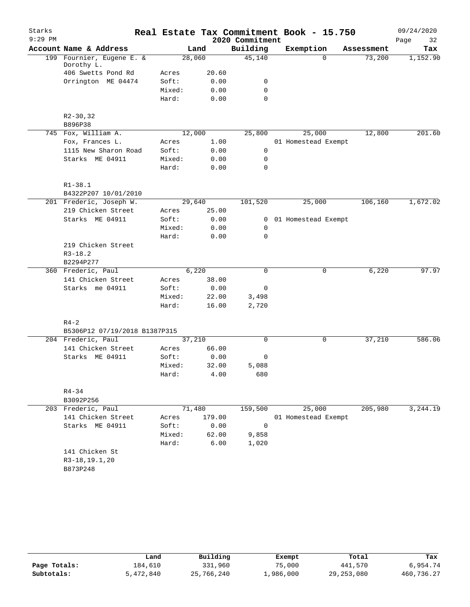| Starks    |                                          |                |                |                 | Real Estate Tax Commitment Book - 15.750 |            | 09/24/2020 |
|-----------|------------------------------------------|----------------|----------------|-----------------|------------------------------------------|------------|------------|
| $9:29$ PM |                                          |                |                | 2020 Commitment |                                          |            | Page<br>32 |
|           | Account Name & Address                   |                | Land           | Building        | Exemption                                | Assessment | Tax        |
|           | 199 Fournier, Eugene E. &                | 28,060         |                | 45,140          | $\Omega$                                 | 73,200     | 1,152.90   |
|           | Dorothy L.                               |                | 20.60          |                 |                                          |            |            |
|           | 406 Swetts Pond Rd<br>Orrington ME 04474 | Acres<br>Soft: | 0.00           | 0               |                                          |            |            |
|           |                                          | Mixed:         | 0.00           | $\mathbf 0$     |                                          |            |            |
|           |                                          | Hard:          | 0.00           | 0               |                                          |            |            |
|           |                                          |                |                |                 |                                          |            |            |
|           | $R2 - 30, 32$                            |                |                |                 |                                          |            |            |
|           | B896P38                                  |                |                |                 |                                          |            |            |
|           | 745 Fox, William A.                      | 12,000         |                | 25,800          | 25,000                                   | 12,800     | 201.60     |
|           | Fox, Frances L.                          | Acres          | 1.00           |                 | 01 Homestead Exempt                      |            |            |
|           | 1115 New Sharon Road                     | Soft:          | 0.00           | 0               |                                          |            |            |
|           | Starks ME 04911                          | Mixed:         | 0.00           | $\mathbf 0$     |                                          |            |            |
|           |                                          | Hard:          | 0.00           | 0               |                                          |            |            |
|           |                                          |                |                |                 |                                          |            |            |
|           | $R1 - 38.1$                              |                |                |                 |                                          |            |            |
|           | B4322P207 10/01/2010                     |                |                |                 |                                          |            |            |
|           | 201 Frederic, Joseph W.                  | 29,640         |                | 101,520         | 25,000                                   | 106,160    | 1,672.02   |
|           | 219 Chicken Street                       | Acres          | 25.00          |                 |                                          |            |            |
|           | Starks ME 04911                          | Soft:          | 0.00           | $\overline{0}$  | 01 Homestead Exempt                      |            |            |
|           |                                          | Mixed:         | 0.00           | $\mathbf 0$     |                                          |            |            |
|           |                                          | Hard:          | 0.00           | 0               |                                          |            |            |
|           | 219 Chicken Street                       |                |                |                 |                                          |            |            |
|           | $R3 - 18.2$                              |                |                |                 |                                          |            |            |
|           | B2294P277                                |                |                | $\Omega$        |                                          |            |            |
|           | 360 Frederic, Paul<br>141 Chicken Street | Acres          | 6,220<br>38.00 |                 | $\mathbf 0$                              | 6,220      | 97.97      |
|           | Starks me 04911                          | Soft:          | 0.00           | 0               |                                          |            |            |
|           |                                          | Mixed:         | 22.00          | 3,498           |                                          |            |            |
|           |                                          | Hard:          | 16.00          | 2,720           |                                          |            |            |
|           |                                          |                |                |                 |                                          |            |            |
|           | $R4 - 2$                                 |                |                |                 |                                          |            |            |
|           | B5306P12 07/19/2018 B1387P315            |                |                |                 |                                          |            |            |
|           | 204 Frederic, Paul                       | 37,210         |                | $\mathsf{O}$    | 0                                        | 37,210     | 586.06     |
|           | 141 Chicken Street                       | Acres          | 66.00          |                 |                                          |            |            |
|           | Starks ME 04911                          | Soft:          | 0.00           | 0               |                                          |            |            |
|           |                                          | Mixed:         | 32.00          | 5,088           |                                          |            |            |
|           |                                          | Hard:          | 4.00           | 680             |                                          |            |            |
|           |                                          |                |                |                 |                                          |            |            |
|           | $R4 - 34$                                |                |                |                 |                                          |            |            |
|           | B3092P256                                |                |                |                 |                                          |            |            |
|           | 203 Frederic, Paul                       | 71,480         |                | 159,500         | 25,000                                   | 205,980    | 3,244.19   |
|           | 141 Chicken Street                       | Acres          | 179.00         |                 | 01 Homestead Exempt                      |            |            |
|           | Starks ME 04911                          | Soft:          | 0.00           | $\mathbf 0$     |                                          |            |            |
|           |                                          | Mixed:         | 62.00          | 9,858           |                                          |            |            |
|           |                                          | Hard:          | 6.00           | 1,020           |                                          |            |            |
|           | 141 Chicken St                           |                |                |                 |                                          |            |            |
|           | R3-18, 19.1, 20                          |                |                |                 |                                          |            |            |
|           | B873P248                                 |                |                |                 |                                          |            |            |
|           |                                          |                |                |                 |                                          |            |            |

|              | Land      | Building   | Exempt    | Total        | Tax        |
|--------------|-----------|------------|-----------|--------------|------------|
| Page Totals: | 184,610   | 331,960    | 75,000    | 441,570      | 6,954.74   |
| Subtotals:   | 5,472,840 | 25,766,240 | 1,986,000 | 29, 253, 080 | 460,736.27 |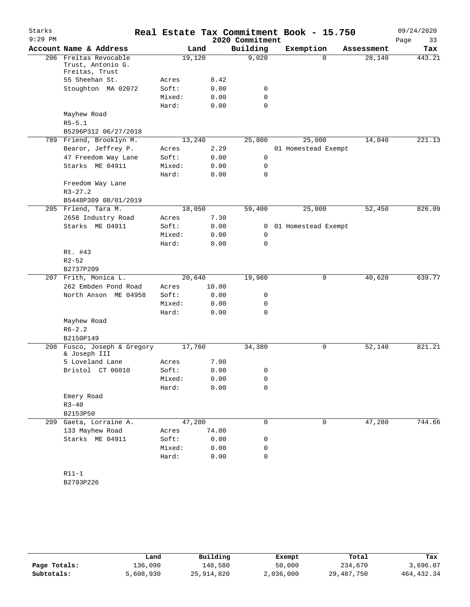| Starks    |                                                          |        |        |                 | Real Estate Tax Commitment Book - 15.750 |            | 09/24/2020 |
|-----------|----------------------------------------------------------|--------|--------|-----------------|------------------------------------------|------------|------------|
| $9:29$ PM |                                                          |        |        | 2020 Commitment |                                          |            | Page<br>33 |
|           | Account Name & Address                                   |        | Land   | Building        | Exemption                                | Assessment | Tax        |
| 206       | Freitas Revocable<br>Trust, Antonio G.<br>Freitas, Trust |        | 19,120 | 9,020           | $\Omega$                                 | 28,140     | 443.21     |
|           | 55 Sheehan St.                                           | Acres  | 8.42   |                 |                                          |            |            |
|           | Stoughton MA 02072                                       | Soft:  | 0.00   | 0               |                                          |            |            |
|           |                                                          | Mixed: | 0.00   | 0               |                                          |            |            |
|           |                                                          | Hard:  | 0.00   | 0               |                                          |            |            |
|           | Mayhew Road                                              |        |        |                 |                                          |            |            |
|           | $R5 - 5.1$                                               |        |        |                 |                                          |            |            |
|           | B5296P312 06/27/2018                                     |        |        |                 |                                          |            |            |
|           | 789 Friend, Brooklyn M.                                  |        | 13,240 | 25,800          | 25,000                                   | 14,040     | 221.13     |
|           | Bearor, Jeffrey P.                                       | Acres  | 2.29   |                 | 01 Homestead Exempt                      |            |            |
|           | 47 Freedom Way Lane                                      | Soft:  | 0.00   | 0               |                                          |            |            |
|           | Starks ME 04911                                          | Mixed: | 0.00   | 0               |                                          |            |            |
|           |                                                          | Hard:  | 0.00   | 0               |                                          |            |            |
|           | Freedom Way Lane                                         |        |        |                 |                                          |            |            |
|           | $R3 - 27.2$                                              |        |        |                 |                                          |            |            |
|           | B5448P309 08/01/2019                                     |        |        |                 |                                          |            |            |
|           | 205 Friend, Tara M.                                      |        | 18,050 | 59,400          | 25,000                                   | 52,450     | 826.09     |
|           | 2658 Industry Road                                       | Acres  | 7.30   |                 |                                          |            |            |
|           | Starks ME 04911                                          | Soft:  | 0.00   | 0               | 01 Homestead Exempt                      |            |            |
|           |                                                          | Mixed: | 0.00   | 0               |                                          |            |            |
|           |                                                          | Hard:  | 0.00   | 0               |                                          |            |            |
|           | Rt. #43                                                  |        |        |                 |                                          |            |            |
|           | $R2 - 52$                                                |        |        |                 |                                          |            |            |
|           | B2737P209                                                |        |        |                 |                                          |            |            |
|           | 207 Frith, Monica L.                                     |        | 20,640 | 19,980          | 0                                        | 40,620     | 639.77     |
|           | 262 Embden Pond Road                                     | Acres  | 10.00  |                 |                                          |            |            |
|           | North Anson ME 04958                                     | Soft:  | 0.00   | 0               |                                          |            |            |
|           |                                                          | Mixed: | 0.00   | 0               |                                          |            |            |
|           |                                                          | Hard:  | 0.00   | 0               |                                          |            |            |
|           | Mayhew Road                                              |        |        |                 |                                          |            |            |
|           | $R6 - 2.2$                                               |        |        |                 |                                          |            |            |
|           | B2150P149                                                |        |        |                 |                                          |            |            |
| 208       | Fusco, Joseph & Gregory<br>& Joseph III                  | 17,760 |        | 34,380          | 0                                        | 52,140     | 821.21     |
|           | 5 Loveland Lane                                          | Acres  | 7.00   |                 |                                          |            |            |
|           | Bristol CT 06010                                         | Soft:  | 0.00   | 0               |                                          |            |            |
|           |                                                          | Mixed: | 0.00   | 0               |                                          |            |            |
|           |                                                          | Hard:  | 0.00   | 0               |                                          |            |            |
|           | Emery Road                                               |        |        |                 |                                          |            |            |
|           | $R3 - 40$                                                |        |        |                 |                                          |            |            |
|           | B2153P50                                                 |        |        |                 |                                          |            |            |
|           | 209 Gaeta, Lorraine A.                                   | 47,280 |        | 0               | 0                                        | 47,280     | 744.66     |
|           | 133 Mayhew Road                                          | Acres  | 74.00  |                 |                                          |            |            |
|           | Starks ME 04911                                          | Soft:  | 0.00   | 0               |                                          |            |            |
|           |                                                          | Mixed: | 0.00   | 0               |                                          |            |            |
|           |                                                          | Hard:  | 0.00   | 0               |                                          |            |            |
|           |                                                          |        |        |                 |                                          |            |            |
|           | $R11-1$                                                  |        |        |                 |                                          |            |            |

B2793P226

|              | Land      | Building   | Exempt    | Total      | Tax         |
|--------------|-----------|------------|-----------|------------|-------------|
| Page Totals: | 136,090   | 148,580    | 50,000    | 234,670    | 3,696.07    |
| Subtotals:   | 5,608,930 | 25,914,820 | 2,036,000 | 29,487,750 | 464, 432.34 |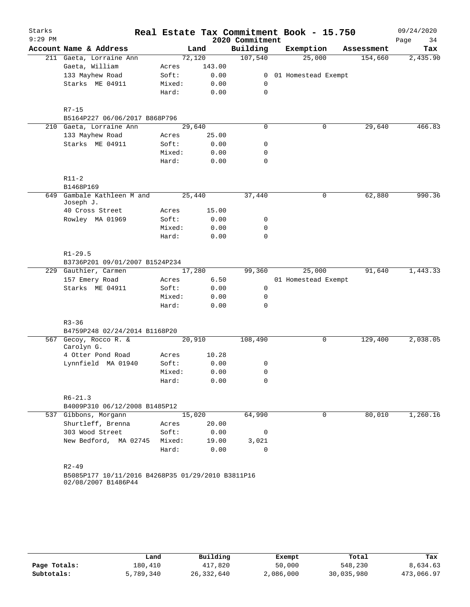| Starks    |                                                   |        |        |                 | Real Estate Tax Commitment Book - 15.750 |   |            | 09/24/2020 |
|-----------|---------------------------------------------------|--------|--------|-----------------|------------------------------------------|---|------------|------------|
| $9:29$ PM |                                                   |        |        | 2020 Commitment |                                          |   |            | Page<br>34 |
|           | Account Name & Address                            |        | Land   | Building        | Exemption                                |   | Assessment | Tax        |
|           | 211 Gaeta, Lorraine Ann                           |        | 72,120 | 107,540         | 25,000                                   |   | 154,660    | 2,435.90   |
|           | Gaeta, William                                    | Acres  | 143.00 |                 |                                          |   |            |            |
|           | 133 Mayhew Road                                   | Soft:  | 0.00   | 0               | 01 Homestead Exempt                      |   |            |            |
|           | Starks ME 04911                                   | Mixed: | 0.00   | 0               |                                          |   |            |            |
|           |                                                   | Hard:  | 0.00   | 0               |                                          |   |            |            |
|           | $R7 - 15$                                         |        |        |                 |                                          |   |            |            |
|           | B5164P227 06/06/2017 B868P796                     |        |        |                 |                                          |   |            |            |
|           | 210 Gaeta, Lorraine Ann                           |        | 29,640 | 0               |                                          | 0 | 29,640     | 466.83     |
|           | 133 Mayhew Road                                   | Acres  | 25.00  |                 |                                          |   |            |            |
|           | Starks ME 04911                                   | Soft:  | 0.00   | 0               |                                          |   |            |            |
|           |                                                   | Mixed: | 0.00   | 0               |                                          |   |            |            |
|           |                                                   | Hard:  | 0.00   | 0               |                                          |   |            |            |
|           | $R11-2$                                           |        |        |                 |                                          |   |            |            |
| 649       | B1468P169<br>Gambale Kathleen M and               |        | 25,440 | 37,440          |                                          | 0 | 62,880     | 990.36     |
|           | Joseph J.                                         |        |        |                 |                                          |   |            |            |
|           | 40 Cross Street                                   | Acres  | 15.00  |                 |                                          |   |            |            |
|           | Rowley MA 01969                                   | Soft:  | 0.00   | 0               |                                          |   |            |            |
|           |                                                   | Mixed: | 0.00   | 0               |                                          |   |            |            |
|           |                                                   | Hard:  | 0.00   | 0               |                                          |   |            |            |
|           | $R1 - 29.5$                                       |        |        |                 |                                          |   |            |            |
|           | B3736P201 09/01/2007 B1524P234                    |        |        |                 |                                          |   |            |            |
|           | 229 Gauthier, Carmen                              |        | 17,280 | 99,360          | 25,000                                   |   | 91,640     | 1,443.33   |
|           | 157 Emery Road                                    | Acres  | 6.50   |                 | 01 Homestead Exempt                      |   |            |            |
|           | Starks ME 04911                                   | Soft:  | 0.00   | 0               |                                          |   |            |            |
|           |                                                   | Mixed: | 0.00   | 0               |                                          |   |            |            |
|           |                                                   | Hard:  | 0.00   | 0               |                                          |   |            |            |
|           | $R3 - 36$                                         |        |        |                 |                                          |   |            |            |
|           | B4759P248 02/24/2014 B1168P20                     |        |        |                 |                                          |   |            |            |
|           | 567 Gecoy, Rocco R. &<br>Carolyn G.               |        | 20,910 | 108,490         |                                          | 0 | 129,400    | 2,038.05   |
|           | 4 Otter Pond Road                                 | Acres  | 10.28  |                 |                                          |   |            |            |
|           | Lynnfield MA 01940                                | Soft:  | 0.00   | 0               |                                          |   |            |            |
|           |                                                   | Mixed: | 0.00   | 0               |                                          |   |            |            |
|           |                                                   | Hard:  | 0.00   | 0               |                                          |   |            |            |
|           | $R6 - 21.3$                                       |        |        |                 |                                          |   |            |            |
|           | B4009P310 06/12/2008 B1485P12                     |        |        |                 |                                          |   |            |            |
|           | 537 Gibbons, Morgann                              |        | 15,020 | 64,990          |                                          | 0 | 80,010     | 1,260.16   |
|           | Shurtleff, Brenna                                 | Acres  | 20.00  |                 |                                          |   |            |            |
|           | 303 Wood Street                                   | Soft:  | 0.00   | 0               |                                          |   |            |            |
|           | New Bedford, MA 02745                             | Mixed: | 19.00  | 3,021           |                                          |   |            |            |
|           |                                                   | Hard:  | 0.00   | $\mathbf 0$     |                                          |   |            |            |
|           | $R2 - 49$                                         |        |        |                 |                                          |   |            |            |
|           | B5085P177 10/11/2016 B4268P35 01/29/2010 B3811P16 |        |        |                 |                                          |   |            |            |
|           | 02/08/2007 B1486P44                               |        |        |                 |                                          |   |            |            |

|              | Land      | Building   | Exempt    | Total      | Tax        |
|--------------|-----------|------------|-----------|------------|------------|
| Page Totals: | 180,410   | 417,820    | 50,000    | 548,230    | 8,634.63   |
| Subtotals:   | 5,789,340 | 26,332,640 | 2,086,000 | 30,035,980 | 473,066.97 |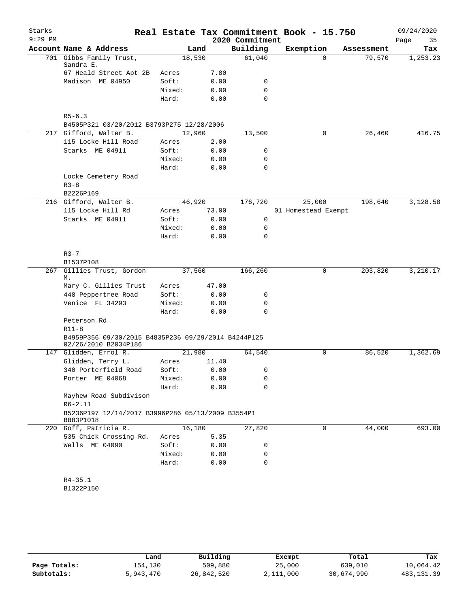| Starks    |                                                                |        |       |                 | Real Estate Tax Commitment Book - 15.750 |            | 09/24/2020 |
|-----------|----------------------------------------------------------------|--------|-------|-----------------|------------------------------------------|------------|------------|
| $9:29$ PM |                                                                |        |       | 2020 Commitment |                                          |            | Page<br>35 |
|           | Account Name & Address                                         |        | Land  | Building        | Exemption                                | Assessment | Tax        |
|           | 701 Gibbs Family Trust,                                        | 18,530 |       | 61,040          | $\Omega$                                 | 79,570     | 1,253.23   |
|           | Sandra E.<br>67 Heald Street Apt 2B                            | Acres  | 7.80  |                 |                                          |            |            |
|           | Madison ME 04950                                               | Soft:  | 0.00  | 0               |                                          |            |            |
|           |                                                                | Mixed: | 0.00  | 0               |                                          |            |            |
|           |                                                                | Hard:  | 0.00  | $\mathbf 0$     |                                          |            |            |
|           |                                                                |        |       |                 |                                          |            |            |
|           | $R5 - 6.3$                                                     |        |       |                 |                                          |            |            |
|           | B4505P321 03/20/2012 B3793P275 12/28/2006                      |        |       |                 |                                          |            |            |
|           | 217 Gifford, Walter B.                                         | 12,960 |       | 13,500          | 0                                        | 26,460     | 416.75     |
|           | 115 Locke Hill Road                                            | Acres  | 2.00  |                 |                                          |            |            |
|           | Starks ME 04911                                                | Soft:  | 0.00  | 0               |                                          |            |            |
|           |                                                                | Mixed: | 0.00  | 0               |                                          |            |            |
|           |                                                                | Hard:  | 0.00  | 0               |                                          |            |            |
|           | Locke Cemetery Road                                            |        |       |                 |                                          |            |            |
|           | $R3 - 8$                                                       |        |       |                 |                                          |            |            |
|           | B2226P169<br>216 Gifford, Walter B.                            | 46,920 |       | 176,720         | 25,000                                   | 198,640    | 3,128.58   |
|           | 115 Locke Hill Rd                                              | Acres  | 73.00 |                 | 01 Homestead Exempt                      |            |            |
|           | Starks ME 04911                                                | Soft:  | 0.00  | 0               |                                          |            |            |
|           |                                                                | Mixed: | 0.00  | 0               |                                          |            |            |
|           |                                                                | Hard:  | 0.00  | 0               |                                          |            |            |
|           |                                                                |        |       |                 |                                          |            |            |
|           | $R3 - 7$                                                       |        |       |                 |                                          |            |            |
|           | B1537P108                                                      |        |       |                 |                                          |            |            |
| 267       | Gillies Trust, Gordon                                          | 37,560 |       | 166,260         | 0                                        | 203,820    | 3,210.17   |
|           | М.                                                             |        |       |                 |                                          |            |            |
|           | Mary C. Gillies Trust                                          | Acres  | 47.00 |                 |                                          |            |            |
|           | 448 Peppertree Road                                            | Soft:  | 0.00  | 0               |                                          |            |            |
|           | Venice FL 34293                                                | Mixed: | 0.00  | 0               |                                          |            |            |
|           |                                                                | Hard:  | 0.00  | $\mathbf 0$     |                                          |            |            |
|           | Peterson Rd                                                    |        |       |                 |                                          |            |            |
|           | $R11-8$<br>B4959P356 09/30/2015 B4835P236 09/29/2014 B4244P125 |        |       |                 |                                          |            |            |
|           | 02/26/2010 B2034P186                                           |        |       |                 |                                          |            |            |
|           | 147 Glidden, Errol R.                                          | 21,980 |       | 64,540          | 0                                        | 86,520     | 1,362.69   |
|           | Glidden, Terry L.                                              | Acres  | 11.40 |                 |                                          |            |            |
|           | 340 Porterfield Road                                           | Soft:  | 0.00  | $\Omega$        |                                          |            |            |
|           | Porter ME 04068                                                | Mixed: | 0.00  | 0               |                                          |            |            |
|           |                                                                | Hard:  | 0.00  | 0               |                                          |            |            |
|           | Mayhew Road Subdivison                                         |        |       |                 |                                          |            |            |
|           | $R6 - 2.11$                                                    |        |       |                 |                                          |            |            |
|           | B5236P197 12/14/2017 B3996P286 05/13/2009 B3554P1<br>B883P1018 |        |       |                 |                                          |            |            |
|           | 220 Goff, Patricia R.                                          | 16,180 |       | 27,820          | 0                                        | 44,000     | 693.00     |
|           | 535 Chick Crossing Rd.                                         | Acres  | 5.35  |                 |                                          |            |            |
|           | Wells ME 04090                                                 | Soft:  | 0.00  | 0               |                                          |            |            |
|           |                                                                | Mixed: | 0.00  | 0               |                                          |            |            |
|           |                                                                | Hard:  | 0.00  | 0               |                                          |            |            |
|           |                                                                |        |       |                 |                                          |            |            |
|           | $R4 - 35.1$                                                    |        |       |                 |                                          |            |            |
|           | B1322P150                                                      |        |       |                 |                                          |            |            |
|           |                                                                |        |       |                 |                                          |            |            |

|              | Land      | Building   | Exempt    | Total      | Tax         |
|--------------|-----------|------------|-----------|------------|-------------|
| Page Totals: | 154,130   | 509,880    | 25,000    | 639,010    | 10,064.42   |
| Subtotals:   | 5,943,470 | 26,842,520 | 2,111,000 | 30,674,990 | 483, 131.39 |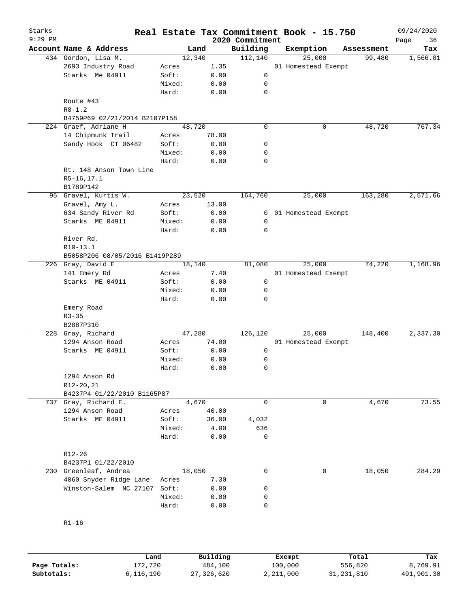| Starks<br>$9:29$ PM |                                |        |       | 2020 Commitment | Real Estate Tax Commitment Book - 15.750 |            | 09/24/2020<br>Page<br>36 |
|---------------------|--------------------------------|--------|-------|-----------------|------------------------------------------|------------|--------------------------|
|                     | Account Name & Address         | Land   |       | Building        | Exemption                                | Assessment | Tax                      |
|                     | 434 Gordon, Lisa M.            | 12,340 |       | 112,140         | 25,000                                   | 99,480     | 1,566.81                 |
|                     | 2693 Industry Road             | Acres  | 1.35  |                 | 01 Homestead Exempt                      |            |                          |
|                     | Starks Me 04911                | Soft:  | 0.00  | 0               |                                          |            |                          |
|                     |                                | Mixed: | 0.00  | 0               |                                          |            |                          |
|                     |                                | Hard:  | 0.00  | $\mathbf 0$     |                                          |            |                          |
|                     | Route #43                      |        |       |                 |                                          |            |                          |
|                     | $R8 - 1.2$                     |        |       |                 |                                          |            |                          |
|                     | B4759P69 02/21/2014 B2107P158  |        |       |                 |                                          |            |                          |
|                     | 224 Graef, Adriane H           | 48,720 |       | 0               | 0                                        | 48,720     | 767.34                   |
|                     | 14 Chipmunk Trail              | Acres  | 78.00 |                 |                                          |            |                          |
|                     | Sandy Hook CT 06482            | Soft:  | 0.00  | 0               |                                          |            |                          |
|                     |                                | Mixed: | 0.00  | 0               |                                          |            |                          |
|                     |                                | Hard:  |       | 0               |                                          |            |                          |
|                     |                                |        | 0.00  |                 |                                          |            |                          |
|                     | Rt. 148 Anson Town Line        |        |       |                 |                                          |            |                          |
|                     | $R5-16, 17.1$                  |        |       |                 |                                          |            |                          |
|                     | B1789P142                      |        |       |                 |                                          |            |                          |
|                     | 95 Gravel, Kurtis W.           | 23,520 |       | 164,760         | 25,000                                   | 163,280    | 2,571.66                 |
|                     | Gravel, Amy L.                 | Acres  | 13.00 |                 |                                          |            |                          |
|                     | 634 Sandy River Rd             | Soft:  | 0.00  | $\mathbf{0}$    | 01 Homestead Exempt                      |            |                          |
|                     | Starks ME 04911                | Mixed: | 0.00  | 0               |                                          |            |                          |
|                     |                                | Hard:  | 0.00  | $\mathbf 0$     |                                          |            |                          |
|                     | River Rd.                      |        |       |                 |                                          |            |                          |
|                     | R10-13.1                       |        |       |                 |                                          |            |                          |
|                     | B5058P206 08/05/2016 B1419P289 |        |       |                 |                                          |            |                          |
|                     | 226 Gray, David E              | 18,140 |       | 81,080          | 25,000                                   | 74,220     | 1,168.96                 |
|                     | 141 Emery Rd                   | Acres  | 7.40  |                 | 01 Homestead Exempt                      |            |                          |
|                     | Starks ME 04911                | Soft:  | 0.00  | 0               |                                          |            |                          |
|                     |                                |        |       |                 |                                          |            |                          |
|                     |                                | Mixed: | 0.00  | 0               |                                          |            |                          |
|                     |                                | Hard:  | 0.00  | 0               |                                          |            |                          |
|                     | Emery Road                     |        |       |                 |                                          |            |                          |
|                     | $R3 - 35$                      |        |       |                 |                                          |            |                          |
|                     | B2887P310                      |        |       |                 |                                          |            |                          |
|                     | 228 Gray, Richard              | 47,280 |       | 126,120         | 25,000                                   | 148,400    | 2,337.30                 |
|                     | 1294 Anson Road                | Acres  | 74.00 |                 | 01 Homestead Exempt                      |            |                          |
|                     | Starks ME 04911                | Soft:  | 0.00  | 0               |                                          |            |                          |
|                     |                                | Mixed: | 0.00  | 0               |                                          |            |                          |
|                     |                                | Hard:  | 0.00  | 0               |                                          |            |                          |
|                     | 1294 Anson Rd                  |        |       |                 |                                          |            |                          |
|                     | R12-20, 21                     |        |       |                 |                                          |            |                          |
|                     | B4237P4 01/22/2010 B1165P87    |        |       |                 |                                          |            |                          |
|                     | 737 Gray, Richard E.           | 4,670  |       | 0               | 0                                        | 4,670      | 73.55                    |
|                     | 1294 Anson Road                | Acres  | 40.00 |                 |                                          |            |                          |
|                     | Starks ME 04911                | Soft:  | 36.00 | 4,032           |                                          |            |                          |
|                     |                                | Mixed: | 4.00  | 636             |                                          |            |                          |
|                     |                                |        |       | 0               |                                          |            |                          |
|                     |                                | Hard:  | 0.00  |                 |                                          |            |                          |
|                     |                                |        |       |                 |                                          |            |                          |
|                     | R12-26                         |        |       |                 |                                          |            |                          |
|                     | B4237P1 01/22/2010             |        |       |                 |                                          |            |                          |
|                     | 230 Greenleaf, Andrea          | 18,050 |       | 0               | 0                                        | 18,050     | 284.29                   |
|                     | 4060 Snyder Ridge Lane         | Acres  | 7.30  |                 |                                          |            |                          |
|                     | Winston-Salem NC 27107         | Soft:  | 0.00  | 0               |                                          |            |                          |
|                     |                                | Mixed: | 0.00  | 0               |                                          |            |                          |
|                     |                                | Hard:  | 0.00  | 0               |                                          |            |                          |
|                     |                                |        |       |                 |                                          |            |                          |
|                     | $R1 - 16$                      |        |       |                 |                                          |            |                          |
|                     |                                |        |       |                 |                                          |            |                          |

|              | Land      | Building   | Exempt    | Total        | Tax        |
|--------------|-----------|------------|-----------|--------------|------------|
| Page Totals: | 172,720   | 484,100    | 100,000   | 556,820      | 8,769.91   |
| Subtotals:   | 6,116,190 | 27,326,620 | 2,211,000 | 31, 231, 810 | 491,901.30 |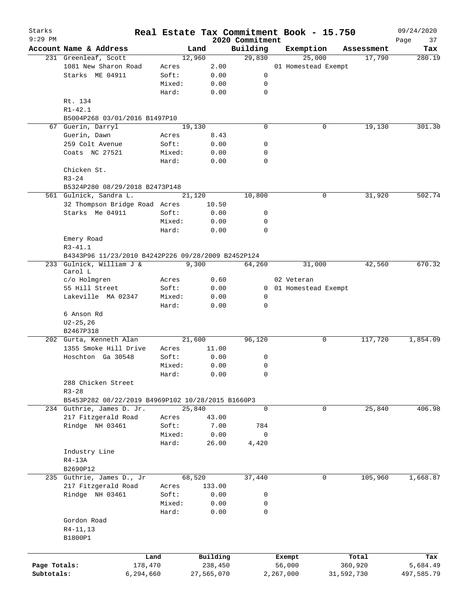| Starks<br>$9:29$ PM |                                                    |        |            | 2020 Commitment | Real Estate Tax Commitment Book - 15.750 |            | 09/24/2020        |
|---------------------|----------------------------------------------------|--------|------------|-----------------|------------------------------------------|------------|-------------------|
|                     | Account Name & Address                             |        | Land       | Building        | Exemption                                | Assessment | Page<br>37<br>Tax |
|                     | 231 Greenleaf, Scott                               | 12,960 |            | 29,830          | 25,000                                   | 17,790     | 280.19            |
|                     | 1081 New Sharon Road                               | Acres  | 2.00       |                 | 01 Homestead Exempt                      |            |                   |
|                     | Starks ME 04911                                    | Soft:  | 0.00       | 0               |                                          |            |                   |
|                     |                                                    | Mixed: | 0.00       | 0               |                                          |            |                   |
|                     |                                                    | Hard:  | 0.00       | $\mathbf 0$     |                                          |            |                   |
|                     | Rt. 134                                            |        |            |                 |                                          |            |                   |
|                     | $R1 - 42.1$                                        |        |            |                 |                                          |            |                   |
|                     | B5004P268 03/01/2016 B1497P10                      |        |            |                 |                                          |            |                   |
|                     | 67 Guerin, Darryl                                  | 19,130 |            | $\mathbf 0$     | 0                                        | 19,130     | 301.30            |
|                     |                                                    | Acres  |            |                 |                                          |            |                   |
|                     | Guerin, Dawn                                       |        | 8.43       |                 |                                          |            |                   |
|                     | 259 Colt Avenue                                    | Soft:  | 0.00       | 0               |                                          |            |                   |
|                     | Coats NC 27521                                     | Mixed: | 0.00       | 0               |                                          |            |                   |
|                     |                                                    | Hard:  | 0.00       | 0               |                                          |            |                   |
|                     | Chicken St.                                        |        |            |                 |                                          |            |                   |
|                     | $R3 - 24$                                          |        |            |                 |                                          |            |                   |
|                     | B5324P280 08/29/2018 B2473P148                     |        |            |                 |                                          |            |                   |
|                     | 561 Gulnick, Sandra L.                             | 21,120 |            | 10,800          | 0                                        | 31,920     | 502.74            |
|                     | 32 Thompson Bridge Road Acres                      |        | 10.50      |                 |                                          |            |                   |
|                     | Starks Me 04911                                    | Soft:  | 0.00       | 0               |                                          |            |                   |
|                     |                                                    | Mixed: | 0.00       | 0               |                                          |            |                   |
|                     |                                                    | Hard:  | 0.00       | $\mathbf 0$     |                                          |            |                   |
|                     | Emery Road                                         |        |            |                 |                                          |            |                   |
|                     | $R3 - 41.1$                                        |        |            |                 |                                          |            |                   |
|                     | B4343P96 11/23/2010 B4242P226 09/28/2009 B2452P124 |        |            |                 |                                          |            |                   |
|                     | 233 Gulnick, William J &                           |        | 9,300      | 64,260          | 31,000                                   | 42,560     | 670.32            |
|                     | Carol L                                            |        |            |                 |                                          |            |                   |
|                     | c/o Holmgren                                       | Acres  | 0.60       |                 | 02 Veteran                               |            |                   |
|                     | 55 Hill Street                                     | Soft:  | 0.00       |                 | 0 01 Homestead Exempt                    |            |                   |
|                     | Lakeville MA 02347                                 | Mixed: | 0.00       | 0               |                                          |            |                   |
|                     |                                                    | Hard:  | 0.00       | 0               |                                          |            |                   |
|                     | 6 Anson Rd                                         |        |            |                 |                                          |            |                   |
|                     |                                                    |        |            |                 |                                          |            |                   |
|                     | $U2 - 25, 26$<br>B2467P318                         |        |            |                 |                                          |            |                   |
|                     |                                                    |        |            |                 |                                          |            |                   |
|                     | 202 Gurta, Kenneth Alan                            | 21,600 |            | 96,120          | 0                                        | 117,720    | 1,854.09          |
|                     | 1355 Smoke Hill Drive                              | Acres  | 11.00      |                 |                                          |            |                   |
|                     | Hoschton Ga 30548                                  | Soft:  | 0.00       | 0               |                                          |            |                   |
|                     |                                                    | Mixed: | 0.00       | 0               |                                          |            |                   |
|                     |                                                    | Hard:  | 0.00       | 0               |                                          |            |                   |
|                     | 288 Chicken Street                                 |        |            |                 |                                          |            |                   |
|                     | $R3 - 28$                                          |        |            |                 |                                          |            |                   |
|                     | B5453P282 08/22/2019 B4969P102 10/28/2015 B1660P3  |        |            |                 |                                          |            |                   |
|                     | 234 Guthrie, James D. Jr.                          | 25,840 |            | $\Omega$        | 0                                        | 25,840     | 406.98            |
|                     | 217 Fitzgerald Road                                | Acres  | 43.00      |                 |                                          |            |                   |
|                     | Rindge NH 03461                                    | Soft:  | 7.00       | 784             |                                          |            |                   |
|                     |                                                    | Mixed: | 0.00       | 0               |                                          |            |                   |
|                     |                                                    | Hard:  | 26.00      | 4,420           |                                          |            |                   |
|                     | Industry Line                                      |        |            |                 |                                          |            |                   |
|                     | R4-13A                                             |        |            |                 |                                          |            |                   |
|                     | B2690P12                                           |        |            |                 |                                          |            |                   |
|                     | 235 Guthrie, James D., Jr                          | 68,520 |            | 37,440          | 0                                        | 105,960    | 1,668.87          |
|                     | 217 Fitzgerald Road                                | Acres  | 133.00     |                 |                                          |            |                   |
|                     |                                                    |        |            |                 |                                          |            |                   |
|                     | Rindge NH 03461                                    | Soft:  | 0.00       | 0               |                                          |            |                   |
|                     |                                                    | Mixed: | 0.00       | 0               |                                          |            |                   |
|                     |                                                    | Hard:  | 0.00       | 0               |                                          |            |                   |
|                     | Gordon Road                                        |        |            |                 |                                          |            |                   |
|                     | $R4 - 11, 13$                                      |        |            |                 |                                          |            |                   |
|                     | B1800P1                                            |        |            |                 |                                          |            |                   |
|                     |                                                    |        |            |                 |                                          |            |                   |
|                     | Land                                               |        | Building   |                 | Exempt                                   | Total      | Tax               |
| Page Totals:        | 178,470                                            |        | 238,450    |                 | 56,000                                   | 360,920    | 5,684.49          |
| Subtotals:          | 6,294,660                                          |        | 27,565,070 |                 | 2,267,000                                | 31,592,730 | 497,585.79        |
|                     |                                                    |        |            |                 |                                          |            |                   |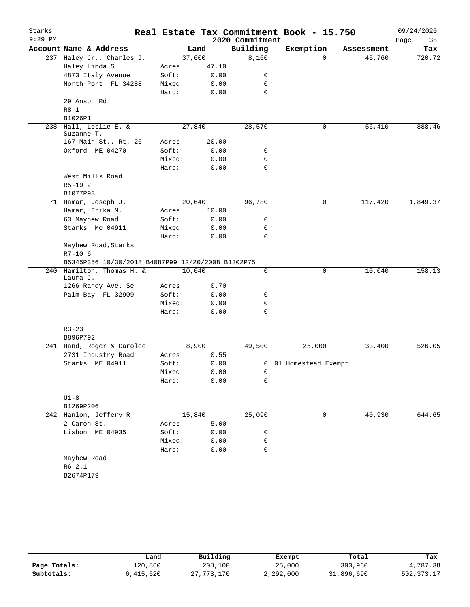| Starks    |                                                   |        |       |                 | Real Estate Tax Commitment Book - 15.750 |            | 09/24/2020 |
|-----------|---------------------------------------------------|--------|-------|-----------------|------------------------------------------|------------|------------|
| $9:29$ PM |                                                   |        |       | 2020 Commitment |                                          |            | Page<br>38 |
|           | Account Name & Address                            | Land   |       | Building        | Exemption                                | Assessment | Tax        |
|           | 237 Haley Jr., Charles J.                         | 37,600 |       | 8,160           | $\mathbf 0$                              | 45,760     | 720.72     |
|           | Haley Linda S                                     | Acres  | 47.10 |                 |                                          |            |            |
|           | 4873 Italy Avenue                                 | Soft:  | 0.00  | 0               |                                          |            |            |
|           | North Port FL 34288                               | Mixed: | 0.00  | 0               |                                          |            |            |
|           |                                                   | Hard:  | 0.00  | 0               |                                          |            |            |
|           | 29 Anson Rd                                       |        |       |                 |                                          |            |            |
|           | $R8 - 1$                                          |        |       |                 |                                          |            |            |
|           | B1026P1                                           |        |       |                 |                                          |            |            |
| 238       | Hall, Leslie E. &<br>Suzanne T.                   | 27,840 |       | 28,570          | 0                                        | 56,410     | 888.46     |
|           | 167 Main St Rt. 26                                | Acres  | 20.00 |                 |                                          |            |            |
|           | Oxford ME 04270                                   | Soft:  | 0.00  | 0               |                                          |            |            |
|           |                                                   | Mixed: | 0.00  | 0               |                                          |            |            |
|           |                                                   | Hard:  | 0.00  | 0               |                                          |            |            |
|           | West Mills Road                                   |        |       |                 |                                          |            |            |
|           | $R5-19.2$                                         |        |       |                 |                                          |            |            |
|           | B1077P93                                          |        |       |                 |                                          |            |            |
|           | 71 Hamar, Joseph J.                               | 20,640 |       | 96,780          | 0                                        | 117,420    | 1,849.37   |
|           | Hamar, Erika M.                                   | Acres  | 10.00 |                 |                                          |            |            |
|           | 63 Mayhew Road                                    | Soft:  | 0.00  | 0               |                                          |            |            |
|           | Starks Me 04911                                   | Mixed: | 0.00  | $\mathbf 0$     |                                          |            |            |
|           |                                                   | Hard:  | 0.00  | 0               |                                          |            |            |
|           | Mayhew Road, Starks                               |        |       |                 |                                          |            |            |
|           | $R7 - 10.6$                                       |        |       |                 |                                          |            |            |
|           | B5345P356 10/30/2018 B4087P99 12/20/2008 B1302P75 |        |       |                 |                                          |            |            |
|           | 240 Hamilton, Thomas H. &                         | 10,040 |       | 0               | 0                                        | 10,040     | 158.13     |
|           | Laura J.                                          |        |       |                 |                                          |            |            |
|           | 1266 Randy Ave. Se                                | Acres  | 0.70  |                 |                                          |            |            |
|           | Palm Bay FL 32909                                 | Soft:  | 0.00  | 0               |                                          |            |            |
|           |                                                   | Mixed: | 0.00  | 0               |                                          |            |            |
|           |                                                   | Hard:  | 0.00  | 0               |                                          |            |            |
|           |                                                   |        |       |                 |                                          |            |            |
|           | $R3 - 23$                                         |        |       |                 |                                          |            |            |
|           | B896P792                                          |        |       |                 |                                          |            |            |
|           | 241 Hand, Roger & Carolee                         | 8,900  |       | 49,500          | 25,000                                   | 33,400     | 526.05     |
|           | 2731 Industry Road                                | Acres  | 0.55  |                 |                                          |            |            |
|           | Starks ME 04911                                   | Soft:  | 0.00  |                 | 0 01 Homestead Exempt                    |            |            |
|           |                                                   | Mixed: | 0.00  | 0               |                                          |            |            |
|           |                                                   | Hard:  | 0.00  | 0               |                                          |            |            |
|           | $U1-8$                                            |        |       |                 |                                          |            |            |
|           | B1269P206                                         |        |       |                 |                                          |            |            |
|           | 242 Hanlon, Jeffery R                             | 15,840 |       | 25,090          | 0                                        | 40,930     | 644.65     |
|           | 2 Caron St.                                       | Acres  | 5.00  |                 |                                          |            |            |
|           | Lisbon ME 04935                                   | Soft:  | 0.00  | 0               |                                          |            |            |
|           |                                                   | Mixed: | 0.00  | 0               |                                          |            |            |
|           |                                                   | Hard:  | 0.00  | 0               |                                          |            |            |
|           | Mayhew Road                                       |        |       |                 |                                          |            |            |
|           | $R6 - 2.1$                                        |        |       |                 |                                          |            |            |
|           | B2674P179                                         |        |       |                 |                                          |            |            |
|           |                                                   |        |       |                 |                                          |            |            |

|              | Land      | Building   | Exempt    | Total      | Tax        |
|--------------|-----------|------------|-----------|------------|------------|
| Page Totals: | 120,860   | 208,100    | 25,000    | 303,960    | 4,787.38   |
| Subtotals:   | 6,415,520 | 27,773,170 | 2,292,000 | 31,896,690 | 502,373.17 |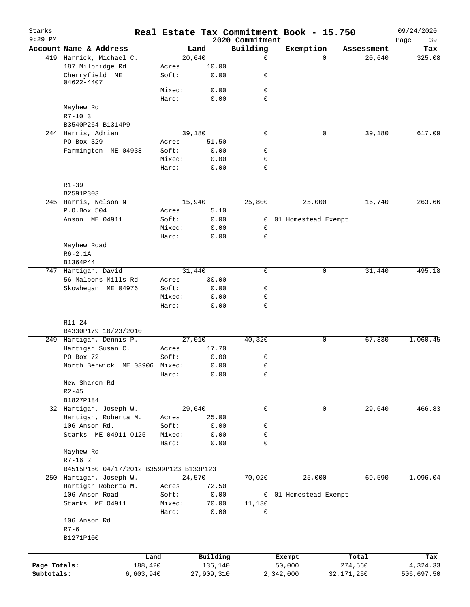| Starks<br>$9:29$ PM |                                         |                 |                     | 2020 Commitment  | Real Estate Tax Commitment Book - 15.750 |                    | 09/24/2020<br>39<br>Page |
|---------------------|-----------------------------------------|-----------------|---------------------|------------------|------------------------------------------|--------------------|--------------------------|
|                     | Account Name & Address                  |                 | Land                | Building         | Exemption                                | Assessment         | Tax                      |
|                     | 419 Harrick, Michael C.                 |                 | 20,640              | 0                |                                          | 20,640<br>$\Omega$ | 325.08                   |
|                     | 187 Milbridge Rd                        | Acres           | 10.00               |                  |                                          |                    |                          |
|                     | Cherryfield ME<br>04622-4407            | Soft:           | 0.00                | 0                |                                          |                    |                          |
|                     |                                         | Mixed:          | 0.00                | 0                |                                          |                    |                          |
|                     |                                         | Hard:           | 0.00                | $\mathbf 0$      |                                          |                    |                          |
|                     | Mayhew Rd                               |                 |                     |                  |                                          |                    |                          |
|                     | $R7 - 10.3$                             |                 |                     |                  |                                          |                    |                          |
|                     | B3540P264 B1314P9                       |                 |                     |                  |                                          |                    |                          |
|                     | 244 Harris, Adrian                      |                 | 39,180              | $\mathbf 0$      |                                          | 0<br>39,180        | 617.09                   |
|                     | PO Box 329<br>Farmington ME 04938       | Acres<br>Soft:  | 51.50<br>0.00       | 0                |                                          |                    |                          |
|                     |                                         | Mixed:          | 0.00                | $\mathbf 0$      |                                          |                    |                          |
|                     |                                         | Hard:           | 0.00                | $\mathbf 0$      |                                          |                    |                          |
|                     |                                         |                 |                     |                  |                                          |                    |                          |
|                     | $R1 - 39$                               |                 |                     |                  |                                          |                    |                          |
|                     | B2591P303                               |                 |                     |                  |                                          |                    |                          |
|                     | 245 Harris, Nelson N                    |                 | 15,940              | 25,800           | 25,000                                   | 16,740             | 263.66                   |
|                     | P.O.Box 504                             | Acres           | 5.10                |                  |                                          |                    |                          |
|                     | Anson ME 04911                          | Soft:           | 0.00                | 0                | 01 Homestead Exempt                      |                    |                          |
|                     |                                         | Mixed:<br>Hard: | 0.00<br>0.00        | 0<br>$\mathbf 0$ |                                          |                    |                          |
|                     | Mayhew Road                             |                 |                     |                  |                                          |                    |                          |
|                     | $R6-2.1A$                               |                 |                     |                  |                                          |                    |                          |
|                     | B1364P44                                |                 |                     |                  |                                          |                    |                          |
|                     | 747 Hartigan, David                     |                 | 31,440              | $\Omega$         |                                          | 0<br>31,440        | 495.18                   |
|                     | 56 Malbons Mills Rd                     | Acres           | 30.00               |                  |                                          |                    |                          |
|                     | Skowhegan ME 04976                      | Soft:           | 0.00                | 0                |                                          |                    |                          |
|                     |                                         | Mixed:          | 0.00                | $\mathbf 0$      |                                          |                    |                          |
|                     |                                         | Hard:           | 0.00                | $\mathbf 0$      |                                          |                    |                          |
|                     | R11-24                                  |                 |                     |                  |                                          |                    |                          |
|                     | B4330P179 10/23/2010                    |                 |                     |                  |                                          |                    |                          |
|                     | 249 Hartigan, Dennis P.                 |                 | 27,010              | 40,320           |                                          | 0<br>67,330        | 1,060.45                 |
|                     | Hartigan Susan C.                       | Acres           | 17.70               |                  |                                          |                    |                          |
|                     | PO Box 72                               | Soft:           | 0.00                | 0                |                                          |                    |                          |
|                     | North Berwick ME 03906 Mixed:           |                 | 0.00                | 0                |                                          |                    |                          |
|                     |                                         | Hard:           | 0.00                | 0                |                                          |                    |                          |
|                     | New Sharon Rd                           |                 |                     |                  |                                          |                    |                          |
|                     | $R2 - 45$                               |                 |                     |                  |                                          |                    |                          |
|                     | B1827P184                               |                 |                     |                  |                                          |                    |                          |
|                     | 32 Hartigan, Joseph W.                  |                 | 29,640              | 0                |                                          | 29,640<br>0        | 466.83                   |
|                     | Hartigan, Roberta M.                    | Acres           | 25.00               |                  |                                          |                    |                          |
|                     | 106 Anson Rd.<br>Starks ME 04911-0125   | Soft:<br>Mixed: | 0.00<br>0.00        | 0<br>0           |                                          |                    |                          |
|                     |                                         | Hard:           | 0.00                | $\mathbf 0$      |                                          |                    |                          |
|                     | Mayhew Rd                               |                 |                     |                  |                                          |                    |                          |
|                     | $R7 - 16.2$                             |                 |                     |                  |                                          |                    |                          |
|                     | B4515P150 04/17/2012 B3599P123 B133P123 |                 |                     |                  |                                          |                    |                          |
|                     | 250 Hartigan, Joseph W.                 |                 | 24,570              | 70,020           | 25,000                                   | 69,590             | 1,096.04                 |
|                     | Hartigan Roberta M.                     | Acres           | 72.50               |                  |                                          |                    |                          |
|                     | 106 Anson Road                          | Soft:           | 0.00                | $\mathbf{0}$     | 01 Homestead Exempt                      |                    |                          |
|                     | Starks ME 04911                         | Mixed:          | 70.00               | 11,130           |                                          |                    |                          |
|                     |                                         | Hard:           | 0.00                | $\mathbf 0$      |                                          |                    |                          |
|                     | 106 Anson Rd                            |                 |                     |                  |                                          |                    |                          |
|                     | $R7 - 6$                                |                 |                     |                  |                                          |                    |                          |
|                     | B1271P100                               |                 |                     |                  |                                          |                    |                          |
|                     |                                         |                 |                     |                  |                                          |                    |                          |
| Page Totals:        | Land<br>188,420                         |                 | Building<br>136,140 |                  | Exempt<br>50,000                         | Total<br>274,560   | Tax<br>4,324.33          |
| Subtotals:          | 6,603,940                               |                 | 27,909,310          |                  | 2,342,000                                | 32, 171, 250       | 506,697.50               |
|                     |                                         |                 |                     |                  |                                          |                    |                          |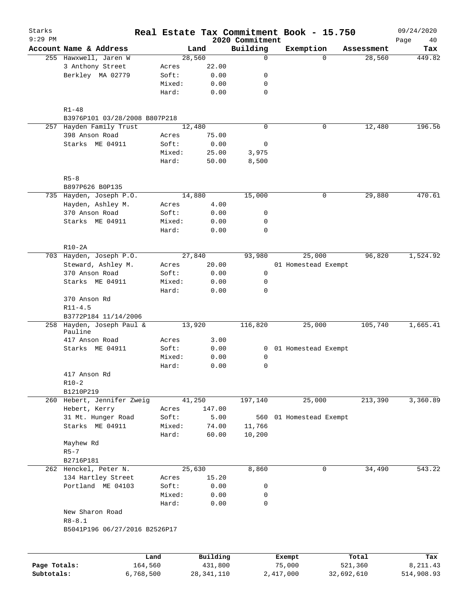| Starks                     |                                      |        | Real Estate Tax Commitment Book - 15.750 |                             |                     |                       |                       | 09/24/2020              |
|----------------------------|--------------------------------------|--------|------------------------------------------|-----------------------------|---------------------|-----------------------|-----------------------|-------------------------|
| $9:29$ PM                  | Account Name & Address               |        |                                          | 2020 Commitment<br>Building |                     |                       |                       | Page<br>40              |
|                            | 255 Hawxwell, Jaren W                |        | Land<br>28,560                           | $\mathbf 0$                 |                     | Exemption<br>$\Omega$ | Assessment<br>28,560  | Tax<br>449.82           |
|                            | 3 Anthony Street                     | Acres  | 22.00                                    |                             |                     |                       |                       |                         |
|                            | Berkley MA 02779                     | Soft:  | 0.00                                     | 0                           |                     |                       |                       |                         |
|                            |                                      | Mixed: | 0.00                                     | 0                           |                     |                       |                       |                         |
|                            |                                      | Hard:  | 0.00                                     | $\mathbf 0$                 |                     |                       |                       |                         |
|                            | $R1 - 48$                            |        |                                          |                             |                     |                       |                       |                         |
|                            | B3976P101 03/28/2008 B807P218        |        |                                          |                             |                     |                       |                       |                         |
|                            | 257 Hayden Family Trust              |        | 12,480                                   | $\mathbf 0$                 |                     | 0                     | 12,480                | 196.56                  |
|                            | 398 Anson Road                       | Acres  | 75.00                                    |                             |                     |                       |                       |                         |
|                            | Starks ME 04911                      | Soft:  | 0.00                                     | 0                           |                     |                       |                       |                         |
|                            |                                      | Mixed: | 25.00                                    | 3,975                       |                     |                       |                       |                         |
|                            |                                      | Hard:  | 50.00                                    | 8,500                       |                     |                       |                       |                         |
|                            | $R5 - 8$                             |        |                                          |                             |                     |                       |                       |                         |
|                            | B897P626 B0P135                      |        |                                          |                             |                     |                       |                       |                         |
|                            | 735 Hayden, Joseph P.O.              |        | 14,880                                   | 15,000                      |                     | 0                     | 29,880                | 470.61                  |
|                            | Hayden, Ashley M.                    | Acres  | 4.00                                     |                             |                     |                       |                       |                         |
|                            | 370 Anson Road                       | Soft:  | 0.00                                     | 0                           |                     |                       |                       |                         |
|                            | Starks ME 04911                      | Mixed: | 0.00                                     | 0                           |                     |                       |                       |                         |
|                            |                                      | Hard:  | 0.00                                     | 0                           |                     |                       |                       |                         |
|                            | $R10-2A$                             |        |                                          |                             |                     |                       |                       |                         |
|                            | 703 Hayden, Joseph P.O.              |        | 27,840                                   | 93,980                      |                     | 25,000                | 96,820                | 1,524.92                |
|                            | Steward, Ashley M.                   | Acres  | 20.00                                    |                             |                     | 01 Homestead Exempt   |                       |                         |
|                            | 370 Anson Road                       | Soft:  | 0.00                                     | $\mathbf 0$                 |                     |                       |                       |                         |
|                            | Starks ME 04911                      | Mixed: | 0.00                                     | 0                           |                     |                       |                       |                         |
|                            |                                      | Hard:  | 0.00                                     | $\mathbf 0$                 |                     |                       |                       |                         |
|                            | 370 Anson Rd                         |        |                                          |                             |                     |                       |                       |                         |
|                            | $R11 - 4.5$                          |        |                                          |                             |                     |                       |                       |                         |
|                            | B3772P184 11/14/2006                 |        |                                          |                             |                     |                       |                       |                         |
|                            | 258 Hayden, Joseph Paul &<br>Pauline |        | 13,920                                   | 116,820                     |                     | 25,000                | 105,740               | 1,665.41                |
|                            | 417 Anson Road                       | Acres  | 3.00                                     |                             |                     |                       |                       |                         |
|                            | Starks ME 04911                      | Soft:  | 0.00                                     | $\overline{0}$              |                     | 01 Homestead Exempt   |                       |                         |
|                            |                                      | Mixed: | 0.00                                     | 0                           |                     |                       |                       |                         |
|                            |                                      | Hard:  | 0.00                                     | 0                           |                     |                       |                       |                         |
|                            | 417 Anson Rd                         |        |                                          |                             |                     |                       |                       |                         |
|                            | $R10-2$                              |        |                                          |                             |                     |                       |                       |                         |
|                            | B1210P219                            |        |                                          |                             |                     |                       |                       |                         |
|                            | 260 Hebert, Jennifer Zweig           |        | 41,250                                   | 197,140                     |                     | 25,000                | 213,390               | 3,360.89                |
|                            | Hebert, Kerry                        | Acres  | 147.00                                   |                             |                     |                       |                       |                         |
|                            | 31 Mt. Hunger Road                   | Soft:  | 5.00                                     | 560                         |                     | 01 Homestead Exempt   |                       |                         |
|                            | Starks ME 04911                      | Mixed: | 74.00                                    | 11,766                      |                     |                       |                       |                         |
|                            |                                      | Hard:  | 60.00                                    | 10,200                      |                     |                       |                       |                         |
|                            | Mayhew Rd                            |        |                                          |                             |                     |                       |                       |                         |
|                            | $R5 - 7$                             |        |                                          |                             |                     |                       |                       |                         |
|                            | B2716P181                            |        |                                          |                             |                     |                       |                       |                         |
|                            | 262 Henckel, Peter N.                |        | 25,630                                   | 8,860                       |                     | 0                     | 34,490                | 543.22                  |
|                            | 134 Hartley Street                   | Acres  | 15.20                                    |                             |                     |                       |                       |                         |
|                            | Portland ME 04103                    | Soft:  | 0.00                                     | 0                           |                     |                       |                       |                         |
|                            |                                      | Mixed: | 0.00                                     | 0                           |                     |                       |                       |                         |
|                            |                                      |        |                                          | 0                           |                     |                       |                       |                         |
|                            | New Sharon Road                      | Hard:  | 0.00                                     |                             |                     |                       |                       |                         |
|                            | $R8 - 8.1$                           |        |                                          |                             |                     |                       |                       |                         |
|                            | B5041P196 06/27/2016 B2526P17        |        |                                          |                             |                     |                       |                       |                         |
|                            |                                      |        |                                          |                             |                     |                       |                       |                         |
|                            |                                      | Land   | Building                                 |                             | Exempt              |                       | Total                 | Tax                     |
| Page Totals:<br>Subtotals: | 164,560<br>6,768,500                 |        | 431,800<br>28, 341, 110                  |                             | 75,000<br>2,417,000 |                       | 521,360<br>32,692,610 | 8, 211.43<br>514,908.93 |
|                            |                                      |        |                                          |                             |                     |                       |                       |                         |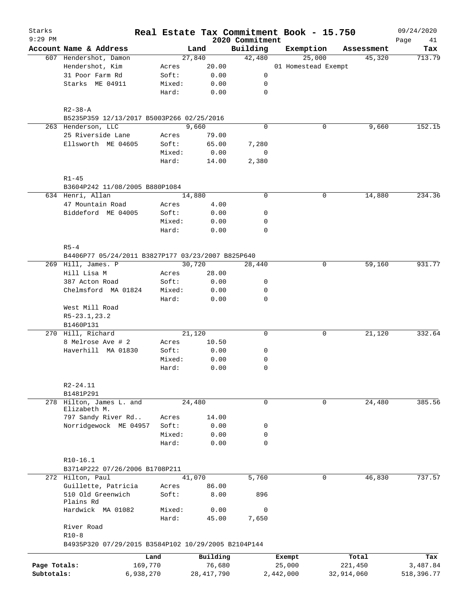| Starks<br>9:29 PM |                                                     |                 |               |                             | Real Estate Tax Commitment Book - 15.750 |            | 09/24/2020        |
|-------------------|-----------------------------------------------------|-----------------|---------------|-----------------------------|------------------------------------------|------------|-------------------|
|                   | Account Name & Address                              |                 | Land          | 2020 Commitment<br>Building | Exemption                                | Assessment | Page<br>41<br>Tax |
|                   | 607 Hendershot, Damon                               |                 | 27,840        | 42,480                      | 25,000                                   | 45,320     | 713.79            |
|                   | Hendershot, Kim                                     | Acres           | 20.00         |                             | 01 Homestead Exempt                      |            |                   |
|                   | 31 Poor Farm Rd                                     | Soft:           | 0.00          | 0                           |                                          |            |                   |
|                   | Starks ME 04911                                     | Mixed:          | 0.00          | 0                           |                                          |            |                   |
|                   |                                                     | Hard:           | 0.00          | $\mathbf 0$                 |                                          |            |                   |
|                   | $R2 - 38 - A$                                       |                 |               |                             |                                          |            |                   |
|                   | B5235P359 12/13/2017 B5003P266 02/25/2016           |                 |               |                             |                                          |            |                   |
|                   | 263 Henderson, LLC                                  |                 | 9,660         | 0                           | 0                                        | 9,660      | 152.15            |
|                   | 25 Riverside Lane                                   | Acres           | 79.00         |                             |                                          |            |                   |
|                   | Ellsworth ME 04605                                  | Soft:           | 65.00         | 7,280                       |                                          |            |                   |
|                   |                                                     | Mixed:<br>Hard: | 0.00<br>14.00 | 0<br>2,380                  |                                          |            |                   |
|                   | $R1 - 45$                                           |                 |               |                             |                                          |            |                   |
|                   | B3604P242 11/08/2005 B880P1084                      |                 |               |                             |                                          |            |                   |
|                   | 634 Henri, Allan                                    |                 | 14,880        | 0                           | 0                                        | 14,880     | 234.36            |
|                   | 47 Mountain Road                                    | Acres           | 4.00          |                             |                                          |            |                   |
|                   | Biddeford ME 04005                                  | Soft:           | 0.00          | 0                           |                                          |            |                   |
|                   |                                                     | Mixed:          | 0.00          | 0                           |                                          |            |                   |
|                   |                                                     | Hard:           | 0.00          | 0                           |                                          |            |                   |
|                   | $R5 - 4$                                            |                 |               |                             |                                          |            |                   |
|                   | B4406P77 05/24/2011 B3827P177 03/23/2007 B825P640   |                 |               |                             |                                          |            |                   |
|                   | 269 Hill, James. P                                  |                 | 30,720        | 28,440                      | 0                                        | 59,160     | 931.77            |
|                   | Hill Lisa M                                         | Acres           | 28.00         |                             |                                          |            |                   |
|                   | 387 Acton Road                                      | Soft:           | 0.00          | 0                           |                                          |            |                   |
|                   | Chelmsford MA 01824                                 | Mixed:          | 0.00          | 0<br>$\mathbf 0$            |                                          |            |                   |
|                   | West Mill Road<br>$R5-23.1, 23.2$                   | Hard:           | 0.00          |                             |                                          |            |                   |
|                   | B1460P131                                           |                 |               |                             |                                          |            |                   |
|                   | 270 Hill, Richard                                   |                 | 21,120        | 0                           | 0                                        | 21,120     | 332.64            |
|                   | 8 Melrose Ave # 2<br>Haverhill MA 01830             | Acres<br>Soft:  | 10.50<br>0.00 | 0                           |                                          |            |                   |
|                   |                                                     | Mixed:          | 0.00          | 0                           |                                          |            |                   |
|                   |                                                     | Hard:           | 0.00          | $\mathbf 0$                 |                                          |            |                   |
|                   | $R2 - 24.11$                                        |                 |               |                             |                                          |            |                   |
|                   | B1481P291                                           |                 |               |                             |                                          |            |                   |
|                   | 278 Hilton, James L. and                            |                 | 24,480        | 0                           | $\mathbf 0$                              | 24,480     | 385.56            |
|                   | Elizabeth M.                                        |                 |               |                             |                                          |            |                   |
|                   | 797 Sandy River Rd<br>Norridgewock ME 04957         | Acres<br>Soft:  | 14.00         | 0                           |                                          |            |                   |
|                   |                                                     | Mixed:          | 0.00<br>0.00  | 0                           |                                          |            |                   |
|                   |                                                     | Hard:           | 0.00          | $\mathbf 0$                 |                                          |            |                   |
|                   | R10-16.1                                            |                 |               |                             |                                          |            |                   |
|                   | B3714P222 07/26/2006 B1708P211                      |                 |               |                             |                                          |            |                   |
|                   | 272 Hilton, Paul                                    |                 | 41,070        | 5,760                       | $\Omega$                                 | 46,830     | 737.57            |
|                   | Guillette, Patricia                                 | Acres           | 86.00         |                             |                                          |            |                   |
|                   | 510 Old Greenwich<br>Plains Rd                      | Soft:           | 8.00          | 896                         |                                          |            |                   |
|                   | Hardwick MA 01082                                   | Mixed:          | 0.00          | 0                           |                                          |            |                   |
|                   | River Road                                          | Hard:           | 45.00         | 7,650                       |                                          |            |                   |
|                   | $R10-8$                                             |                 |               |                             |                                          |            |                   |
|                   | B4935P320 07/29/2015 B3584P102 10/29/2005 B2104P144 | Land            | Building      |                             | Exempt                                   | Total      | Tax               |
| Page Totals:      | 169,770                                             |                 | 76,680        |                             | 25,000                                   | 221,450    | 3,487.84          |
| Subtotals:        | 6,938,270                                           |                 | 28, 417, 790  |                             | 2,442,000                                | 32,914,060 | 518,396.77        |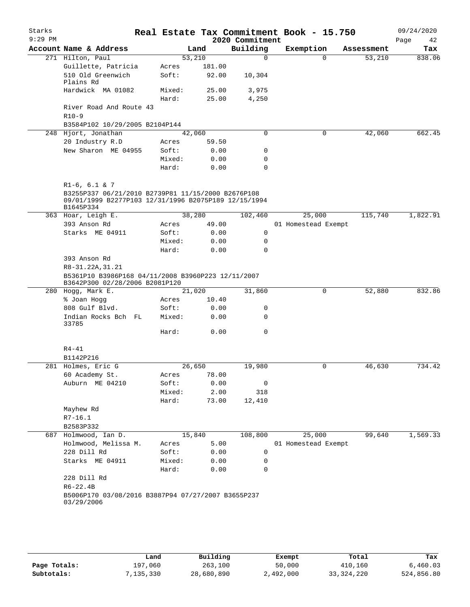| Starks<br>$9:29$ PM |                                                                                                                         |                |        | 2020 Commitment | Real Estate Tax Commitment Book - 15.750 |            | 09/24/2020<br>Page<br>42 |
|---------------------|-------------------------------------------------------------------------------------------------------------------------|----------------|--------|-----------------|------------------------------------------|------------|--------------------------|
|                     | Account Name & Address                                                                                                  |                | Land   | Building        | Exemption                                | Assessment | Tax                      |
|                     | 271 Hilton, Paul                                                                                                        |                | 53,210 | 0               | $\Omega$                                 | 53,210     | 838.06                   |
|                     | Guillette, Patricia                                                                                                     | Acres          | 181.00 |                 |                                          |            |                          |
|                     | 510 Old Greenwich<br>Plains Rd                                                                                          | Soft:          | 92.00  | 10,304          |                                          |            |                          |
|                     | Hardwick MA 01082                                                                                                       | Mixed:         | 25.00  | 3,975           |                                          |            |                          |
|                     |                                                                                                                         | Hard:          | 25.00  | 4,250           |                                          |            |                          |
|                     | River Road And Route 43<br>$R10-9$                                                                                      |                |        |                 |                                          |            |                          |
|                     | B3584P102 10/29/2005 B2104P144                                                                                          |                |        |                 |                                          |            |                          |
|                     | 248 Hjort, Jonathan                                                                                                     |                | 42,060 | $\Omega$        | 0                                        | 42,060     | 662.45                   |
|                     | 20 Industry R.D                                                                                                         | Acres          | 59.50  |                 |                                          |            |                          |
|                     | New Sharon ME 04955                                                                                                     | Soft:          | 0.00   | 0               |                                          |            |                          |
|                     |                                                                                                                         | Mixed:         | 0.00   | 0               |                                          |            |                          |
|                     |                                                                                                                         | Hard:          | 0.00   | 0               |                                          |            |                          |
|                     | $R1-6, 6.1 \& 7$                                                                                                        |                |        |                 |                                          |            |                          |
|                     | B3255P337 06/21/2010 B2739P81 11/15/2000 B2676P108<br>09/01/1999 B2277P103 12/31/1996 B2075P189 12/15/1994<br>B1645P334 |                |        |                 |                                          |            |                          |
|                     | 363 Hoar, Leigh E.                                                                                                      |                | 38,280 | 102,460         | 25,000                                   | 115,740    | 1,822.91                 |
|                     | 393 Anson Rd                                                                                                            | Acres          | 49.00  |                 | 01 Homestead Exempt                      |            |                          |
|                     | Starks ME 04911                                                                                                         | Soft:          | 0.00   | 0               |                                          |            |                          |
|                     |                                                                                                                         | Mixed:         | 0.00   | 0               |                                          |            |                          |
|                     |                                                                                                                         | Hard:          | 0.00   | 0               |                                          |            |                          |
|                     | 393 Anson Rd                                                                                                            |                |        |                 |                                          |            |                          |
|                     | R8-31.22A, 31.21                                                                                                        |                |        |                 |                                          |            |                          |
|                     | B5361P10 B3986P168 04/11/2008 B3960P223 12/11/2007<br>B3642P300 02/28/2006 B2081P120                                    |                |        |                 |                                          |            |                          |
|                     | 280 Hogg, Mark E.                                                                                                       |                | 21,020 | 31,860          | 0                                        | 52,880     | 832.86                   |
|                     | % Joan Hogg                                                                                                             | Acres          | 10.40  |                 |                                          |            |                          |
|                     | 808 Gulf Blvd.                                                                                                          | Soft:          | 0.00   | 0               |                                          |            |                          |
|                     | Indian Rocks Bch FL<br>33785                                                                                            | Mixed:         | 0.00   | 0               |                                          |            |                          |
|                     |                                                                                                                         | Hard:          | 0.00   | 0               |                                          |            |                          |
|                     | R4-41                                                                                                                   |                |        |                 |                                          |            |                          |
|                     | B1142P216                                                                                                               |                |        |                 |                                          |            |                          |
|                     | 281 Holmes, Eric G                                                                                                      |                | 26,650 | 19,980          | 0                                        | 46,630     | 734.42                   |
|                     | 60 Academy St.                                                                                                          | Acres          | 78.00  |                 |                                          |            |                          |
|                     | Auburn ME 04210                                                                                                         | Soft:          | 0.00   | 0               |                                          |            |                          |
|                     |                                                                                                                         | Mixed:         | 2.00   | 318             |                                          |            |                          |
|                     |                                                                                                                         | Hard:          | 73.00  | 12,410          |                                          |            |                          |
|                     | Mayhew Rd                                                                                                               |                |        |                 |                                          |            |                          |
|                     | $R7 - 16.1$                                                                                                             |                |        |                 |                                          |            |                          |
|                     | B2583P332                                                                                                               |                | 15,840 |                 |                                          |            |                          |
| 687                 | Holmwood, Ian D.<br>Holmwood, Melissa M.                                                                                |                | 5.00   | 108,800         | 25,000<br>01 Homestead Exempt            | 99,640     | 1,569.33                 |
|                     | 228 Dill Rd                                                                                                             | Acres<br>Soft: | 0.00   | 0               |                                          |            |                          |
|                     | Starks ME 04911                                                                                                         | Mixed:         | 0.00   | 0               |                                          |            |                          |
|                     |                                                                                                                         | Hard:          | 0.00   | 0               |                                          |            |                          |
|                     | 228 Dill Rd                                                                                                             |                |        |                 |                                          |            |                          |
|                     | $R6 - 22.4B$                                                                                                            |                |        |                 |                                          |            |                          |
|                     | B5006P170 03/08/2016 B3887P94 07/27/2007 B3655P237                                                                      |                |        |                 |                                          |            |                          |

|              | Land       | Building   | Exempt    | Total        | Tax        |
|--------------|------------|------------|-----------|--------------|------------|
| Page Totals: | 197,060    | 263,100    | 50,000    | 410,160      | 6,460.03   |
| Subtotals:   | , 135, 330 | 28,680,890 | 2,492,000 | 33, 324, 220 | 524,856.80 |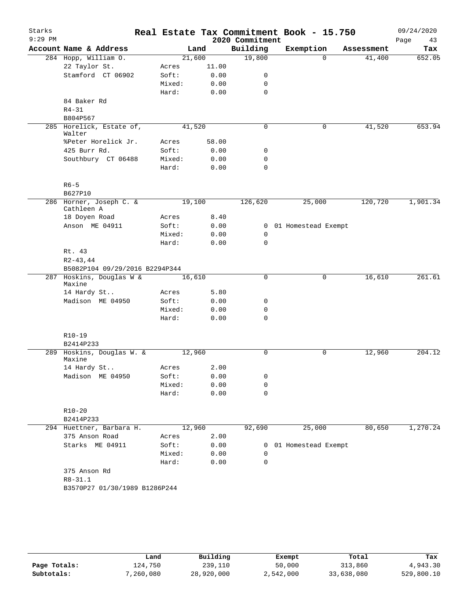| Starks    |                                |                |              |                     | Real Estate Tax Commitment Book - 15.750 |             |            | 09/24/2020 |
|-----------|--------------------------------|----------------|--------------|---------------------|------------------------------------------|-------------|------------|------------|
| $9:29$ PM |                                |                |              | 2020 Commitment     |                                          |             |            | Page<br>43 |
|           | Account Name & Address         |                | Land         | Building            | Exemption                                |             | Assessment | Tax        |
|           | 284 Hopp, William O.           | 21,600         |              | 19,800              |                                          | $\Omega$    | 41,400     | 652.05     |
|           | 22 Taylor St.                  | Acres          | 11.00        |                     |                                          |             |            |            |
|           | Stamford CT 06902              | Soft:          | 0.00         | 0                   |                                          |             |            |            |
|           |                                | Mixed:         | 0.00         | 0                   |                                          |             |            |            |
|           | 84 Baker Rd                    | Hard:          | 0.00         | $\mathbf 0$         |                                          |             |            |            |
|           | $R4 - 31$                      |                |              |                     |                                          |             |            |            |
|           | B804P567                       |                |              |                     |                                          |             |            |            |
|           | 285 Horelick, Estate of,       | 41,520         |              | 0                   |                                          | 0           | 41,520     | 653.94     |
|           | Walter                         |                |              |                     |                                          |             |            |            |
|           | %Peter Horelick Jr.            | Acres          | 58.00        |                     |                                          |             |            |            |
|           | 425 Burr Rd.                   | Soft:          | 0.00         | 0                   |                                          |             |            |            |
|           | Southbury CT 06488             | Mixed:         | 0.00         | $\mathbf 0$         |                                          |             |            |            |
|           |                                | Hard:          | 0.00         | $\mathbf 0$         |                                          |             |            |            |
|           | $R6 - 5$                       |                |              |                     |                                          |             |            |            |
|           | B627P10                        |                |              |                     |                                          |             |            |            |
|           | 286 Horner, Joseph C. &        | 19,100         |              | 126,620             | 25,000                                   |             | 120,720    | 1,901.34   |
|           | Cathleen A<br>18 Doyen Road    |                |              |                     |                                          |             |            |            |
|           | Anson ME 04911                 | Acres<br>Soft: | 8.40         |                     |                                          |             |            |            |
|           |                                | Mixed:         | 0.00<br>0.00 | $\overline{0}$<br>0 | 01 Homestead Exempt                      |             |            |            |
|           |                                | Hard:          | 0.00         | $\mathbf 0$         |                                          |             |            |            |
|           | Rt. 43                         |                |              |                     |                                          |             |            |            |
|           | $R2 - 43, 44$                  |                |              |                     |                                          |             |            |            |
|           | B5082P104 09/29/2016 B2294P344 |                |              |                     |                                          |             |            |            |
|           | 287 Hoskins, Douglas W &       | 16,610         |              | 0                   |                                          | $\mathbf 0$ | 16,610     | 261.61     |
|           | Maxine                         |                |              |                     |                                          |             |            |            |
|           | 14 Hardy St                    | Acres          | 5.80         |                     |                                          |             |            |            |
|           | Madison ME 04950               | Soft:          | 0.00         | 0                   |                                          |             |            |            |
|           |                                | Mixed:         | 0.00         | 0                   |                                          |             |            |            |
|           |                                | Hard:          | 0.00         | $\mathbf 0$         |                                          |             |            |            |
|           | $R10-19$                       |                |              |                     |                                          |             |            |            |
|           | B2414P233                      |                |              |                     |                                          |             |            |            |
|           | 289 Hoskins, Douglas W. &      | 12,960         |              | 0                   |                                          | 0           | 12,960     | 204.12     |
|           | Maxine                         |                |              |                     |                                          |             |            |            |
|           | 14 Hardy St                    | Acres          | 2.00         |                     |                                          |             |            |            |
|           | Madison ME 04950               | Soft:          | 0.00         | 0                   |                                          |             |            |            |
|           |                                | Mixed:         | 0.00         | 0                   |                                          |             |            |            |
|           |                                | Hard:          | 0.00         | 0                   |                                          |             |            |            |
|           |                                |                |              |                     |                                          |             |            |            |
|           | $R10-20$<br>B2414P233          |                |              |                     |                                          |             |            |            |
|           | 294 Huettner, Barbara H.       | 12,960         |              | 92,690              | 25,000                                   |             | 80,650     | 1,270.24   |
|           | 375 Anson Road                 | Acres          | 2.00         |                     |                                          |             |            |            |
|           | Starks ME 04911                | Soft:          | 0.00         |                     | 0 01 Homestead Exempt                    |             |            |            |
|           |                                | Mixed:         | 0.00         | 0                   |                                          |             |            |            |
|           |                                | Hard:          | 0.00         | 0                   |                                          |             |            |            |
|           | 375 Anson Rd                   |                |              |                     |                                          |             |            |            |
|           | $R8 - 31.1$                    |                |              |                     |                                          |             |            |            |
|           | B3570P27 01/30/1989 B1286P244  |                |              |                     |                                          |             |            |            |
|           |                                |                |              |                     |                                          |             |            |            |
|           |                                |                |              |                     |                                          |             |            |            |
|           |                                |                |              |                     |                                          |             |            |            |
|           |                                |                |              |                     |                                          |             |            |            |

|              | Land      | Building   | Exempt    | Total      | Tax        |
|--------------|-----------|------------|-----------|------------|------------|
| Page Totals: | 124,750   | 239,110    | 50,000    | 313,860    | 4,943.30   |
| Subtotals:   | 7,260,080 | 28,920,000 | 2,542,000 | 33,638,080 | 529,800.10 |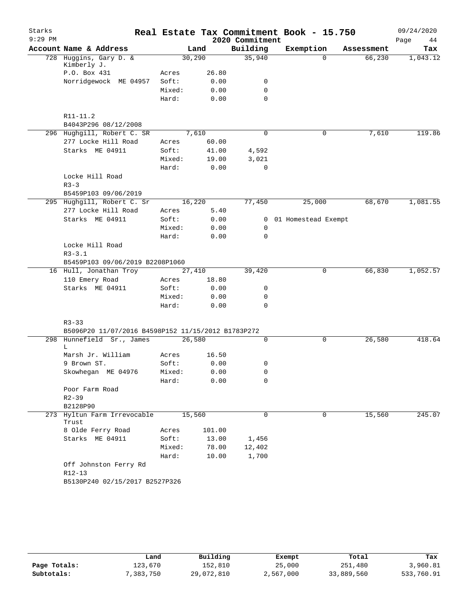| Starks    |                                                    |                 |              |                 | Real Estate Tax Commitment Book - 15.750 |            | 09/24/2020 |
|-----------|----------------------------------------------------|-----------------|--------------|-----------------|------------------------------------------|------------|------------|
| $9:29$ PM |                                                    |                 |              | 2020 Commitment |                                          |            | 44<br>Page |
|           | Account Name & Address                             |                 | Land         | Building        | Exemption                                | Assessment | Tax        |
|           | 728 Huggins, Gary D. &                             |                 | 30,290       | 35,940          | $\Omega$                                 | 66,230     | 1,043.12   |
|           | Kimberly J.<br>P.O. Box 431                        |                 | 26.80        |                 |                                          |            |            |
|           | Norridgewock ME 04957                              | Acres<br>Soft:  | 0.00         | 0               |                                          |            |            |
|           |                                                    | Mixed:          | 0.00         | $\mathbf 0$     |                                          |            |            |
|           |                                                    | Hard:           | 0.00         | $\mathbf 0$     |                                          |            |            |
|           |                                                    |                 |              |                 |                                          |            |            |
|           | R11-11.2                                           |                 |              |                 |                                          |            |            |
|           | B4043P296 08/12/2008                               |                 |              |                 |                                          |            |            |
|           | 296 Hughgill, Robert C. SR                         |                 | 7,610        | 0               | 0                                        | 7,610      | 119.86     |
|           | 277 Locke Hill Road                                | Acres           | 60.00        |                 |                                          |            |            |
|           | Starks ME 04911                                    | Soft:           | 41.00        | 4,592           |                                          |            |            |
|           |                                                    | Mixed:          | 19.00        | 3,021           |                                          |            |            |
|           |                                                    | Hard:           | 0.00         | $\mathbf 0$     |                                          |            |            |
|           | Locke Hill Road                                    |                 |              |                 |                                          |            |            |
|           | $R3 - 3$                                           |                 |              |                 |                                          |            |            |
|           | B5459P103 09/06/2019                               |                 |              |                 |                                          |            |            |
|           | 295 Hughgill, Robert C. Sr                         |                 | 16,220       | 77,450          | 25,000                                   | 68,670     | 1,081.55   |
|           | 277 Locke Hill Road                                | Acres           | 5.40         |                 |                                          |            |            |
|           | Starks ME 04911                                    | Soft:           | 0.00         |                 | 0 01 Homestead Exempt                    |            |            |
|           |                                                    | Mixed:          | 0.00         | 0               |                                          |            |            |
|           |                                                    | Hard:           | 0.00         | 0               |                                          |            |            |
|           | Locke Hill Road                                    |                 |              |                 |                                          |            |            |
|           | $R3 - 3.1$                                         |                 |              |                 |                                          |            |            |
|           | B5459P103 09/06/2019 B2208P1060                    |                 |              |                 |                                          |            |            |
|           | 16 Hull, Jonathan Troy                             |                 | 27,410       | 39,420          | 0                                        | 66,830     | 1,052.57   |
|           | 110 Emery Road                                     | Acres           | 18.80        |                 |                                          |            |            |
|           | Starks ME 04911                                    | Soft:           | 0.00<br>0.00 | 0               |                                          |            |            |
|           |                                                    | Mixed:<br>Hard: | 0.00         | 0<br>0          |                                          |            |            |
|           |                                                    |                 |              |                 |                                          |            |            |
|           | $R3 - 33$                                          |                 |              |                 |                                          |            |            |
|           | B5096P20 11/07/2016 B4598P152 11/15/2012 B1783P272 |                 |              |                 |                                          |            |            |
|           | 298 Hunnefield Sr., James                          |                 | 26,580       | 0               | 0                                        | 26,580     | 418.64     |
|           | L                                                  |                 |              |                 |                                          |            |            |
|           | Marsh Jr. William                                  | Acres           | 16.50        |                 |                                          |            |            |
|           | 9 Brown ST.                                        | Soft:           | 0.00         | 0               |                                          |            |            |
|           | Skowhegan ME 04976                                 | Mixed:          | 0.00         | 0               |                                          |            |            |
|           |                                                    | Hard:           | 0.00         | 0               |                                          |            |            |
|           | Poor Farm Road                                     |                 |              |                 |                                          |            |            |
|           | $R2 - 39$                                          |                 |              |                 |                                          |            |            |
|           | B2128P90                                           |                 |              |                 |                                          |            |            |
|           | 273 Hyltun Farm Irrevocable<br>Trust               |                 | 15,560       | 0               | 0                                        | 15,560     | 245.07     |
|           | 8 Olde Ferry Road                                  | Acres           | 101.00       |                 |                                          |            |            |
|           | Starks ME 04911                                    | Soft:           | 13.00        | 1,456           |                                          |            |            |
|           |                                                    | Mixed:          | 78.00        | 12,402          |                                          |            |            |
|           |                                                    | Hard:           | 10.00        | 1,700           |                                          |            |            |
|           | Off Johnston Ferry Rd                              |                 |              |                 |                                          |            |            |
|           | R12-13                                             |                 |              |                 |                                          |            |            |
|           | B5130P240 02/15/2017 B2527P326                     |                 |              |                 |                                          |            |            |

|              | Land       | Building   | Exempt    | Total      | Tax        |
|--------------|------------|------------|-----------|------------|------------|
| Page Totals: | 123,670    | 152,810    | 25,000    | 251,480    | 3,960.81   |
| Subtotals:   | , 383, 750 | 29,072,810 | 2,567,000 | 33,889,560 | 533,760.91 |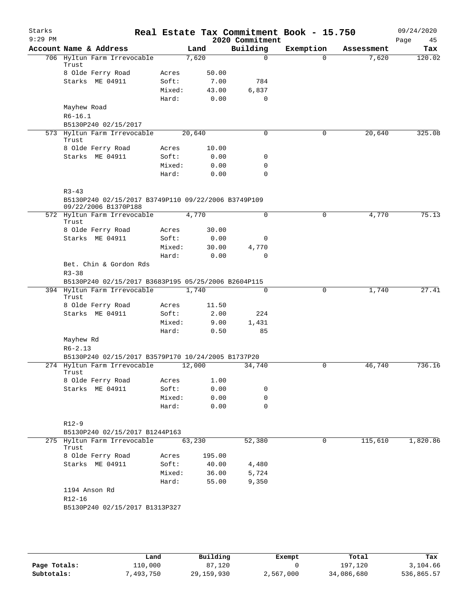| Starks<br>$9:29$ PM |                                                                             |                 |        |                | Real Estate Tax Commitment Book - 15.750<br>2020 Commitment |           |            | 09/24/2020<br>Page<br>45 |
|---------------------|-----------------------------------------------------------------------------|-----------------|--------|----------------|-------------------------------------------------------------|-----------|------------|--------------------------|
|                     | Account Name & Address                                                      |                 | Land   |                | Building                                                    | Exemption | Assessment | Tax                      |
|                     | 706 Hyltun Farm Irrevocable<br>Trust                                        |                 | 7,620  |                | 0                                                           | $\Omega$  | 7,620      | 120.02                   |
|                     | 8 Olde Ferry Road                                                           | Acres           |        | 50.00          |                                                             |           |            |                          |
|                     | Starks ME 04911                                                             | Soft:           |        | 7.00           | 784                                                         |           |            |                          |
|                     |                                                                             | Mixed:          |        | 43.00          | 6,837                                                       |           |            |                          |
|                     |                                                                             | Hard:           |        | 0.00           | 0                                                           |           |            |                          |
|                     | Mayhew Road<br>$R6 - 16.1$                                                  |                 |        |                |                                                             |           |            |                          |
|                     | B5130P240 02/15/2017                                                        |                 |        |                |                                                             |           |            |                          |
|                     | 573 Hyltun Farm Irrevocable<br>Trust                                        |                 | 20,640 |                | 0                                                           | 0         | 20,640     | 325.08                   |
|                     | 8 Olde Ferry Road                                                           | Acres           |        | 10.00          |                                                             |           |            |                          |
|                     | Starks ME 04911                                                             | Soft:<br>Mixed: |        | 0.00           | 0<br>0                                                      |           |            |                          |
|                     |                                                                             | Hard:           |        | 0.00<br>0.00   | 0                                                           |           |            |                          |
|                     | $R3 - 43$                                                                   |                 |        |                |                                                             |           |            |                          |
|                     | B5130P240 02/15/2017 B3749P110 09/22/2006 B3749P109<br>09/22/2006 B1370P188 |                 |        |                |                                                             |           |            |                          |
|                     | 572 Hyltun Farm Irrevocable<br>Trust                                        |                 | 4,770  |                | $\Omega$                                                    | 0         | 4,770      | 75.13                    |
|                     | 8 Olde Ferry Road                                                           | Acres           |        | 30.00          |                                                             |           |            |                          |
|                     | Starks ME 04911                                                             | Soft:           |        | 0.00           | 0                                                           |           |            |                          |
|                     |                                                                             | Mixed:          |        | 30.00          | 4,770                                                       |           |            |                          |
|                     | Bet. Chin & Gordon Rds<br>$R3 - 38$                                         | Hard:           |        | 0.00           | 0                                                           |           |            |                          |
|                     | B5130P240 02/15/2017 B3683P195 05/25/2006 B2604P115                         |                 |        |                |                                                             |           |            |                          |
|                     | 394 Hyltun Farm Irrevocable<br>Trust                                        |                 | 1,740  |                | $\Omega$                                                    | $\Omega$  | 1,740      | 27.41                    |
|                     | 8 Olde Ferry Road                                                           | Acres           |        | 11.50          |                                                             |           |            |                          |
|                     | Starks ME 04911                                                             | Soft:           |        | 2.00           | 224                                                         |           |            |                          |
|                     |                                                                             | Mixed:          |        | 9.00           | 1,431                                                       |           |            |                          |
|                     |                                                                             | Hard:           |        | 0.50           | 85                                                          |           |            |                          |
|                     | Mayhew Rd<br>$R6 - 2.13$                                                    |                 |        |                |                                                             |           |            |                          |
|                     | B5130P240 02/15/2017 B3579P170 10/24/2005 B1737P20                          |                 |        |                |                                                             |           |            |                          |
|                     | 274 Hyltun Farm Irrevocable<br>Trust                                        |                 | 12,000 |                | 34,740                                                      | 0         | 46,740     | 736.16                   |
|                     | 8 Olde Ferry Road                                                           | Acres           |        | 1.00           |                                                             |           |            |                          |
|                     | Starks ME 04911                                                             | Soft:           |        | 0.00           | 0                                                           |           |            |                          |
|                     |                                                                             | Mixed:<br>Hard: |        | 0.00<br>0.00   | 0<br>$\Omega$                                               |           |            |                          |
|                     | $R12-9$                                                                     |                 |        |                |                                                             |           |            |                          |
|                     | B5130P240 02/15/2017 B1244P163                                              |                 |        |                |                                                             |           |            |                          |
|                     | 275 Hyltun Farm Irrevocable<br>Trust                                        |                 | 63,230 |                | 52,380                                                      | 0         | 115,610    | 1,820.86                 |
|                     | 8 Olde Ferry Road                                                           | Acres           |        | 195.00         |                                                             |           |            |                          |
|                     | Starks ME 04911                                                             | Soft:           |        | 40.00          | 4,480                                                       |           |            |                          |
|                     |                                                                             | Mixed:<br>Hard: |        | 36.00<br>55.00 | 5,724<br>9,350                                              |           |            |                          |
|                     | 1194 Anson Rd                                                               |                 |        |                |                                                             |           |            |                          |
|                     | $R12 - 16$                                                                  |                 |        |                |                                                             |           |            |                          |
|                     | B5130P240 02/15/2017 B1313P327                                              |                 |        |                |                                                             |           |            |                          |
|                     |                                                                             |                 |        |                |                                                             |           |            |                          |

|              | Land      | Building     | Exempt    | Total      | Tax        |
|--------------|-----------|--------------|-----------|------------|------------|
| Page Totals: | 110,000   | 87,120       |           | 197,120    | 3,104.66   |
| Subtotals:   | 7,493,750 | 29, 159, 930 | 2,567,000 | 34,086,680 | 536,865.57 |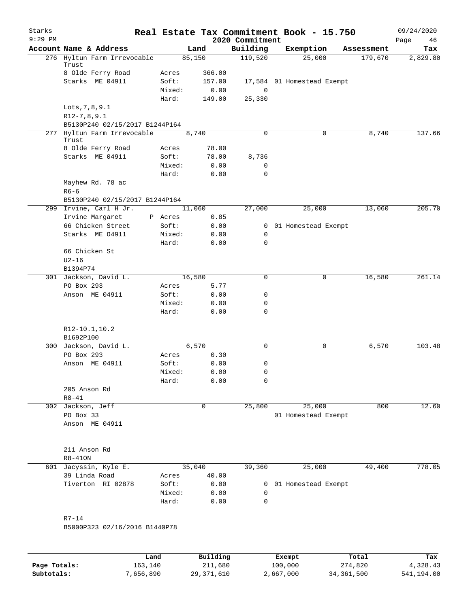| Starks       |                                      |                 |              |                             | Real Estate Tax Commitment Book - 15.750 |            | 09/24/2020        |
|--------------|--------------------------------------|-----------------|--------------|-----------------------------|------------------------------------------|------------|-------------------|
| $9:29$ PM    | Account Name & Address               |                 | Land         | 2020 Commitment<br>Building | Exemption                                | Assessment | Page<br>46<br>Tax |
|              | 276 Hyltun Farm Irrevocable          |                 | 85,150       | 119,520                     | 25,000                                   | 179,670    | 2,829.80          |
|              | Trust                                |                 |              |                             |                                          |            |                   |
|              | 8 Olde Ferry Road                    | Acres           | 366.00       |                             |                                          |            |                   |
|              | Starks ME 04911                      | Soft:           | 157.00       |                             | 17,584 01 Homestead Exempt               |            |                   |
|              |                                      | Mixed:          | 0.00         | $\mathbf 0$                 |                                          |            |                   |
|              | Lots, 7, 8, 9.1                      | Hard:           | 149.00       | 25,330                      |                                          |            |                   |
|              | $R12-7, 8, 9.1$                      |                 |              |                             |                                          |            |                   |
|              | B5130P240 02/15/2017 B1244P164       |                 |              |                             |                                          |            |                   |
|              | 277 Hyltun Farm Irrevocable          |                 | 8,740        | $\Omega$                    | 0                                        | 8,740      | 137.66            |
|              | Trust                                |                 |              |                             |                                          |            |                   |
|              | 8 Olde Ferry Road                    | Acres           | 78.00        |                             |                                          |            |                   |
|              | Starks ME 04911                      | Soft:           | 78.00        | 8,736                       |                                          |            |                   |
|              |                                      | Mixed:          | 0.00         | 0                           |                                          |            |                   |
|              |                                      | Hard:           | 0.00         | $\mathbf 0$                 |                                          |            |                   |
|              | Mayhew Rd. 78 ac                     |                 |              |                             |                                          |            |                   |
|              | $R6-6$                               |                 |              |                             |                                          |            |                   |
|              | B5130P240 02/15/2017 B1244P164       |                 |              |                             |                                          |            | 205.70            |
|              | 299 Irvine, Carl H Jr.               | P Acres         | 11,060       | 27,000                      | 25,000                                   | 13,060     |                   |
|              | Irvine Margaret<br>66 Chicken Street | Soft:           | 0.85<br>0.00 | 0                           | 01 Homestead Exempt                      |            |                   |
|              | Starks ME 04911                      | Mixed:          | 0.00         | 0                           |                                          |            |                   |
|              |                                      | Hard:           | 0.00         | $\mathbf 0$                 |                                          |            |                   |
|              | 66 Chicken St                        |                 |              |                             |                                          |            |                   |
|              | $U2-16$                              |                 |              |                             |                                          |            |                   |
|              | B1394P74                             |                 |              |                             |                                          |            |                   |
|              | 301 Jackson, David L.                |                 | 16,580       | 0                           | 0                                        | 16,580     | 261.14            |
|              | PO Box 293                           | Acres           | 5.77         |                             |                                          |            |                   |
|              | Anson ME 04911                       | Soft:           | 0.00         | 0                           |                                          |            |                   |
|              |                                      | Mixed:          | 0.00         | 0                           |                                          |            |                   |
|              |                                      | Hard:           | 0.00         | $\mathbf 0$                 |                                          |            |                   |
|              |                                      |                 |              |                             |                                          |            |                   |
|              | R12-10.1, 10.2<br>B1692P100          |                 |              |                             |                                          |            |                   |
|              | 300 Jackson, David L.                |                 | 6,570        | 0                           | 0                                        | 6,570      | 103.48            |
|              | PO Box 293                           | Acres           | 0.30         |                             |                                          |            |                   |
|              | Anson ME 04911                       | Soft:           | 0.00         | 0                           |                                          |            |                   |
|              |                                      | Mixed:          | 0.00         | 0                           |                                          |            |                   |
|              |                                      | Hard:           | 0.00         | 0                           |                                          |            |                   |
|              | 205 Anson Rd                         |                 |              |                             |                                          |            |                   |
|              | $R8 - 41$                            |                 |              |                             |                                          |            |                   |
|              | 302 Jackson, Jeff                    |                 | 0            | 25,800                      | 25,000                                   | 800        | 12.60             |
|              | PO Box 33                            |                 |              |                             | 01 Homestead Exempt                      |            |                   |
|              | Anson ME 04911                       |                 |              |                             |                                          |            |                   |
|              |                                      |                 |              |                             |                                          |            |                   |
|              | 211 Anson Rd                         |                 |              |                             |                                          |            |                   |
|              | $R8-410N$                            |                 |              |                             |                                          |            |                   |
| 601          | Jacyssin, Kyle E.                    |                 | 35,040       | 39,360                      | 25,000                                   | 49,400     | 778.05            |
|              | 39 Linda Road                        | Acres           | 40.00        |                             |                                          |            |                   |
|              | Tiverton RI 02878                    | Soft:           | 0.00         |                             | 0 01 Homestead Exempt                    |            |                   |
|              |                                      | Mixed:<br>Hard: | 0.00<br>0.00 | 0<br>0                      |                                          |            |                   |
|              |                                      |                 |              |                             |                                          |            |                   |
|              | $R7 - 14$                            |                 |              |                             |                                          |            |                   |
|              | B5000P323 02/16/2016 B1440P78        |                 |              |                             |                                          |            |                   |
|              |                                      |                 |              |                             |                                          |            |                   |
|              | Land                                 |                 | Building     |                             | Exempt                                   | Total      | Tax               |
| Page Totals: | 163,140                              |                 | 211,680      |                             | 100,000                                  | 274,820    | 4,328.43          |

**Subtotals:** 7,656,890 29,371,610 2,667,000 34,361,500 541,194.00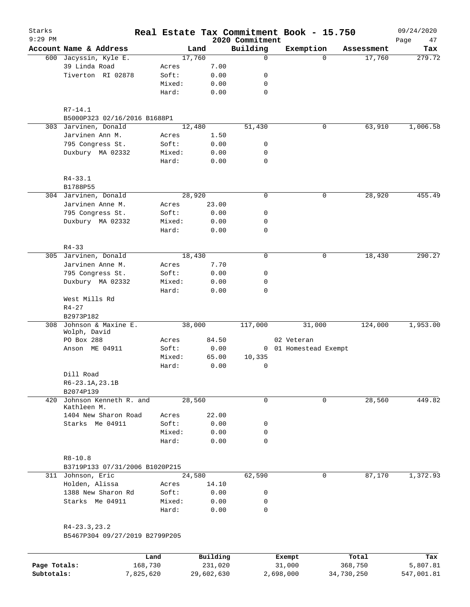| Starks<br>$9:29$ PM |                                |        |        |       | 2020 Commitment | Real Estate Tax Commitment Book - 15.750 |            | 09/24/2020<br>47<br>Page |
|---------------------|--------------------------------|--------|--------|-------|-----------------|------------------------------------------|------------|--------------------------|
|                     | Account Name & Address         |        | Land   |       | Building        | Exemption                                | Assessment | Tax                      |
|                     | 600 Jacyssin, Kyle E.          |        | 17,760 |       | 0               | $\Omega$                                 | 17,760     | 279.72                   |
|                     | 39 Linda Road                  | Acres  |        | 7.00  |                 |                                          |            |                          |
|                     | Tiverton RI 02878              | Soft:  |        | 0.00  | 0               |                                          |            |                          |
|                     |                                | Mixed: |        | 0.00  | 0               |                                          |            |                          |
|                     |                                | Hard:  |        | 0.00  | $\mathbf 0$     |                                          |            |                          |
|                     | R7-14.1                        |        |        |       |                 |                                          |            |                          |
|                     | B5000P323 02/16/2016 B1688P1   |        |        |       |                 |                                          |            |                          |
|                     | 303 Jarvinen, Donald           |        | 12,480 |       | 51,430          | $\mathbf 0$                              | 63,910     | 1,006.58                 |
|                     | Jarvinen Ann M.                | Acres  |        | 1.50  |                 |                                          |            |                          |
|                     | 795 Congress St.               | Soft:  |        | 0.00  | 0               |                                          |            |                          |
|                     | Duxbury MA 02332               | Mixed: |        | 0.00  | 0               |                                          |            |                          |
|                     |                                | Hard:  |        | 0.00  | $\mathbf 0$     |                                          |            |                          |
|                     | $R4 - 33.1$                    |        |        |       |                 |                                          |            |                          |
|                     | B1788P55                       |        |        |       |                 |                                          |            |                          |
|                     | 304 Jarvinen, Donald           |        | 28,920 |       | $\mathbf 0$     | $\mathbf 0$                              | 28,920     | 455.49                   |
|                     | Jarvinen Anne M.               | Acres  |        | 23.00 |                 |                                          |            |                          |
|                     | 795 Congress St.               | Soft:  |        | 0.00  | 0               |                                          |            |                          |
|                     | Duxbury MA 02332               | Mixed: |        | 0.00  | 0               |                                          |            |                          |
|                     |                                | Hard:  |        | 0.00  | $\mathbf 0$     |                                          |            |                          |
|                     | $R4 - 33$                      |        |        |       |                 |                                          |            |                          |
|                     | 305 Jarvinen, Donald           |        | 18,430 |       | 0               | $\mathbf 0$                              | 18,430     | 290.27                   |
|                     | Jarvinen Anne M.               | Acres  |        | 7.70  |                 |                                          |            |                          |
|                     | 795 Congress St.               | Soft:  |        | 0.00  | 0               |                                          |            |                          |
|                     | Duxbury MA 02332               | Mixed: |        | 0.00  | 0               |                                          |            |                          |
|                     |                                | Hard:  |        | 0.00  | 0               |                                          |            |                          |
|                     | West Mills Rd                  |        |        |       |                 |                                          |            |                          |
|                     | $R4 - 27$                      |        |        |       |                 |                                          |            |                          |
|                     | B2973P182                      |        |        |       |                 |                                          |            |                          |
|                     | 308 Johnson & Maxine E.        |        | 38,000 |       | 117,000         | 31,000                                   | 124,000    | 1,953.00                 |
|                     | Wolph, David                   |        |        |       |                 |                                          |            |                          |
|                     | PO Box 288                     | Acres  |        | 84.50 |                 | 02 Veteran                               |            |                          |
|                     | Anson ME 04911                 | Soft:  |        | 0.00  |                 | 0 01 Homestead Exempt                    |            |                          |
|                     |                                | Mixed: |        | 65.00 | 10,335          |                                          |            |                          |
|                     |                                | Hard:  |        | 0.00  | 0               |                                          |            |                          |
|                     | Dill Road                      |        |        |       |                 |                                          |            |                          |
|                     | $R6 - 23.1A, 23.1B$            |        |        |       |                 |                                          |            |                          |
|                     | B2074P139                      |        |        |       |                 |                                          |            |                          |
| 420                 | Johnson Kenneth R. and         |        | 28,560 |       | 0               | 0                                        | 28,560     | 449.82                   |
|                     | Kathleen M.                    |        |        |       |                 |                                          |            |                          |
|                     | 1404 New Sharon Road           | Acres  |        | 22.00 |                 |                                          |            |                          |
|                     | Starks Me 04911                | Soft:  |        | 0.00  | 0               |                                          |            |                          |
|                     |                                | Mixed: |        | 0.00  | 0               |                                          |            |                          |
|                     |                                | Hard:  |        | 0.00  | 0               |                                          |            |                          |
|                     | $R8 - 10.8$                    |        |        |       |                 |                                          |            |                          |
|                     | B3719P133 07/31/2006 B1020P215 |        |        |       |                 |                                          |            |                          |
|                     | 311 Johnson, Eric              |        | 24,580 |       | 62,590          | 0                                        | 87,170     | 1,372.93                 |
|                     | Holden, Alissa                 | Acres  |        | 14.10 |                 |                                          |            |                          |
|                     | 1388 New Sharon Rd             | Soft:  |        | 0.00  | 0               |                                          |            |                          |
|                     | Starks Me 04911                | Mixed: |        | 0.00  | 0               |                                          |            |                          |
|                     |                                | Hard:  |        | 0.00  | 0               |                                          |            |                          |
|                     | $R4 - 23.3, 23.2$              |        |        |       |                 |                                          |            |                          |
|                     | B5467P304 09/27/2019 B2799P205 |        |        |       |                 |                                          |            |                          |
|                     |                                |        |        |       |                 |                                          |            |                          |

|              | Land      | Building   | Exempt    | Total      | Tax        |
|--------------|-----------|------------|-----------|------------|------------|
| Page Totals: | 168,730   | 231,020    | 31,000    | 368,750    | 5,807.81   |
| Subtotals:   | 7,825,620 | 29,602,630 | 2,698,000 | 34,730,250 | 547,001.81 |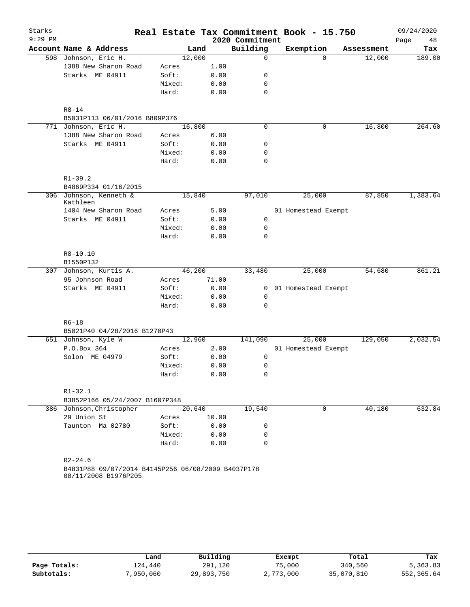| Starks    |                                                    |        |        |                 | Real Estate Tax Commitment Book - 15.750 |            | 09/24/2020 |
|-----------|----------------------------------------------------|--------|--------|-----------------|------------------------------------------|------------|------------|
| $9:29$ PM |                                                    |        |        | 2020 Commitment |                                          |            | Page<br>48 |
|           | Account Name & Address                             |        | Land   | Building        | Exemption                                | Assessment | Tax        |
|           | 598 Johnson, Eric H.                               |        | 12,000 | $\mathbf 0$     | $\Omega$                                 | 12,000     | 189.00     |
|           | 1388 New Sharon Road                               | Acres  | 1.00   |                 |                                          |            |            |
|           | Starks ME 04911                                    | Soft:  | 0.00   | 0               |                                          |            |            |
|           |                                                    | Mixed: | 0.00   | $\mathbf 0$     |                                          |            |            |
|           |                                                    | Hard:  | 0.00   | 0               |                                          |            |            |
|           | $R8 - 14$                                          |        |        |                 |                                          |            |            |
|           | B5031P113 06/01/2016 B809P376                      |        |        |                 |                                          |            |            |
|           | 771 Johnson, Eric H.                               |        | 16,800 | $\mathbf 0$     | 0                                        | 16,800     | 264.60     |
|           | 1388 New Sharon Road                               | Acres  | 6.00   |                 |                                          |            |            |
|           | Starks ME 04911                                    | Soft:  | 0.00   | 0               |                                          |            |            |
|           |                                                    | Mixed: | 0.00   | 0               |                                          |            |            |
|           |                                                    | Hard:  | 0.00   | 0               |                                          |            |            |
|           | $R1 - 39.2$                                        |        |        |                 |                                          |            |            |
|           | B4869P334 01/16/2015                               |        |        |                 |                                          |            |            |
|           | 306 Johnson, Kenneth &<br>Kathleen                 |        | 15,840 | 97,010          | 25,000                                   | 87,850     | 1,383.64   |
|           | 1404 New Sharon Road                               | Acres  | 5.00   |                 | 01 Homestead Exempt                      |            |            |
|           | Starks ME 04911                                    | Soft:  | 0.00   | 0               |                                          |            |            |
|           |                                                    | Mixed: | 0.00   | 0               |                                          |            |            |
|           |                                                    | Hard:  | 0.00   | $\mathbf 0$     |                                          |            |            |
|           | $R8 - 10.10$                                       |        |        |                 |                                          |            |            |
|           | B1550P132                                          |        |        |                 |                                          |            |            |
|           | 307 Johnson, Kurtis A.                             |        | 46,200 | 33,480          | 25,000                                   | 54,680     | 861.21     |
|           | 95 Johnson Road                                    | Acres  | 71.00  |                 |                                          |            |            |
|           | Starks ME 04911                                    | Soft:  | 0.00   | $\mathbf{0}$    | 01 Homestead Exempt                      |            |            |
|           |                                                    | Mixed: | 0.00   | $\mathbf 0$     |                                          |            |            |
|           |                                                    | Hard:  | 0.00   | $\mathbf 0$     |                                          |            |            |
|           | $R6 - 18$                                          |        |        |                 |                                          |            |            |
|           | B5021P40 04/28/2016 B1270P43                       |        |        |                 |                                          |            |            |
|           | 651 Johnson, Kyle W                                |        | 12,960 | 141,090         | 25,000                                   | 129,050    | 2,032.54   |
|           | P.O.Box 364                                        | Acres  | 2.00   |                 | 01 Homestead Exempt                      |            |            |
|           | Solon ME 04979                                     | Soft:  | 0.00   | 0               |                                          |            |            |
|           |                                                    | Mixed: | 0.00   | 0               |                                          |            |            |
|           |                                                    | Hard:  | 0.00   | 0               |                                          |            |            |
|           | $R1 - 32.1$                                        |        |        |                 |                                          |            |            |
|           | B3852P166 05/24/2007 B1607P348                     |        |        |                 |                                          |            |            |
|           | 386 Johnson, Christopher                           |        | 20,640 | 19,540          | 0                                        | 40,180     | 632.84     |
|           | 29 Union St                                        | Acres  | 10.00  |                 |                                          |            |            |
|           | Taunton Ma 02780                                   | Soft:  | 0.00   | 0               |                                          |            |            |
|           |                                                    | Mixed: | 0.00   | 0               |                                          |            |            |
|           |                                                    | Hard:  | 0.00   | $\Omega$        |                                          |            |            |
|           | $R2 - 24.6$                                        |        |        |                 |                                          |            |            |
|           | B4831P88 09/07/2014 B4145P256 06/08/2009 B4037P178 |        |        |                 |                                          |            |            |
|           | 08/11/2008 B1976P205                               |        |        |                 |                                          |            |            |
|           |                                                    |        |        |                 |                                          |            |            |

|              | Land      | Building   | Exempt    | Total      | Tax        |
|--------------|-----------|------------|-----------|------------|------------|
| Page Totals: | 124,440   | 291,120    | 75,000    | 340,560    | 5,363.83   |
| Subtotals:   | 7,950,060 | 29,893,750 | 2,773,000 | 35,070,810 | 552,365.64 |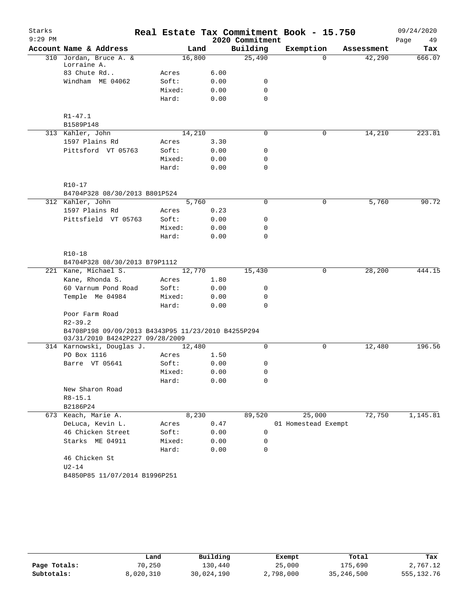| Starks    |                                                                                       |       |        |              |                 | Real Estate Tax Commitment Book - 15.750 |            | 09/24/2020 |
|-----------|---------------------------------------------------------------------------------------|-------|--------|--------------|-----------------|------------------------------------------|------------|------------|
| $9:29$ PM |                                                                                       |       |        |              | 2020 Commitment |                                          |            | Page<br>49 |
|           | Account Name & Address                                                                |       |        | Land         | Building        | Exemption                                | Assessment | Tax        |
|           | 310 Jordan, Bruce A. &                                                                |       | 16,800 |              | 25,490          | $\Omega$                                 | 42,290     | 666.07     |
|           | Lorraine A.<br>83 Chute Rd                                                            |       |        |              |                 |                                          |            |            |
|           |                                                                                       | Acres |        | 6.00         | 0               |                                          |            |            |
|           | Windham ME 04062                                                                      | Soft: |        | 0.00         | 0               |                                          |            |            |
|           |                                                                                       | Hard: | Mixed: | 0.00<br>0.00 | 0               |                                          |            |            |
|           |                                                                                       |       |        |              |                 |                                          |            |            |
|           | $R1 - 47.1$                                                                           |       |        |              |                 |                                          |            |            |
|           | B1589P148                                                                             |       |        |              |                 |                                          |            |            |
|           | 313 Kahler, John                                                                      |       | 14,210 |              | 0               | 0                                        | 14,210     | 223.81     |
|           | 1597 Plains Rd                                                                        | Acres |        | 3.30         |                 |                                          |            |            |
|           | Pittsford VT 05763                                                                    | Soft: |        | 0.00         | 0               |                                          |            |            |
|           |                                                                                       |       | Mixed: | 0.00         | 0               |                                          |            |            |
|           |                                                                                       | Hard: |        | 0.00         | 0               |                                          |            |            |
|           |                                                                                       |       |        |              |                 |                                          |            |            |
|           | $R10-17$                                                                              |       |        |              |                 |                                          |            |            |
|           | B4704P328 08/30/2013 B801P524                                                         |       |        |              |                 |                                          |            |            |
|           | 312 Kahler, John                                                                      |       | 5,760  |              | 0               | 0                                        | 5,760      | 90.72      |
|           | 1597 Plains Rd                                                                        | Acres |        | 0.23         |                 |                                          |            |            |
|           | Pittsfield VT 05763                                                                   | Soft: |        | 0.00         | 0               |                                          |            |            |
|           |                                                                                       |       | Mixed: | 0.00         | 0               |                                          |            |            |
|           |                                                                                       | Hard: |        | 0.00         | 0               |                                          |            |            |
|           |                                                                                       |       |        |              |                 |                                          |            |            |
|           | R10-18                                                                                |       |        |              |                 |                                          |            |            |
|           | B4704P328 08/30/2013 B79P1112                                                         |       |        |              |                 |                                          |            |            |
|           | 221 Kane, Michael S.                                                                  |       | 12,770 |              | 15,430          | 0                                        | 28,200     | 444.15     |
|           | Kane, Rhonda S.                                                                       | Acres |        | 1.80         |                 |                                          |            |            |
|           | 60 Varnum Pond Road                                                                   | Soft: |        | 0.00         | 0               |                                          |            |            |
|           | Temple Me 04984                                                                       |       | Mixed: | 0.00         | 0               |                                          |            |            |
|           |                                                                                       | Hard: |        | 0.00         | 0               |                                          |            |            |
|           | Poor Farm Road                                                                        |       |        |              |                 |                                          |            |            |
|           | $R2 - 39.2$                                                                           |       |        |              |                 |                                          |            |            |
|           | B4708P198 09/09/2013 B4343P95 11/23/2010 B4255P294<br>03/31/2010 B4242P227 09/28/2009 |       |        |              |                 |                                          |            |            |
|           | 314 Karnowski, Douglas J.                                                             |       | 12,480 |              | $\Omega$        | 0                                        | 12,480     | 196.56     |
|           | PO Box 1116                                                                           | Acres |        | 1.50         |                 |                                          |            |            |
|           | Barre VT 05641                                                                        | Soft: |        | 0.00         | 0               |                                          |            |            |
|           |                                                                                       |       | Mixed: | 0.00         | 0               |                                          |            |            |
|           |                                                                                       | Hard: |        | 0.00         | 0               |                                          |            |            |
|           | New Sharon Road                                                                       |       |        |              |                 |                                          |            |            |
|           | $R8 - 15.1$                                                                           |       |        |              |                 |                                          |            |            |
|           | B2186P24                                                                              |       |        |              |                 |                                          |            |            |
|           | 673 Keach, Marie A.                                                                   |       | 8,230  |              | 89,520          | 25,000                                   | 72,750     | 1,145.81   |
|           | DeLuca, Kevin L.                                                                      | Acres |        | 0.47         |                 | 01 Homestead Exempt                      |            |            |
|           | 46 Chicken Street                                                                     | Soft: |        | 0.00         | 0               |                                          |            |            |
|           | Starks ME 04911                                                                       |       | Mixed: | 0.00         | 0               |                                          |            |            |
|           |                                                                                       | Hard: |        | 0.00         | 0               |                                          |            |            |
|           | 46 Chicken St                                                                         |       |        |              |                 |                                          |            |            |
|           | $U2-14$                                                                               |       |        |              |                 |                                          |            |            |
|           | B4850P85 11/07/2014 B1996P251                                                         |       |        |              |                 |                                          |            |            |
|           |                                                                                       |       |        |              |                 |                                          |            |            |

|              | Land      | Building   | Exempt    | Total      | Tax        |
|--------------|-----------|------------|-----------|------------|------------|
| Page Totals: | 70,250    | 130,440    | 25,000    | 175,690    | 2,767.12   |
| Subtotals:   | 8,020,310 | 30,024,190 | 2,798,000 | 35,246,500 | 555,132.76 |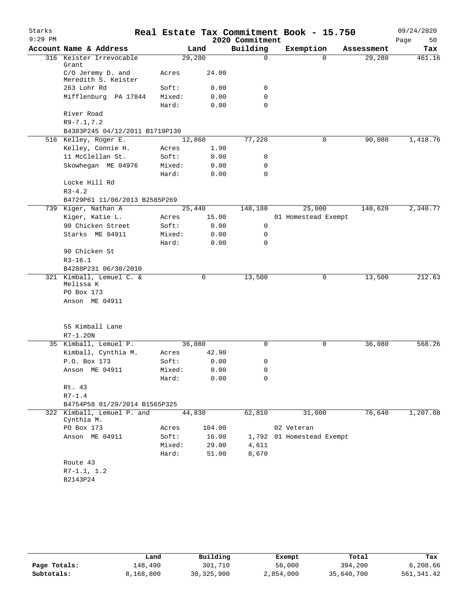| Starks<br>$9:29$ PM |                                          |        |        | 2020 Commitment | Real Estate Tax Commitment Book - 15.750 |            | 09/24/2020<br>Page<br>50 |
|---------------------|------------------------------------------|--------|--------|-----------------|------------------------------------------|------------|--------------------------|
|                     | Account Name & Address                   |        | Land   | Building        | Exemption                                | Assessment | Tax                      |
|                     | 316 Keister Irrevocable<br>Grant         | 29,280 |        | 0               | $\Omega$                                 | 29,280     | 461.16                   |
|                     | C/O Jeremy D. and<br>Meredith S. Keister | Acres  | 24.00  |                 |                                          |            |                          |
|                     | 263 Lohr Rd                              | Soft:  | 0.00   | 0               |                                          |            |                          |
|                     | Mifflenburg PA 17844                     | Mixed: | 0.00   | 0               |                                          |            |                          |
|                     |                                          | Hard:  | 0.00   | $\Omega$        |                                          |            |                          |
|                     | River Road                               |        |        |                 |                                          |            |                          |
|                     | $R9 - 7.1, 7.2$                          |        |        |                 |                                          |            |                          |
|                     | B4383P245 04/12/2011 B1719P130           |        |        |                 |                                          |            |                          |
|                     | 516 Kelley, Roger E.                     | 12,860 |        | 77,220          | 0                                        | 90,080     | 1,418.76                 |
|                     | Kelley, Connie H.                        | Acres  | 1.90   |                 |                                          |            |                          |
|                     | 11 McClellan St.                         | Soft:  | 0.00   | 0               |                                          |            |                          |
|                     | Skowhegan ME 04976                       | Mixed: | 0.00   | 0               |                                          |            |                          |
|                     |                                          | Hard:  | 0.00   | 0               |                                          |            |                          |
|                     | Locke Hill Rd                            |        |        |                 |                                          |            |                          |
|                     | $R3 - 4.2$                               |        |        |                 |                                          |            |                          |
|                     | B4729P61 11/06/2013 B2585P269            |        |        |                 |                                          |            |                          |
|                     | 739 Kiger, Nathan A                      | 25,440 |        | 148,180         | 25,000                                   | 148,620    | 2,340.77                 |
|                     | Kiger, Katie L.                          | Acres  | 15.00  |                 | 01 Homestead Exempt                      |            |                          |
|                     | 90 Chicken Street                        | Soft:  | 0.00   | 0               |                                          |            |                          |
|                     | Starks ME 04911                          | Mixed: | 0.00   | 0               |                                          |            |                          |
|                     |                                          | Hard:  | 0.00   | $\Omega$        |                                          |            |                          |
|                     | 90 Chicken St                            |        |        |                 |                                          |            |                          |
|                     | $R3 - 16.1$                              |        |        |                 |                                          |            |                          |
|                     | B4288P231 06/30/2010                     |        |        |                 |                                          |            |                          |
|                     | 321 Kimball, Lemuel C. &<br>Melissa K    |        | 0      | 13,500          | 0                                        | 13,500     | 212.63                   |
|                     | PO Box 173                               |        |        |                 |                                          |            |                          |
|                     | Anson ME 04911                           |        |        |                 |                                          |            |                          |
|                     | 55 Kimball Lane                          |        |        |                 |                                          |            |                          |
|                     | $R7 - 1.20N$                             |        |        |                 |                                          |            |                          |
|                     | 35 Kimball, Lemuel P.                    | 36,080 |        | 0               | 0                                        | 36,080     | 568.26                   |
|                     | Kimball, Cynthia M.                      | Acres  | 42.90  |                 |                                          |            |                          |
|                     | P.O. Box 173                             | Soft:  | 0.00   | 0               |                                          |            |                          |
|                     | Anson ME 04911                           | Mixed: | 0.00   | 0               |                                          |            |                          |
|                     |                                          | Hard:  | 0.00   | 0               |                                          |            |                          |
|                     | Rt. 43                                   |        |        |                 |                                          |            |                          |
|                     | $R7 - 1.4$                               |        |        |                 |                                          |            |                          |
|                     | B4754P58 01/29/2014 B1565P325            |        |        |                 |                                          |            |                          |
|                     | 322 Kimball, Lemuel P. and<br>Cynthia M. | 44,830 |        | 62,810          | 31,000                                   | 76,640     | 1,207.08                 |
|                     | PO Box 173                               | Acres  | 104.00 |                 | 02 Veteran                               |            |                          |
|                     | Anson ME 04911                           | Soft:  | 16.00  | 1,792           | 01 Homestead Exempt                      |            |                          |
|                     |                                          | Mixed: | 29.00  | 4,611           |                                          |            |                          |
|                     |                                          | Hard:  | 51.00  | 8,670           |                                          |            |                          |
|                     | Route 43                                 |        |        |                 |                                          |            |                          |
|                     | $R7-1.1, 1.2$                            |        |        |                 |                                          |            |                          |
|                     | B2143P24                                 |        |        |                 |                                          |            |                          |

|              | Land      | Building     | Exempt    | Total      | Tax         |
|--------------|-----------|--------------|-----------|------------|-------------|
| Page Totals: | 148,490   | 301,710      | 56,000    | 394,200    | 6,208.66    |
| Subtotals:   | 8,168,800 | 30, 325, 900 | 2,854,000 | 35,640,700 | 561, 341.42 |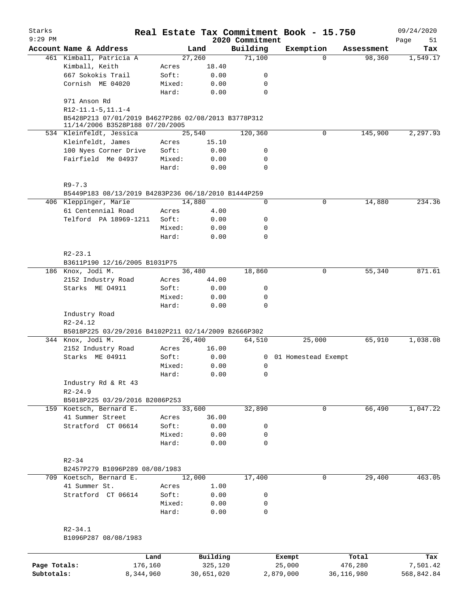| Starks       |                                                     |        |          |                             | Real Estate Tax Commitment Book - 15.750 |                      | 09/24/2020      |
|--------------|-----------------------------------------------------|--------|----------|-----------------------------|------------------------------------------|----------------------|-----------------|
| $9:29$ PM    |                                                     |        |          | 2020 Commitment<br>Building |                                          |                      | Page<br>51      |
|              | Account Name & Address<br>461 Kimball, Patricia A   | 27,260 | Land     | 71,100                      | Exemption<br>$\Omega$                    | Assessment<br>98,360 | Tax<br>1,549.17 |
|              | Kimball, Keith                                      | Acres  | 18.40    |                             |                                          |                      |                 |
|              | 667 Sokokis Trail                                   | Soft:  | 0.00     | 0                           |                                          |                      |                 |
|              | Cornish ME 04020                                    | Mixed: | 0.00     | 0                           |                                          |                      |                 |
|              |                                                     | Hard:  | 0.00     | 0                           |                                          |                      |                 |
|              | 971 Anson Rd                                        |        |          |                             |                                          |                      |                 |
|              | $R12-11.1-5, 11.1-4$                                |        |          |                             |                                          |                      |                 |
|              | B5428P213 07/01/2019 B4627P286 02/08/2013 B3778P312 |        |          |                             |                                          |                      |                 |
|              | 11/14/2006 B3528P188 07/20/2005                     |        |          |                             |                                          |                      |                 |
|              | 534 Kleinfeldt, Jessica                             |        | 25,540   | 120,360                     | $\mathbf 0$                              | 145,900              | 2,297.93        |
|              | Kleinfeldt, James                                   | Acres  | 15.10    |                             |                                          |                      |                 |
|              | 100 Nyes Corner Drive                               | Soft:  | 0.00     | 0                           |                                          |                      |                 |
|              | Fairfield Me 04937                                  | Mixed: | 0.00     | 0                           |                                          |                      |                 |
|              |                                                     | Hard:  | 0.00     | $\mathbf 0$                 |                                          |                      |                 |
|              | $R9 - 7.3$                                          |        |          |                             |                                          |                      |                 |
|              | B5449P183 08/13/2019 B4283P236 06/18/2010 B1444P259 |        |          |                             |                                          |                      |                 |
|              | 406 Kleppinger, Marie                               | 14,880 |          | 0                           | 0                                        | 14,880               | 234.36          |
|              | 61 Centennial Road                                  | Acres  | 4.00     |                             |                                          |                      |                 |
|              | Telford PA 18969-1211                               | Soft:  | 0.00     | 0                           |                                          |                      |                 |
|              |                                                     | Mixed: | 0.00     | 0                           |                                          |                      |                 |
|              |                                                     | Hard:  | 0.00     | $\mathbf 0$                 |                                          |                      |                 |
|              |                                                     |        |          |                             |                                          |                      |                 |
|              | $R2 - 23.1$                                         |        |          |                             |                                          |                      |                 |
|              | B3611P190 12/16/2005 B1031P75                       |        |          |                             |                                          |                      |                 |
|              | 186 Knox, Jodi M.                                   |        | 36,480   | 18,860                      | 0                                        | 55,340               | 871.61          |
|              | 2152 Industry Road                                  | Acres  | 44.00    |                             |                                          |                      |                 |
|              | Starks ME 04911                                     | Soft:  | 0.00     | $\mathsf{O}$                |                                          |                      |                 |
|              |                                                     | Mixed: | 0.00     | 0                           |                                          |                      |                 |
|              |                                                     | Hard:  | 0.00     | $\mathbf 0$                 |                                          |                      |                 |
|              | Industry Road<br>$R2 - 24.12$                       |        |          |                             |                                          |                      |                 |
|              | B5018P225 03/29/2016 B4102P211 02/14/2009 B2666P302 |        |          |                             |                                          |                      |                 |
|              | 344 Knox, Jodi M.                                   | 26,400 |          | 64,510                      | 25,000                                   | 65,910               | 1,038.08        |
|              | 2152 Industry Road                                  | Acres  | 16.00    |                             |                                          |                      |                 |
|              | Starks ME 04911                                     | Soft:  | 0.00     |                             | 0 01 Homestead Exempt                    |                      |                 |
|              |                                                     | Mixed: | 0.00     | 0                           |                                          |                      |                 |
|              |                                                     | Hard:  | 0.00     | 0                           |                                          |                      |                 |
|              | Industry Rd & Rt 43                                 |        |          |                             |                                          |                      |                 |
|              | $R2 - 24.9$                                         |        |          |                             |                                          |                      |                 |
|              | B5018P225 03/29/2016 B2086P253                      |        |          |                             |                                          |                      |                 |
|              | 159 Koetsch, Bernard E.                             | 33,600 |          | 32,890                      |                                          | 66,490<br>0          | 1,047.22        |
|              | 41 Summer Street                                    | Acres  | 36.00    |                             |                                          |                      |                 |
|              | Stratford CT 06614                                  | Soft:  | 0.00     | 0                           |                                          |                      |                 |
|              |                                                     | Mixed: | 0.00     | 0                           |                                          |                      |                 |
|              |                                                     | Hard:  | 0.00     | 0                           |                                          |                      |                 |
|              | $R2 - 34$                                           |        |          |                             |                                          |                      |                 |
|              | B2457P279 B1096P289 08/08/1983                      |        |          |                             |                                          |                      |                 |
|              | 709 Koetsch, Bernard E.                             | 12,000 |          | 17,400                      | 0                                        | 29,400               | 463.05          |
|              | 41 Summer St.                                       | Acres  | 1.00     |                             |                                          |                      |                 |
|              | Stratford CT 06614                                  | Soft:  | 0.00     | 0                           |                                          |                      |                 |
|              |                                                     | Mixed: | 0.00     | 0                           |                                          |                      |                 |
|              |                                                     | Hard:  | 0.00     | 0                           |                                          |                      |                 |
|              | $R2 - 34.1$                                         |        |          |                             |                                          |                      |                 |
|              | B1096P287 08/08/1983                                |        |          |                             |                                          |                      |                 |
|              |                                                     |        |          |                             |                                          |                      |                 |
|              |                                                     | Land   | Building |                             | Exempt                                   | Total                | Tax             |
| Page Totals: | 176,160                                             |        | 325,120  |                             | 25,000                                   | 476,280              | 7,501.42        |

**Subtotals:** 8,344,960 30,651,020 2,879,000 36,116,980 568,842.84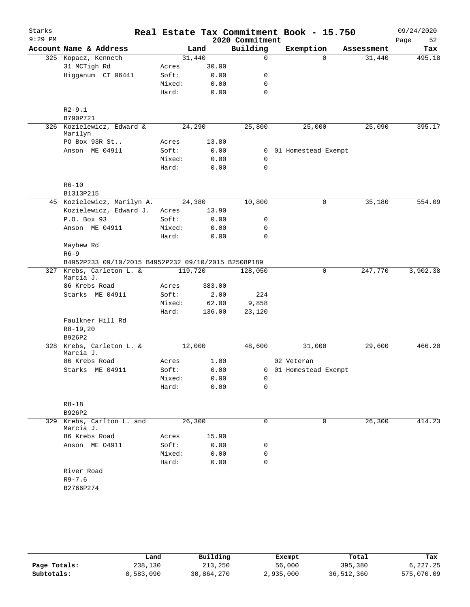| Starks    |                                                     |        |         |        |                 |  | Real Estate Tax Commitment Book - 15.750 |            | 09/24/2020 |
|-----------|-----------------------------------------------------|--------|---------|--------|-----------------|--|------------------------------------------|------------|------------|
| $9:29$ PM |                                                     |        |         |        | 2020 Commitment |  |                                          |            | Page<br>52 |
|           | Account Name & Address                              |        | Land    |        | Building        |  | Exemption                                | Assessment | Tax        |
|           | 325 Kopacz, Kenneth                                 |        | 31,440  |        | $\mathbf 0$     |  | $\Omega$                                 | 31,440     | 495.18     |
|           | 31 MCTigh Rd                                        | Acres  |         | 30.00  |                 |  |                                          |            |            |
|           | Higganum CT 06441                                   | Soft:  |         | 0.00   | 0               |  |                                          |            |            |
|           |                                                     | Mixed: |         | 0.00   | $\mathbf 0$     |  |                                          |            |            |
|           |                                                     | Hard:  |         | 0.00   | $\mathbf 0$     |  |                                          |            |            |
|           |                                                     |        |         |        |                 |  |                                          |            |            |
|           | $R2 - 9.1$                                          |        |         |        |                 |  |                                          |            |            |
|           | B790P721                                            |        |         |        |                 |  |                                          |            |            |
|           | 326 Kozielewicz, Edward &<br>Marilyn                |        | 24,290  |        | 25,800          |  | 25,000                                   | 25,090     | 395.17     |
|           | PO Box 93R St                                       | Acres  |         | 13.80  |                 |  |                                          |            |            |
|           | Anson ME 04911                                      | Soft:  |         | 0.00   |                 |  | 0 01 Homestead Exempt                    |            |            |
|           |                                                     | Mixed: |         | 0.00   | 0               |  |                                          |            |            |
|           |                                                     | Hard:  |         | 0.00   | $\mathbf 0$     |  |                                          |            |            |
|           | $R6 - 10$                                           |        |         |        |                 |  |                                          |            |            |
|           | B1313P215                                           |        |         |        |                 |  |                                          |            |            |
|           | 45 Kozielewicz, Marilyn A.                          |        | 24,380  |        | 10,800          |  | 0                                        | 35,180     | 554.09     |
|           | Kozielewicz, Edward J.                              | Acres  |         | 13.90  |                 |  |                                          |            |            |
|           | P.O. Box 93                                         | Soft:  |         | 0.00   | 0               |  |                                          |            |            |
|           | Anson ME 04911                                      | Mixed: |         | 0.00   | 0               |  |                                          |            |            |
|           |                                                     | Hard:  |         | 0.00   | $\mathbf 0$     |  |                                          |            |            |
|           | Mayhew Rd                                           |        |         |        |                 |  |                                          |            |            |
|           | $R6 - 9$                                            |        |         |        |                 |  |                                          |            |            |
|           | B4952P233 09/10/2015 B4952P232 09/10/2015 B2508P189 |        |         |        |                 |  |                                          |            |            |
|           | 327 Krebs, Carleton L. &                            |        | 119,720 |        | 128,050         |  | 0                                        | 247,770    | 3,902.38   |
|           | Marcia J.                                           |        |         |        |                 |  |                                          |            |            |
|           | 86 Krebs Road                                       | Acres  |         | 383.00 |                 |  |                                          |            |            |
|           | Starks ME 04911                                     | Soft:  |         | 2.00   | 224             |  |                                          |            |            |
|           |                                                     | Mixed: |         | 62.00  | 9,858           |  |                                          |            |            |
|           |                                                     | Hard:  |         | 136.00 | 23,120          |  |                                          |            |            |
|           | Faulkner Hill Rd                                    |        |         |        |                 |  |                                          |            |            |
|           | $R8-19,20$                                          |        |         |        |                 |  |                                          |            |            |
|           | B926P2                                              |        |         |        |                 |  |                                          |            |            |
|           | 328 Krebs, Carleton L. &                            |        | 12,000  |        | 48,600          |  | 31,000                                   | 29,600     | 466.20     |
|           | Marcia J.                                           |        |         |        |                 |  |                                          |            |            |
|           | 86 Krebs Road                                       | Acres  |         | 1.00   |                 |  | 02 Veteran                               |            |            |
|           | Starks ME 04911                                     | Soft:  |         | 0.00   |                 |  | 0 01 Homestead Exempt                    |            |            |
|           |                                                     | Mixed: |         | 0.00   | 0               |  |                                          |            |            |
|           |                                                     | Hard:  |         | 0.00   | 0               |  |                                          |            |            |
|           | $R8 - 18$                                           |        |         |        |                 |  |                                          |            |            |
|           | B926P2                                              |        |         |        |                 |  |                                          |            |            |
|           | 329 Krebs, Carlton L. and                           |        | 26,300  |        | 0               |  | 0                                        | 26,300     | 414.23     |
|           | Marcia J.                                           |        |         |        |                 |  |                                          |            |            |
|           | 86 Krebs Road                                       | Acres  |         | 15.90  |                 |  |                                          |            |            |
|           | Anson ME 04911                                      | Soft:  |         | 0.00   | 0               |  |                                          |            |            |
|           |                                                     | Mixed: |         | 0.00   | 0               |  |                                          |            |            |
|           |                                                     | Hard:  |         | 0.00   | 0               |  |                                          |            |            |
|           | River Road                                          |        |         |        |                 |  |                                          |            |            |
|           | $R9 - 7.6$                                          |        |         |        |                 |  |                                          |            |            |
|           | B2766P274                                           |        |         |        |                 |  |                                          |            |            |
|           |                                                     |        |         |        |                 |  |                                          |            |            |
|           |                                                     |        |         |        |                 |  |                                          |            |            |

|              | Land      | Building   | Exempt    | Total      | Tax        |
|--------------|-----------|------------|-----------|------------|------------|
| Page Totals: | 238,130   | 213,250    | 56,000    | 395,380    | 6,227.25   |
| Subtotals:   | 8,583,090 | 30,864,270 | 2,935,000 | 36,512,360 | 575,070.09 |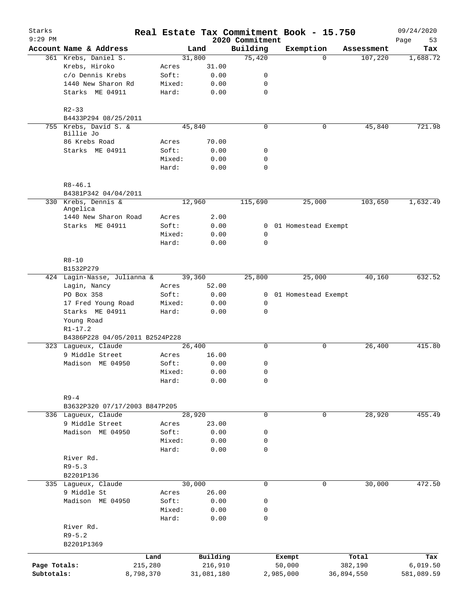| Starks       |                                        |                 |                     |                             | Real Estate Tax Commitment Book - 15.750 |                     | 09/24/2020        |
|--------------|----------------------------------------|-----------------|---------------------|-----------------------------|------------------------------------------|---------------------|-------------------|
| $9:29$ PM    | Account Name & Address                 |                 | Land                | 2020 Commitment<br>Building | Exemption                                | Assessment          | Page<br>53<br>Tax |
|              | 361 Krebs, Daniel S.                   |                 | 31,800              | 75,420                      |                                          | 107,220<br>$\Omega$ | 1,688.72          |
|              | Krebs, Hiroko                          | Acres           | 31.00               |                             |                                          |                     |                   |
|              | c/o Dennis Krebs                       | Soft:           | 0.00                | 0                           |                                          |                     |                   |
|              | 1440 New Sharon Rd                     | Mixed:          | 0.00                | 0                           |                                          |                     |                   |
|              | Starks ME 04911                        | Hard:           | 0.00                | $\mathbf 0$                 |                                          |                     |                   |
|              | $R2 - 33$                              |                 |                     |                             |                                          |                     |                   |
|              | B4433P294 08/25/2011                   |                 |                     |                             |                                          |                     |                   |
|              | 755 Krebs, David S. &<br>Billie Jo     |                 | 45,840              | $\mathbf 0$                 | 0                                        | 45,840              | 721.98            |
|              | 86 Krebs Road                          | Acres           | 70.00               |                             |                                          |                     |                   |
|              | Starks ME 04911                        | Soft:<br>Mixed: | 0.00<br>0.00        | 0<br>0                      |                                          |                     |                   |
|              |                                        | Hard:           | 0.00                | $\mathbf 0$                 |                                          |                     |                   |
|              | $R8 - 46.1$                            |                 |                     |                             |                                          |                     |                   |
|              | B4381P342 04/04/2011                   |                 |                     |                             |                                          |                     |                   |
|              | 330 Krebs, Dennis &<br>Angelica        |                 | 12,960              | 115,690                     | 25,000                                   | 103,650             | 1,632.49          |
|              | 1440 New Sharon Road                   | Acres           | 2.00                |                             |                                          |                     |                   |
|              | Starks ME 04911                        | Soft:           | 0.00                | $\overline{0}$              | 01 Homestead Exempt                      |                     |                   |
|              |                                        | Mixed:          | 0.00                | 0                           |                                          |                     |                   |
|              |                                        | Hard:           | 0.00                | $\mathbf 0$                 |                                          |                     |                   |
|              | $R8 - 10$<br>B1532P279                 |                 |                     |                             |                                          |                     |                   |
|              | 424 Lagin-Nasse, Julianna &            |                 | 39,360              | 25,800                      | 25,000                                   | 40,160              | 632.52            |
|              | Lagin, Nancy                           | Acres           | 52.00               |                             |                                          |                     |                   |
|              | PO Box 358                             | Soft:           | 0.00                |                             | 0 01 Homestead Exempt                    |                     |                   |
|              | 17 Fred Young Road                     | Mixed:          | 0.00                | 0                           |                                          |                     |                   |
|              | Starks ME 04911                        | Hard:           | 0.00                | $\mathbf 0$                 |                                          |                     |                   |
|              | Young Road                             |                 |                     |                             |                                          |                     |                   |
|              | $R1 - 17.2$                            |                 |                     |                             |                                          |                     |                   |
|              | B4386P228 04/05/2011 B2524P228         |                 |                     |                             |                                          |                     |                   |
|              | 323 Lagueux, Claude<br>9 Middle Street |                 | 26,400              | 0                           | 0                                        | 26,400              | 415.80            |
|              | Madison ME 04950                       | Acres<br>Soft:  | 16.00<br>0.00       | 0                           |                                          |                     |                   |
|              |                                        | Mixed:          | 0.00                | 0                           |                                          |                     |                   |
|              |                                        | Hard:           | 0.00                | 0                           |                                          |                     |                   |
|              | $R9 - 4$                               |                 |                     |                             |                                          |                     |                   |
|              | B3632P320 07/17/2003 B847P205          |                 |                     |                             |                                          |                     |                   |
|              | 336 Lagueux, Claude                    |                 | 28,920              | 0                           | 0                                        | 28,920              | 455.49            |
|              | 9 Middle Street                        | Acres           | 23.00               |                             |                                          |                     |                   |
|              | Madison ME 04950                       | Soft:           | 0.00                | 0                           |                                          |                     |                   |
|              |                                        | Mixed:          | 0.00                | 0                           |                                          |                     |                   |
|              |                                        | Hard:           | 0.00                | $\mathbf 0$                 |                                          |                     |                   |
|              | River Rd.                              |                 |                     |                             |                                          |                     |                   |
|              | $R9 - 5.3$                             |                 |                     |                             |                                          |                     |                   |
|              | B2201P136<br>335 Lagueux, Claude       |                 | 30,000              | 0                           |                                          | 30,000<br>0         | 472.50            |
|              | 9 Middle St                            | Acres           | 26.00               |                             |                                          |                     |                   |
|              | Madison ME 04950                       | Soft:           | 0.00                | 0                           |                                          |                     |                   |
|              |                                        | Mixed:          | 0.00                | 0                           |                                          |                     |                   |
|              |                                        | Hard:           | 0.00                | 0                           |                                          |                     |                   |
|              | River Rd.                              |                 |                     |                             |                                          |                     |                   |
|              | $R9 - 5.2$                             |                 |                     |                             |                                          |                     |                   |
|              | B2201P1369                             |                 |                     |                             |                                          |                     |                   |
| Page Totals: |                                        | Land<br>215,280 | Building<br>216,910 |                             | Exempt<br>50,000                         | Total<br>382,190    | Tax<br>6,019.50   |
| Subtotals:   |                                        | 8,798,370       | 31,081,180          |                             | 2,985,000                                | 36,894,550          | 581,089.59        |
|              |                                        |                 |                     |                             |                                          |                     |                   |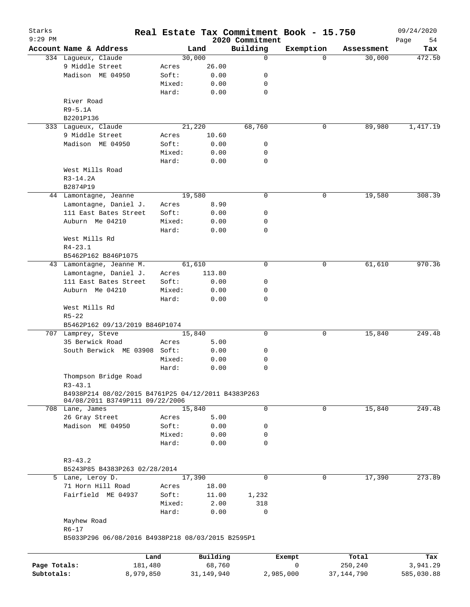| Starks       |                                                    |        |              |                             | Real Estate Tax Commitment Book - 15.750 |              | 09/24/2020        |
|--------------|----------------------------------------------------|--------|--------------|-----------------------------|------------------------------------------|--------------|-------------------|
| $9:29$ PM    | Account Name & Address                             |        | Land         | 2020 Commitment<br>Building | Exemption                                | Assessment   | Page<br>54<br>Tax |
|              | 334 Lagueux, Claude                                |        | 30,000       | 0                           | $\Omega$                                 | 30,000       | 472.50            |
|              | 9 Middle Street                                    | Acres  | 26.00        |                             |                                          |              |                   |
|              | Madison ME 04950                                   | Soft:  | 0.00         | 0                           |                                          |              |                   |
|              |                                                    | Mixed: | 0.00         | 0                           |                                          |              |                   |
|              |                                                    | Hard:  | 0.00         | 0                           |                                          |              |                   |
|              | River Road                                         |        |              |                             |                                          |              |                   |
|              | $R9 - 5.1A$                                        |        |              |                             |                                          |              |                   |
|              |                                                    |        |              |                             |                                          |              |                   |
|              | B2201P136                                          |        |              |                             |                                          |              |                   |
|              | 333 Laqueux, Claude                                |        | 21,220       | 68,760                      | 0                                        | 89,980       | 1,417.19          |
|              | 9 Middle Street                                    | Acres  | 10.60        |                             |                                          |              |                   |
|              | Madison ME 04950                                   | Soft:  | 0.00         | 0                           |                                          |              |                   |
|              |                                                    | Mixed: | 0.00         | 0                           |                                          |              |                   |
|              |                                                    | Hard:  | 0.00         | 0                           |                                          |              |                   |
|              | West Mills Road                                    |        |              |                             |                                          |              |                   |
|              | $R3-14.2A$                                         |        |              |                             |                                          |              |                   |
|              | B2874P19                                           |        |              |                             |                                          |              |                   |
|              | 44 Lamontagne, Jeanne                              |        | 19,580       | 0                           | 0                                        | 19,580       | 308.39            |
|              | Lamontagne, Daniel J.                              | Acres  | 8.90         |                             |                                          |              |                   |
|              | 111 East Bates Street                              | Soft:  | 0.00         | 0                           |                                          |              |                   |
|              | Auburn Me 04210                                    | Mixed: | 0.00         | 0                           |                                          |              |                   |
|              |                                                    | Hard:  | 0.00         | 0                           |                                          |              |                   |
|              | West Mills Rd                                      |        |              |                             |                                          |              |                   |
|              | $R4 - 23.1$                                        |        |              |                             |                                          |              |                   |
|              | B5462P162 B846P1075                                |        |              |                             |                                          |              |                   |
|              | 43 Lamontagne, Jeanne M.                           |        | 61,610       | 0                           | 0                                        | 61,610       | 970.36            |
|              | Lamontagne, Daniel J.                              |        |              |                             |                                          |              |                   |
|              |                                                    | Acres  | 113.80       |                             |                                          |              |                   |
|              | 111 East Bates Street                              | Soft:  | 0.00         | 0                           |                                          |              |                   |
|              | Auburn Me 04210                                    | Mixed: | 0.00         | 0                           |                                          |              |                   |
|              |                                                    | Hard:  | 0.00         | 0                           |                                          |              |                   |
|              | West Mills Rd                                      |        |              |                             |                                          |              |                   |
|              | $R5 - 22$                                          |        |              |                             |                                          |              |                   |
|              | B5462P162 09/13/2019 B846P1074                     |        |              |                             |                                          |              |                   |
|              | 707 Lamprey, Steve                                 |        | 15,840       | 0                           | 0                                        | 15,840       | 249.48            |
|              | 35 Berwick Road                                    | Acres  | 5.00         |                             |                                          |              |                   |
|              | South Berwick ME 03908 Soft:                       |        | 0.00         | 0                           |                                          |              |                   |
|              |                                                    | Mixed: | 0.00         | 0                           |                                          |              |                   |
|              |                                                    | Hard:  | 0.00         | 0                           |                                          |              |                   |
|              | Thompson Bridge Road                               |        |              |                             |                                          |              |                   |
|              | $R3 - 43.1$                                        |        |              |                             |                                          |              |                   |
|              | B4938P214 08/02/2015 B4761P25 04/12/2011 B4383P263 |        |              |                             |                                          |              |                   |
|              | 04/08/2011 B3749P111 09/22/2006                    |        |              |                             |                                          |              |                   |
|              | 708 Lane, James                                    |        | 15,840       | 0                           | 0                                        | 15,840       | 249.48            |
|              | 26 Gray Street                                     | Acres  | 5.00         |                             |                                          |              |                   |
|              | Madison ME 04950                                   | Soft:  | 0.00         | 0                           |                                          |              |                   |
|              |                                                    | Mixed: | 0.00         | 0                           |                                          |              |                   |
|              |                                                    | Hard:  | 0.00         | 0                           |                                          |              |                   |
|              |                                                    |        |              |                             |                                          |              |                   |
|              | $R3 - 43.2$                                        |        |              |                             |                                          |              |                   |
|              | B5243P85 B4383P263 02/28/2014                      |        |              |                             |                                          |              |                   |
|              | 5 Lane, Leroy D.                                   |        | 17,390       | 0                           | $\mathbf 0$                              | 17,390       | 273.89            |
|              | 71 Horn Hill Road                                  | Acres  | 18.00        |                             |                                          |              |                   |
|              | Fairfield ME 04937                                 | Soft:  | 11.00        | 1,232                       |                                          |              |                   |
|              |                                                    | Mixed: | 2.00         | 318                         |                                          |              |                   |
|              |                                                    | Hard:  | 0.00         | 0                           |                                          |              |                   |
|              |                                                    |        |              |                             |                                          |              |                   |
|              | Mayhew Road                                        |        |              |                             |                                          |              |                   |
|              | $R6 - 17$                                          |        |              |                             |                                          |              |                   |
|              | B5033P296 06/08/2016 B4938P218 08/03/2015 B2595P1  |        |              |                             |                                          |              |                   |
|              |                                                    |        |              |                             |                                          |              |                   |
|              | Land                                               |        | Building     |                             | Exempt                                   | Total        | Tax               |
| Page Totals: | 181,480                                            |        | 68,760       |                             | 0                                        | 250,240      | 3,941.29          |
| Subtotals:   | 8,979,850                                          |        | 31, 149, 940 |                             | 2,985,000                                | 37, 144, 790 | 585,030.88        |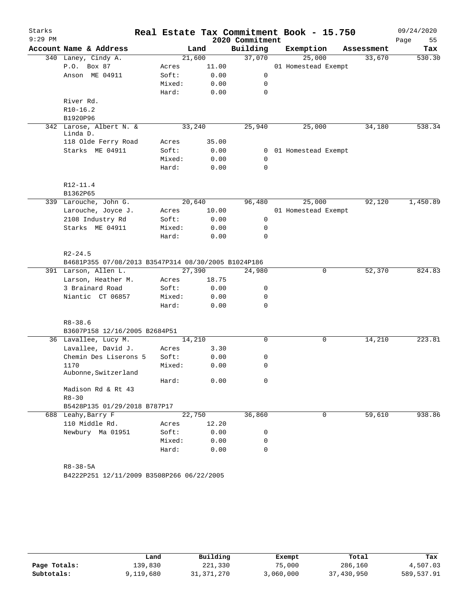| Starks    |                                                     |        |        |                 | Real Estate Tax Commitment Book - 15.750 |            | 09/24/2020 |
|-----------|-----------------------------------------------------|--------|--------|-----------------|------------------------------------------|------------|------------|
| $9:29$ PM |                                                     |        |        | 2020 Commitment |                                          |            | 55<br>Page |
|           | Account Name & Address                              |        | Land   | Building        | Exemption                                | Assessment | Tax        |
|           | 340 Laney, Cindy A.                                 |        | 21,600 | 37,070          | 25,000                                   | 33,670     | 530.30     |
|           | P.O. Box 87                                         | Acres  | 11.00  |                 | 01 Homestead Exempt                      |            |            |
|           | Anson ME 04911                                      | Soft:  | 0.00   | 0               |                                          |            |            |
|           |                                                     | Mixed: | 0.00   | 0               |                                          |            |            |
|           |                                                     | Hard:  | 0.00   | $\mathbf 0$     |                                          |            |            |
|           | River Rd.                                           |        |        |                 |                                          |            |            |
|           | $R10-16.2$                                          |        |        |                 |                                          |            |            |
|           | B1920P96                                            |        |        |                 |                                          |            |            |
|           | 342 Larose, Albert N. &<br>Linda D.                 |        | 33,240 | 25,940          | 25,000                                   | 34,180     | 538.34     |
|           | 118 Olde Ferry Road                                 | Acres  | 35.00  |                 |                                          |            |            |
|           | Starks ME 04911                                     | Soft:  | 0.00   |                 | 0 01 Homestead Exempt                    |            |            |
|           |                                                     | Mixed: | 0.00   | $\mathbf 0$     |                                          |            |            |
|           |                                                     | Hard:  | 0.00   | $\Omega$        |                                          |            |            |
|           | R12-11.4                                            |        |        |                 |                                          |            |            |
|           | B1362P65                                            |        |        |                 |                                          |            |            |
|           | 339 Larouche, John G.                               |        | 20,640 | 96,480          | 25,000                                   | 92,120     | 1,450.89   |
|           | Larouche, Joyce J.                                  | Acres  | 10.00  |                 | 01 Homestead Exempt                      |            |            |
|           | 2108 Industry Rd                                    | Soft:  | 0.00   | 0               |                                          |            |            |
|           | Starks ME 04911                                     | Mixed: | 0.00   | 0               |                                          |            |            |
|           |                                                     | Hard:  | 0.00   | $\Omega$        |                                          |            |            |
|           | $R2 - 24.5$                                         |        |        |                 |                                          |            |            |
|           | B4681P355 07/08/2013 B3547P314 08/30/2005 B1024P186 |        |        |                 |                                          |            |            |
|           | 391 Larson, Allen L.                                |        | 27,390 | 24,980          | 0                                        | 52,370     | 824.83     |
|           | Larson, Heather M.                                  | Acres  | 18.75  |                 |                                          |            |            |
|           | 3 Brainard Road                                     | Soft:  | 0.00   | 0               |                                          |            |            |
|           | Niantic CT 06857                                    | Mixed: | 0.00   | 0               |                                          |            |            |
|           |                                                     | Hard:  | 0.00   | $\mathbf 0$     |                                          |            |            |
|           | $R8 - 38.6$                                         |        |        |                 |                                          |            |            |
|           | B3607P158 12/16/2005 B2684P51                       |        |        |                 |                                          |            |            |
|           | 36 Lavallee, Lucy M.                                |        | 14,210 | 0               | 0                                        | 14,210     | 223.81     |
|           | Lavallee, David J.                                  | Acres  | 3.30   |                 |                                          |            |            |
|           | Chemin Des Liserons 5                               | Soft:  | 0.00   | 0               |                                          |            |            |
|           | 1170                                                | Mixed: | 0.00   | 0               |                                          |            |            |
|           | Aubonne, Switzerland                                | Hard:  | 0.00   | 0               |                                          |            |            |
|           | Madison Rd & Rt 43                                  |        |        |                 |                                          |            |            |
|           | $R8 - 30$                                           |        |        |                 |                                          |            |            |
|           | B5428P135 01/29/2018 B787P17                        |        |        |                 |                                          |            |            |
|           | 688 Leahy, Barry F                                  |        | 22,750 | 36,860          | 0                                        | 59,610     | 938.86     |
|           | 110 Middle Rd.                                      | Acres  | 12.20  |                 |                                          |            |            |
|           | Newbury Ma 01951                                    | Soft:  | 0.00   | 0               |                                          |            |            |
|           |                                                     | Mixed: | 0.00   | 0               |                                          |            |            |
|           |                                                     | Hard:  | 0.00   | 0               |                                          |            |            |
|           |                                                     |        |        |                 |                                          |            |            |
|           | $R8 - 38 - 5A$                                      |        |        |                 |                                          |            |            |

B4222P251 12/11/2009 B3508P266 06/22/2005

|              | Land      | Building   | Exempt    | Total      | Tax        |
|--------------|-----------|------------|-----------|------------|------------|
| Page Totals: | 139,830   | 221,330    | 75,000    | 286,160    | 4,507.03   |
| Subtotals:   | 9,119,680 | 31,371,270 | 3,060,000 | 37,430,950 | 589,537.91 |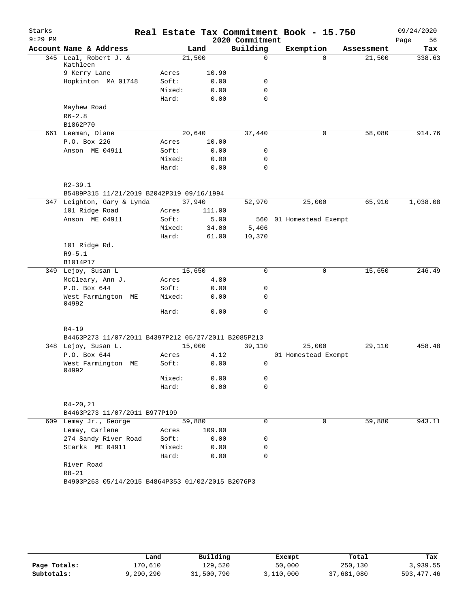| Starks    |                                                     |        |        |                 | Real Estate Tax Commitment Book - 15.750 |            | 09/24/2020 |
|-----------|-----------------------------------------------------|--------|--------|-----------------|------------------------------------------|------------|------------|
| $9:29$ PM |                                                     |        |        | 2020 Commitment |                                          |            | 56<br>Page |
|           | Account Name & Address                              |        | Land   | Building        | Exemption                                | Assessment | Tax        |
|           | 345 Leal, Robert J. &<br>Kathleen                   | 21,500 |        | 0               | $\Omega$                                 | 21,500     | 338.63     |
|           | 9 Kerry Lane                                        | Acres  | 10.90  |                 |                                          |            |            |
|           | Hopkinton MA 01748                                  | Soft:  | 0.00   | 0               |                                          |            |            |
|           |                                                     | Mixed: | 0.00   | $\mathbf 0$     |                                          |            |            |
|           |                                                     | Hard:  | 0.00   | 0               |                                          |            |            |
|           | Mayhew Road                                         |        |        |                 |                                          |            |            |
|           | $R6 - 2.8$                                          |        |        |                 |                                          |            |            |
|           | B1862P70                                            |        |        |                 |                                          |            |            |
|           | 661 Leeman, Diane                                   | 20,640 |        | 37,440          | 0                                        | 58,080     | 914.76     |
|           | P.O. Box 226                                        | Acres  | 10.00  |                 |                                          |            |            |
|           | Anson ME 04911                                      | Soft:  | 0.00   | 0               |                                          |            |            |
|           |                                                     | Mixed: | 0.00   | 0               |                                          |            |            |
|           |                                                     | Hard:  | 0.00   | 0               |                                          |            |            |
|           | $R2 - 39.1$                                         |        |        |                 |                                          |            |            |
|           | B5489P315 11/21/2019 B2042P319 09/16/1994           |        |        |                 |                                          |            |            |
|           | 347 Leighton, Gary & Lynda                          | 37,940 |        | 52,970          | 25,000                                   | 65,910     | 1,038.08   |
|           | 101 Ridge Road                                      | Acres  | 111.00 |                 |                                          |            |            |
|           | Anson ME 04911                                      | Soft:  | 5.00   |                 | 560 01 Homestead Exempt                  |            |            |
|           |                                                     | Mixed: | 34.00  | 5,406           |                                          |            |            |
|           |                                                     | Hard:  | 61.00  | 10,370          |                                          |            |            |
|           | 101 Ridge Rd.                                       |        |        |                 |                                          |            |            |
|           | $R9 - 5.1$                                          |        |        |                 |                                          |            |            |
|           | B1014P17                                            |        |        |                 |                                          |            |            |
|           | 349 Lejoy, Susan L                                  | 15,650 |        | 0               | 0                                        | 15,650     | 246.49     |
|           | McCleary, Ann J.                                    | Acres  | 4.80   |                 |                                          |            |            |
|           | P.O. Box 644                                        | Soft:  | 0.00   | 0               |                                          |            |            |
|           | West Farmington ME<br>04992                         | Mixed: | 0.00   | 0               |                                          |            |            |
|           |                                                     | Hard:  | 0.00   | $\mathbf 0$     |                                          |            |            |
|           | $R4 - 19$                                           |        |        |                 |                                          |            |            |
|           | B4463P273 11/07/2011 B4397P212 05/27/2011 B2085P213 |        |        |                 |                                          |            |            |
|           | 348 Lejoy, Susan L.                                 | 15,000 |        | 39,110          | 25,000                                   | 29,110     | 458.48     |
|           | P.O. Box 644                                        | Acres  | 4.12   |                 | 01 Homestead Exempt                      |            |            |
|           | West Farmington ME<br>04992                         | Soft:  | 0.00   | 0               |                                          |            |            |
|           |                                                     | Mixed: | 0.00   | 0               |                                          |            |            |
|           |                                                     | Hard:  | 0.00   | 0               |                                          |            |            |
|           | $R4 - 20, 21$                                       |        |        |                 |                                          |            |            |
|           | B4463P273 11/07/2011 B977P199                       |        |        |                 |                                          |            |            |
|           | 609 Lemay Jr., George                               | 59,880 |        | 0               | 0                                        | 59,880     | 943.11     |
|           | Lemay, Carlene                                      | Acres  | 109.00 |                 |                                          |            |            |
|           | 274 Sandy River Road                                | Soft:  | 0.00   | 0               |                                          |            |            |
|           | Starks ME 04911                                     | Mixed: | 0.00   | 0               |                                          |            |            |
|           |                                                     | Hard:  | 0.00   | 0               |                                          |            |            |
|           | River Road                                          |        |        |                 |                                          |            |            |
|           | $R8 - 21$                                           |        |        |                 |                                          |            |            |
|           | B4903P263 05/14/2015 B4864P353 01/02/2015 B2076P3   |        |        |                 |                                          |            |            |
|           |                                                     |        |        |                 |                                          |            |            |

|              | Land      | Building   | Exempt    | Total      | Tax          |
|--------------|-----------|------------|-----------|------------|--------------|
| Page Totals: | L70.610   | 129,520    | 50,000    | 250,130    | 3,939.55     |
| Subtotals:   | 9,290,290 | 31,500,790 | 3,110,000 | 37,681,080 | 593, 477. 46 |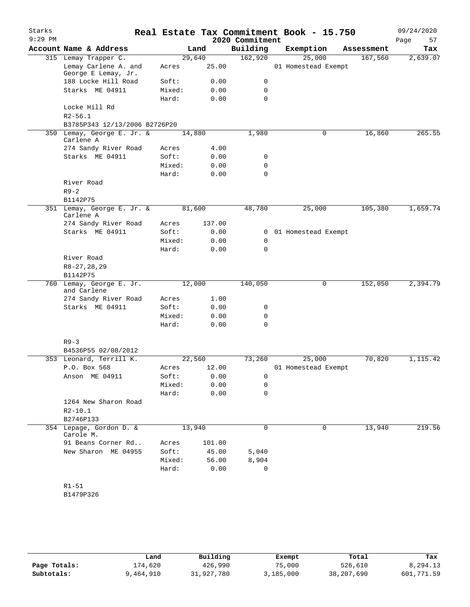| Starks<br>$9:29$ PM |                                            |        |        | 2020 Commitment | Real Estate Tax Commitment Book - 15.750 |            | 09/24/2020<br>Page<br>57 |
|---------------------|--------------------------------------------|--------|--------|-----------------|------------------------------------------|------------|--------------------------|
|                     | Account Name & Address                     |        | Land   | Building        | Exemption                                | Assessment | Tax                      |
|                     | 315 Lemay Trapper C.                       | 29,640 |        | 162,920         | 25,000                                   | 167,560    | 2,639.07                 |
|                     | Lemay Carlene A. and                       | Acres  | 25.00  |                 | 01 Homestead Exempt                      |            |                          |
|                     | George E Lemay, Jr.<br>188 Locke Hill Road | Soft:  | 0.00   | 0               |                                          |            |                          |
|                     | Starks ME 04911                            | Mixed: | 0.00   | 0               |                                          |            |                          |
|                     |                                            | Hard:  | 0.00   | 0               |                                          |            |                          |
|                     | Locke Hill Rd                              |        |        |                 |                                          |            |                          |
|                     | $R2 - 56.1$                                |        |        |                 |                                          |            |                          |
|                     | B3785P343 12/13/2006 B2726P20              |        |        |                 |                                          |            |                          |
|                     | 350 Lemay, George E. Jr. &                 | 14,880 |        | 1,980           | 0                                        | 16,860     | 265.55                   |
|                     | Carlene A                                  |        |        |                 |                                          |            |                          |
|                     | 274 Sandy River Road                       | Acres  | 4.00   |                 |                                          |            |                          |
|                     | Starks ME 04911                            | Soft:  | 0.00   | 0               |                                          |            |                          |
|                     |                                            | Mixed: | 0.00   | 0               |                                          |            |                          |
|                     |                                            | Hard:  | 0.00   | $\mathbf 0$     |                                          |            |                          |
|                     | River Road                                 |        |        |                 |                                          |            |                          |
|                     | $R9 - 2$<br>B1142P75                       |        |        |                 |                                          |            |                          |
|                     | 351 Lemay, George E. Jr. &                 | 81,600 |        | 48,780          | 25,000                                   | 105,380    | 1,659.74                 |
|                     | Carlene A                                  |        |        |                 |                                          |            |                          |
|                     | 274 Sandy River Road                       | Acres  | 137.00 |                 |                                          |            |                          |
|                     | Starks ME 04911                            | Soft:  | 0.00   | 0               | 01 Homestead Exempt                      |            |                          |
|                     |                                            | Mixed: | 0.00   | 0               |                                          |            |                          |
|                     |                                            | Hard:  | 0.00   | 0               |                                          |            |                          |
|                     | River Road                                 |        |        |                 |                                          |            |                          |
|                     | $R8 - 27, 28, 29$                          |        |        |                 |                                          |            |                          |
|                     | B1142P75                                   |        |        |                 |                                          |            |                          |
| 760                 | Lemay, George E. Jr.                       | 12,000 |        | 140,050         | 0                                        | 152,050    | 2,394.79                 |
|                     | and Carlene<br>274 Sandy River Road        | Acres  | 1.00   |                 |                                          |            |                          |
|                     | Starks ME 04911                            | Soft:  | 0.00   | 0               |                                          |            |                          |
|                     |                                            | Mixed: | 0.00   | 0               |                                          |            |                          |
|                     |                                            | Hard:  | 0.00   | $\mathbf 0$     |                                          |            |                          |
|                     |                                            |        |        |                 |                                          |            |                          |
|                     | $R9 - 3$                                   |        |        |                 |                                          |            |                          |
|                     | B4536P55 02/08/2012                        |        |        |                 |                                          |            |                          |
|                     | 353 Leonard, Terrill K.                    | 22,560 |        | 73,260          | 25,000                                   | 70,820     | 1,115.42                 |
|                     | P.O. Box 568                               | Acres  | 12.00  |                 | 01 Homestead Exempt                      |            |                          |
|                     | Anson ME 04911                             | Soft:  | 0.00   | 0               |                                          |            |                          |
|                     |                                            | Mixed: | 0.00   | 0               |                                          |            |                          |
|                     |                                            | Hard:  | 0.00   | 0               |                                          |            |                          |
|                     | 1264 New Sharon Road                       |        |        |                 |                                          |            |                          |
|                     | $R2 - 10.1$                                |        |        |                 |                                          |            |                          |
|                     | B2746P133                                  |        |        |                 |                                          |            |                          |
|                     | 354 Lepage, Gordon D. &<br>Carole M.       | 13,940 |        | 0               | 0                                        | 13,940     | 219.56                   |
|                     | 91 Beans Corner Rd                         | Acres  | 101.00 |                 |                                          |            |                          |
|                     | New Sharon ME 04955                        | Soft:  | 45.00  | 5,040           |                                          |            |                          |
|                     |                                            | Mixed: | 56.00  | 8,904           |                                          |            |                          |
|                     |                                            | Hard:  | 0.00   | 0               |                                          |            |                          |
|                     |                                            |        |        |                 |                                          |            |                          |
|                     | $R1 - 51$                                  |        |        |                 |                                          |            |                          |

B1479P326

|              | Land      | Building   | Exempt    | Total      | Tax        |
|--------------|-----------|------------|-----------|------------|------------|
| Page Totals: | 174,620   | 426,990    | 75,000    | 526,610    | 8,294.13   |
| Subtotals:   | 9,464,910 | 31,927,780 | 3,185,000 | 38,207,690 | 601,771.59 |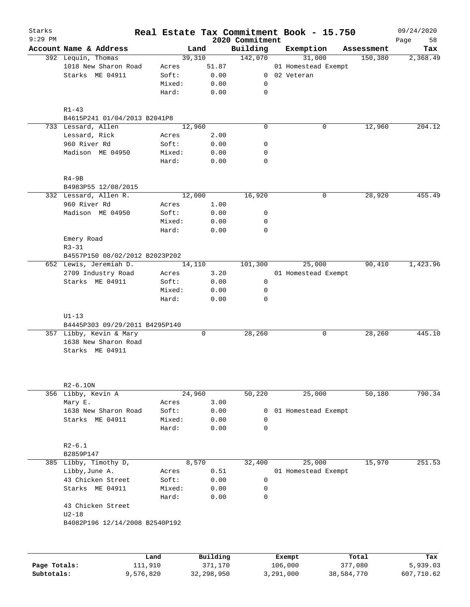| 2020 Commitment<br>Page<br>58<br>Account Name & Address<br>Building<br>Exemption<br>Land<br>Assessment<br>Tax<br>142,070<br>31,000<br>392 Lequin, Thomas<br>39,310<br>150,380<br>2,368.49<br>1018 New Sharon Road<br>51.87<br>01 Homestead Exempt<br>Acres<br>Starks ME 04911<br>0.00<br>0 02 Veteran<br>Soft:<br>0.00<br>Mixed:<br>0<br>Hard:<br>0.00<br>0<br>$R1 - 43$<br>B4615P241 01/04/2013 B2041P8<br>733 Lessard, Allen<br>12,960<br>0<br>0<br>12,960<br>Lessard, Rick<br>2.00<br>Acres<br>960 River Rd<br>Soft:<br>0.00<br>0<br>Madison ME 04950<br>Mixed:<br>0.00<br>0<br>Hard:<br>0.00<br>0<br>$R4-9B$<br>B4983P55 12/08/2015<br>12,000<br>16,920<br>28,920<br>332 Lessard, Allen R.<br>0<br>960 River Rd<br>1.00<br>Acres<br>Madison ME 04950<br>0.00<br>Soft:<br>0<br>0.00<br>Mixed:<br>0<br>Hard:<br>0.00<br>0<br>Emery Road<br>$R3 - 31$<br>B4557P150 08/02/2012 B2023P202<br>652 Lewis, Jeremiah D.<br>101,300<br>25,000<br>90,410<br>14,110<br>2709 Industry Road<br>3.20<br>01 Homestead Exempt<br>Acres<br>$\mathsf{O}$<br>Starks ME 04911<br>Soft:<br>0.00<br>Mixed:<br>0.00<br>0<br>Hard:<br>0.00<br>0<br>$U1-13$<br>B4445P303 09/29/2011 B4295P140<br>357 Libby, Kevin & Mary<br>0<br>28, 260<br>28, 260<br>0<br>1638 New Sharon Road<br>Starks ME 04911<br>$R2-6.10N$<br>24,960<br>50,220<br>25,000<br>50,180<br>356 Libby, Kevin A<br>3.00<br>Mary E.<br>Acres<br>1638 New Sharon Road<br>0.00<br>Soft:<br>01 Homestead Exempt<br>0<br>Starks ME 04911<br>0.00<br>Mixed:<br>0<br>Hard:<br>0.00<br>0<br>$R2 - 6.1$<br>B2859P147<br>385 Libby, Timothy D,<br>8,570<br>32,400<br>25,000<br>15,970<br>Libby, June A.<br>0.51<br>01 Homestead Exempt<br>Acres<br>43 Chicken Street<br>0.00<br>0<br>Soft:<br>Starks ME 04911<br>0.00<br>Mixed:<br>0<br>Hard:<br>0.00<br>0<br>43 Chicken Street<br>$U2-18$<br>B4082P196 12/14/2008 B2540P192<br>Building<br>Total<br>Land<br>Exempt<br>111,910<br>106,000<br>Page Totals:<br>371,170<br>377,080 | Starks<br>$9:29$ PM |  |  |  | Real Estate Tax Commitment Book - 15.750 |  | 09/24/2020 |
|-----------------------------------------------------------------------------------------------------------------------------------------------------------------------------------------------------------------------------------------------------------------------------------------------------------------------------------------------------------------------------------------------------------------------------------------------------------------------------------------------------------------------------------------------------------------------------------------------------------------------------------------------------------------------------------------------------------------------------------------------------------------------------------------------------------------------------------------------------------------------------------------------------------------------------------------------------------------------------------------------------------------------------------------------------------------------------------------------------------------------------------------------------------------------------------------------------------------------------------------------------------------------------------------------------------------------------------------------------------------------------------------------------------------------------------------------------------------------------------------------------------------------------------------------------------------------------------------------------------------------------------------------------------------------------------------------------------------------------------------------------------------------------------------------------------------------------------------------------------------------------------------------------------------------------------------------------------------|---------------------|--|--|--|------------------------------------------|--|------------|
|                                                                                                                                                                                                                                                                                                                                                                                                                                                                                                                                                                                                                                                                                                                                                                                                                                                                                                                                                                                                                                                                                                                                                                                                                                                                                                                                                                                                                                                                                                                                                                                                                                                                                                                                                                                                                                                                                                                                                                 |                     |  |  |  |                                          |  |            |
| 204.12<br>455.49<br>1,423.96<br>445.10<br>790.34<br>251.53<br>Tax<br>5,939.03                                                                                                                                                                                                                                                                                                                                                                                                                                                                                                                                                                                                                                                                                                                                                                                                                                                                                                                                                                                                                                                                                                                                                                                                                                                                                                                                                                                                                                                                                                                                                                                                                                                                                                                                                                                                                                                                                   |                     |  |  |  |                                          |  |            |
|                                                                                                                                                                                                                                                                                                                                                                                                                                                                                                                                                                                                                                                                                                                                                                                                                                                                                                                                                                                                                                                                                                                                                                                                                                                                                                                                                                                                                                                                                                                                                                                                                                                                                                                                                                                                                                                                                                                                                                 |                     |  |  |  |                                          |  |            |
|                                                                                                                                                                                                                                                                                                                                                                                                                                                                                                                                                                                                                                                                                                                                                                                                                                                                                                                                                                                                                                                                                                                                                                                                                                                                                                                                                                                                                                                                                                                                                                                                                                                                                                                                                                                                                                                                                                                                                                 |                     |  |  |  |                                          |  |            |
|                                                                                                                                                                                                                                                                                                                                                                                                                                                                                                                                                                                                                                                                                                                                                                                                                                                                                                                                                                                                                                                                                                                                                                                                                                                                                                                                                                                                                                                                                                                                                                                                                                                                                                                                                                                                                                                                                                                                                                 |                     |  |  |  |                                          |  |            |
|                                                                                                                                                                                                                                                                                                                                                                                                                                                                                                                                                                                                                                                                                                                                                                                                                                                                                                                                                                                                                                                                                                                                                                                                                                                                                                                                                                                                                                                                                                                                                                                                                                                                                                                                                                                                                                                                                                                                                                 |                     |  |  |  |                                          |  |            |
|                                                                                                                                                                                                                                                                                                                                                                                                                                                                                                                                                                                                                                                                                                                                                                                                                                                                                                                                                                                                                                                                                                                                                                                                                                                                                                                                                                                                                                                                                                                                                                                                                                                                                                                                                                                                                                                                                                                                                                 |                     |  |  |  |                                          |  |            |
|                                                                                                                                                                                                                                                                                                                                                                                                                                                                                                                                                                                                                                                                                                                                                                                                                                                                                                                                                                                                                                                                                                                                                                                                                                                                                                                                                                                                                                                                                                                                                                                                                                                                                                                                                                                                                                                                                                                                                                 |                     |  |  |  |                                          |  |            |
|                                                                                                                                                                                                                                                                                                                                                                                                                                                                                                                                                                                                                                                                                                                                                                                                                                                                                                                                                                                                                                                                                                                                                                                                                                                                                                                                                                                                                                                                                                                                                                                                                                                                                                                                                                                                                                                                                                                                                                 |                     |  |  |  |                                          |  |            |
|                                                                                                                                                                                                                                                                                                                                                                                                                                                                                                                                                                                                                                                                                                                                                                                                                                                                                                                                                                                                                                                                                                                                                                                                                                                                                                                                                                                                                                                                                                                                                                                                                                                                                                                                                                                                                                                                                                                                                                 |                     |  |  |  |                                          |  |            |
|                                                                                                                                                                                                                                                                                                                                                                                                                                                                                                                                                                                                                                                                                                                                                                                                                                                                                                                                                                                                                                                                                                                                                                                                                                                                                                                                                                                                                                                                                                                                                                                                                                                                                                                                                                                                                                                                                                                                                                 |                     |  |  |  |                                          |  |            |
|                                                                                                                                                                                                                                                                                                                                                                                                                                                                                                                                                                                                                                                                                                                                                                                                                                                                                                                                                                                                                                                                                                                                                                                                                                                                                                                                                                                                                                                                                                                                                                                                                                                                                                                                                                                                                                                                                                                                                                 |                     |  |  |  |                                          |  |            |
|                                                                                                                                                                                                                                                                                                                                                                                                                                                                                                                                                                                                                                                                                                                                                                                                                                                                                                                                                                                                                                                                                                                                                                                                                                                                                                                                                                                                                                                                                                                                                                                                                                                                                                                                                                                                                                                                                                                                                                 |                     |  |  |  |                                          |  |            |
|                                                                                                                                                                                                                                                                                                                                                                                                                                                                                                                                                                                                                                                                                                                                                                                                                                                                                                                                                                                                                                                                                                                                                                                                                                                                                                                                                                                                                                                                                                                                                                                                                                                                                                                                                                                                                                                                                                                                                                 |                     |  |  |  |                                          |  |            |
|                                                                                                                                                                                                                                                                                                                                                                                                                                                                                                                                                                                                                                                                                                                                                                                                                                                                                                                                                                                                                                                                                                                                                                                                                                                                                                                                                                                                                                                                                                                                                                                                                                                                                                                                                                                                                                                                                                                                                                 |                     |  |  |  |                                          |  |            |
|                                                                                                                                                                                                                                                                                                                                                                                                                                                                                                                                                                                                                                                                                                                                                                                                                                                                                                                                                                                                                                                                                                                                                                                                                                                                                                                                                                                                                                                                                                                                                                                                                                                                                                                                                                                                                                                                                                                                                                 |                     |  |  |  |                                          |  |            |
|                                                                                                                                                                                                                                                                                                                                                                                                                                                                                                                                                                                                                                                                                                                                                                                                                                                                                                                                                                                                                                                                                                                                                                                                                                                                                                                                                                                                                                                                                                                                                                                                                                                                                                                                                                                                                                                                                                                                                                 |                     |  |  |  |                                          |  |            |
|                                                                                                                                                                                                                                                                                                                                                                                                                                                                                                                                                                                                                                                                                                                                                                                                                                                                                                                                                                                                                                                                                                                                                                                                                                                                                                                                                                                                                                                                                                                                                                                                                                                                                                                                                                                                                                                                                                                                                                 |                     |  |  |  |                                          |  |            |
|                                                                                                                                                                                                                                                                                                                                                                                                                                                                                                                                                                                                                                                                                                                                                                                                                                                                                                                                                                                                                                                                                                                                                                                                                                                                                                                                                                                                                                                                                                                                                                                                                                                                                                                                                                                                                                                                                                                                                                 |                     |  |  |  |                                          |  |            |
|                                                                                                                                                                                                                                                                                                                                                                                                                                                                                                                                                                                                                                                                                                                                                                                                                                                                                                                                                                                                                                                                                                                                                                                                                                                                                                                                                                                                                                                                                                                                                                                                                                                                                                                                                                                                                                                                                                                                                                 |                     |  |  |  |                                          |  |            |
|                                                                                                                                                                                                                                                                                                                                                                                                                                                                                                                                                                                                                                                                                                                                                                                                                                                                                                                                                                                                                                                                                                                                                                                                                                                                                                                                                                                                                                                                                                                                                                                                                                                                                                                                                                                                                                                                                                                                                                 |                     |  |  |  |                                          |  |            |
|                                                                                                                                                                                                                                                                                                                                                                                                                                                                                                                                                                                                                                                                                                                                                                                                                                                                                                                                                                                                                                                                                                                                                                                                                                                                                                                                                                                                                                                                                                                                                                                                                                                                                                                                                                                                                                                                                                                                                                 |                     |  |  |  |                                          |  |            |
|                                                                                                                                                                                                                                                                                                                                                                                                                                                                                                                                                                                                                                                                                                                                                                                                                                                                                                                                                                                                                                                                                                                                                                                                                                                                                                                                                                                                                                                                                                                                                                                                                                                                                                                                                                                                                                                                                                                                                                 |                     |  |  |  |                                          |  |            |
|                                                                                                                                                                                                                                                                                                                                                                                                                                                                                                                                                                                                                                                                                                                                                                                                                                                                                                                                                                                                                                                                                                                                                                                                                                                                                                                                                                                                                                                                                                                                                                                                                                                                                                                                                                                                                                                                                                                                                                 |                     |  |  |  |                                          |  |            |
|                                                                                                                                                                                                                                                                                                                                                                                                                                                                                                                                                                                                                                                                                                                                                                                                                                                                                                                                                                                                                                                                                                                                                                                                                                                                                                                                                                                                                                                                                                                                                                                                                                                                                                                                                                                                                                                                                                                                                                 |                     |  |  |  |                                          |  |            |
|                                                                                                                                                                                                                                                                                                                                                                                                                                                                                                                                                                                                                                                                                                                                                                                                                                                                                                                                                                                                                                                                                                                                                                                                                                                                                                                                                                                                                                                                                                                                                                                                                                                                                                                                                                                                                                                                                                                                                                 |                     |  |  |  |                                          |  |            |
|                                                                                                                                                                                                                                                                                                                                                                                                                                                                                                                                                                                                                                                                                                                                                                                                                                                                                                                                                                                                                                                                                                                                                                                                                                                                                                                                                                                                                                                                                                                                                                                                                                                                                                                                                                                                                                                                                                                                                                 |                     |  |  |  |                                          |  |            |
|                                                                                                                                                                                                                                                                                                                                                                                                                                                                                                                                                                                                                                                                                                                                                                                                                                                                                                                                                                                                                                                                                                                                                                                                                                                                                                                                                                                                                                                                                                                                                                                                                                                                                                                                                                                                                                                                                                                                                                 |                     |  |  |  |                                          |  |            |
|                                                                                                                                                                                                                                                                                                                                                                                                                                                                                                                                                                                                                                                                                                                                                                                                                                                                                                                                                                                                                                                                                                                                                                                                                                                                                                                                                                                                                                                                                                                                                                                                                                                                                                                                                                                                                                                                                                                                                                 |                     |  |  |  |                                          |  |            |
|                                                                                                                                                                                                                                                                                                                                                                                                                                                                                                                                                                                                                                                                                                                                                                                                                                                                                                                                                                                                                                                                                                                                                                                                                                                                                                                                                                                                                                                                                                                                                                                                                                                                                                                                                                                                                                                                                                                                                                 |                     |  |  |  |                                          |  |            |
|                                                                                                                                                                                                                                                                                                                                                                                                                                                                                                                                                                                                                                                                                                                                                                                                                                                                                                                                                                                                                                                                                                                                                                                                                                                                                                                                                                                                                                                                                                                                                                                                                                                                                                                                                                                                                                                                                                                                                                 |                     |  |  |  |                                          |  |            |
|                                                                                                                                                                                                                                                                                                                                                                                                                                                                                                                                                                                                                                                                                                                                                                                                                                                                                                                                                                                                                                                                                                                                                                                                                                                                                                                                                                                                                                                                                                                                                                                                                                                                                                                                                                                                                                                                                                                                                                 |                     |  |  |  |                                          |  |            |
|                                                                                                                                                                                                                                                                                                                                                                                                                                                                                                                                                                                                                                                                                                                                                                                                                                                                                                                                                                                                                                                                                                                                                                                                                                                                                                                                                                                                                                                                                                                                                                                                                                                                                                                                                                                                                                                                                                                                                                 |                     |  |  |  |                                          |  |            |
|                                                                                                                                                                                                                                                                                                                                                                                                                                                                                                                                                                                                                                                                                                                                                                                                                                                                                                                                                                                                                                                                                                                                                                                                                                                                                                                                                                                                                                                                                                                                                                                                                                                                                                                                                                                                                                                                                                                                                                 |                     |  |  |  |                                          |  |            |
|                                                                                                                                                                                                                                                                                                                                                                                                                                                                                                                                                                                                                                                                                                                                                                                                                                                                                                                                                                                                                                                                                                                                                                                                                                                                                                                                                                                                                                                                                                                                                                                                                                                                                                                                                                                                                                                                                                                                                                 |                     |  |  |  |                                          |  |            |
|                                                                                                                                                                                                                                                                                                                                                                                                                                                                                                                                                                                                                                                                                                                                                                                                                                                                                                                                                                                                                                                                                                                                                                                                                                                                                                                                                                                                                                                                                                                                                                                                                                                                                                                                                                                                                                                                                                                                                                 |                     |  |  |  |                                          |  |            |
|                                                                                                                                                                                                                                                                                                                                                                                                                                                                                                                                                                                                                                                                                                                                                                                                                                                                                                                                                                                                                                                                                                                                                                                                                                                                                                                                                                                                                                                                                                                                                                                                                                                                                                                                                                                                                                                                                                                                                                 |                     |  |  |  |                                          |  |            |
|                                                                                                                                                                                                                                                                                                                                                                                                                                                                                                                                                                                                                                                                                                                                                                                                                                                                                                                                                                                                                                                                                                                                                                                                                                                                                                                                                                                                                                                                                                                                                                                                                                                                                                                                                                                                                                                                                                                                                                 |                     |  |  |  |                                          |  |            |
|                                                                                                                                                                                                                                                                                                                                                                                                                                                                                                                                                                                                                                                                                                                                                                                                                                                                                                                                                                                                                                                                                                                                                                                                                                                                                                                                                                                                                                                                                                                                                                                                                                                                                                                                                                                                                                                                                                                                                                 |                     |  |  |  |                                          |  |            |
|                                                                                                                                                                                                                                                                                                                                                                                                                                                                                                                                                                                                                                                                                                                                                                                                                                                                                                                                                                                                                                                                                                                                                                                                                                                                                                                                                                                                                                                                                                                                                                                                                                                                                                                                                                                                                                                                                                                                                                 |                     |  |  |  |                                          |  |            |
|                                                                                                                                                                                                                                                                                                                                                                                                                                                                                                                                                                                                                                                                                                                                                                                                                                                                                                                                                                                                                                                                                                                                                                                                                                                                                                                                                                                                                                                                                                                                                                                                                                                                                                                                                                                                                                                                                                                                                                 |                     |  |  |  |                                          |  |            |
|                                                                                                                                                                                                                                                                                                                                                                                                                                                                                                                                                                                                                                                                                                                                                                                                                                                                                                                                                                                                                                                                                                                                                                                                                                                                                                                                                                                                                                                                                                                                                                                                                                                                                                                                                                                                                                                                                                                                                                 |                     |  |  |  |                                          |  |            |
|                                                                                                                                                                                                                                                                                                                                                                                                                                                                                                                                                                                                                                                                                                                                                                                                                                                                                                                                                                                                                                                                                                                                                                                                                                                                                                                                                                                                                                                                                                                                                                                                                                                                                                                                                                                                                                                                                                                                                                 |                     |  |  |  |                                          |  |            |
|                                                                                                                                                                                                                                                                                                                                                                                                                                                                                                                                                                                                                                                                                                                                                                                                                                                                                                                                                                                                                                                                                                                                                                                                                                                                                                                                                                                                                                                                                                                                                                                                                                                                                                                                                                                                                                                                                                                                                                 |                     |  |  |  |                                          |  |            |
|                                                                                                                                                                                                                                                                                                                                                                                                                                                                                                                                                                                                                                                                                                                                                                                                                                                                                                                                                                                                                                                                                                                                                                                                                                                                                                                                                                                                                                                                                                                                                                                                                                                                                                                                                                                                                                                                                                                                                                 |                     |  |  |  |                                          |  |            |
|                                                                                                                                                                                                                                                                                                                                                                                                                                                                                                                                                                                                                                                                                                                                                                                                                                                                                                                                                                                                                                                                                                                                                                                                                                                                                                                                                                                                                                                                                                                                                                                                                                                                                                                                                                                                                                                                                                                                                                 |                     |  |  |  |                                          |  |            |
|                                                                                                                                                                                                                                                                                                                                                                                                                                                                                                                                                                                                                                                                                                                                                                                                                                                                                                                                                                                                                                                                                                                                                                                                                                                                                                                                                                                                                                                                                                                                                                                                                                                                                                                                                                                                                                                                                                                                                                 |                     |  |  |  |                                          |  |            |
|                                                                                                                                                                                                                                                                                                                                                                                                                                                                                                                                                                                                                                                                                                                                                                                                                                                                                                                                                                                                                                                                                                                                                                                                                                                                                                                                                                                                                                                                                                                                                                                                                                                                                                                                                                                                                                                                                                                                                                 |                     |  |  |  |                                          |  |            |
|                                                                                                                                                                                                                                                                                                                                                                                                                                                                                                                                                                                                                                                                                                                                                                                                                                                                                                                                                                                                                                                                                                                                                                                                                                                                                                                                                                                                                                                                                                                                                                                                                                                                                                                                                                                                                                                                                                                                                                 |                     |  |  |  |                                          |  |            |
|                                                                                                                                                                                                                                                                                                                                                                                                                                                                                                                                                                                                                                                                                                                                                                                                                                                                                                                                                                                                                                                                                                                                                                                                                                                                                                                                                                                                                                                                                                                                                                                                                                                                                                                                                                                                                                                                                                                                                                 |                     |  |  |  |                                          |  |            |
|                                                                                                                                                                                                                                                                                                                                                                                                                                                                                                                                                                                                                                                                                                                                                                                                                                                                                                                                                                                                                                                                                                                                                                                                                                                                                                                                                                                                                                                                                                                                                                                                                                                                                                                                                                                                                                                                                                                                                                 |                     |  |  |  |                                          |  |            |
|                                                                                                                                                                                                                                                                                                                                                                                                                                                                                                                                                                                                                                                                                                                                                                                                                                                                                                                                                                                                                                                                                                                                                                                                                                                                                                                                                                                                                                                                                                                                                                                                                                                                                                                                                                                                                                                                                                                                                                 |                     |  |  |  |                                          |  |            |
|                                                                                                                                                                                                                                                                                                                                                                                                                                                                                                                                                                                                                                                                                                                                                                                                                                                                                                                                                                                                                                                                                                                                                                                                                                                                                                                                                                                                                                                                                                                                                                                                                                                                                                                                                                                                                                                                                                                                                                 |                     |  |  |  |                                          |  |            |

**Subtotals:** 9,576,820 32,298,950 3,291,000 38,584,770 607,710.62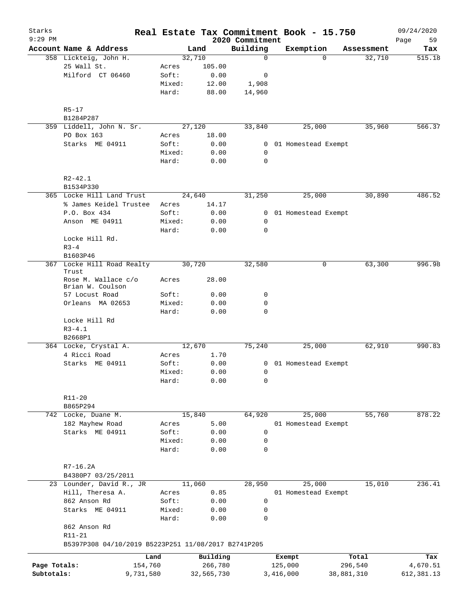| Starks<br>$9:29$ PM |                                                               |        |            | 2020 Commitment | Real Estate Tax Commitment Book - 15.750 |            | 09/24/2020<br>Page<br>59 |
|---------------------|---------------------------------------------------------------|--------|------------|-----------------|------------------------------------------|------------|--------------------------|
|                     | Account Name & Address                                        |        | Land       | Building        | Exemption                                | Assessment | Tax                      |
|                     | 358 Lickteig, John H.                                         |        | 32,710     | $\mathbf 0$     | $\Omega$                                 | 32,710     | 515.18                   |
|                     | 25 Wall St.                                                   | Acres  | 105.00     |                 |                                          |            |                          |
|                     | Milford CT 06460                                              | Soft:  | 0.00       | 0               |                                          |            |                          |
|                     |                                                               | Mixed: | 12.00      | 1,908           |                                          |            |                          |
|                     |                                                               | Hard:  | 88.00      | 14,960          |                                          |            |                          |
|                     |                                                               |        |            |                 |                                          |            |                          |
|                     | $R5 - 17$<br>B1284P287                                        |        |            |                 |                                          |            |                          |
|                     | 359 Liddell, John N. Sr.                                      |        | 27,120     | 33,840          | 25,000                                   | 35,960     | 566.37                   |
|                     | PO Box 163                                                    | Acres  | 18.00      |                 |                                          |            |                          |
|                     | Starks ME 04911                                               | Soft:  | 0.00       | 0               | 01 Homestead Exempt                      |            |                          |
|                     |                                                               | Mixed: | 0.00       | 0               |                                          |            |                          |
|                     |                                                               | Hard:  | 0.00       | 0               |                                          |            |                          |
|                     | $R2 - 42.1$                                                   |        |            |                 |                                          |            |                          |
|                     | B1534P330                                                     |        |            |                 |                                          |            |                          |
|                     | 365 Locke Hill Land Trust                                     |        | 24,640     | 31,250          | 25,000                                   | 30,890     | 486.52                   |
|                     | % James Keidel Trustee                                        | Acres  | 14.17      |                 |                                          |            |                          |
|                     | P.O. Box 434                                                  | Soft:  | 0.00       | $\overline{0}$  | 01 Homestead Exempt                      |            |                          |
|                     | Anson ME 04911                                                | Mixed: | 0.00       | 0               |                                          |            |                          |
|                     |                                                               | Hard:  | 0.00       | 0               |                                          |            |                          |
|                     | Locke Hill Rd.                                                |        |            |                 |                                          |            |                          |
|                     | $R3 - 4$                                                      |        |            |                 |                                          |            |                          |
|                     | B1603P46                                                      |        |            |                 |                                          |            |                          |
|                     | 367 Locke Hill Road Realty<br>Trust                           |        | 30,720     | 32,580          | 0                                        | 63,300     | 996.98                   |
|                     | Rose M. Wallace c/o<br>Brian W. Coulson                       | Acres  | 28.00      |                 |                                          |            |                          |
|                     | 57 Locust Road                                                | Soft:  | 0.00       | $\mathbf 0$     |                                          |            |                          |
|                     | Orleans MA 02653                                              | Mixed: | 0.00       | 0               |                                          |            |                          |
|                     |                                                               | Hard:  | 0.00       | 0               |                                          |            |                          |
|                     | Locke Hill Rd                                                 |        |            |                 |                                          |            |                          |
|                     | $R3 - 4.1$                                                    |        |            |                 |                                          |            |                          |
|                     | B2668P1                                                       |        |            |                 |                                          |            |                          |
|                     | 364 Locke, Crystal A.                                         |        | 12,670     | 75,240          | 25,000                                   | 62,910     | 990.83                   |
|                     | 4 Ricci Road                                                  | Acres  | 1.70       |                 |                                          |            |                          |
|                     | Starks ME 04911                                               | Soft:  | 0.00       |                 | 0 01 Homestead Exempt                    |            |                          |
|                     |                                                               | Mixed: | 0.00       | $\overline{0}$  |                                          |            |                          |
|                     |                                                               | Hard:  | 0.00       | 0               |                                          |            |                          |
|                     |                                                               |        |            |                 |                                          |            |                          |
|                     | $R11 - 20$<br>B865P294                                        |        |            |                 |                                          |            |                          |
|                     | 742 Locke, Duane M.                                           |        | 15,840     | 64,920          | 25,000                                   | 55,760     | 878.22                   |
|                     | 182 Mayhew Road                                               | Acres  | 5.00       |                 | 01 Homestead Exempt                      |            |                          |
|                     | Starks ME 04911                                               | Soft:  | 0.00       | 0               |                                          |            |                          |
|                     |                                                               | Mixed: | 0.00       | 0               |                                          |            |                          |
|                     |                                                               | Hard:  | 0.00       | 0               |                                          |            |                          |
|                     |                                                               |        |            |                 |                                          |            |                          |
|                     | R7-16.2A<br>B4380P7 03/25/2011                                |        |            |                 |                                          |            |                          |
|                     |                                                               |        |            |                 |                                          |            | 236.41                   |
|                     | 23 Lounder, David R., JR                                      |        | 11,060     | 28,950          | 25,000                                   | 15,010     |                          |
|                     | Hill, Theresa A.                                              | Acres  | 0.85       |                 | 01 Homestead Exempt                      |            |                          |
|                     | 862 Anson Rd                                                  | Soft:  | 0.00       | 0               |                                          |            |                          |
|                     | Starks ME 04911                                               | Mixed: | 0.00       | 0               |                                          |            |                          |
|                     | 862 Anson Rd                                                  | Hard:  | 0.00       | 0               |                                          |            |                          |
|                     | R11-21<br>B5397P308 04/10/2019 B5223P251 11/08/2017 B2741P205 |        |            |                 |                                          |            |                          |
|                     |                                                               | Land   | Building   |                 | Exempt                                   | Total      | Tax                      |
| Page Totals:        | 154,760                                                       |        | 266,780    |                 | 125,000                                  | 296,540    | 4,670.51                 |
| Subtotals:          | 9,731,580                                                     |        | 32,565,730 |                 | 3,416,000                                | 38,881,310 | 612, 381.13              |
|                     |                                                               |        |            |                 |                                          |            |                          |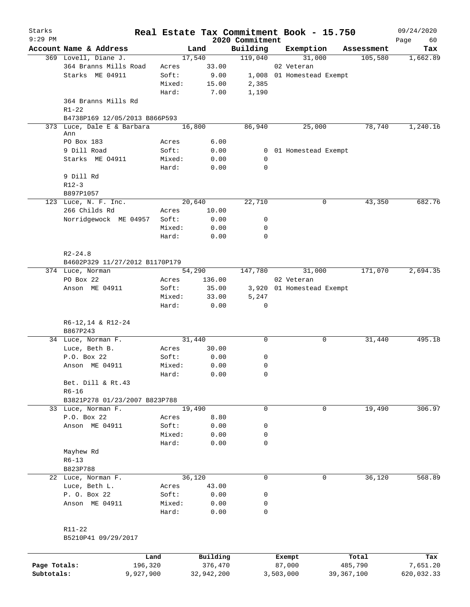| Starks       |                                                |                 |                |                     | Real Estate Tax Commitment Book - 15.750 |                       | 09/24/2020 |
|--------------|------------------------------------------------|-----------------|----------------|---------------------|------------------------------------------|-----------------------|------------|
| $9:29$ PM    |                                                |                 |                | 2020 Commitment     |                                          |                       | Page<br>60 |
|              | Account Name & Address<br>369 Lovell, Diane J. |                 | Land<br>17,540 | Building<br>119,040 | Exemption                                | Assessment<br>105,580 | Tax        |
|              | 364 Branns Mills Road                          |                 |                |                     | 31,000<br>02 Veteran                     |                       | 1,662.89   |
|              | Starks ME 04911                                | Acres           | 33.00          |                     |                                          |                       |            |
|              |                                                | Soft:           | 9.00           |                     | 1,008 01 Homestead Exempt                |                       |            |
|              |                                                | Mixed:          | 15.00          | 2,385               |                                          |                       |            |
|              |                                                | Hard:           | 7.00           | 1,190               |                                          |                       |            |
|              | 364 Branns Mills Rd                            |                 |                |                     |                                          |                       |            |
|              | $R1 - 22$                                      |                 |                |                     |                                          |                       |            |
|              | B4738P169 12/05/2013 B866P593                  |                 |                |                     |                                          |                       |            |
|              | 373 Luce, Dale E & Barbara<br>Ann              |                 | 16,800         | 86,940              | 25,000                                   | 78,740                | 1,240.16   |
|              | PO Box 183                                     | Acres           | 6.00           |                     |                                          |                       |            |
|              | 9 Dill Road                                    | Soft:           | 0.00           |                     | 0 01 Homestead Exempt                    |                       |            |
|              | Starks ME 04911                                | Mixed:          | 0.00           | 0                   |                                          |                       |            |
|              |                                                | Hard:           | 0.00           | 0                   |                                          |                       |            |
|              | 9 Dill Rd                                      |                 |                |                     |                                          |                       |            |
|              | $R12-3$                                        |                 |                |                     |                                          |                       |            |
|              |                                                |                 |                |                     |                                          |                       |            |
|              | B897P1057                                      |                 |                |                     |                                          |                       |            |
|              | 123 Luce, N. F. Inc.                           |                 | 20,640         | 22,710              | 0                                        | 43,350                | 682.76     |
|              | 266 Childs Rd                                  | Acres           | 10.00          |                     |                                          |                       |            |
|              | Norridgewock ME 04957                          | Soft:           | 0.00           | 0                   |                                          |                       |            |
|              |                                                | Mixed:          | 0.00           | 0                   |                                          |                       |            |
|              |                                                | Hard:           | 0.00           | 0                   |                                          |                       |            |
|              |                                                |                 |                |                     |                                          |                       |            |
|              | $R2 - 24.8$                                    |                 |                |                     |                                          |                       |            |
|              | B4602P329 11/27/2012 B1170P179                 |                 |                |                     |                                          |                       |            |
|              | 374 Luce, Norman                               |                 | 54,290         | 147,780             | 31,000                                   | 171,070               | 2,694.35   |
|              | PO Box 22                                      | Acres           | 136.00         |                     | 02 Veteran                               |                       |            |
|              | Anson ME 04911                                 | Soft:           | 35.00          |                     | 3,920 01 Homestead Exempt                |                       |            |
|              |                                                | Mixed:          | 33.00          | 5,247               |                                          |                       |            |
|              |                                                | Hard:           | 0.00           | 0                   |                                          |                       |            |
|              |                                                |                 |                |                     |                                          |                       |            |
|              | $R6-12, 14$ & $R12-24$                         |                 |                |                     |                                          |                       |            |
|              | B867P243                                       |                 |                |                     |                                          |                       |            |
|              | 34 Luce, Norman F.                             |                 | 31,440         | 0                   | 0                                        | 31,440                | 495.18     |
|              | Luce, Beth B.                                  | Acres           | 30.00          |                     |                                          |                       |            |
|              | P.O. Box 22                                    | Soft:           | 0.00           | 0                   |                                          |                       |            |
|              | Anson ME 04911                                 | Mixed:          | 0.00           | 0                   |                                          |                       |            |
|              |                                                | Hard:           | 0.00           | 0                   |                                          |                       |            |
|              | Bet. Dill & Rt.43                              |                 |                |                     |                                          |                       |            |
|              | $R6 - 16$                                      |                 |                |                     |                                          |                       |            |
|              | B3821P278 01/23/2007 B823P788                  |                 |                |                     |                                          |                       |            |
|              | 33 Luce, Norman F.                             |                 | 19,490         | $\mathbf 0$         | 0                                        | 19,490                | 306.97     |
|              | P.O. Box 22                                    | Acres           | 8.80           |                     |                                          |                       |            |
|              | Anson ME 04911                                 | Soft:           | 0.00           | 0                   |                                          |                       |            |
|              |                                                | Mixed:          | 0.00           | 0                   |                                          |                       |            |
|              |                                                | Hard:           | 0.00           | $\mathbf 0$         |                                          |                       |            |
|              | Mayhew Rd                                      |                 |                |                     |                                          |                       |            |
|              | $R6 - 13$                                      |                 |                |                     |                                          |                       |            |
|              | B823P788                                       |                 |                |                     |                                          |                       |            |
|              | 22 Luce, Norman F.                             |                 | 36,120         | $\mathbf 0$         | 0                                        | 36,120                | 568.89     |
|              | Luce, Beth L.                                  | Acres           | 43.00          |                     |                                          |                       |            |
|              | P. O. Box 22                                   | Soft:           | 0.00           | 0                   |                                          |                       |            |
|              | Anson ME 04911                                 | Mixed:          | 0.00           | 0                   |                                          |                       |            |
|              |                                                | Hard:           | 0.00           | 0                   |                                          |                       |            |
|              |                                                |                 |                |                     |                                          |                       |            |
|              | R11-22                                         |                 |                |                     |                                          |                       |            |
|              | B5210P41 09/29/2017                            |                 |                |                     |                                          |                       |            |
|              |                                                |                 |                |                     |                                          |                       |            |
|              |                                                |                 | Building       |                     |                                          | Total                 | Tax        |
| Page Totals: |                                                | Land<br>196,320 | 376,470        |                     | Exempt<br>87,000                         | 485,790               | 7,651.20   |
|              |                                                |                 |                |                     |                                          |                       |            |

**Subtotals:** 9,927,900 32,942,200 3,503,000 39,367,100 620,032.33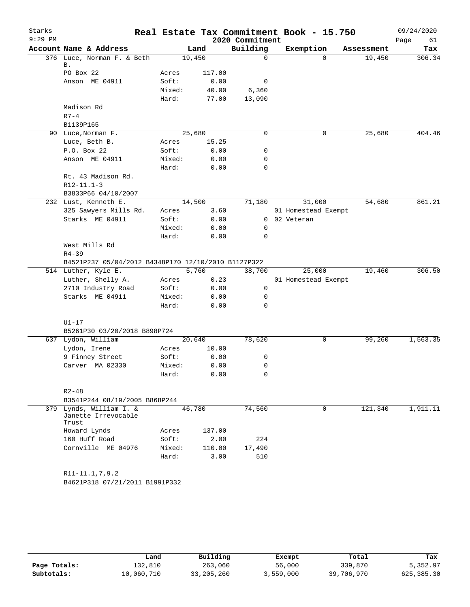| Starks<br>$9:29$ PM |                                                         |                |              | 2020 Commitment | Real Estate Tax Commitment Book - 15.750 |            | 09/24/2020<br>Page<br>61 |
|---------------------|---------------------------------------------------------|----------------|--------------|-----------------|------------------------------------------|------------|--------------------------|
|                     | Account Name & Address                                  |                | Land         | Building        | Exemption                                | Assessment | Tax                      |
|                     | 376 Luce, Norman F. & Beth                              |                | 19,450       | 0               | $\Omega$                                 | 19,450     | 306.34                   |
|                     | В.<br>PO Box 22                                         | Acres          | 117.00       |                 |                                          |            |                          |
|                     | Anson ME 04911                                          | Soft:          | 0.00         | 0               |                                          |            |                          |
|                     |                                                         | Mixed:         | 40.00        | 6,360           |                                          |            |                          |
|                     |                                                         | Hard:          | 77.00        | 13,090          |                                          |            |                          |
|                     | Madison Rd                                              |                |              |                 |                                          |            |                          |
|                     | $R7-4$                                                  |                |              |                 |                                          |            |                          |
|                     | B1139P165                                               |                |              |                 |                                          |            |                          |
|                     | 90 Luce, Norman F.                                      |                | 25,680       | 0               | 0                                        | 25,680     | 404.46                   |
|                     | Luce, Beth B.                                           | Acres          | 15.25        |                 |                                          |            |                          |
|                     | P.O. Box 22                                             | Soft:          | 0.00         | 0               |                                          |            |                          |
|                     | Anson ME 04911                                          | Mixed:         | 0.00         | 0               |                                          |            |                          |
|                     |                                                         | Hard:          | 0.00         | 0               |                                          |            |                          |
|                     | Rt. 43 Madison Rd.                                      |                |              |                 |                                          |            |                          |
|                     | $R12 - 11.1 - 3$                                        |                |              |                 |                                          |            |                          |
|                     | B3833P66 04/10/2007                                     |                |              |                 |                                          |            |                          |
|                     | 232 Lust, Kenneth E.                                    |                | 14,500       | 71,180          | 31,000                                   | 54,680     | 861.21                   |
|                     | 325 Sawyers Mills Rd.                                   | Acres          | 3.60         |                 | 01 Homestead Exempt                      |            |                          |
|                     | Starks ME 04911                                         | Soft:          | 0.00         | $\mathbf{0}$    | 02 Veteran                               |            |                          |
|                     |                                                         | Mixed:         | 0.00         | 0               |                                          |            |                          |
|                     |                                                         | Hard:          | 0.00         | 0               |                                          |            |                          |
|                     | West Mills Rd                                           |                |              |                 |                                          |            |                          |
|                     | $R4 - 39$                                               |                |              |                 |                                          |            |                          |
|                     | B4521P237 05/04/2012 B4348P170 12/10/2010 B1127P322     |                |              |                 |                                          |            |                          |
|                     | 514 Luther, Kyle E.                                     |                | 5,760        | 38,700          | 25,000                                   | 19,460     | 306.50                   |
|                     | Luther, Shelly A.<br>2710 Industry Road                 | Acres<br>Soft: | 0.23<br>0.00 | $\mathsf{O}$    | 01 Homestead Exempt                      |            |                          |
|                     | Starks ME 04911                                         | Mixed:         | 0.00         | 0               |                                          |            |                          |
|                     |                                                         | Hard:          | 0.00         | $\mathbf 0$     |                                          |            |                          |
|                     |                                                         |                |              |                 |                                          |            |                          |
|                     | $U1-17$                                                 |                |              |                 |                                          |            |                          |
|                     | B5261P30 03/20/2018 B898P724                            |                |              |                 |                                          |            |                          |
|                     | 637 Lydon, William                                      |                | 20,640       | 78,620          | 0                                        | 99,260     | 1,563.35                 |
|                     | Lydon, Irene                                            | Acres          | 10.00        |                 |                                          |            |                          |
|                     | 9 Finney Street                                         | Soft:          | 0.00         | 0               |                                          |            |                          |
|                     | Carver MA 02330                                         | Mixed:         | 0.00         | 0               |                                          |            |                          |
|                     |                                                         | Hard:          | 0.00         | 0               |                                          |            |                          |
|                     |                                                         |                |              |                 |                                          |            |                          |
|                     | $R2 - 48$                                               |                |              |                 |                                          |            |                          |
|                     | B3541P244 08/19/2005 B868P244                           |                |              |                 |                                          |            |                          |
|                     | 379 Lynds, William I. &<br>Janette Irrevocable<br>Trust |                | 46,780       | 74,560          | 0                                        | 121,340    | 1,911.11                 |
|                     | Howard Lynds                                            | Acres          | 137.00       |                 |                                          |            |                          |
|                     | 160 Huff Road                                           | Soft:          | 2.00         | 224             |                                          |            |                          |
|                     | Cornville ME 04976                                      | Mixed:         | 110.00       | 17,490          |                                          |            |                          |
|                     |                                                         | Hard:          | 3.00         | 510             |                                          |            |                          |
|                     |                                                         |                |              |                 |                                          |            |                          |
|                     | R11-11.1,7,9.2                                          |                |              |                 |                                          |            |                          |
|                     | B4621P318 07/21/2011 B1991P332                          |                |              |                 |                                          |            |                          |
|                     |                                                         |                |              |                 |                                          |            |                          |

|              | Land       | Building   | Exempt    | Total      | Tax          |
|--------------|------------|------------|-----------|------------|--------------|
| Page Totals: | 132,810    | 263,060    | 56,000    | 339,870    | 5,352.97     |
| Subtotals:   | 10,060,710 | 33,205,260 | 3,559,000 | 39,706,970 | 625, 385, 30 |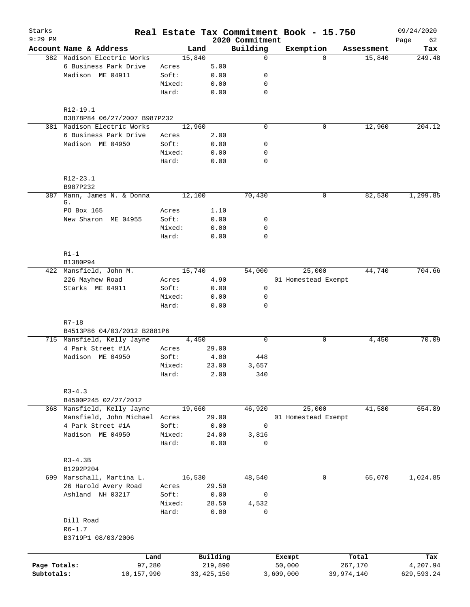| Starks<br>$9:29$ PM |                               |        |              | 2020 Commitment | Real Estate Tax Commitment Book - 15.750 |            |            | 09/24/2020        |
|---------------------|-------------------------------|--------|--------------|-----------------|------------------------------------------|------------|------------|-------------------|
|                     | Account Name & Address        |        | Land         | Building        | Exemption                                |            | Assessment | 62<br>Page<br>Tax |
|                     | 382 Madison Electric Works    | 15,840 |              | $\mathbf 0$     |                                          | $\Omega$   | 15,840     | 249.48            |
|                     | 6 Business Park Drive         | Acres  | 5.00         |                 |                                          |            |            |                   |
|                     | Madison ME 04911              | Soft:  | 0.00         | 0               |                                          |            |            |                   |
|                     |                               | Mixed: | 0.00         | 0               |                                          |            |            |                   |
|                     |                               | Hard:  | 0.00         | $\mathbf 0$     |                                          |            |            |                   |
|                     | $R12-19.1$                    |        |              |                 |                                          |            |            |                   |
|                     | B3878P84 06/27/2007 B987P232  |        |              |                 |                                          |            |            |                   |
|                     | 381 Madison Electric Works    | 12,960 |              | $\mathbf 0$     |                                          | 0          | 12,960     | 204.12            |
|                     | 6 Business Park Drive         | Acres  | 2.00         |                 |                                          |            |            |                   |
|                     | Madison ME 04950              | Soft:  | 0.00         | 0               |                                          |            |            |                   |
|                     |                               | Mixed: | 0.00         | 0               |                                          |            |            |                   |
|                     |                               | Hard:  | 0.00         | 0               |                                          |            |            |                   |
|                     | R12-23.1                      |        |              |                 |                                          |            |            |                   |
|                     | B987P232                      |        |              |                 |                                          |            |            |                   |
| 387                 | Mann, James N. & Donna<br>G.  | 12,100 |              | 70,430          |                                          | 0          | 82,530     | 1,299.85          |
|                     | PO Box 165                    | Acres  | 1.10         |                 |                                          |            |            |                   |
|                     | New Sharon ME 04955           | Soft:  | 0.00         | 0               |                                          |            |            |                   |
|                     |                               | Mixed: | 0.00         | 0               |                                          |            |            |                   |
|                     |                               | Hard:  | 0.00         | $\mathbf 0$     |                                          |            |            |                   |
|                     | $R1-1$                        |        |              |                 |                                          |            |            |                   |
|                     | B1380P94                      |        |              |                 |                                          |            |            |                   |
|                     | 422 Mansfield, John M.        |        | 15,740       | 54,000          | 25,000                                   |            | 44,740     | 704.66            |
|                     | 226 Mayhew Road               | Acres  | 4.90         |                 | 01 Homestead Exempt                      |            |            |                   |
|                     | Starks ME 04911               | Soft:  | 0.00         | $\mathbf 0$     |                                          |            |            |                   |
|                     |                               | Mixed: | 0.00         | $\mathbf 0$     |                                          |            |            |                   |
|                     |                               | Hard:  | 0.00         | $\Omega$        |                                          |            |            |                   |
|                     | $R7 - 18$                     |        |              |                 |                                          |            |            |                   |
|                     | B4513P86 04/03/2012 B2881P6   |        |              |                 |                                          |            |            |                   |
|                     | 715 Mansfield, Kelly Jayne    |        | 4,450        | $\mathbf 0$     |                                          | 0          | 4,450      | 70.09             |
|                     | 4 Park Street #1A             | Acres  | 29.00        |                 |                                          |            |            |                   |
|                     | Madison ME 04950              | Soft:  | 4.00         | 448             |                                          |            |            |                   |
|                     |                               | Mixed: | 23.00        | 3,657           |                                          |            |            |                   |
|                     |                               | Hard:  | 2.00         | 340             |                                          |            |            |                   |
|                     | $R3 - 4.3$                    |        |              |                 |                                          |            |            |                   |
|                     | B4500P245 02/27/2012          |        |              |                 |                                          |            |            |                   |
|                     | 368 Mansfield, Kelly Jayne    |        | 19,660       | 46,920          | 25,000                                   |            | 41,580     | 654.89            |
|                     | Mansfield, John Michael Acres |        | 29.00        |                 | 01 Homestead Exempt                      |            |            |                   |
|                     | 4 Park Street #1A             | Soft:  | 0.00         | $\mathbf 0$     |                                          |            |            |                   |
|                     | Madison ME 04950              | Mixed: | 24.00        | 3,816           |                                          |            |            |                   |
|                     |                               | Hard:  | 0.00         | 0               |                                          |            |            |                   |
|                     | $R3-4.3B$                     |        |              |                 |                                          |            |            |                   |
|                     | B1292P204                     |        |              |                 |                                          |            |            |                   |
|                     | 699 Marschall, Martina L.     |        | 16,530       | 48,540          |                                          | 0          | 65,070     | 1,024.85          |
|                     | 26 Harold Avery Road          | Acres  | 29.50        |                 |                                          |            |            |                   |
|                     | Ashland NH 03217              | Soft:  | 0.00         | 0               |                                          |            |            |                   |
|                     |                               | Mixed: | 28.50        | 4,532           |                                          |            |            |                   |
|                     |                               | Hard:  | 0.00         | 0               |                                          |            |            |                   |
|                     | Dill Road                     |        |              |                 |                                          |            |            |                   |
|                     | $R6 - 1.7$                    |        |              |                 |                                          |            |            |                   |
|                     | B3719P1 08/03/2006            |        |              |                 |                                          |            |            |                   |
|                     | Land                          |        | Building     |                 | Exempt                                   |            | Total      | Tax               |
| Page Totals:        | 97,280                        |        | 219,890      |                 | 50,000                                   |            | 267,170    | 4,207.94          |
| Subtotals:          | 10,157,990                    |        | 33, 425, 150 |                 | 3,609,000                                | 39,974,140 |            | 629,593.24        |
|                     |                               |        |              |                 |                                          |            |            |                   |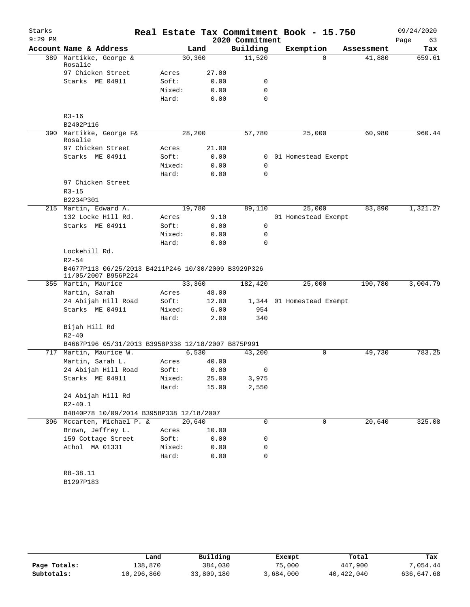| Starks    |                                                                            |        |        |                          | Real Estate Tax Commitment Book - 15.750 |            | 09/24/2020 |
|-----------|----------------------------------------------------------------------------|--------|--------|--------------------------|------------------------------------------|------------|------------|
| $9:29$ PM |                                                                            |        |        | 2020 Commitment          |                                          |            | Page<br>63 |
|           | Account Name & Address                                                     |        | Land   | Building                 | Exemption                                | Assessment | Tax        |
| 389       | Martikke, George &<br>Rosalie                                              | 30,360 |        | 11,520                   | $\Omega$                                 | 41,880     | 659.61     |
|           | 97 Chicken Street                                                          | Acres  | 27.00  |                          |                                          |            |            |
|           | Starks ME 04911                                                            | Soft:  | 0.00   | 0                        |                                          |            |            |
|           |                                                                            | Mixed: | 0.00   | 0                        |                                          |            |            |
|           |                                                                            | Hard:  | 0.00   | $\Omega$                 |                                          |            |            |
|           | $R3 - 16$                                                                  |        |        |                          |                                          |            |            |
|           | B2402P116                                                                  |        |        |                          |                                          |            |            |
|           | 390 Martikke, George F&<br>Rosalie                                         |        | 28,200 | 57,780                   | 25,000                                   | 60,980     | 960.44     |
|           | 97 Chicken Street                                                          | Acres  | 21.00  |                          |                                          |            |            |
|           | Starks ME 04911                                                            | Soft:  | 0.00   | 0                        | 01 Homestead Exempt                      |            |            |
|           |                                                                            | Mixed: | 0.00   | 0                        |                                          |            |            |
|           |                                                                            | Hard:  | 0.00   | 0                        |                                          |            |            |
|           | 97 Chicken Street                                                          |        |        |                          |                                          |            |            |
|           | $R3 - 15$                                                                  |        |        |                          |                                          |            |            |
|           | B2234P301                                                                  |        |        |                          |                                          |            |            |
|           | 215 Martin, Edward A.                                                      | 19,780 |        | 89,110                   | 25,000                                   | 83,890     | 1,321.27   |
|           | 132 Locke Hill Rd.                                                         | Acres  | 9.10   |                          | 01 Homestead Exempt                      |            |            |
|           | Starks ME 04911                                                            | Soft:  | 0.00   | 0                        |                                          |            |            |
|           |                                                                            | Mixed: | 0.00   | 0                        |                                          |            |            |
|           |                                                                            | Hard:  | 0.00   | 0                        |                                          |            |            |
|           | Lockehill Rd.                                                              |        |        |                          |                                          |            |            |
|           | $R2 - 54$                                                                  |        |        |                          |                                          |            |            |
|           | B4677P113 06/25/2013 B4211P246 10/30/2009 B3929P326<br>11/05/2007 B956P224 |        |        |                          |                                          |            |            |
|           | 355 Martin, Maurice                                                        |        | 33,360 | 182,420                  | 25,000                                   | 190,780    | 3,004.79   |
|           | Martin, Sarah                                                              | Acres  | 48.00  |                          |                                          |            |            |
|           | 24 Abijah Hill Road                                                        | Soft:  | 12.00  |                          | 1,344 01 Homestead Exempt                |            |            |
|           | Starks ME 04911                                                            | Mixed: | 6.00   | 954                      |                                          |            |            |
|           |                                                                            | Hard:  | 2.00   | 340                      |                                          |            |            |
|           | Bijah Hill Rd                                                              |        |        |                          |                                          |            |            |
|           | $R2 - 40$                                                                  |        |        |                          |                                          |            |            |
|           | B4667P196 05/31/2013 B3958P338 12/18/2007 B875P991                         |        |        |                          |                                          |            |            |
|           | 717 Martin, Maurice W.                                                     |        | 6,530  | 43,200                   | 0                                        | 49,730     | 783.25     |
|           | Martin, Sarah L.                                                           | Acres  | 40.00  |                          |                                          |            |            |
|           | 24 Abijah Hill Road                                                        | Soft:  | 0.00   | $\overline{\phantom{0}}$ |                                          |            |            |
|           | Starks ME 04911                                                            | Mixed: | 25.00  | 3,975                    |                                          |            |            |
|           |                                                                            | Hard:  | 15.00  | 2,550                    |                                          |            |            |
|           | 24 Abijah Hill Rd                                                          |        |        |                          |                                          |            |            |
|           | $R2 - 40.1$                                                                |        |        |                          |                                          |            |            |
|           | B4840P78 10/09/2014 B3958P338 12/18/2007                                   |        |        |                          |                                          |            |            |
|           | 396 Mccarten, Michael P. &                                                 | 20,640 |        | $\Omega$                 | $\Omega$                                 | 20,640     | 325.08     |
|           | Brown, Jeffrey L.                                                          | Acres  | 10.00  |                          |                                          |            |            |
|           | 159 Cottage Street                                                         | Soft:  | 0.00   | 0                        |                                          |            |            |
|           | Athol MA 01331                                                             | Mixed: | 0.00   | 0                        |                                          |            |            |
|           |                                                                            | Hard:  | 0.00   | 0                        |                                          |            |            |
|           |                                                                            |        |        |                          |                                          |            |            |
|           | R8-38.11                                                                   |        |        |                          |                                          |            |            |
|           | B1297P183                                                                  |        |        |                          |                                          |            |            |

|              | Land       | Building   | Exempt    | Total      | Tax        |
|--------------|------------|------------|-----------|------------|------------|
| Page Totals: | 138,870    | 384,030    | 75,000    | 447,900    | 7,054.44   |
| Subtotals:   | 10,296,860 | 33,809,180 | 3,684,000 | 40,422,040 | 636,647.68 |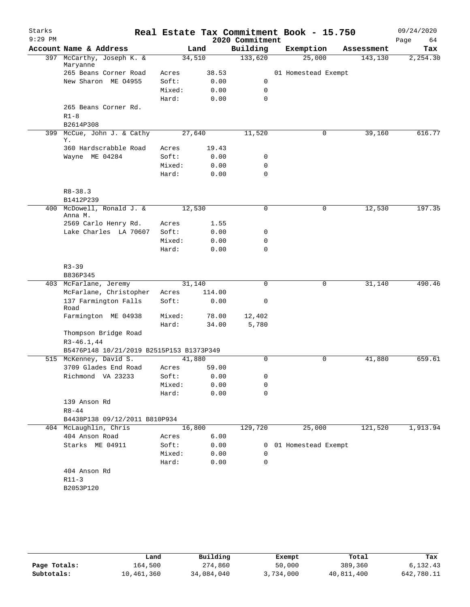| Starks    |                                                |        |        |        |                 | Real Estate Tax Commitment Book - 15.750 |            | 09/24/2020 |
|-----------|------------------------------------------------|--------|--------|--------|-----------------|------------------------------------------|------------|------------|
| $9:29$ PM |                                                |        |        |        | 2020 Commitment |                                          |            | Page<br>64 |
|           | Account Name & Address                         |        | Land   |        | Building        | Exemption                                | Assessment | Tax        |
|           | 397 McCarthy, Joseph K. &<br>Maryanne          |        | 34,510 |        | 133,620         | 25,000                                   | 143,130    | 2,254.30   |
|           | 265 Beans Corner Road                          | Acres  |        | 38.53  |                 | 01 Homestead Exempt                      |            |            |
|           | New Sharon ME 04955                            | Soft:  |        | 0.00   | 0               |                                          |            |            |
|           |                                                | Mixed: |        | 0.00   | 0               |                                          |            |            |
|           |                                                | Hard:  |        | 0.00   | $\mathbf 0$     |                                          |            |            |
|           | 265 Beans Corner Rd.                           |        |        |        |                 |                                          |            |            |
|           | $R1-8$                                         |        |        |        |                 |                                          |            |            |
|           | B2614P308                                      |        |        |        |                 |                                          |            |            |
| 399       | McCue, John J. & Cathy<br>Υ.                   |        | 27,640 |        | 11,520          | 0                                        | 39,160     | 616.77     |
|           | 360 Hardscrabble Road                          | Acres  |        | 19.43  |                 |                                          |            |            |
|           | Wayne ME 04284                                 | Soft:  |        | 0.00   | 0               |                                          |            |            |
|           |                                                | Mixed: |        | 0.00   | 0               |                                          |            |            |
|           |                                                | Hard:  |        | 0.00   | 0               |                                          |            |            |
|           |                                                |        |        |        |                 |                                          |            |            |
|           | $R8 - 38.3$                                    |        |        |        |                 |                                          |            |            |
|           | B1412P239                                      |        |        |        |                 |                                          |            |            |
|           | 400 McDowell, Ronald J. &<br>Anna M.           |        | 12,530 |        | $\mathbf 0$     | 0                                        | 12,530     | 197.35     |
|           | 2569 Carlo Henry Rd.                           | Acres  |        | 1.55   |                 |                                          |            |            |
|           | Lake Charles LA 70607                          | Soft:  |        | 0.00   | 0               |                                          |            |            |
|           |                                                | Mixed: |        | 0.00   | $\mathbf 0$     |                                          |            |            |
|           |                                                | Hard:  |        | 0.00   | $\mathbf 0$     |                                          |            |            |
|           |                                                |        |        |        |                 |                                          |            |            |
|           | $R3 - 39$                                      |        |        |        |                 |                                          |            |            |
|           | B836P345                                       |        |        |        |                 |                                          |            |            |
|           | 403 McFarlane, Jeremy                          |        | 31,140 |        | $\mathsf{O}$    | 0                                        | 31,140     | 490.46     |
|           | McFarlane, Christopher<br>137 Farmington Falls | Acres  |        | 114.00 | 0               |                                          |            |            |
|           | Road                                           | Soft:  |        | 0.00   |                 |                                          |            |            |
|           | Farmington ME 04938                            | Mixed: |        | 78.00  | 12,402          |                                          |            |            |
|           |                                                | Hard:  |        | 34.00  | 5,780           |                                          |            |            |
|           | Thompson Bridge Road<br>$R3-46.1, 44$          |        |        |        |                 |                                          |            |            |
|           | B5476P148 10/21/2019 B2515P153 B1373P349       |        |        |        |                 |                                          |            |            |
|           | 515 McKenney, David S.                         |        | 41,880 |        | 0               | 0                                        | 41,880     | 659.61     |
|           | 3709 Glades End Road                           | Acres  |        | 59.00  |                 |                                          |            |            |
|           | Richmond VA 23233                              | Soft:  |        | 0.00   | 0               |                                          |            |            |
|           |                                                | Mixed: |        | 0.00   | 0               |                                          |            |            |
|           |                                                | Hard:  |        | 0.00   | $\mathbf 0$     |                                          |            |            |
|           | 139 Anson Rd                                   |        |        |        |                 |                                          |            |            |
|           | $R8 - 44$                                      |        |        |        |                 |                                          |            |            |
|           | B4438P138 09/12/2011 B810P934                  |        |        |        |                 |                                          |            |            |
|           | 404 McLaughlin, Chris                          |        | 16,800 |        | 129,720         | 25,000                                   | 121,520    | 1,913.94   |
|           | 404 Anson Road                                 | Acres  |        | 6.00   |                 |                                          |            |            |
|           | Starks ME 04911                                | Soft:  |        | 0.00   |                 | 0 01 Homestead Exempt                    |            |            |
|           |                                                | Mixed: |        | 0.00   | 0               |                                          |            |            |
|           |                                                | Hard:  |        | 0.00   | $\mathbf 0$     |                                          |            |            |
|           | 404 Anson Rd                                   |        |        |        |                 |                                          |            |            |
|           | $R11-3$                                        |        |        |        |                 |                                          |            |            |
|           | B2053P120                                      |        |        |        |                 |                                          |            |            |
|           |                                                |        |        |        |                 |                                          |            |            |
|           |                                                |        |        |        |                 |                                          |            |            |

|              | Land       | Building   | Exempt    | Total      | Tax        |
|--------------|------------|------------|-----------|------------|------------|
| Page Totals: | 164,500    | 274,860    | 50,000    | 389,360    | 6,132.43   |
| Subtotals:   | 10,461,360 | 34,084,040 | 3,734,000 | 40,811,400 | 642,780.11 |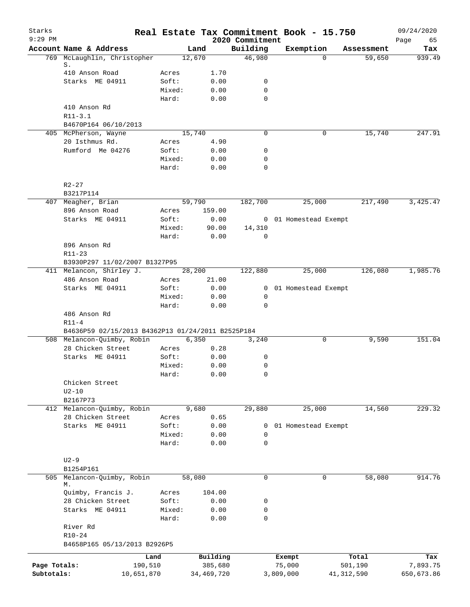| Starks<br>$9:29$ PM |                                                              |                 |              | 2020 Commitment            | Real Estate Tax Commitment Book - 15.750 |              |            | 09/24/2020        |
|---------------------|--------------------------------------------------------------|-----------------|--------------|----------------------------|------------------------------------------|--------------|------------|-------------------|
|                     | Account Name & Address                                       |                 | Land         | Building                   | Exemption                                |              | Assessment | Page<br>65<br>Tax |
|                     | 769 McLaughlin, Christopher                                  |                 | 12,670       | 46,980                     |                                          | $\Omega$     | 59,650     | 939.49            |
|                     | S.                                                           |                 |              |                            |                                          |              |            |                   |
|                     | 410 Anson Road                                               | Acres           | 1.70         |                            |                                          |              |            |                   |
|                     | Starks ME 04911                                              | Soft:           | 0.00         | 0                          |                                          |              |            |                   |
|                     |                                                              | Mixed:<br>Hard: | 0.00<br>0.00 | $\mathbf 0$<br>$\mathbf 0$ |                                          |              |            |                   |
|                     | 410 Anson Rd                                                 |                 |              |                            |                                          |              |            |                   |
|                     | $R11 - 3.1$                                                  |                 |              |                            |                                          |              |            |                   |
|                     | B4670P164 06/10/2013                                         |                 |              |                            |                                          |              |            |                   |
|                     | 405 McPherson, Wayne                                         |                 | 15,740       | 0                          |                                          | 0            | 15,740     | 247.91            |
|                     | 20 Isthmus Rd.                                               | Acres           | 4.90         |                            |                                          |              |            |                   |
|                     | Rumford Me 04276                                             | Soft:           | 0.00         | 0                          |                                          |              |            |                   |
|                     |                                                              | Mixed:          | 0.00         | $\mathbf 0$                |                                          |              |            |                   |
|                     |                                                              | Hard:           | 0.00         | $\mathbf 0$                |                                          |              |            |                   |
|                     | $R2 - 27$                                                    |                 |              |                            |                                          |              |            |                   |
|                     | B3217P114                                                    |                 |              |                            |                                          |              |            |                   |
|                     | 407 Meagher, Brian                                           |                 | 59,790       | 182,700                    | 25,000                                   |              | 217,490    | 3,425.47          |
|                     | 896 Anson Road                                               | Acres           | 159.00       |                            |                                          |              |            |                   |
|                     | Starks ME 04911                                              | Soft:           | 0.00         |                            | 0 01 Homestead Exempt                    |              |            |                   |
|                     |                                                              | Mixed:          | 90.00        | 14,310                     |                                          |              |            |                   |
|                     |                                                              | Hard:           | 0.00         | $\mathbf 0$                |                                          |              |            |                   |
|                     | 896 Anson Rd                                                 |                 |              |                            |                                          |              |            |                   |
|                     | $R11 - 23$                                                   |                 |              |                            |                                          |              |            |                   |
|                     | B3930P297 11/02/2007 B1327P95                                |                 |              |                            |                                          |              |            |                   |
|                     | 411 Melancon, Shirley J.                                     |                 | 28,200       | 122,880                    | 25,000                                   |              | 126,080    | 1,985.76          |
|                     | 486 Anson Road                                               | Acres           | 21.00        |                            |                                          |              |            |                   |
|                     | Starks ME 04911                                              | Soft:           | 0.00         |                            | 0 01 Homestead Exempt                    |              |            |                   |
|                     |                                                              | Mixed:          | 0.00         | $\mathbf 0$                |                                          |              |            |                   |
|                     |                                                              | Hard:           | 0.00         | $\mathbf 0$                |                                          |              |            |                   |
|                     | 486 Anson Rd                                                 |                 |              |                            |                                          |              |            |                   |
|                     | $R11-4$<br>B4636P59 02/15/2013 B4362P13 01/24/2011 B2525P184 |                 |              |                            |                                          |              |            |                   |
|                     | 508 Melancon-Quimby, Robin                                   |                 | 6,350        | 3,240                      |                                          | 0            | 9,590      | 151.04            |
|                     | 28 Chicken Street                                            | Acres           | 0.28         |                            |                                          |              |            |                   |
|                     | Starks ME 04911                                              | Soft:           | 0.00         | 0                          |                                          |              |            |                   |
|                     |                                                              | Mixed:          | 0.00         | $\mathbf 0$                |                                          |              |            |                   |
|                     |                                                              | Hard:           | 0.00         | 0                          |                                          |              |            |                   |
|                     | Chicken Street                                               |                 |              |                            |                                          |              |            |                   |
|                     | $U2-10$                                                      |                 |              |                            |                                          |              |            |                   |
|                     | B2167P73                                                     |                 |              |                            |                                          |              |            |                   |
|                     | 412 Melancon-Quimby, Robin                                   |                 | 9,680        | 29,880                     | 25,000                                   |              | 14,560     | 229.32            |
|                     | 28 Chicken Street                                            | Acres           | 0.65         |                            |                                          |              |            |                   |
|                     | Starks ME 04911                                              | Soft:           | 0.00         | 0                          | 01 Homestead Exempt                      |              |            |                   |
|                     |                                                              | Mixed:          | 0.00         | 0                          |                                          |              |            |                   |
|                     |                                                              | Hard:           | 0.00         | $\mathbf 0$                |                                          |              |            |                   |
|                     | $U2-9$                                                       |                 |              |                            |                                          |              |            |                   |
|                     | B1254P161                                                    |                 |              |                            |                                          |              |            |                   |
| 505                 | Melancon-Quimby, Robin<br>М.                                 |                 | 58,080       | $\mathsf{O}$               |                                          | $\mathbf 0$  | 58,080     | 914.76            |
|                     | Quimby, Francis J.                                           | Acres           | 104.00       |                            |                                          |              |            |                   |
|                     | 28 Chicken Street                                            | Soft:           | 0.00         | 0                          |                                          |              |            |                   |
|                     | Starks ME 04911                                              | Mixed:          | 0.00         | 0                          |                                          |              |            |                   |
|                     |                                                              | Hard:           | 0.00         | $\mathbf 0$                |                                          |              |            |                   |
|                     | River Rd                                                     |                 |              |                            |                                          |              |            |                   |
|                     | $R10 - 24$                                                   |                 |              |                            |                                          |              |            |                   |
|                     | B4658P165 05/13/2013 B2926P5                                 |                 |              |                            |                                          |              |            |                   |
|                     |                                                              | Land            | Building     |                            | Exempt                                   |              | Total      | Tax               |
| Page Totals:        | 190,510                                                      |                 | 385,680      |                            | 75,000                                   |              | 501,190    | 7,893.75          |
| Subtotals:          | 10,651,870                                                   |                 | 34,469,720   |                            | 3,809,000                                | 41, 312, 590 |            | 650,673.86        |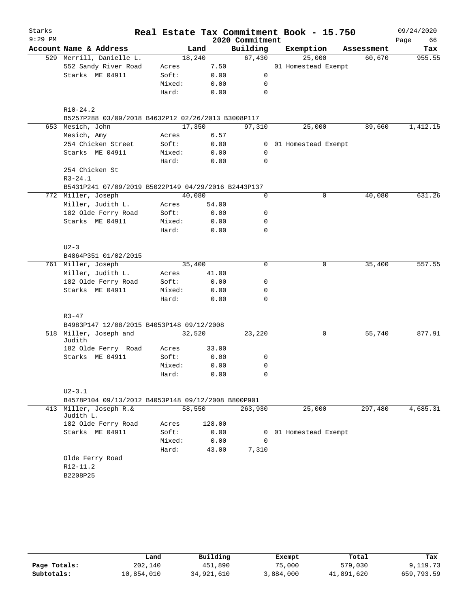| Starks    |                                                     |       |        |              |                 | Real Estate Tax Commitment Book - 15.750 |            | 09/24/2020 |
|-----------|-----------------------------------------------------|-------|--------|--------------|-----------------|------------------------------------------|------------|------------|
| $9:29$ PM |                                                     |       |        |              | 2020 Commitment |                                          |            | Page<br>66 |
|           | Account Name & Address                              |       | Land   |              | Building        | Exemption                                | Assessment | Tax        |
|           | 529 Merrill, Danielle L.                            |       | 18,240 |              | 67,430          | 25,000                                   | 60,670     | 955.55     |
|           | 552 Sandy River Road                                |       | Acres  | 7.50         |                 | 01 Homestead Exempt                      |            |            |
|           | Starks ME 04911                                     | Soft: |        | 0.00         | 0               |                                          |            |            |
|           |                                                     |       | Mixed: | 0.00         | $\mathbf 0$     |                                          |            |            |
|           |                                                     | Hard: |        | 0.00         | 0               |                                          |            |            |
|           | $R10-24.2$                                          |       |        |              |                 |                                          |            |            |
|           | B5257P288 03/09/2018 B4632P12 02/26/2013 B3008P117  |       |        |              |                 |                                          | 89,660     |            |
|           | 653 Mesich, John                                    |       | 17,350 |              | 97,310          | 25,000                                   |            | 1,412.15   |
|           | Mesich, Amy                                         |       | Acres  | 6.57         |                 |                                          |            |            |
|           | 254 Chicken Street                                  | Soft: |        | 0.00         |                 | 0 01 Homestead Exempt                    |            |            |
|           | Starks ME 04911                                     | Hard: | Mixed: | 0.00<br>0.00 | 0<br>0          |                                          |            |            |
|           | 254 Chicken St                                      |       |        |              |                 |                                          |            |            |
|           | $R3 - 24.1$                                         |       |        |              |                 |                                          |            |            |
|           | B5431P241 07/09/2019 B5022P149 04/29/2016 B2443P137 |       |        |              |                 |                                          |            |            |
|           | 772 Miller, Joseph                                  |       | 40,080 |              | 0               | 0                                        | 40,080     | 631.26     |
|           | Miller, Judith L.                                   | Acres |        | 54.00        |                 |                                          |            |            |
|           | 182 Olde Ferry Road                                 | Soft: |        | 0.00         | 0               |                                          |            |            |
|           | Starks ME 04911                                     |       | Mixed: | 0.00         | 0               |                                          |            |            |
|           |                                                     | Hard: |        | 0.00         | 0               |                                          |            |            |
|           | $U2-3$                                              |       |        |              |                 |                                          |            |            |
|           | B4864P351 01/02/2015                                |       |        |              |                 |                                          |            |            |
|           | 761 Miller, Joseph                                  |       | 35,400 |              | $\mathbf 0$     | 0                                        | 35,400     | 557.55     |
|           | Miller, Judith L.                                   |       | Acres  | 41.00        |                 |                                          |            |            |
|           | 182 Olde Ferry Road                                 |       | Soft:  | 0.00         | 0               |                                          |            |            |
|           | Starks ME 04911                                     |       | Mixed: | 0.00         | 0               |                                          |            |            |
|           |                                                     | Hard: |        | 0.00         | 0               |                                          |            |            |
|           | $R3 - 47$                                           |       |        |              |                 |                                          |            |            |
|           | B4983P147 12/08/2015 B4053P148 09/12/2008           |       |        |              |                 |                                          |            |            |
|           | 518 Miller, Joseph and<br>Judith                    |       | 32,520 |              | 23,220          | $\mathbf 0$                              | 55,740     | 877.91     |
|           | 182 Olde Ferry Road                                 | Acres |        | 33.00        |                 |                                          |            |            |
|           | Starks ME 04911                                     | Soft: |        | 0.00         | 0               |                                          |            |            |
|           |                                                     |       | Mixed: | 0.00         | 0               |                                          |            |            |
|           |                                                     | Hard: |        | 0.00         | 0               |                                          |            |            |
|           |                                                     |       |        |              |                 |                                          |            |            |
|           | $U2 - 3.1$                                          |       |        |              |                 |                                          |            |            |
|           | B4578P104 09/13/2012 B4053P148 09/12/2008 B800P901  |       |        |              |                 |                                          |            |            |
|           | 413 Miller, Joseph R.&<br>Judith L.                 |       | 58,550 |              | 263,930         | 25,000                                   | 297,480    | 4,685.31   |
|           | 182 Olde Ferry Road                                 | Acres |        | 128.00       |                 |                                          |            |            |
|           | Starks ME 04911                                     |       | Soft:  | 0.00         | 0               | 01 Homestead Exempt                      |            |            |
|           |                                                     |       | Mixed: | 0.00         | 0               |                                          |            |            |
|           |                                                     | Hard: |        | 43.00        | 7,310           |                                          |            |            |
|           | Olde Ferry Road                                     |       |        |              |                 |                                          |            |            |
|           | R12-11.2                                            |       |        |              |                 |                                          |            |            |
|           | B2208P25                                            |       |        |              |                 |                                          |            |            |
|           |                                                     |       |        |              |                 |                                          |            |            |

|              | Land       | Building   | Exempt    | Total      | Tax        |
|--------------|------------|------------|-----------|------------|------------|
| Page Totals: | 202,140    | 451,890    | 75,000    | 579,030    | 9,119.73   |
| Subtotals:   | 10,854,010 | 34,921,610 | 3,884,000 | 41,891,620 | 659,793.59 |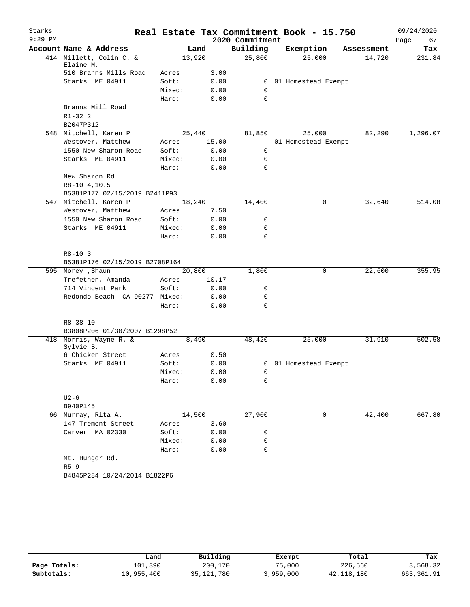| Starks    |                                         |                 |       |                 | Real Estate Tax Commitment Book - 15.750 |            | 09/24/2020 |
|-----------|-----------------------------------------|-----------------|-------|-----------------|------------------------------------------|------------|------------|
| $9:29$ PM |                                         |                 |       | 2020 Commitment |                                          |            | Page<br>67 |
|           | Account Name & Address                  |                 | Land  | Building        | Exemption                                | Assessment | Tax        |
|           | 414 Millett, Colin C. &<br>Elaine M.    | 13,920          |       | 25,800          | 25,000                                   | 14,720     | 231.84     |
|           | 510 Branns Mills Road                   | Acres           | 3.00  |                 |                                          |            |            |
|           | Starks ME 04911                         | Soft:           | 0.00  | 0               | 01 Homestead Exempt                      |            |            |
|           |                                         | Mixed:          | 0.00  | 0               |                                          |            |            |
|           |                                         | Hard:           | 0.00  | 0               |                                          |            |            |
|           | Branns Mill Road                        |                 |       |                 |                                          |            |            |
|           | $R1 - 32.2$                             |                 |       |                 |                                          |            |            |
|           | B2047P312                               |                 |       |                 |                                          |            |            |
|           | 548 Mitchell, Karen P.                  | 25,440          |       | 81,850          | 25,000                                   | 82,290     | 1,296.07   |
|           | Westover, Matthew                       | Acres           | 15.00 |                 | 01 Homestead Exempt                      |            |            |
|           | 1550 New Sharon Road                    | Soft:           | 0.00  | $\mathsf{O}$    |                                          |            |            |
|           | Starks ME 04911                         | Mixed:          | 0.00  | 0               |                                          |            |            |
|           |                                         | Hard:           | 0.00  | 0               |                                          |            |            |
|           | New Sharon Rd                           |                 |       |                 |                                          |            |            |
|           | $R8-10.4, 10.5$                         |                 |       |                 |                                          |            |            |
|           | B5381P177 02/15/2019 B2411P93           |                 |       |                 |                                          |            |            |
|           | 547 Mitchell, Karen P.                  | 18,240          |       | 14,400          | 0                                        | 32,640     | 514.08     |
|           | Westover, Matthew                       | Acres           | 7.50  |                 |                                          |            |            |
|           | 1550 New Sharon Road<br>Starks ME 04911 | Soft:           | 0.00  | 0               |                                          |            |            |
|           |                                         | Mixed:<br>Hard: | 0.00  | 0<br>0          |                                          |            |            |
|           |                                         |                 | 0.00  |                 |                                          |            |            |
|           | $R8 - 10.3$                             |                 |       |                 |                                          |            |            |
|           | B5381P176 02/15/2019 B2708P164          |                 |       |                 |                                          |            |            |
|           | 595 Morey , Shaun                       | 20,800          |       | 1,800           | 0                                        | 22,600     | 355.95     |
|           | Trefethen, Amanda                       | Acres           | 10.17 |                 |                                          |            |            |
|           | 714 Vincent Park                        | Soft:           | 0.00  | 0               |                                          |            |            |
|           | Redondo Beach CA 90277 Mixed:           |                 | 0.00  | 0               |                                          |            |            |
|           |                                         | Hard:           | 0.00  | 0               |                                          |            |            |
|           |                                         |                 |       |                 |                                          |            |            |
|           | $R8 - 38.10$                            |                 |       |                 |                                          |            |            |
|           | B3808P206 01/30/2007 B1298P52           |                 |       |                 |                                          |            |            |
|           | 418 Morris, Wayne R. &                  |                 | 8,490 | 48,420          | 25,000                                   | 31,910     | 502.58     |
|           | Sylvie B.<br>6 Chicken Street           | Acres           | 0.50  |                 |                                          |            |            |
|           | Starks ME 04911                         | Soft:           | 0.00  |                 | 0 01 Homestead Exempt                    |            |            |
|           |                                         | Mixed:          | 0.00  | 0               |                                          |            |            |
|           |                                         | Hard:           | 0.00  | 0               |                                          |            |            |
|           |                                         |                 |       |                 |                                          |            |            |
|           | $U2-6$                                  |                 |       |                 |                                          |            |            |
|           | B940P145                                |                 |       |                 |                                          |            |            |
|           | 66 Murray, Rita A.                      | 14,500          |       | 27,900          | 0                                        | 42,400     | 667.80     |
|           | 147 Tremont Street                      | Acres           | 3.60  |                 |                                          |            |            |
|           | Carver MA 02330                         | Soft:           | 0.00  | 0               |                                          |            |            |
|           |                                         | Mixed:          | 0.00  | 0               |                                          |            |            |
|           |                                         | Hard:           | 0.00  | 0               |                                          |            |            |
|           | Mt. Hunger Rd.                          |                 |       |                 |                                          |            |            |
|           | $R5 - 9$                                |                 |       |                 |                                          |            |            |
|           | B4845P284 10/24/2014 B1822P6            |                 |       |                 |                                          |            |            |
|           |                                         |                 |       |                 |                                          |            |            |

|              | Land       | Building     | Exempt    | Total        | Tax        |
|--------------|------------|--------------|-----------|--------------|------------|
| Page Totals: | 101,390    | 200,170      | 75,000    | 226,560      | 3,568.32   |
| Subtotals:   | 10,955,400 | 35, 121, 780 | 3,959,000 | 42, 118, 180 | 663,361.91 |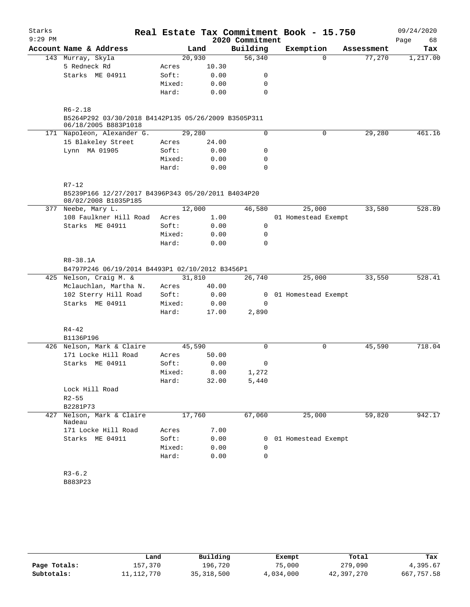| $9:29$ PM<br>2020 Commitment<br>Page<br>68<br>Account Name & Address<br>Building<br>Exemption<br>Land<br>Tax<br>Assessment<br>20,930<br>56,340<br>143 Murray, Skyla<br>$\Omega$<br>77,270<br>5 Redneck Rd<br>10.30<br>Acres<br>Starks ME 04911<br>0.00<br>Soft:<br>0<br>0.00<br>$\mathbf 0$<br>Mixed:<br>Hard:<br>0.00<br>0<br>$R6 - 2.18$<br>B5264P292 03/30/2018 B4142P135 05/26/2009 B3505P311<br>06/18/2005 B883P1018<br>171 Napoleon, Alexander G.<br>0<br>0<br>29,280<br>461.16<br>29,280<br>15 Blakeley Street<br>24.00<br>Acres<br>Lynn MA 01905<br>Soft:<br>0.00<br>0<br>Mixed:<br>0.00<br>0<br>$\mathbf 0$<br>Hard:<br>0.00<br>$R7 - 12$<br>B5239P166 12/27/2017 B4396P343 05/20/2011 B4034P20<br>08/02/2008 B1035P185<br>12,000<br>46,580<br>25,000<br>33,580<br>528.89<br>377 Neebe, Mary L.<br>108 Faulkner Hill Road<br>1.00<br>01 Homestead Exempt<br>Acres<br>Starks ME 04911<br>0.00<br>0<br>Soft:<br>Mixed:<br>0.00<br>0<br>$\mathbf 0$<br>Hard:<br>0.00<br>R8-38.1A<br>B4797P246 06/19/2014 B4493P1 02/10/2012 B3456P1<br>31,810<br>425 Nelson, Craig M. &<br>26,740<br>25,000<br>33,550 | Starks |  |  | Real Estate Tax Commitment Book - 15.750 | 09/24/2020 |
|-------------------------------------------------------------------------------------------------------------------------------------------------------------------------------------------------------------------------------------------------------------------------------------------------------------------------------------------------------------------------------------------------------------------------------------------------------------------------------------------------------------------------------------------------------------------------------------------------------------------------------------------------------------------------------------------------------------------------------------------------------------------------------------------------------------------------------------------------------------------------------------------------------------------------------------------------------------------------------------------------------------------------------------------------------------------------------------------------------------|--------|--|--|------------------------------------------|------------|
| 1,217.00<br>528.41                                                                                                                                                                                                                                                                                                                                                                                                                                                                                                                                                                                                                                                                                                                                                                                                                                                                                                                                                                                                                                                                                          |        |  |  |                                          |            |
|                                                                                                                                                                                                                                                                                                                                                                                                                                                                                                                                                                                                                                                                                                                                                                                                                                                                                                                                                                                                                                                                                                             |        |  |  |                                          |            |
|                                                                                                                                                                                                                                                                                                                                                                                                                                                                                                                                                                                                                                                                                                                                                                                                                                                                                                                                                                                                                                                                                                             |        |  |  |                                          |            |
|                                                                                                                                                                                                                                                                                                                                                                                                                                                                                                                                                                                                                                                                                                                                                                                                                                                                                                                                                                                                                                                                                                             |        |  |  |                                          |            |
|                                                                                                                                                                                                                                                                                                                                                                                                                                                                                                                                                                                                                                                                                                                                                                                                                                                                                                                                                                                                                                                                                                             |        |  |  |                                          |            |
|                                                                                                                                                                                                                                                                                                                                                                                                                                                                                                                                                                                                                                                                                                                                                                                                                                                                                                                                                                                                                                                                                                             |        |  |  |                                          |            |
|                                                                                                                                                                                                                                                                                                                                                                                                                                                                                                                                                                                                                                                                                                                                                                                                                                                                                                                                                                                                                                                                                                             |        |  |  |                                          |            |
|                                                                                                                                                                                                                                                                                                                                                                                                                                                                                                                                                                                                                                                                                                                                                                                                                                                                                                                                                                                                                                                                                                             |        |  |  |                                          |            |
|                                                                                                                                                                                                                                                                                                                                                                                                                                                                                                                                                                                                                                                                                                                                                                                                                                                                                                                                                                                                                                                                                                             |        |  |  |                                          |            |
|                                                                                                                                                                                                                                                                                                                                                                                                                                                                                                                                                                                                                                                                                                                                                                                                                                                                                                                                                                                                                                                                                                             |        |  |  |                                          |            |
|                                                                                                                                                                                                                                                                                                                                                                                                                                                                                                                                                                                                                                                                                                                                                                                                                                                                                                                                                                                                                                                                                                             |        |  |  |                                          |            |
|                                                                                                                                                                                                                                                                                                                                                                                                                                                                                                                                                                                                                                                                                                                                                                                                                                                                                                                                                                                                                                                                                                             |        |  |  |                                          |            |
|                                                                                                                                                                                                                                                                                                                                                                                                                                                                                                                                                                                                                                                                                                                                                                                                                                                                                                                                                                                                                                                                                                             |        |  |  |                                          |            |
|                                                                                                                                                                                                                                                                                                                                                                                                                                                                                                                                                                                                                                                                                                                                                                                                                                                                                                                                                                                                                                                                                                             |        |  |  |                                          |            |
|                                                                                                                                                                                                                                                                                                                                                                                                                                                                                                                                                                                                                                                                                                                                                                                                                                                                                                                                                                                                                                                                                                             |        |  |  |                                          |            |
|                                                                                                                                                                                                                                                                                                                                                                                                                                                                                                                                                                                                                                                                                                                                                                                                                                                                                                                                                                                                                                                                                                             |        |  |  |                                          |            |
|                                                                                                                                                                                                                                                                                                                                                                                                                                                                                                                                                                                                                                                                                                                                                                                                                                                                                                                                                                                                                                                                                                             |        |  |  |                                          |            |
|                                                                                                                                                                                                                                                                                                                                                                                                                                                                                                                                                                                                                                                                                                                                                                                                                                                                                                                                                                                                                                                                                                             |        |  |  |                                          |            |
|                                                                                                                                                                                                                                                                                                                                                                                                                                                                                                                                                                                                                                                                                                                                                                                                                                                                                                                                                                                                                                                                                                             |        |  |  |                                          |            |
|                                                                                                                                                                                                                                                                                                                                                                                                                                                                                                                                                                                                                                                                                                                                                                                                                                                                                                                                                                                                                                                                                                             |        |  |  |                                          |            |
|                                                                                                                                                                                                                                                                                                                                                                                                                                                                                                                                                                                                                                                                                                                                                                                                                                                                                                                                                                                                                                                                                                             |        |  |  |                                          |            |
|                                                                                                                                                                                                                                                                                                                                                                                                                                                                                                                                                                                                                                                                                                                                                                                                                                                                                                                                                                                                                                                                                                             |        |  |  |                                          |            |
|                                                                                                                                                                                                                                                                                                                                                                                                                                                                                                                                                                                                                                                                                                                                                                                                                                                                                                                                                                                                                                                                                                             |        |  |  |                                          |            |
| Mclauchlan, Martha N.<br>40.00<br>Acres                                                                                                                                                                                                                                                                                                                                                                                                                                                                                                                                                                                                                                                                                                                                                                                                                                                                                                                                                                                                                                                                     |        |  |  |                                          |            |
| 102 Sterry Hill Road<br>Soft:<br>0.00<br>0 01 Homestead Exempt                                                                                                                                                                                                                                                                                                                                                                                                                                                                                                                                                                                                                                                                                                                                                                                                                                                                                                                                                                                                                                              |        |  |  |                                          |            |
| Starks ME 04911<br>Mixed:<br>0.00<br>0                                                                                                                                                                                                                                                                                                                                                                                                                                                                                                                                                                                                                                                                                                                                                                                                                                                                                                                                                                                                                                                                      |        |  |  |                                          |            |
| Hard:<br>2,890<br>17.00                                                                                                                                                                                                                                                                                                                                                                                                                                                                                                                                                                                                                                                                                                                                                                                                                                                                                                                                                                                                                                                                                     |        |  |  |                                          |            |
| $R4 - 42$                                                                                                                                                                                                                                                                                                                                                                                                                                                                                                                                                                                                                                                                                                                                                                                                                                                                                                                                                                                                                                                                                                   |        |  |  |                                          |            |
| B1136P196                                                                                                                                                                                                                                                                                                                                                                                                                                                                                                                                                                                                                                                                                                                                                                                                                                                                                                                                                                                                                                                                                                   |        |  |  |                                          |            |
| 45,590<br>$\mathbf 0$<br>0<br>45,590<br>718.04<br>426 Nelson, Mark & Claire                                                                                                                                                                                                                                                                                                                                                                                                                                                                                                                                                                                                                                                                                                                                                                                                                                                                                                                                                                                                                                 |        |  |  |                                          |            |
| 171 Locke Hill Road<br>Acres<br>50.00                                                                                                                                                                                                                                                                                                                                                                                                                                                                                                                                                                                                                                                                                                                                                                                                                                                                                                                                                                                                                                                                       |        |  |  |                                          |            |
| Starks ME 04911<br>Soft:<br>0.00<br>0                                                                                                                                                                                                                                                                                                                                                                                                                                                                                                                                                                                                                                                                                                                                                                                                                                                                                                                                                                                                                                                                       |        |  |  |                                          |            |
| Mixed:<br>8.00<br>1,272                                                                                                                                                                                                                                                                                                                                                                                                                                                                                                                                                                                                                                                                                                                                                                                                                                                                                                                                                                                                                                                                                     |        |  |  |                                          |            |
| Hard:<br>32.00<br>5,440                                                                                                                                                                                                                                                                                                                                                                                                                                                                                                                                                                                                                                                                                                                                                                                                                                                                                                                                                                                                                                                                                     |        |  |  |                                          |            |
| Lock Hill Road                                                                                                                                                                                                                                                                                                                                                                                                                                                                                                                                                                                                                                                                                                                                                                                                                                                                                                                                                                                                                                                                                              |        |  |  |                                          |            |
| $R2 - 55$                                                                                                                                                                                                                                                                                                                                                                                                                                                                                                                                                                                                                                                                                                                                                                                                                                                                                                                                                                                                                                                                                                   |        |  |  |                                          |            |
| B2281P73                                                                                                                                                                                                                                                                                                                                                                                                                                                                                                                                                                                                                                                                                                                                                                                                                                                                                                                                                                                                                                                                                                    |        |  |  |                                          |            |
| Nelson, Mark & Claire<br>17,760<br>67,060<br>25,000<br>59,820<br>427<br>942.17<br>Nadeau                                                                                                                                                                                                                                                                                                                                                                                                                                                                                                                                                                                                                                                                                                                                                                                                                                                                                                                                                                                                                    |        |  |  |                                          |            |
| 171 Locke Hill Road<br>7.00<br>Acres                                                                                                                                                                                                                                                                                                                                                                                                                                                                                                                                                                                                                                                                                                                                                                                                                                                                                                                                                                                                                                                                        |        |  |  |                                          |            |
| Starks ME 04911<br>Soft:<br>0.00<br>01 Homestead Exempt<br>0                                                                                                                                                                                                                                                                                                                                                                                                                                                                                                                                                                                                                                                                                                                                                                                                                                                                                                                                                                                                                                                |        |  |  |                                          |            |
| 0.00<br>Mixed:<br>0                                                                                                                                                                                                                                                                                                                                                                                                                                                                                                                                                                                                                                                                                                                                                                                                                                                                                                                                                                                                                                                                                         |        |  |  |                                          |            |
| Hard:<br>0.00<br>0                                                                                                                                                                                                                                                                                                                                                                                                                                                                                                                                                                                                                                                                                                                                                                                                                                                                                                                                                                                                                                                                                          |        |  |  |                                          |            |
| $R3-6.2$                                                                                                                                                                                                                                                                                                                                                                                                                                                                                                                                                                                                                                                                                                                                                                                                                                                                                                                                                                                                                                                                                                    |        |  |  |                                          |            |
| B883P23                                                                                                                                                                                                                                                                                                                                                                                                                                                                                                                                                                                                                                                                                                                                                                                                                                                                                                                                                                                                                                                                                                     |        |  |  |                                          |            |

|              | Land         | Building     | Exempt    | Total      | Tax        |
|--------------|--------------|--------------|-----------|------------|------------|
| Page Totals: | 157,370      | 196.720      | 75,000    | 279,090    | 4,395.67   |
| Subtotals:   | 11, 112, 770 | 35, 318, 500 | 4,034,000 | 42,397,270 | 667,757.58 |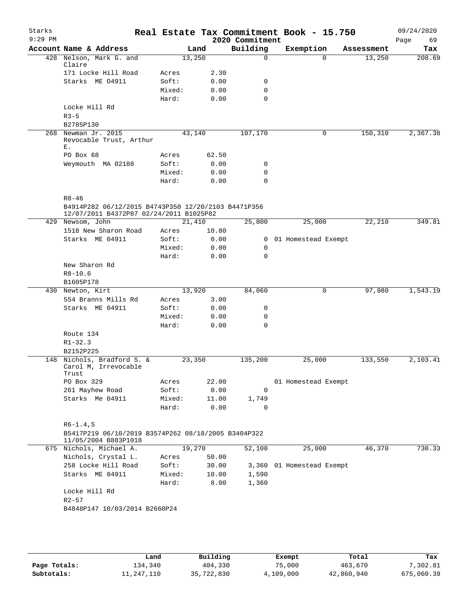| Starks<br>$9:29$ PM |                                                                             |        |        | 2020 Commitment | Real Estate Tax Commitment Book - 15.750 |            | 09/24/2020<br>Page<br>69 |
|---------------------|-----------------------------------------------------------------------------|--------|--------|-----------------|------------------------------------------|------------|--------------------------|
|                     | Account Name & Address                                                      |        | Land   | Building        | Exemption                                | Assessment | Tax                      |
|                     | 428 Nelson, Mark G. and<br>Claire                                           |        | 13,250 | 0               | $\Omega$                                 | 13,250     | 208.69                   |
|                     | 171 Locke Hill Road                                                         | Acres  | 2.30   |                 |                                          |            |                          |
|                     | Starks ME 04911                                                             | Soft:  | 0.00   | 0               |                                          |            |                          |
|                     |                                                                             | Mixed: | 0.00   | $\mathbf 0$     |                                          |            |                          |
|                     |                                                                             | Hard:  | 0.00   | $\mathbf 0$     |                                          |            |                          |
|                     | Locke Hill Rd                                                               |        |        |                 |                                          |            |                          |
|                     | $R3 - 5$<br>B2785P130                                                       |        |        |                 |                                          |            |                          |
|                     | 268 Newman Jr. 2015                                                         |        | 43,140 | 107,170         | 0                                        | 150,310    | 2,367.38                 |
|                     | Revocable Trust, Arthur<br>Ε.                                               |        |        |                 |                                          |            |                          |
|                     | PO Box 68                                                                   | Acres  | 62.50  |                 |                                          |            |                          |
|                     | Weymouth MA 02188                                                           | Soft:  | 0.00   | 0               |                                          |            |                          |
|                     |                                                                             | Mixed: | 0.00   | $\mathbf 0$     |                                          |            |                          |
|                     |                                                                             | Hard:  | 0.00   | $\Omega$        |                                          |            |                          |
|                     |                                                                             |        |        |                 |                                          |            |                          |
|                     | $R8 - 46$<br>B4914P282 06/12/2015 B4743P350 12/20/2103 B4471P356            |        |        |                 |                                          |            |                          |
|                     | 12/07/2011 B4372P87 02/24/2011 B1025P82<br>429 Newsom, John                 |        | 21,410 | 25,800          | 25,000                                   | 22,210     | 349.81                   |
|                     | 1518 New Sharon Road                                                        | Acres  | 10.80  |                 |                                          |            |                          |
|                     | Starks ME 04911                                                             | Soft:  | 0.00   | $\mathbf{0}$    | 01 Homestead Exempt                      |            |                          |
|                     |                                                                             | Mixed: | 0.00   | 0               |                                          |            |                          |
|                     |                                                                             | Hard:  | 0.00   | $\mathbf 0$     |                                          |            |                          |
|                     | New Sharon Rd                                                               |        |        |                 |                                          |            |                          |
|                     | $R8 - 10.6$                                                                 |        |        |                 |                                          |            |                          |
|                     | B1605P178                                                                   |        |        |                 |                                          |            |                          |
|                     | 430 Newton, Kirt                                                            |        | 13,920 | 84,060          | 0                                        | 97,980     | 1,543.19                 |
|                     | 554 Branns Mills Rd                                                         | Acres  | 3.00   |                 |                                          |            |                          |
|                     | Starks ME 04911                                                             | Soft:  | 0.00   | 0               |                                          |            |                          |
|                     |                                                                             | Mixed: | 0.00   | 0               |                                          |            |                          |
|                     |                                                                             | Hard:  | 0.00   | $\Omega$        |                                          |            |                          |
|                     | Route 134                                                                   |        |        |                 |                                          |            |                          |
|                     | $R1 - 32.3$                                                                 |        |        |                 |                                          |            |                          |
|                     | B2152P225                                                                   |        |        |                 |                                          |            |                          |
|                     | 148 Nichols, Bradford S. &<br>Carol M, Irrevocable                          |        | 23,350 | 135,200         | 25,000                                   | 133,550    | 2,103.41                 |
|                     | Trust                                                                       |        |        |                 |                                          |            |                          |
|                     | PO Box 329                                                                  | Acres  | 22.00  |                 | 01 Homestead Exempt                      |            |                          |
|                     | 261 Mayhew Road                                                             | Soft:  | 0.00   | 0               |                                          |            |                          |
|                     | Starks Me 04911                                                             | Mixed: | 11.00  | 1,749           |                                          |            |                          |
|                     |                                                                             | Hard:  | 0.00   | 0               |                                          |            |                          |
|                     | $R6-1.4, 5$                                                                 |        |        |                 |                                          |            |                          |
|                     | B5417P219 06/10/2019 B3574P262 08/18/2005 B3404P322<br>11/05/2004 B883P1018 |        |        |                 |                                          |            |                          |
|                     | 675 Nichols, Michael A.                                                     |        | 19,270 | 52,100          | 25,000                                   | 46,370     | 730.33                   |
|                     | Nichols, Crystal L.                                                         | Acres  | 50.00  |                 |                                          |            |                          |
|                     | 258 Locke Hill Road                                                         | Soft:  | 30.00  | 3,360           | 01 Homestead Exempt                      |            |                          |
|                     | Starks ME 04911                                                             | Mixed: | 10.00  | 1,590           |                                          |            |                          |
|                     |                                                                             | Hard:  | 8.00   | 1,360           |                                          |            |                          |
|                     | Locke Hill Rd<br>$R2 - 57$                                                  |        |        |                 |                                          |            |                          |
|                     | B4848P147 10/03/2014 B2660P24                                               |        |        |                 |                                          |            |                          |
|                     |                                                                             |        |        |                 |                                          |            |                          |
|                     |                                                                             |        |        |                 |                                          |            |                          |

|              | Land       | Building   | Exempt    | Total      | Tax        |
|--------------|------------|------------|-----------|------------|------------|
| Page Totals: | 134,340    | 404,330    | 75,000    | 463,670    | 7,302.81   |
| Subtotals:   | 11,247,110 | 35,722,830 | 4,109,000 | 42,860,940 | 675,060.39 |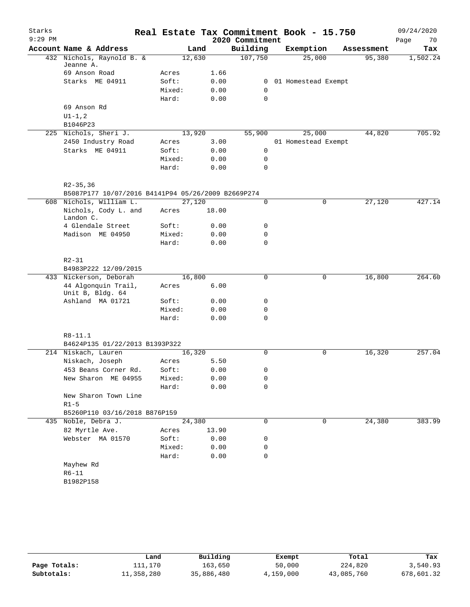| Starks    |                                                    |                |       |                 | Real Estate Tax Commitment Book - 15.750 |            | 09/24/2020 |
|-----------|----------------------------------------------------|----------------|-------|-----------------|------------------------------------------|------------|------------|
| $9:29$ PM |                                                    |                |       | 2020 Commitment |                                          |            | Page<br>70 |
|           | Account Name & Address                             | Land           |       | Building        | Exemption                                | Assessment | Tax        |
|           | 432 Nichols, Raynold B. &                          | 12,630         |       | 107,750         | 25,000                                   | 95,380     | 1,502.24   |
|           | Jeanne A.<br>69 Anson Road                         |                |       |                 |                                          |            |            |
|           | Starks ME 04911                                    | Acres<br>Soft: | 1.66  |                 |                                          |            |            |
|           |                                                    |                | 0.00  | 0<br>0          | 01 Homestead Exempt                      |            |            |
|           |                                                    | Mixed:         | 0.00  | $\mathbf 0$     |                                          |            |            |
|           |                                                    | Hard:          | 0.00  |                 |                                          |            |            |
|           | 69 Anson Rd                                        |                |       |                 |                                          |            |            |
|           | $UI - 1, 2$<br>B1046P23                            |                |       |                 |                                          |            |            |
|           | 225 Nichols, Sheri J.                              | 13,920         |       | 55,900          | 25,000                                   | 44,820     | 705.92     |
|           | 2450 Industry Road                                 | Acres          | 3.00  |                 | 01 Homestead Exempt                      |            |            |
|           | Starks ME 04911                                    | Soft:          | 0.00  | 0               |                                          |            |            |
|           |                                                    | Mixed:         | 0.00  | 0               |                                          |            |            |
|           |                                                    | Hard:          | 0.00  | 0               |                                          |            |            |
|           |                                                    |                |       |                 |                                          |            |            |
|           | $R2 - 35, 36$                                      |                |       |                 |                                          |            |            |
|           | B5087P177 10/07/2016 B4141P94 05/26/2009 B2669P274 |                |       |                 |                                          |            |            |
|           | 608 Nichols, William L.                            | 27,120         |       | 0               | 0                                        | 27,120     | 427.14     |
|           | Nichols, Cody L. and                               | Acres          | 18.00 |                 |                                          |            |            |
|           | Landon C.                                          |                |       |                 |                                          |            |            |
|           | 4 Glendale Street                                  | Soft:          | 0.00  | 0               |                                          |            |            |
|           | Madison ME 04950                                   | Mixed:         | 0.00  | 0               |                                          |            |            |
|           |                                                    | Hard:          | 0.00  | $\mathbf 0$     |                                          |            |            |
|           | $R2 - 31$                                          |                |       |                 |                                          |            |            |
|           | B4983P222 12/09/2015                               |                |       |                 |                                          |            |            |
|           | 433 Nickerson, Deborah                             | 16,800         |       | $\mathbf 0$     | 0                                        | 16,800     | 264.60     |
|           | 44 Algonquin Trail,                                | Acres          | 6.00  |                 |                                          |            |            |
|           | Unit B, Bldg. 64                                   |                |       |                 |                                          |            |            |
|           | Ashland MA 01721                                   | Soft:          | 0.00  | 0               |                                          |            |            |
|           |                                                    | Mixed:         | 0.00  | 0               |                                          |            |            |
|           |                                                    | Hard:          | 0.00  | 0               |                                          |            |            |
|           |                                                    |                |       |                 |                                          |            |            |
|           | R8-11.1                                            |                |       |                 |                                          |            |            |
|           | B4624P135 01/22/2013 B1393P322                     |                |       |                 |                                          |            |            |
|           | 214 Niskach, Lauren                                | 16,320         |       | 0               | $\mathbf 0$                              | 16,320     | 257.04     |
|           | Niskach, Joseph                                    | Acres          | 5.50  |                 |                                          |            |            |
|           | 453 Beans Corner Rd.                               | Soft:          | 0.00  | 0               |                                          |            |            |
|           | New Sharon ME 04955                                | Mixed:         | 0.00  | 0               |                                          |            |            |
|           |                                                    | Hard:          | 0.00  | 0               |                                          |            |            |
|           | New Sharon Town Line                               |                |       |                 |                                          |            |            |
|           | $R1-5$                                             |                |       |                 |                                          |            |            |
|           | B5260P110 03/16/2018 B876P159                      |                |       |                 |                                          |            |            |
|           | 435 Noble, Debra J.                                | 24,380         |       | $\mathbf 0$     | 0                                        | 24,380     | 383.99     |
|           | 82 Myrtle Ave.                                     | Acres          | 13.90 |                 |                                          |            |            |
|           | Webster MA 01570                                   | Soft:          | 0.00  | 0               |                                          |            |            |
|           |                                                    | Mixed:         | 0.00  | 0               |                                          |            |            |
|           |                                                    | Hard:          | 0.00  | 0               |                                          |            |            |
|           | Mayhew Rd                                          |                |       |                 |                                          |            |            |
|           | R6-11                                              |                |       |                 |                                          |            |            |
|           | B1982P158                                          |                |       |                 |                                          |            |            |
|           |                                                    |                |       |                 |                                          |            |            |

|              | Land       | Building   | Exempt    | Total      | Tax        |
|--------------|------------|------------|-----------|------------|------------|
| Page Totals: | ⊥11,170    | 163,650    | 50,000    | 224,820    | 3,540.93   |
| Subtotals:   | 11,358,280 | 35,886,480 | 4,159,000 | 43,085,760 | 678,601.32 |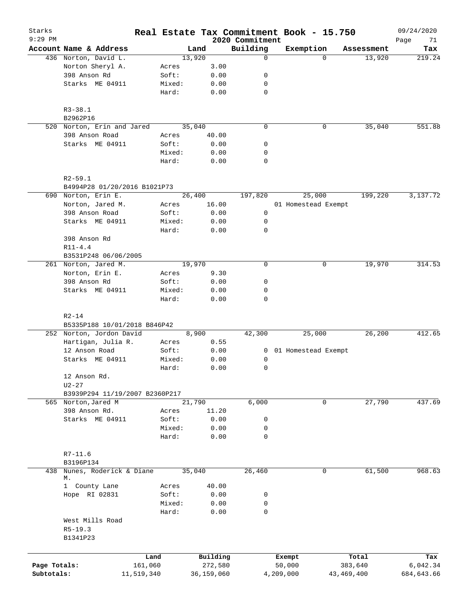| Starks<br>$9:29$ PM |                                                          |                 |              | 2020 Commitment  | Real Estate Tax Commitment Book - 15.750 |              | 09/24/2020        |
|---------------------|----------------------------------------------------------|-----------------|--------------|------------------|------------------------------------------|--------------|-------------------|
|                     | Account Name & Address                                   |                 | Land         | Building         | Exemption                                | Assessment   | Page<br>71<br>Tax |
|                     | 436 Norton, David L.                                     |                 | 13,920       | $\mathbf 0$      | $\Omega$                                 | 13,920       | 219.24            |
|                     | Norton Sheryl A.                                         | Acres           | 3.00         |                  |                                          |              |                   |
|                     | 398 Anson Rd                                             | Soft:           | 0.00         | 0                |                                          |              |                   |
|                     | Starks ME 04911                                          | Mixed:          | 0.00         | 0                |                                          |              |                   |
|                     |                                                          | Hard:           | 0.00         | $\mathbf 0$      |                                          |              |                   |
|                     | $R3 - 38.1$                                              |                 |              |                  |                                          |              |                   |
|                     | B2962P16                                                 |                 |              |                  |                                          |              |                   |
|                     | 520 Norton, Erin and Jared                               |                 | 35,040       | $\mathbf 0$      | 0                                        | 35,040       | 551.88            |
|                     | 398 Anson Road                                           | Acres           | 40.00        |                  |                                          |              |                   |
|                     | Starks ME 04911                                          | Soft:           | 0.00         | 0                |                                          |              |                   |
|                     |                                                          | Mixed:<br>Hard: | 0.00<br>0.00 | 0<br>$\mathbf 0$ |                                          |              |                   |
|                     | $R2 - 59.1$                                              |                 |              |                  |                                          |              |                   |
|                     | B4994P28 01/20/2016 B1021P73                             |                 |              |                  |                                          |              |                   |
|                     | 690 Norton, Erin E.                                      |                 | 26,400       | 197,820          | 25,000                                   | 199,220      | 3,137.72          |
|                     | Norton, Jared M.                                         | Acres           | 16.00        |                  | 01 Homestead Exempt                      |              |                   |
|                     | 398 Anson Road                                           | Soft:           | 0.00         | 0                |                                          |              |                   |
|                     | Starks ME 04911                                          | Mixed:          | 0.00         | 0                |                                          |              |                   |
|                     |                                                          | Hard:           | 0.00         | $\mathbf 0$      |                                          |              |                   |
|                     | 398 Anson Rd                                             |                 |              |                  |                                          |              |                   |
|                     | $R11 - 4.4$                                              |                 |              |                  |                                          |              |                   |
|                     | B3531P248 06/06/2005                                     |                 |              |                  |                                          |              |                   |
|                     | 261 Norton, Jared M.                                     |                 | 19,970       | $\mathbf 0$      | 0                                        | 19,970       | 314.53            |
|                     | Norton, Erin E.                                          | Acres           | 9.30         |                  |                                          |              |                   |
|                     | 398 Anson Rd                                             | Soft:           | 0.00         | 0                |                                          |              |                   |
|                     | Starks ME 04911                                          | Mixed:          | 0.00         | 0                |                                          |              |                   |
|                     |                                                          | Hard:           | 0.00         | $\mathbf 0$      |                                          |              |                   |
|                     | $R2 - 14$                                                |                 |              |                  |                                          |              |                   |
|                     | B5335P188 10/01/2018 B846P42<br>252 Norton, Jordon David |                 | 8,900        | 42,300           | 25,000                                   | 26,200       | 412.65            |
|                     | Hartigan, Julia R.                                       | Acres           | 0.55         |                  |                                          |              |                   |
|                     | 12 Anson Road                                            | Soft:           | 0.00         | $\mathbf{0}$     | 01 Homestead Exempt                      |              |                   |
|                     | Starks ME 04911                                          | Mixed:          | 0.00         | 0                |                                          |              |                   |
|                     |                                                          | Hard:           | 0.00         | $\mathbf 0$      |                                          |              |                   |
|                     | 12 Anson Rd.                                             |                 |              |                  |                                          |              |                   |
|                     | $U2 - 27$                                                |                 |              |                  |                                          |              |                   |
|                     | B3939P294 11/19/2007 B2360P217                           |                 |              |                  |                                          |              |                   |
|                     | 565 Norton, Jared M                                      |                 | 21,790       | 6,000            | 0                                        | 27,790       | 437.69            |
|                     | 398 Anson Rd.                                            | Acres           | 11.20        |                  |                                          |              |                   |
|                     | Starks ME 04911                                          | Soft:           | 0.00         | 0                |                                          |              |                   |
|                     |                                                          | Mixed:          | 0.00         | 0                |                                          |              |                   |
|                     |                                                          | Hard:           | 0.00         | $\mathbf 0$      |                                          |              |                   |
|                     | $R7 - 11.6$                                              |                 |              |                  |                                          |              |                   |
|                     | B3196P134                                                |                 |              |                  |                                          |              |                   |
| 438                 | Nunes, Roderick & Diane                                  |                 | 35,040       | 26,460           | 0                                        | 61,500       | 968.63            |
|                     | М.                                                       |                 |              |                  |                                          |              |                   |
|                     | 1 County Lane                                            | Acres           | 40.00        |                  |                                          |              |                   |
|                     | Hope RI 02831                                            | Soft:           | 0.00         | 0                |                                          |              |                   |
|                     |                                                          | Mixed:          | 0.00         | 0                |                                          |              |                   |
|                     |                                                          | Hard:           | 0.00         | 0                |                                          |              |                   |
|                     | West Mills Road<br>$R5-19.3$<br>B1341P23                 |                 |              |                  |                                          |              |                   |
|                     |                                                          |                 |              |                  |                                          |              |                   |
|                     |                                                          | Land            | Building     |                  | Exempt                                   | Total        | Tax               |
| Page Totals:        | 161,060                                                  |                 | 272,580      |                  | 50,000                                   | 383,640      | 6,042.34          |
| Subtotals:          | 11,519,340                                               |                 | 36,159,060   |                  | 4,209,000                                | 43, 469, 400 | 684,643.66        |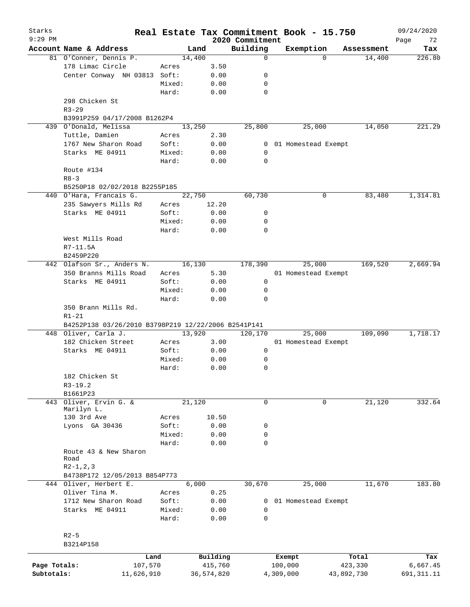| Starks<br>$9:29$ PM |                                                     |        |            | 2020 Commitment | Real Estate Tax Commitment Book - 15.750 |            | 09/24/2020<br>Page<br>72 |
|---------------------|-----------------------------------------------------|--------|------------|-----------------|------------------------------------------|------------|--------------------------|
|                     | Account Name & Address                              |        | Land       | Building        | Exemption                                | Assessment | Tax                      |
|                     | 81 O'Conner, Dennis P.                              | 14,400 |            | $\mathbf 0$     | $\Omega$                                 | 14,400     | 226.80                   |
|                     | 178 Limac Circle                                    | Acres  | 3.50       |                 |                                          |            |                          |
|                     | Center Conway NH 03813                              | Soft:  | 0.00       | 0               |                                          |            |                          |
|                     |                                                     | Mixed: | 0.00       | 0               |                                          |            |                          |
|                     |                                                     | Hard:  | 0.00       | 0               |                                          |            |                          |
|                     | 298 Chicken St                                      |        |            |                 |                                          |            |                          |
|                     | $R3 - 29$                                           |        |            |                 |                                          |            |                          |
|                     | B3991P259 04/17/2008 B1262P4                        |        |            |                 |                                          |            |                          |
|                     | 439 O'Donald, Melissa                               | 13,250 |            | 25,800          | 25,000                                   | 14,050     | 221.29                   |
|                     | Tuttle, Damien                                      | Acres  | 2.30       |                 |                                          |            |                          |
|                     | 1767 New Sharon Road                                | Soft:  | 0.00       | $\mathbf{0}$    | 01 Homestead Exempt                      |            |                          |
|                     | Starks ME 04911                                     | Mixed: | 0.00       | 0               |                                          |            |                          |
|                     |                                                     | Hard:  | 0.00       | 0               |                                          |            |                          |
|                     | Route #134                                          |        |            |                 |                                          |            |                          |
|                     | $R8 - 3$                                            |        |            |                 |                                          |            |                          |
|                     | B5250P18 02/02/2018 B2255P185                       |        |            |                 |                                          |            |                          |
|                     | 440 O'Hara, Francais G.                             |        | 22,750     | 60,730          | 0                                        | 83,480     | 1,314.81                 |
|                     | 235 Sawyers Mills Rd                                | Acres  | 12.20      |                 |                                          |            |                          |
|                     | Starks ME 04911                                     | Soft:  | 0.00       | 0               |                                          |            |                          |
|                     |                                                     | Mixed: | 0.00       | 0               |                                          |            |                          |
|                     |                                                     | Hard:  | 0.00       | $\mathbf 0$     |                                          |            |                          |
|                     | West Mills Road                                     |        |            |                 |                                          |            |                          |
|                     |                                                     |        |            |                 |                                          |            |                          |
|                     | R7-11.5A                                            |        |            |                 |                                          |            |                          |
|                     | B2459P220                                           |        |            |                 |                                          |            |                          |
|                     | 442 Olafson Sr., Anders N.                          |        | 16,130     | 178,390         | 25,000                                   | 169,520    | 2,669.94                 |
|                     | 350 Branns Mills Road                               | Acres  | 5.30       |                 | 01 Homestead Exempt                      |            |                          |
|                     | Starks ME 04911                                     | Soft:  | 0.00       | 0               |                                          |            |                          |
|                     |                                                     | Mixed: | 0.00       | 0               |                                          |            |                          |
|                     |                                                     | Hard:  | 0.00       | 0               |                                          |            |                          |
|                     | 350 Brann Mills Rd.                                 |        |            |                 |                                          |            |                          |
|                     | $R1 - 21$                                           |        |            |                 |                                          |            |                          |
|                     | B4252P138 03/26/2010 B3798P219 12/22/2006 B2541P141 |        |            |                 |                                          |            |                          |
|                     | 448 Oliver, Carla J.                                | 13,920 |            | 120,170         | 25,000                                   | 109,090    | 1,718.17                 |
|                     | 182 Chicken Street                                  | Acres  | 3.00       |                 | 01 Homestead Exempt                      |            |                          |
|                     | Starks ME 04911                                     | Soft:  | 0.00       | 0               |                                          |            |                          |
|                     |                                                     | Mixed: | 0.00       | 0               |                                          |            |                          |
|                     |                                                     | Hard:  | 0.00       | $\mathbf 0$     |                                          |            |                          |
|                     | 182 Chicken St                                      |        |            |                 |                                          |            |                          |
|                     | $R3 - 19.2$                                         |        |            |                 |                                          |            |                          |
|                     | B1661P23                                            |        |            |                 |                                          |            |                          |
| 443                 | Oliver, Ervin G. &                                  | 21,120 |            | 0               | 0                                        | 21,120     | 332.64                   |
|                     | Marilyn L.                                          |        |            |                 |                                          |            |                          |
|                     | 130 3rd Ave                                         | Acres  | 10.50      |                 |                                          |            |                          |
|                     | Lyons GA 30436                                      | Soft:  | 0.00       | 0               |                                          |            |                          |
|                     |                                                     | Mixed: | 0.00       | 0               |                                          |            |                          |
|                     |                                                     | Hard:  | 0.00       | 0               |                                          |            |                          |
|                     | Route 43 & New Sharon                               |        |            |                 |                                          |            |                          |
|                     | Road                                                |        |            |                 |                                          |            |                          |
|                     | $R2-1, 2, 3$                                        |        |            |                 |                                          |            |                          |
|                     | B4738P172 12/05/2013 B854P773                       |        |            |                 |                                          |            |                          |
|                     | 444 Oliver, Herbert E.                              |        | 6,000      | 30,670          | 25,000                                   | 11,670     | 183.80                   |
|                     | Oliver Tina M.                                      | Acres  | 0.25       |                 |                                          |            |                          |
|                     | 1712 New Sharon Road                                | Soft:  | 0.00       | 0               | 01 Homestead Exempt                      |            |                          |
|                     | Starks ME 04911                                     | Mixed: | 0.00       | 0               |                                          |            |                          |
|                     |                                                     | Hard:  | 0.00       | 0               |                                          |            |                          |
|                     |                                                     |        |            |                 |                                          |            |                          |
|                     | $R2 - 5$                                            |        |            |                 |                                          |            |                          |
|                     | B3214P158                                           |        |            |                 |                                          |            |                          |
|                     |                                                     |        |            |                 |                                          |            |                          |
|                     | Land                                                |        | Building   |                 | Exempt                                   | Total      | Tax                      |
| Page Totals:        | 107,570                                             |        | 415,760    |                 | 100,000                                  | 423,330    | 6,667.45                 |
| Subtotals:          | 11,626,910                                          |        | 36,574,820 |                 | 4,309,000                                | 43,892,730 | 691, 311. 11             |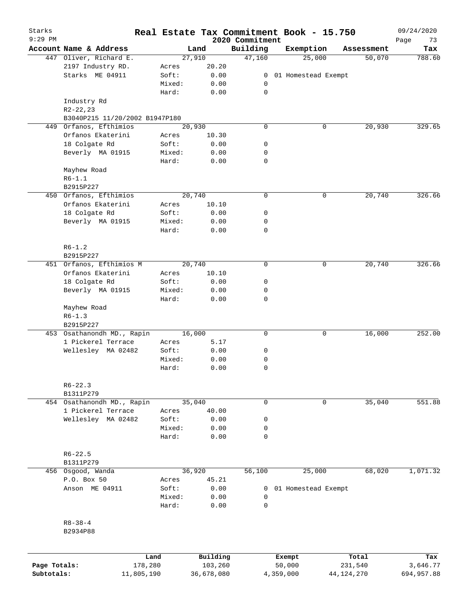| Starks<br>$9:29$ PM |                                |            | Real Estate Tax Commitment Book - 15.750 | 2020 Commitment |                     |              |            | 09/24/2020<br>Page<br>73 |
|---------------------|--------------------------------|------------|------------------------------------------|-----------------|---------------------|--------------|------------|--------------------------|
|                     | Account Name & Address         |            | Land                                     | Building        | Exemption           |              | Assessment | Tax                      |
|                     | 447 Oliver, Richard E.         |            | 27,910                                   | 47,160          | 25,000              |              | 50,070     | 788.60                   |
|                     | 2197 Industry RD.              | Acres      | 20.20                                    |                 |                     |              |            |                          |
|                     | Starks ME 04911                | Soft:      | 0.00                                     | 0               | 01 Homestead Exempt |              |            |                          |
|                     |                                | Mixed:     | 0.00                                     | 0               |                     |              |            |                          |
|                     |                                | Hard:      | 0.00                                     | $\mathbf 0$     |                     |              |            |                          |
|                     | Industry Rd                    |            |                                          |                 |                     |              |            |                          |
|                     | $R2 - 22, 23$                  |            |                                          |                 |                     |              |            |                          |
|                     | B3040P215 11/20/2002 B1947P180 |            |                                          |                 |                     |              |            |                          |
|                     | 449 Orfanos, Efthimios         |            | 20,930                                   | 0               |                     | 0            | 20,930     | 329.65                   |
|                     | Orfanos Ekaterini              | Acres      | 10.30                                    |                 |                     |              |            |                          |
|                     | 18 Colgate Rd                  | Soft:      | 0.00                                     | 0               |                     |              |            |                          |
|                     | Beverly MA 01915               | Mixed:     | 0.00                                     | 0               |                     |              |            |                          |
|                     |                                | Hard:      | 0.00                                     | 0               |                     |              |            |                          |
|                     | Mayhew Road                    |            |                                          |                 |                     |              |            |                          |
|                     | $R6 - 1.1$                     |            |                                          |                 |                     |              |            |                          |
|                     | B2915P227                      |            |                                          |                 |                     |              |            |                          |
|                     |                                |            | 20,740                                   | 0               |                     |              |            | 326.66                   |
|                     | 450 Orfanos, Efthimios         |            |                                          |                 |                     | 0            | 20,740     |                          |
|                     | Orfanos Ekaterini              | Acres      | 10.10                                    |                 |                     |              |            |                          |
|                     | 18 Colgate Rd                  | Soft:      | 0.00                                     | 0               |                     |              |            |                          |
|                     | Beverly MA 01915               | Mixed:     | 0.00                                     | 0               |                     |              |            |                          |
|                     |                                | Hard:      | 0.00                                     | 0               |                     |              |            |                          |
|                     |                                |            |                                          |                 |                     |              |            |                          |
|                     | $R6 - 1.2$                     |            |                                          |                 |                     |              |            |                          |
|                     | B2915P227                      |            |                                          |                 |                     |              |            |                          |
|                     | 451 Orfanos, Efthimios M       |            | 20,740                                   | 0               |                     | 0            | 20,740     | 326.66                   |
|                     | Orfanos Ekaterini              | Acres      | 10.10                                    |                 |                     |              |            |                          |
|                     | 18 Colgate Rd                  | Soft:      | 0.00                                     | 0               |                     |              |            |                          |
|                     | Beverly MA 01915               | Mixed:     | 0.00                                     | 0               |                     |              |            |                          |
|                     |                                | Hard:      | 0.00                                     | 0               |                     |              |            |                          |
|                     | Mayhew Road                    |            |                                          |                 |                     |              |            |                          |
|                     | $R6 - 1.3$                     |            |                                          |                 |                     |              |            |                          |
|                     | B2915P227                      |            |                                          |                 |                     |              |            |                          |
|                     | 453 Osathanondh MD., Rapin     |            | 16,000                                   | 0               |                     | 0            | 16,000     | 252.00                   |
|                     | 1 Pickerel Terrace             | Acres      | 5.17                                     |                 |                     |              |            |                          |
|                     | Wellesley MA 02482             | Soft:      | 0.00                                     | 0               |                     |              |            |                          |
|                     |                                | Mixed:     | 0.00                                     | 0               |                     |              |            |                          |
|                     |                                | Hard:      | 0.00                                     | 0               |                     |              |            |                          |
|                     |                                |            |                                          |                 |                     |              |            |                          |
|                     | $R6 - 22.3$                    |            |                                          |                 |                     |              |            |                          |
|                     | B1311P279                      |            |                                          |                 |                     |              |            |                          |
|                     | 454 Osathanondh MD., Rapin     |            | 35,040                                   | 0               |                     | 0            | 35,040     | 551.88                   |
|                     | 1 Pickerel Terrace             | Acres      | 40.00                                    |                 |                     |              |            |                          |
|                     | Wellesley MA 02482             | Soft:      | 0.00                                     | 0               |                     |              |            |                          |
|                     |                                | Mixed:     | 0.00                                     | 0               |                     |              |            |                          |
|                     |                                | Hard:      | 0.00                                     | 0               |                     |              |            |                          |
|                     |                                |            |                                          |                 |                     |              |            |                          |
|                     | $R6 - 22.5$                    |            |                                          |                 |                     |              |            |                          |
|                     | B1311P279                      |            |                                          |                 |                     |              |            |                          |
| 456                 | Osgood, Wanda                  |            | 36,920                                   | 56,100          | 25,000              |              | 68,020     | 1,071.32                 |
|                     | P.O. Box 50                    | Acres      | 45.21                                    |                 |                     |              |            |                          |
|                     | Anson ME 04911                 | Soft:      | 0.00                                     | 0               | 01 Homestead Exempt |              |            |                          |
|                     |                                | Mixed:     | 0.00                                     | 0               |                     |              |            |                          |
|                     |                                | Hard:      | 0.00                                     | 0               |                     |              |            |                          |
|                     |                                |            |                                          |                 |                     |              |            |                          |
|                     | $R8 - 38 - 4$                  |            |                                          |                 |                     |              |            |                          |
|                     | B2934P88                       |            |                                          |                 |                     |              |            |                          |
|                     |                                |            |                                          |                 |                     |              |            |                          |
|                     |                                |            |                                          |                 |                     |              |            |                          |
|                     |                                | Land       | Building                                 |                 | Exempt              |              | Total      | Tax                      |
| Page Totals:        |                                | 178,280    | 103,260                                  |                 | 50,000              |              | 231,540    | 3,646.77                 |
| Subtotals:          |                                | 11,805,190 | 36,678,080                               |                 | 4,359,000           | 44, 124, 270 |            | 694,957.88               |
|                     |                                |            |                                          |                 |                     |              |            |                          |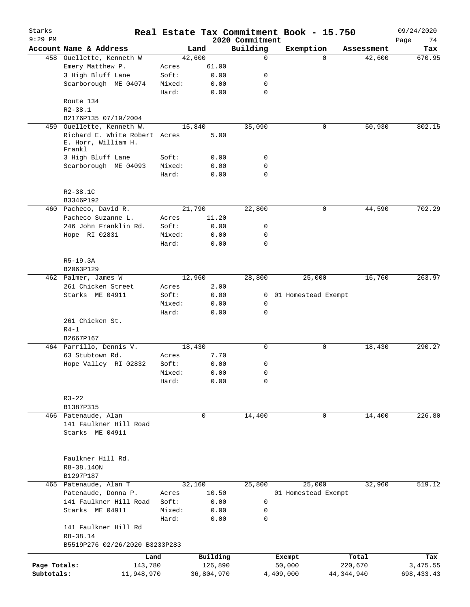| Starks       |                                                                |                 |                                         |                             | Real Estate Tax Commitment Book - 15.750 |              |            | 09/24/2020        |
|--------------|----------------------------------------------------------------|-----------------|-----------------------------------------|-----------------------------|------------------------------------------|--------------|------------|-------------------|
| $9:29$ PM    | Account Name & Address                                         |                 | Land                                    | 2020 Commitment<br>Building | Exemption                                |              | Assessment | Page<br>74<br>Tax |
|              | 458 Ouellette, Kenneth W                                       |                 | 42,600                                  | $\mathbf 0$                 |                                          | $\Omega$     | 42,600     | 670.95            |
|              | Emery Matthew P.                                               | Acres           | 61.00                                   |                             |                                          |              |            |                   |
|              | 3 High Bluff Lane                                              | Soft:           | 0.00                                    | 0                           |                                          |              |            |                   |
|              | Scarborough ME 04074                                           | Mixed:          | 0.00                                    | 0                           |                                          |              |            |                   |
|              |                                                                | Hard:           | 0.00                                    | $\mathbf 0$                 |                                          |              |            |                   |
|              | Route 134                                                      |                 |                                         |                             |                                          |              |            |                   |
|              | $R2 - 38.1$                                                    |                 |                                         |                             |                                          |              |            |                   |
|              | B2176P135 07/19/2004                                           |                 |                                         |                             |                                          |              |            |                   |
| 459          | Ouellette, Kenneth W.                                          |                 | 15,840                                  | 35,090                      |                                          | 0            | 50,930     | 802.15            |
|              | Richard E. White Robert Acres<br>E. Horr, William H.<br>Frankl |                 | 5.00                                    |                             |                                          |              |            |                   |
|              | 3 High Bluff Lane                                              | Soft:           | 0.00                                    | 0                           |                                          |              |            |                   |
|              | Scarborough ME 04093                                           | Mixed:          | 0.00                                    | 0                           |                                          |              |            |                   |
|              |                                                                | Hard:           | 0.00                                    | $\mathbf 0$                 |                                          |              |            |                   |
|              | $R2 - 38.1C$<br>B3346P192                                      |                 |                                         |                             |                                          |              |            |                   |
|              | 460 Pacheco, David R.                                          |                 | 21,790                                  | 22,800                      |                                          | 0            | 44,590     | 702.29            |
|              | Pacheco Suzanne L.                                             | Acres           | 11.20                                   |                             |                                          |              |            |                   |
|              | 246 John Franklin Rd.                                          | Soft:           | 0.00                                    | 0                           |                                          |              |            |                   |
|              | Hope RI 02831                                                  | Mixed:          | 0.00                                    | 0                           |                                          |              |            |                   |
|              |                                                                | Hard:           | 0.00                                    | $\mathbf 0$                 |                                          |              |            |                   |
|              |                                                                |                 |                                         |                             |                                          |              |            |                   |
|              | R5-19.3A<br>B2063P129                                          |                 |                                         |                             |                                          |              |            |                   |
|              | 462 Palmer, James W                                            |                 | 12,960                                  | 28,800                      | 25,000                                   |              | 16,760     | 263.97            |
|              | 261 Chicken Street                                             | Acres           | 2.00                                    |                             |                                          |              |            |                   |
|              | Starks ME 04911                                                | Soft:           | 0.00                                    | $\mathbf{0}$                | 01 Homestead Exempt                      |              |            |                   |
|              |                                                                | Mixed:          | 0.00                                    | 0                           |                                          |              |            |                   |
|              |                                                                | Hard:           | 0.00                                    | $\mathbf 0$                 |                                          |              |            |                   |
|              | 261 Chicken St.                                                |                 |                                         |                             |                                          |              |            |                   |
|              | $R4-1$                                                         |                 |                                         |                             |                                          |              |            |                   |
|              | B2667P167                                                      |                 |                                         |                             |                                          |              |            |                   |
|              | 464 Parrillo, Dennis V.                                        |                 | 18,430                                  | 0                           |                                          | 0            | 18,430     | 290.27            |
|              | 63 Stubtown Rd.                                                | Acres           | 7.70                                    |                             |                                          |              |            |                   |
|              | Hope Valley RI 02832                                           | Soft:           | 0.00                                    | 0                           |                                          |              |            |                   |
|              |                                                                | Mixed:<br>Hard: | ${\bf 0}$ . ${\bf 0}$ ${\bf 0}$<br>0.00 | 0<br>0                      |                                          |              |            |                   |
|              |                                                                |                 |                                         |                             |                                          |              |            |                   |
|              | $R3 - 22$                                                      |                 |                                         |                             |                                          |              |            |                   |
|              | B1387P315                                                      |                 |                                         |                             |                                          |              |            |                   |
|              | 466 Patenaude, Alan                                            |                 | 0                                       | 14,400                      |                                          | 0            | 14,400     | 226.80            |
|              | 141 Faulkner Hill Road                                         |                 |                                         |                             |                                          |              |            |                   |
|              | Starks ME 04911                                                |                 |                                         |                             |                                          |              |            |                   |
|              | Faulkner Hill Rd.                                              |                 |                                         |                             |                                          |              |            |                   |
|              | R8-38.14ON                                                     |                 |                                         |                             |                                          |              |            |                   |
|              | B1297P187                                                      |                 |                                         |                             |                                          |              |            |                   |
|              | 465 Patenaude, Alan T                                          |                 | 32,160                                  | 25,800                      | 25,000                                   |              | 32,960     | 519.12            |
|              | Patenaude, Donna P.                                            | Acres           | 10.50                                   |                             | 01 Homestead Exempt                      |              |            |                   |
|              | 141 Faulkner Hill Road                                         | Soft:           | 0.00                                    | 0                           |                                          |              |            |                   |
|              | Starks ME 04911                                                | Mixed:          | 0.00                                    | 0                           |                                          |              |            |                   |
|              |                                                                | Hard:           | 0.00                                    | $\mathbf 0$                 |                                          |              |            |                   |
|              | 141 Faulkner Hill Rd                                           |                 |                                         |                             |                                          |              |            |                   |
|              | R8-38.14                                                       |                 |                                         |                             |                                          |              |            |                   |
|              | B5519P276 02/26/2020 B3233P283                                 |                 |                                         |                             |                                          |              |            |                   |
|              | Land                                                           |                 | Building                                |                             | Exempt                                   |              | Total      | Tax               |
| Page Totals: | 143,780                                                        |                 | 126,890                                 |                             | 50,000                                   |              | 220,670    | 3,475.55          |
| Subtotals:   | 11,948,970                                                     |                 | 36,804,970                              |                             | 4,409,000                                | 44, 344, 940 |            | 698, 433. 43      |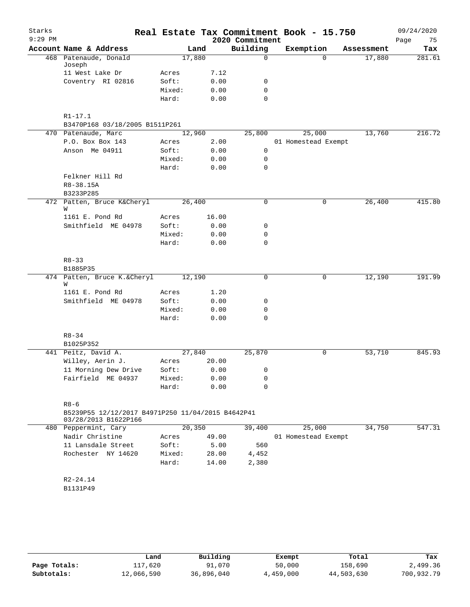| Starks<br>$9:29$ PM |                                                                           |                 |              | 2020 Commitment  | Real Estate Tax Commitment Book - 15.750 |            | 09/24/2020<br>Page<br>75 |
|---------------------|---------------------------------------------------------------------------|-----------------|--------------|------------------|------------------------------------------|------------|--------------------------|
|                     | Account Name & Address                                                    |                 | Land         | Building         | Exemption                                | Assessment | Tax                      |
|                     | 468 Patenaude, Donald<br>Joseph                                           | 17,880          |              | $\mathsf{O}$     | $\Omega$                                 | 17,880     | 281.61                   |
|                     | 11 West Lake Dr                                                           | Acres           | 7.12         |                  |                                          |            |                          |
|                     | Coventry RI 02816                                                         | Soft:           | 0.00         | 0                |                                          |            |                          |
|                     |                                                                           | Mixed:          | 0.00         | $\mathbf 0$      |                                          |            |                          |
|                     |                                                                           | Hard:           | 0.00         | $\Omega$         |                                          |            |                          |
|                     | $R1 - 17.1$<br>B3470P168 03/18/2005 B1511P261                             |                 |              |                  |                                          |            |                          |
|                     | 470 Patenaude, Marc                                                       | 12,960          |              | 25,800           | 25,000                                   | 13,760     | 216.72                   |
|                     | P.O. Box Box 143                                                          | Acres           | 2.00         |                  | 01 Homestead Exempt                      |            |                          |
|                     | Anson Me 04911                                                            | Soft:           | 0.00         | $\mathbf 0$      |                                          |            |                          |
|                     |                                                                           | Mixed:          | 0.00         | $\mathbf 0$      |                                          |            |                          |
|                     |                                                                           | Hard:           | 0.00         | 0                |                                          |            |                          |
|                     | Felkner Hill Rd                                                           |                 |              |                  |                                          |            |                          |
|                     | R8-38.15A                                                                 |                 |              |                  |                                          |            |                          |
|                     | B3233P285                                                                 |                 |              |                  |                                          |            |                          |
|                     | 472 Patten, Bruce K&Cheryl<br>W                                           | 26,400          |              | 0                | 0                                        | 26,400     | 415.80                   |
|                     | 1161 E. Pond Rd                                                           | Acres           | 16.00        |                  |                                          |            |                          |
|                     | Smithfield ME 04978                                                       | Soft:           | 0.00         | 0                |                                          |            |                          |
|                     |                                                                           | Mixed:          | 0.00         | 0                |                                          |            |                          |
|                     |                                                                           | Hard:           | 0.00         | $\Omega$         |                                          |            |                          |
|                     | $R8 - 33$                                                                 |                 |              |                  |                                          |            |                          |
|                     | B1885P35                                                                  |                 |              |                  |                                          |            |                          |
|                     | 474 Patten, Bruce K.&Cheryl<br>W                                          | 12,190          |              | 0                | 0                                        | 12,190     | 191.99                   |
|                     | 1161 E. Pond Rd                                                           | Acres           | 1.20         |                  |                                          |            |                          |
|                     | Smithfield ME 04978                                                       | Soft:           | 0.00         | 0                |                                          |            |                          |
|                     |                                                                           | Mixed:          | 0.00         | 0                |                                          |            |                          |
|                     |                                                                           | Hard:           | 0.00         | $\mathbf 0$      |                                          |            |                          |
|                     | $R8 - 34$                                                                 |                 |              |                  |                                          |            |                          |
|                     | B1025P352                                                                 |                 |              |                  |                                          |            |                          |
|                     | 441 Peitz, David A.                                                       | 27,840          |              | 25,870           | 0                                        | 53,710     | 845.93                   |
|                     | Willey, Aerin J.                                                          | Acres           | 20.00        |                  |                                          |            |                          |
|                     | 11 Morning Dew Drive                                                      | Soft:           | 0.00         | 0                |                                          |            |                          |
|                     | Fairfield ME 04937                                                        | Mixed:<br>Hard: | 0.00<br>0.00 | 0<br>$\mathbf 0$ |                                          |            |                          |
|                     | $R8 - 6$                                                                  |                 |              |                  |                                          |            |                          |
|                     | B5239P55 12/12/2017 B4971P250 11/04/2015 B4642P41<br>03/28/2013 B1622P166 |                 |              |                  |                                          |            |                          |
|                     | 480 Peppermint, Cary                                                      | 20,350          |              | 39,400           | 25,000                                   | 34,750     | 547.31                   |
|                     | Nadir Christine                                                           | Acres           | 49.00        |                  | 01 Homestead Exempt                      |            |                          |
|                     | 11 Lansdale Street                                                        | Soft:           | 5.00         | 560              |                                          |            |                          |
|                     | Rochester NY 14620                                                        | Mixed:          | 28.00        | 4,452            |                                          |            |                          |
|                     |                                                                           | Hard:           | 14.00        | 2,380            |                                          |            |                          |
|                     | $R2 - 24.14$                                                              |                 |              |                  |                                          |            |                          |
|                     | B1131P49                                                                  |                 |              |                  |                                          |            |                          |
|                     |                                                                           |                 |              |                  |                                          |            |                          |

|              | Land       | Building   | Exempt    | Total      | Tax        |
|--------------|------------|------------|-----------|------------|------------|
| Page Totals: | 117,620    | 91,070     | 50,000    | 158,690    | 2,499.36   |
| Subtotals:   | 12,066,590 | 36,896,040 | 4,459,000 | 44,503,630 | 700,932.79 |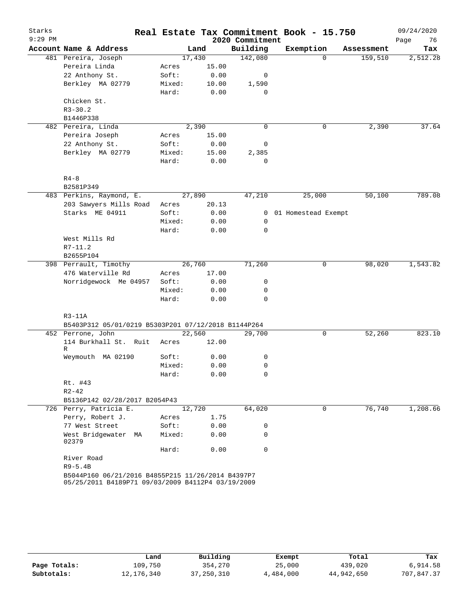| Starks    |                                                                                                        |                 |              |                 | Real Estate Tax Commitment Book - 15.750 |          |            | 09/24/2020 |
|-----------|--------------------------------------------------------------------------------------------------------|-----------------|--------------|-----------------|------------------------------------------|----------|------------|------------|
| $9:29$ PM |                                                                                                        |                 |              | 2020 Commitment |                                          |          |            | Page<br>76 |
|           | Account Name & Address                                                                                 | Land            |              | Building        | Exemption                                |          | Assessment | Tax        |
|           | 481 Pereira, Joseph                                                                                    | 17,430          |              | 142,080         |                                          | $\Omega$ | 159,510    | 2,512.28   |
|           | Pereira Linda                                                                                          | Acres           | 15.00        |                 |                                          |          |            |            |
|           | 22 Anthony St.                                                                                         | Soft:           | 0.00         | 0               |                                          |          |            |            |
|           | Berkley MA 02779                                                                                       | Mixed:          | 10.00        | 1,590           |                                          |          |            |            |
|           |                                                                                                        | Hard:           | 0.00         | 0               |                                          |          |            |            |
|           | Chicken St.                                                                                            |                 |              |                 |                                          |          |            |            |
|           | $R3 - 30.2$                                                                                            |                 |              |                 |                                          |          |            |            |
|           | B1446P338                                                                                              |                 |              |                 |                                          |          |            |            |
|           | 482 Pereira, Linda                                                                                     | 2,390           |              | $\mathbf 0$     |                                          | 0        | 2,390      | 37.64      |
|           | Pereira Joseph                                                                                         | Acres           | 15.00        |                 |                                          |          |            |            |
|           | 22 Anthony St.                                                                                         | Soft:           | 0.00         | 0               |                                          |          |            |            |
|           | Berkley MA 02779                                                                                       | Mixed:          | 15.00        | 2,385           |                                          |          |            |            |
|           |                                                                                                        | Hard:           | 0.00         | 0               |                                          |          |            |            |
|           | $R4 - 8$                                                                                               |                 |              |                 |                                          |          |            |            |
|           | B2581P349                                                                                              |                 |              |                 |                                          |          |            |            |
|           | 483 Perkins, Raymond, E.                                                                               | 27,890          |              | 47,210          | 25,000                                   |          | 50,100     | 789.08     |
|           | 203 Sawyers Mills Road                                                                                 | Acres           | 20.13        |                 |                                          |          |            |            |
|           | Starks ME 04911                                                                                        | Soft:           | 0.00         | $\overline{0}$  | 01 Homestead Exempt                      |          |            |            |
|           |                                                                                                        | Mixed:          | 0.00         | 0               |                                          |          |            |            |
|           |                                                                                                        | Hard:           | 0.00         | 0               |                                          |          |            |            |
|           | West Mills Rd                                                                                          |                 |              |                 |                                          |          |            |            |
|           | $R7 - 11.2$                                                                                            |                 |              |                 |                                          |          |            |            |
|           | B2655P104                                                                                              |                 |              |                 |                                          |          |            |            |
|           | 398 Perrault, Timothy                                                                                  | 26,760          |              | 71,260          |                                          | 0        | 98,020     | 1,543.82   |
|           | 476 Waterville Rd                                                                                      | Acres           | 17.00        |                 |                                          |          |            |            |
|           | Norridgewock Me 04957                                                                                  | Soft:           | 0.00         | 0               |                                          |          |            |            |
|           |                                                                                                        | Mixed:          | 0.00         | 0               |                                          |          |            |            |
|           |                                                                                                        | Hard:           | 0.00         | 0               |                                          |          |            |            |
|           | $R3-11A$                                                                                               |                 |              |                 |                                          |          |            |            |
|           | B5403P312 05/01/0219 B5303P201 07/12/2018 B1144P264                                                    |                 |              |                 |                                          |          |            |            |
|           | 452 Perrone, John                                                                                      | 22,560          |              | 29,700          |                                          | 0        | 52,260     | 823.10     |
|           | 114 Burkhall St. Ruit                                                                                  | Acres           | 12.00        |                 |                                          |          |            |            |
|           | R                                                                                                      |                 |              | 0               |                                          |          |            |            |
|           | Weymouth MA 02190                                                                                      | Soft:<br>Mixed: | 0.00<br>0.00 | 0               |                                          |          |            |            |
|           |                                                                                                        |                 | 0.00         | 0               |                                          |          |            |            |
|           | Rt. #43                                                                                                | Hard:           |              |                 |                                          |          |            |            |
|           | $R2 - 42$                                                                                              |                 |              |                 |                                          |          |            |            |
|           | B5136P142 02/28/2017 B2054P43                                                                          |                 |              |                 |                                          |          |            |            |
|           | 726 Perry, Patricia E.                                                                                 | 12,720          |              | 64,020          |                                          | 0        | 76,740     | 1,208.66   |
|           | Perry, Robert J.                                                                                       | Acres           | 1.75         |                 |                                          |          |            |            |
|           | 77 West Street                                                                                         | Soft:           | 0.00         | 0               |                                          |          |            |            |
|           | West Bridgewater MA                                                                                    | Mixed:          | 0.00         | $\Omega$        |                                          |          |            |            |
|           | 02379                                                                                                  |                 |              |                 |                                          |          |            |            |
|           |                                                                                                        | Hard:           | 0.00         | 0               |                                          |          |            |            |
|           | River Road                                                                                             |                 |              |                 |                                          |          |            |            |
|           | $R9 - 5.4B$                                                                                            |                 |              |                 |                                          |          |            |            |
|           | B5044P160 06/21/2016 B4855P215 11/26/2014 B4397P7<br>05/25/2011 B4189P71 09/03/2009 B4112P4 03/19/2009 |                 |              |                 |                                          |          |            |            |

|              | Land       | Building     | Exempt    | Total      | Tax        |
|--------------|------------|--------------|-----------|------------|------------|
| Page Totals: | 109,750    | 354,270      | 25,000    | 439,020    | 6,914.58   |
| Subtotals:   | 12,176,340 | 37, 250, 310 | 4,484,000 | 44,942,650 | 707,847.37 |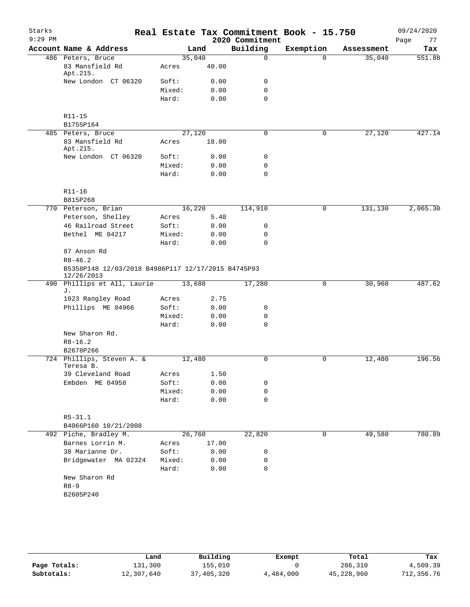| Starks    |                                                                  |        |       | Real Estate Tax Commitment Book - 15.750 |              |            | 09/24/2020 |
|-----------|------------------------------------------------------------------|--------|-------|------------------------------------------|--------------|------------|------------|
| $9:29$ PM |                                                                  |        |       | 2020 Commitment                          |              |            | 77<br>Page |
|           | Account Name & Address                                           |        | Land  | Building                                 | Exemption    | Assessment | Tax        |
|           | 486 Peters, Bruce                                                | 35,040 |       | $\Omega$                                 | $\Omega$     | 35,040     | 551.88     |
|           | 83 Mansfield Rd<br>Apt.215.                                      | Acres  | 40.00 |                                          |              |            |            |
|           | New London CT 06320                                              | Soft:  | 0.00  | 0                                        |              |            |            |
|           |                                                                  | Mixed: | 0.00  | $\mathbf 0$                              |              |            |            |
|           |                                                                  | Hard:  | 0.00  | $\mathbf 0$                              |              |            |            |
|           | R11-15                                                           |        |       |                                          |              |            |            |
|           | B1755P164                                                        |        |       |                                          |              |            |            |
|           | 485 Peters, Bruce                                                | 27,120 |       | $\mathbf 0$                              | 0            | 27,120     | 427.14     |
|           | 83 Mansfield Rd<br>Apt.215.                                      | Acres  | 18.00 |                                          |              |            |            |
|           | New London CT 06320                                              | Soft:  | 0.00  | 0                                        |              |            |            |
|           |                                                                  | Mixed: | 0.00  | 0                                        |              |            |            |
|           |                                                                  | Hard:  | 0.00  | $\mathbf 0$                              |              |            |            |
|           | $R11 - 16$                                                       |        |       |                                          |              |            |            |
|           | B815P268                                                         |        |       |                                          |              |            |            |
|           | 770 Peterson, Brian                                              | 16,220 |       | 114,910                                  | $\mathsf{O}$ | 131,130    | 2,065.30   |
|           | Peterson, Shelley                                                | Acres  | 5.40  |                                          |              |            |            |
|           | 46 Railroad Street                                               | Soft:  | 0.00  | 0                                        |              |            |            |
|           | Bethel ME 04217                                                  | Mixed: | 0.00  | 0                                        |              |            |            |
|           |                                                                  | Hard:  | 0.00  | $\mathbf 0$                              |              |            |            |
|           | 87 Anson Rd                                                      |        |       |                                          |              |            |            |
|           | $R8 - 46.2$                                                      |        |       |                                          |              |            |            |
|           | B5358P148 12/03/2018 B4986P117 12/17/2015 B4745P93<br>12/26/2013 |        |       |                                          |              |            |            |
|           | 490 Phillips et All, Laurie<br>J.                                | 13,680 |       | 17,280                                   | $\mathsf{O}$ | 30,960     | 487.62     |
|           | 1023 Rangley Road                                                | Acres  | 2.75  |                                          |              |            |            |
|           | Phillips ME 04966                                                | Soft:  | 0.00  | 0                                        |              |            |            |
|           |                                                                  | Mixed: | 0.00  | $\mathbf 0$                              |              |            |            |
|           |                                                                  | Hard:  | 0.00  | $\Omega$                                 |              |            |            |
|           | New Sharon Rd.                                                   |        |       |                                          |              |            |            |
|           | $R8 - 16.2$                                                      |        |       |                                          |              |            |            |
|           | B2678P266                                                        |        |       |                                          |              |            |            |
|           | 724 Phillips, Steven A. &<br>Teresa B.                           | 12,480 |       | 0                                        | 0            | 12,480     | 196.56     |
|           | 39 Cleveland Road                                                | Acres  | 1.50  |                                          |              |            |            |
|           | Embden ME 04958                                                  | Soft:  | 0.00  | 0                                        |              |            |            |
|           |                                                                  | Mixed: | 0.00  | 0                                        |              |            |            |
|           |                                                                  | Hard:  | 0.00  | $\mathbf 0$                              |              |            |            |
|           | $R5 - 31.1$                                                      |        |       |                                          |              |            |            |
|           | B4066P160 10/21/2008                                             |        |       |                                          |              |            |            |
|           | 492 Piche, Bradley M.                                            | 26,760 |       | 22,820                                   | 0            | 49,580     | 780.89     |
|           | Barnes Lorrin M.                                                 | Acres  | 17.00 |                                          |              |            |            |
|           | 38 Marianne Dr.                                                  | Soft:  | 0.00  | 0                                        |              |            |            |
|           | Bridgewater MA 02324                                             | Mixed: | 0.00  | 0                                        |              |            |            |
|           |                                                                  | Hard:  | 0.00  | $\mathbf 0$                              |              |            |            |
|           | New Sharon Rd                                                    |        |       |                                          |              |            |            |
|           | $R8 - 9$                                                         |        |       |                                          |              |            |            |
|           | B2605P240                                                        |        |       |                                          |              |            |            |
|           |                                                                  |        |       |                                          |              |            |            |
|           |                                                                  |        |       |                                          |              |            |            |

|              | Land       | Building   | Exempt    | Total      | Tax        |
|--------------|------------|------------|-----------|------------|------------|
| Page Totals: | 131,300    | 155.010    |           | 286,310    | 4,509.39   |
| Subtotals:   | 12,307,640 | 37,405,320 | 4,484,000 | 45,228,960 | 712,356.76 |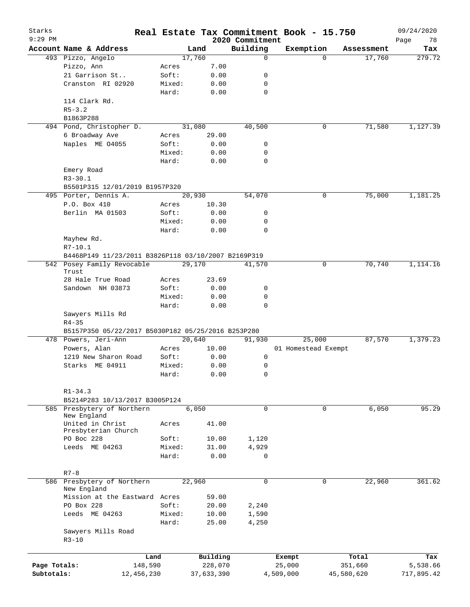| Starks       |                                                     |        |            |                             | Real Estate Tax Commitment Book - 15.750 |          |            | 09/24/2020        |
|--------------|-----------------------------------------------------|--------|------------|-----------------------------|------------------------------------------|----------|------------|-------------------|
| $9:29$ PM    | Account Name & Address                              |        | Land       | 2020 Commitment<br>Building | Exemption                                |          | Assessment | Page<br>78<br>Tax |
|              | 493 Pizzo, Angelo                                   |        | 17,760     | $\mathbf 0$                 |                                          | $\Omega$ | 17,760     | 279.72            |
|              | Pizzo, Ann                                          | Acres  | 7.00       |                             |                                          |          |            |                   |
|              | 21 Garrison St                                      | Soft:  | 0.00       | 0                           |                                          |          |            |                   |
|              | Cranston RI 02920                                   | Mixed: | 0.00       | 0                           |                                          |          |            |                   |
|              |                                                     | Hard:  | 0.00       | $\mathbf 0$                 |                                          |          |            |                   |
|              | 114 Clark Rd.                                       |        |            |                             |                                          |          |            |                   |
|              | $R5 - 3.2$                                          |        |            |                             |                                          |          |            |                   |
|              | B1863P288                                           |        |            |                             |                                          |          |            |                   |
|              | 494 Pond, Christopher D.                            |        | 31,080     | 40,500                      |                                          | 0        | 71,580     | 1,127.39          |
|              | 6 Broadway Ave                                      | Acres  | 29.00      |                             |                                          |          |            |                   |
|              | Naples ME 04055                                     | Soft:  | 0.00       | 0                           |                                          |          |            |                   |
|              |                                                     | Mixed: | 0.00       | 0                           |                                          |          |            |                   |
|              |                                                     | Hard:  | 0.00       | $\mathbf 0$                 |                                          |          |            |                   |
|              | Emery Road                                          |        |            |                             |                                          |          |            |                   |
|              | $R3 - 30.1$                                         |        |            |                             |                                          |          |            |                   |
|              | B5501P315 12/01/2019 B1957P320                      |        |            |                             |                                          |          |            |                   |
|              | 495 Porter, Dennis A.                               |        | 20,930     | 54,070                      |                                          | 0        | 75,000     | 1,181.25          |
|              | P.O. Box 410                                        | Acres  | 10.30      |                             |                                          |          |            |                   |
|              | Berlin MA 01503                                     | Soft:  | 0.00       | 0                           |                                          |          |            |                   |
|              |                                                     | Mixed: | 0.00       | 0                           |                                          |          |            |                   |
|              |                                                     | Hard:  | 0.00       | 0                           |                                          |          |            |                   |
|              | Mayhew Rd.                                          |        |            |                             |                                          |          |            |                   |
|              | $R7 - 10.1$                                         |        |            |                             |                                          |          |            |                   |
|              | B4468P149 11/23/2011 B3826P118 03/10/2007 B2169P319 |        |            |                             |                                          |          |            |                   |
|              | 542 Posey Family Revocable                          |        | 29,170     | 41,570                      |                                          | 0        | 70,740     | 1,114.16          |
|              | Trust<br>28 Hale True Road                          | Acres  | 23.69      |                             |                                          |          |            |                   |
|              | Sandown NH 03873                                    | Soft:  | 0.00       | 0                           |                                          |          |            |                   |
|              |                                                     | Mixed: | 0.00       | 0                           |                                          |          |            |                   |
|              |                                                     | Hard:  | 0.00       | 0                           |                                          |          |            |                   |
|              | Sawyers Mills Rd                                    |        |            |                             |                                          |          |            |                   |
|              | $R4 - 35$                                           |        |            |                             |                                          |          |            |                   |
|              | B5157P350 05/22/2017 B5030P182 05/25/2016 B253P280  |        |            |                             |                                          |          |            |                   |
|              | 478 Powers, Jeri-Ann                                |        | 20,640     | 91,930                      | 25,000                                   |          | 87,570     | 1,379.23          |
|              | Powers, Alan                                        | Acres  | 10.00      |                             | 01 Homestead Exempt                      |          |            |                   |
|              | 1219 New Sharon Road                                | Soft:  | 0.00       | 0                           |                                          |          |            |                   |
|              | Starks ME 04911                                     | Mixed: | 0.00       | 0                           |                                          |          |            |                   |
|              |                                                     | Hard:  | 0.00       | 0                           |                                          |          |            |                   |
|              |                                                     |        |            |                             |                                          |          |            |                   |
|              | $R1 - 34.3$                                         |        |            |                             |                                          |          |            |                   |
|              | B5214P283 10/13/2017 B3005P124                      |        |            |                             |                                          |          |            |                   |
|              | 585 Presbytery of Northern                          |        | 6,050      | $\mathbf 0$                 |                                          | 0        | 6,050      | 95.29             |
|              | New England                                         |        |            |                             |                                          |          |            |                   |
|              | United in Christ                                    | Acres  | 41.00      |                             |                                          |          |            |                   |
|              | Presbyterian Church                                 |        |            |                             |                                          |          |            |                   |
|              | PO Boc 228                                          | Soft:  | 10.00      | 1,120                       |                                          |          |            |                   |
|              | Leeds ME 04263                                      | Mixed: | 31.00      | 4,929                       |                                          |          |            |                   |
|              |                                                     | Hard:  | 0.00       | 0                           |                                          |          |            |                   |
|              |                                                     |        |            |                             |                                          |          |            |                   |
|              | $R7 - 8$<br>586 Presbytery of Northern              |        | 22,960     | $\mathbf 0$                 |                                          | 0        |            | 361.62            |
|              | New England                                         |        |            |                             |                                          |          | 22,960     |                   |
|              | Mission at the Eastward Acres                       |        | 59.00      |                             |                                          |          |            |                   |
|              | PO Box 228                                          | Soft:  | 20.00      | 2,240                       |                                          |          |            |                   |
|              | Leeds ME 04263                                      | Mixed: | 10.00      | 1,590                       |                                          |          |            |                   |
|              |                                                     | Hard:  | 25.00      | 4,250                       |                                          |          |            |                   |
|              | Sawyers Mills Road                                  |        |            |                             |                                          |          |            |                   |
|              | $R3 - 10$                                           |        |            |                             |                                          |          |            |                   |
|              |                                                     |        |            |                             |                                          |          |            |                   |
|              |                                                     | Land   | Building   |                             | Exempt                                   |          | Total      | Tax               |
| Page Totals: | 148,590                                             |        | 228,070    |                             | 25,000                                   |          | 351,660    | 5,538.66          |
| Subtotals:   | 12,456,230                                          |        | 37,633,390 |                             | 4,509,000                                |          | 45,580,620 | 717,895.42        |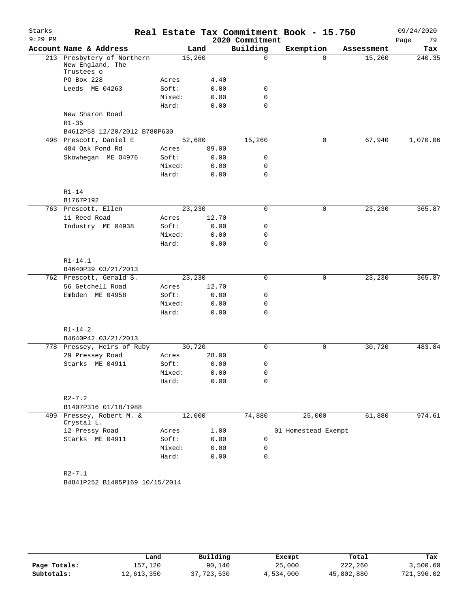| Starks<br>$9:29$ PM |                                                |                 |        |                                         | 2020 Commitment | Real Estate Tax Commitment Book - 15.750 |            | 09/24/2020<br>79<br>Page |
|---------------------|------------------------------------------------|-----------------|--------|-----------------------------------------|-----------------|------------------------------------------|------------|--------------------------|
|                     | Account Name & Address                         |                 | Land   |                                         | Building        | Exemption                                | Assessment | Tax                      |
|                     | 213 Presbytery of Northern<br>New England, The |                 | 15,260 |                                         | 0               | $\Omega$                                 | 15,260     | 240.35                   |
|                     | Trustees o<br>PO Box 228                       | Acres           |        | 4.40                                    |                 |                                          |            |                          |
|                     | Leeds ME 04263                                 | Soft:           |        | 0.00                                    | 0               |                                          |            |                          |
|                     |                                                | Mixed:          |        | 0.00                                    | 0               |                                          |            |                          |
|                     |                                                | Hard:           |        | 0.00                                    | $\Omega$        |                                          |            |                          |
|                     | New Sharon Road<br>$R1 - 35$                   |                 |        |                                         |                 |                                          |            |                          |
|                     | B4612P58 12/20/2012 B780P630                   |                 |        |                                         |                 |                                          |            |                          |
|                     | 498 Prescott, Daniel E                         |                 | 52,680 |                                         | 15,260          | $\mathsf{O}$                             | 67,940     | 1,070.06                 |
|                     | 484 Oak Pond Rd                                | Acres           |        | 89.00                                   |                 |                                          |            |                          |
|                     | Skowhegan ME 04976                             | Soft:           |        | 0.00                                    | 0               |                                          |            |                          |
|                     |                                                | Mixed:          |        | 0.00                                    | 0               |                                          |            |                          |
|                     |                                                | Hard:           |        | 0.00                                    | $\mathbf 0$     |                                          |            |                          |
|                     | $R1-14$                                        |                 |        |                                         |                 |                                          |            |                          |
|                     | B1767P192                                      |                 |        |                                         |                 |                                          |            |                          |
|                     | 763 Prescott, Ellen                            |                 | 23,230 |                                         | 0               | $\mathsf{O}$                             | 23,230     | 365.87                   |
|                     | 11 Reed Road                                   | Acres           |        | 12.70                                   |                 |                                          |            |                          |
|                     | Industry ME 04938                              | Soft:<br>Mixed: |        | 0.00<br>0.00                            | 0<br>0          |                                          |            |                          |
|                     |                                                | Hard:           |        | 0.00                                    | 0               |                                          |            |                          |
|                     | $R1 - 14.1$                                    |                 |        |                                         |                 |                                          |            |                          |
|                     | B4640P39 03/21/2013                            |                 |        |                                         |                 |                                          |            |                          |
|                     | 762 Prescott, Gerald S.                        |                 | 23,230 |                                         | 0               | 0                                        | 23,230     | 365.87                   |
|                     | 56 Getchell Road                               | Acres           |        | 12.70                                   |                 |                                          |            |                          |
|                     | Embden ME 04958                                | Soft:           |        | 0.00                                    | 0               |                                          |            |                          |
|                     |                                                | Mixed:          |        | 0.00                                    | 0               |                                          |            |                          |
|                     |                                                | Hard:           |        | 0.00                                    | 0               |                                          |            |                          |
|                     | $R1 - 14.2$                                    |                 |        |                                         |                 |                                          |            |                          |
|                     | B4640P42 03/21/2013                            |                 |        |                                         |                 |                                          |            |                          |
|                     | 778 Pressey, Heirs of Ruby                     |                 | 30,720 |                                         | 0               | $\mathbf 0$                              | 30,720     | 483.84                   |
|                     | 29 Pressey Road                                | Acres           |        | 28.00                                   |                 |                                          |            |                          |
|                     | Starks ME 04911                                | Soft:           |        | 0.00                                    | 0               |                                          |            |                          |
|                     |                                                | Mixed:<br>Hard: |        | ${\bf 0}$ . ${\bf 0}$ ${\bf 0}$<br>0.00 | 0<br>0          |                                          |            |                          |
|                     | $R2 - 7.2$                                     |                 |        |                                         |                 |                                          |            |                          |
|                     | B1407P316 01/18/1988                           |                 |        |                                         |                 |                                          |            |                          |
|                     | 499 Pressey, Robert M. &<br>Crystal L.         |                 | 12,000 |                                         | 74,880          | 25,000                                   | 61,880     | 974.61                   |
|                     | 12 Pressy Road                                 | Acres           |        | 1.00                                    |                 | 01 Homestead Exempt                      |            |                          |
|                     | Starks ME 04911                                | Soft:           |        | 0.00                                    | 0               |                                          |            |                          |
|                     |                                                | Mixed:          |        | 0.00                                    | 0               |                                          |            |                          |
|                     |                                                | Hard:           |        | 0.00                                    | $\mathbf 0$     |                                          |            |                          |
|                     | $R2 - 7.1$<br>B4841P252 B1405P169 10/15/2014   |                 |        |                                         |                 |                                          |            |                          |

|              | Land       | Building   | Exempt    | Total      | Tax        |
|--------------|------------|------------|-----------|------------|------------|
| Page Totals: | 157,120    | 90,140     | 25,000    | 222,260    | 3,500.60   |
| Subtotals:   | 12,613,350 | 37,723,530 | 4,534,000 | 45,802,880 | 721,396.02 |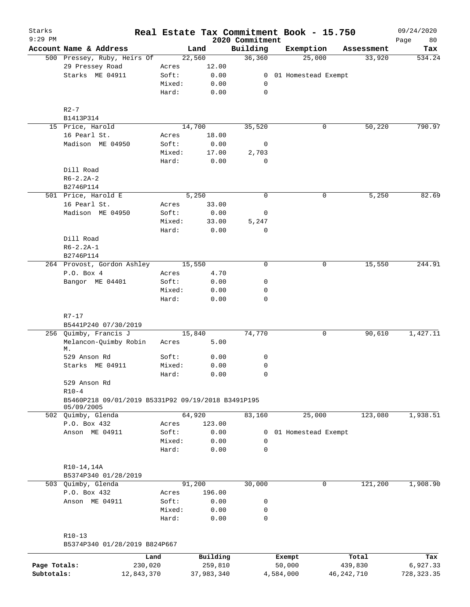| Starks<br>$9:29$ PM |                                                    |                 |              | 2020 Commitment | Real Estate Tax Commitment Book - 15.750 |            | 09/24/2020<br>Page<br>80 |
|---------------------|----------------------------------------------------|-----------------|--------------|-----------------|------------------------------------------|------------|--------------------------|
|                     | Account Name & Address                             |                 | Land         | Building        | Exemption                                | Assessment | Tax                      |
|                     | 500 Pressey, Ruby, Heirs Of                        |                 | 22,560       | 36,360          | 25,000                                   | 33,920     | 534.24                   |
|                     | 29 Pressey Road                                    | Acres           | 12.00        |                 |                                          |            |                          |
|                     | Starks ME 04911                                    | Soft:           | 0.00         |                 | 0 01 Homestead Exempt                    |            |                          |
|                     |                                                    | Mixed:          | 0.00         | 0               |                                          |            |                          |
|                     |                                                    | Hard:           | 0.00         | 0               |                                          |            |                          |
|                     | $R2-7$                                             |                 |              |                 |                                          |            |                          |
|                     | B1413P314                                          |                 |              |                 |                                          |            |                          |
|                     | 15 Price, Harold                                   |                 | 14,700       | 35,520          | 0                                        | 50,220     | 790.97                   |
|                     | 16 Pearl St.                                       | Acres           | 18.00        |                 |                                          |            |                          |
|                     | Madison ME 04950                                   | Soft:           | 0.00         | 0               |                                          |            |                          |
|                     |                                                    | Mixed:          | 17.00        | 2,703           |                                          |            |                          |
|                     |                                                    | Hard:           | 0.00         | 0               |                                          |            |                          |
|                     | Dill Road                                          |                 |              |                 |                                          |            |                          |
|                     | $R6 - 2.2A - 2$                                    |                 |              |                 |                                          |            |                          |
|                     | B2746P114                                          |                 |              |                 |                                          |            |                          |
|                     | 501 Price, Harold E                                |                 | 5,250        | $\mathbf 0$     | 0                                        | 5,250      | 82.69                    |
|                     | 16 Pearl St.                                       | Acres           | 33.00        |                 |                                          |            |                          |
|                     | Madison ME 04950                                   | Soft:           | 0.00         | 0               |                                          |            |                          |
|                     |                                                    | Mixed:          | 33.00        | 5,247           |                                          |            |                          |
|                     | Dill Road                                          | Hard:           | 0.00         | 0               |                                          |            |                          |
|                     | $R6 - 2.2A - 1$                                    |                 |              |                 |                                          |            |                          |
|                     | B2746P114                                          |                 |              |                 |                                          |            |                          |
|                     | 264 Provost, Gordon Ashley                         |                 | 15,550       | 0               | 0                                        | 15,550     | 244.91                   |
|                     | P.O. Box 4                                         | Acres           | 4.70         |                 |                                          |            |                          |
|                     | Bangor ME 04401                                    | Soft:           | 0.00         | 0               |                                          |            |                          |
|                     |                                                    | Mixed:          | 0.00         | 0               |                                          |            |                          |
|                     |                                                    | Hard:           | 0.00         | 0               |                                          |            |                          |
|                     |                                                    |                 |              |                 |                                          |            |                          |
|                     | R7-17                                              |                 |              |                 |                                          |            |                          |
|                     | B5441P240 07/30/2019                               |                 |              |                 |                                          |            |                          |
|                     | 256 Quimby, Francis J                              |                 | 15,840       | 74,770          | 0                                        | 90,610     | 1,427.11                 |
|                     | Melancon-Quimby Robin<br>М.                        | Acres           | 5.00         |                 |                                          |            |                          |
|                     | 529 Anson Rd                                       | Soft:           | 0.00         | 0               |                                          |            |                          |
|                     | Starks ME 04911                                    | Mixed:          | 0.00         | 0               |                                          |            |                          |
|                     |                                                    | Hard:           | 0.00         | 0               |                                          |            |                          |
|                     | 529 Anson Rd                                       |                 |              |                 |                                          |            |                          |
|                     | $R10-4$                                            |                 |              |                 |                                          |            |                          |
|                     | B5460P218 09/01/2019 B5331P92 09/19/2018 B3491P195 |                 |              |                 |                                          |            |                          |
|                     | 05/09/2005                                         |                 |              |                 |                                          |            |                          |
|                     | 502 Quimby, Glenda                                 |                 | 64,920       | 83,160          | 25,000                                   | 123,080    | 1,938.51                 |
|                     | P.O. Box 432                                       | Acres           | 123.00       |                 |                                          |            |                          |
|                     | Anson ME 04911                                     | Soft:           | 0.00         | 0<br>0          | 01 Homestead Exempt                      |            |                          |
|                     |                                                    | Mixed:<br>Hard: | 0.00<br>0.00 | $\mathbf 0$     |                                          |            |                          |
|                     |                                                    |                 |              |                 |                                          |            |                          |
|                     | R10-14,14A                                         |                 |              |                 |                                          |            |                          |
|                     | B5374P340 01/28/2019                               |                 |              |                 |                                          |            |                          |
|                     | 503 Quimby, Glenda                                 |                 | 91,200       | 30,000          | 0                                        | 121,200    | 1,908.90                 |
|                     | P.O. Box 432                                       | Acres           | 196.00       |                 |                                          |            |                          |
|                     | Anson ME 04911                                     | Soft:           | 0.00         | 0               |                                          |            |                          |
|                     |                                                    | Mixed:          | 0.00         | 0               |                                          |            |                          |
|                     |                                                    | Hard:           | 0.00         | 0               |                                          |            |                          |
|                     |                                                    |                 |              |                 |                                          |            |                          |
|                     | $R10-13$<br>B5374P340 01/28/2019 B824P667          |                 |              |                 |                                          |            |                          |
|                     | Land                                               |                 | Building     |                 | Exempt                                   | Total      | Tax                      |
| Page Totals:        | 230,020                                            |                 | 259,810      |                 | 50,000                                   | 439,830    | 6,927.33                 |

**Subtotals:** 12,843,370 37,983,340 4,584,000 46,242,710 728,323.35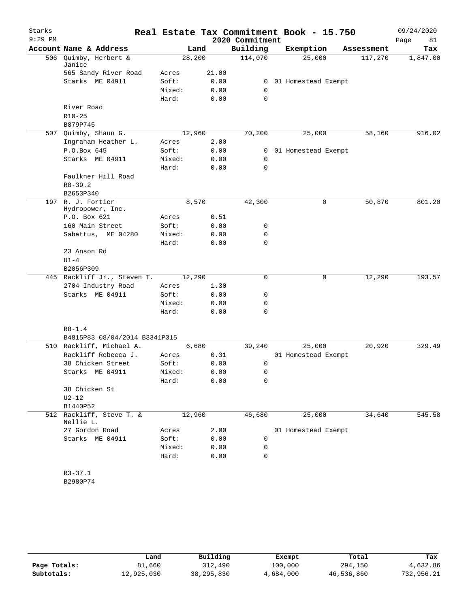| Starks    |                                       |        |       |                 | Real Estate Tax Commitment Book - 15.750 |            | 09/24/2020 |
|-----------|---------------------------------------|--------|-------|-----------------|------------------------------------------|------------|------------|
| $9:29$ PM |                                       |        |       | 2020 Commitment |                                          |            | Page<br>81 |
|           | Account Name & Address                |        | Land  | Building        | Exemption                                | Assessment | Tax        |
|           | 506 Quimby, Herbert &<br>Janice       | 28,200 |       | 114,070         | 25,000                                   | 117,270    | 1,847.00   |
|           | 565 Sandy River Road                  | Acres  | 21.00 |                 |                                          |            |            |
|           | Starks ME 04911                       | Soft:  | 0.00  | $\overline{0}$  | 01 Homestead Exempt                      |            |            |
|           |                                       | Mixed: | 0.00  | 0               |                                          |            |            |
|           |                                       | Hard:  | 0.00  | 0               |                                          |            |            |
|           | River Road                            |        |       |                 |                                          |            |            |
|           | $R10 - 25$                            |        |       |                 |                                          |            |            |
|           | B879P745                              |        |       |                 |                                          |            |            |
|           | 507 Quimby, Shaun G.                  | 12,960 |       | 70,200          | 25,000                                   | 58,160     | 916.02     |
|           | Ingraham Heather L.                   | Acres  | 2.00  |                 |                                          |            |            |
|           | P.O.Box 645                           | Soft:  | 0.00  | 0               | 01 Homestead Exempt                      |            |            |
|           | Starks ME 04911                       | Mixed: | 0.00  | $\mathbf 0$     |                                          |            |            |
|           |                                       | Hard:  | 0.00  | $\Omega$        |                                          |            |            |
|           | Faulkner Hill Road                    |        |       |                 |                                          |            |            |
|           | $R8 - 39.2$                           |        |       |                 |                                          |            |            |
|           | B2653P340                             |        |       |                 |                                          |            |            |
| 197       | R. J. Fortier<br>Hydropower, Inc.     |        | 8,570 | 42,300          | 0                                        | 50,870     | 801.20     |
|           | P.O. Box 621                          | Acres  | 0.51  |                 |                                          |            |            |
|           | 160 Main Street                       | Soft:  | 0.00  | 0               |                                          |            |            |
|           | Sabattus, ME 04280                    | Mixed: | 0.00  | 0               |                                          |            |            |
|           |                                       | Hard:  | 0.00  | 0               |                                          |            |            |
|           | 23 Anson Rd                           |        |       |                 |                                          |            |            |
|           | $U1-4$                                |        |       |                 |                                          |            |            |
|           | B2056P309                             |        |       |                 |                                          |            |            |
|           | 445 Rackliff Jr., Steven T.           | 12,290 |       | 0               | 0                                        | 12,290     | 193.57     |
|           | 2704 Industry Road                    | Acres  | 1.30  |                 |                                          |            |            |
|           | Starks ME 04911                       | Soft:  | 0.00  | 0               |                                          |            |            |
|           |                                       | Mixed: | 0.00  | 0               |                                          |            |            |
|           |                                       | Hard:  | 0.00  | 0               |                                          |            |            |
|           | $R8 - 1.4$                            |        |       |                 |                                          |            |            |
|           | B4815P83 08/04/2014 B3341P315         |        |       |                 |                                          |            |            |
|           | 510 Rackliff, Michael A.              |        | 6,680 | 39,240          | 25,000                                   | 20,920     | 329.49     |
|           | Rackliff Rebecca J.                   | Acres  | 0.31  |                 | 01 Homestead Exempt                      |            |            |
|           | 38 Chicken Street                     | Soft:  | 0.00  | 0               |                                          |            |            |
|           | Starks ME 04911                       | Mixed: | 0.00  | 0               |                                          |            |            |
|           |                                       | Hard:  | 0.00  | 0               |                                          |            |            |
|           | 38 Chicken St                         |        |       |                 |                                          |            |            |
|           | $U2-12$                               |        |       |                 |                                          |            |            |
|           | B1440P52                              |        |       |                 |                                          |            |            |
|           | 512 Rackliff, Steve T. &<br>Nellie L. | 12,960 |       | 46,680          | 25,000                                   | 34,640     | 545.58     |
|           | 27 Gordon Road                        | Acres  | 2.00  |                 | 01 Homestead Exempt                      |            |            |
|           | Starks ME 04911                       | Soft:  | 0.00  | 0               |                                          |            |            |
|           |                                       | Mixed: | 0.00  | 0               |                                          |            |            |
|           |                                       | Hard:  | 0.00  | 0               |                                          |            |            |
|           | $R3 - 37.1$                           |        |       |                 |                                          |            |            |
|           | B2980P74                              |        |       |                 |                                          |            |            |
|           |                                       |        |       |                 |                                          |            |            |

|              | Land       | Building     | Exempt    | Total      | Tax        |
|--------------|------------|--------------|-----------|------------|------------|
| Page Totals: | 81,660     | 312,490      | 100,000   | 294,150    | 4,632.86   |
| Subtotals:   | 12,925,030 | 38, 295, 830 | 4,684,000 | 46,536,860 | 732,956.21 |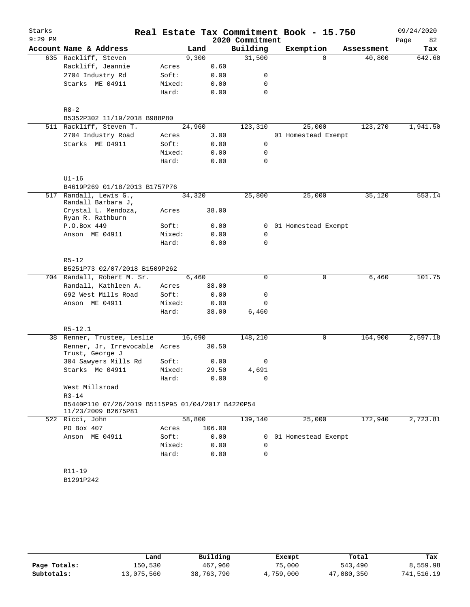| Starks<br>$9:29$ PM |                                                                          |        |        | 2020 Commitment | Real Estate Tax Commitment Book - 15.750 |            | 09/24/2020<br>Page<br>82 |
|---------------------|--------------------------------------------------------------------------|--------|--------|-----------------|------------------------------------------|------------|--------------------------|
|                     | Account Name & Address                                                   |        | Land   | Building        | Exemption                                | Assessment | Tax                      |
|                     | 635 Rackliff, Steven                                                     |        | 9,300  | 31,500          | $\Omega$                                 | 40,800     | 642.60                   |
|                     | Rackliff, Jeannie                                                        | Acres  | 0.60   |                 |                                          |            |                          |
|                     | 2704 Industry Rd                                                         | Soft:  | 0.00   | 0               |                                          |            |                          |
|                     | Starks ME 04911                                                          | Mixed: | 0.00   | 0               |                                          |            |                          |
|                     |                                                                          | Hard:  | 0.00   | 0               |                                          |            |                          |
|                     |                                                                          |        |        |                 |                                          |            |                          |
|                     | $R8 - 2$                                                                 |        |        |                 |                                          |            |                          |
|                     | B5352P302 11/19/2018 B988P80                                             |        |        |                 |                                          |            |                          |
|                     | 511 Rackliff, Steven T.                                                  |        | 24,960 | 123,310         | 25,000                                   | 123,270    | 1,941.50                 |
|                     | 2704 Industry Road                                                       | Acres  | 3.00   |                 | 01 Homestead Exempt                      |            |                          |
|                     | Starks ME 04911                                                          | Soft:  | 0.00   | 0               |                                          |            |                          |
|                     |                                                                          | Mixed: | 0.00   | 0               |                                          |            |                          |
|                     |                                                                          | Hard:  | 0.00   | $\mathbf 0$     |                                          |            |                          |
|                     | $UI-16$                                                                  |        |        |                 |                                          |            |                          |
|                     | B4619P269 01/18/2013 B1757P76                                            |        |        |                 |                                          |            |                          |
| 517                 | Randall, Lewis G.,<br>Randall Barbara J,                                 |        | 34,320 | 25,800          | 25,000                                   | 35,120     | 553.14                   |
|                     | Crystal L. Mendoza,<br>Ryan R. Rathburn                                  | Acres  | 38.00  |                 |                                          |            |                          |
|                     | P.O.Box 449                                                              | Soft:  | 0.00   | 0               | 01 Homestead Exempt                      |            |                          |
|                     | Anson ME 04911                                                           | Mixed: | 0.00   | 0               |                                          |            |                          |
|                     |                                                                          | Hard:  | 0.00   | $\Omega$        |                                          |            |                          |
|                     |                                                                          |        |        |                 |                                          |            |                          |
|                     | $R5 - 12$                                                                |        |        |                 |                                          |            |                          |
|                     | B5251P73 02/07/2018 B1509P262                                            |        |        |                 |                                          |            |                          |
|                     | 704 Randall, Robert M. Sr.                                               |        | 6,460  | 0               | 0                                        | 6,460      | 101.75                   |
|                     | Randall, Kathleen A.                                                     | Acres  | 38.00  |                 |                                          |            |                          |
|                     | 692 West Mills Road                                                      | Soft:  | 0.00   | 0               |                                          |            |                          |
|                     | Anson ME 04911                                                           | Mixed: | 0.00   | 0               |                                          |            |                          |
|                     |                                                                          | Hard:  | 38.00  | $6\,,460$       |                                          |            |                          |
|                     | $R5 - 12.1$                                                              |        |        |                 |                                          |            |                          |
|                     | 38 Renner, Trustee, Leslie                                               | 16,690 |        | 148,210         | 0                                        | 164,900    | 2,597.18                 |
|                     | Renner, Jr, Irrevocable Acres<br>Trust, George J                         |        | 30.50  |                 |                                          |            |                          |
|                     | 304 Sawyers Mills Rd                                                     | Soft:  | 0.00   | 0               |                                          |            |                          |
|                     | Starks Me 04911                                                          | Mixed: | 29.50  | 4,691           |                                          |            |                          |
|                     |                                                                          | Hard:  | 0.00   | 0               |                                          |            |                          |
|                     | West Millsroad                                                           |        |        |                 |                                          |            |                          |
|                     | $R3 - 14$                                                                |        |        |                 |                                          |            |                          |
|                     | B5440P110 07/26/2019 B5115P95 01/04/2017 B4220P54<br>11/23/2009 B2675P81 |        |        |                 |                                          |            |                          |
|                     | 522 Ricci, John                                                          |        | 58,800 | 139,140         | 25,000                                   | 172,940    | 2,723.81                 |
|                     | PO Box 407                                                               | Acres  | 106.00 |                 |                                          |            |                          |
|                     | Anson ME 04911                                                           | Soft:  | 0.00   | 0               | 01 Homestead Exempt                      |            |                          |
|                     |                                                                          | Mixed: | 0.00   | 0               |                                          |            |                          |
|                     |                                                                          | Hard:  | 0.00   | 0               |                                          |            |                          |
|                     |                                                                          |        |        |                 |                                          |            |                          |
|                     | R11-19                                                                   |        |        |                 |                                          |            |                          |
|                     | B1291P242                                                                |        |        |                 |                                          |            |                          |
|                     |                                                                          |        |        |                 |                                          |            |                          |
|                     |                                                                          |        |        |                 |                                          |            |                          |

|              | Land       | Building   | Exempt    | Total      | Tax        |
|--------------|------------|------------|-----------|------------|------------|
| Page Totals: | 150,530    | 467,960    | 75,000    | 543,490    | 8,559.98   |
| Subtotals:   | 13,075,560 | 38,763,790 | 4,759,000 | 47,080,350 | 741,516.19 |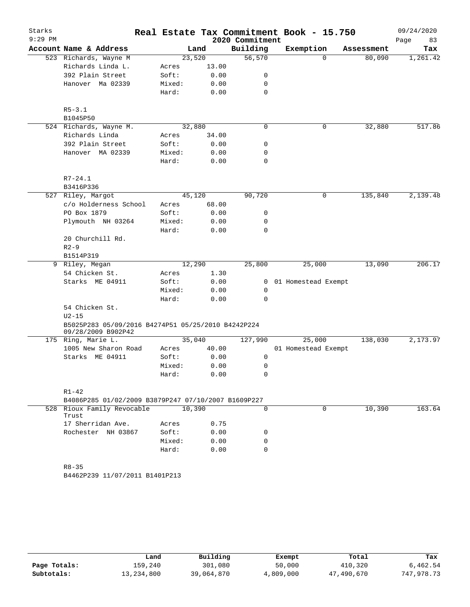| Starks    |                                                                          |        |       |                 | Real Estate Tax Commitment Book - 15.750 |            | 09/24/2020 |
|-----------|--------------------------------------------------------------------------|--------|-------|-----------------|------------------------------------------|------------|------------|
| $9:29$ PM |                                                                          |        |       | 2020 Commitment |                                          |            | Page<br>83 |
|           | Account Name & Address                                                   | Land   |       | Building        | Exemption                                | Assessment | Tax        |
|           | 523 Richards, Wayne M                                                    | 23,520 |       | 56,570          | $\Omega$                                 | 80,090     | 1,261.42   |
|           | Richards Linda L.                                                        | Acres  | 13.00 |                 |                                          |            |            |
|           | 392 Plain Street                                                         | Soft:  | 0.00  | 0               |                                          |            |            |
|           | Hanover Ma 02339                                                         | Mixed: | 0.00  | 0               |                                          |            |            |
|           |                                                                          | Hard:  | 0.00  | 0               |                                          |            |            |
|           |                                                                          |        |       |                 |                                          |            |            |
|           | $R5 - 3.1$                                                               |        |       |                 |                                          |            |            |
|           | B1045P50                                                                 |        |       |                 |                                          |            |            |
|           | 524 Richards, Wayne M.                                                   | 32,880 |       | 0               | 0                                        | 32,880     | 517.86     |
|           | Richards Linda                                                           | Acres  | 34.00 |                 |                                          |            |            |
|           | 392 Plain Street                                                         | Soft:  | 0.00  | 0               |                                          |            |            |
|           | Hanover MA 02339                                                         | Mixed: | 0.00  | 0               |                                          |            |            |
|           |                                                                          | Hard:  | 0.00  | 0               |                                          |            |            |
|           | $R7 - 24.1$                                                              |        |       |                 |                                          |            |            |
|           | B3416P336                                                                |        |       |                 |                                          |            |            |
|           | 527 Riley, Margot                                                        | 45,120 |       | 90,720          | 0                                        | 135,840    | 2,139.48   |
|           | c/o Holderness School                                                    | Acres  | 68.00 |                 |                                          |            |            |
|           | PO Box 1879                                                              | Soft:  | 0.00  | 0               |                                          |            |            |
|           | Plymouth NH 03264                                                        | Mixed: | 0.00  | 0               |                                          |            |            |
|           |                                                                          | Hard:  | 0.00  | 0               |                                          |            |            |
|           | 20 Churchill Rd.                                                         |        |       |                 |                                          |            |            |
|           |                                                                          |        |       |                 |                                          |            |            |
|           | $R2 - 9$                                                                 |        |       |                 |                                          |            |            |
|           | B1514P319                                                                |        |       |                 |                                          |            |            |
|           | 9 Riley, Megan                                                           | 12,290 |       | 25,800          | 25,000                                   | 13,090     | 206.17     |
|           | 54 Chicken St.                                                           | Acres  | 1.30  |                 |                                          |            |            |
|           | Starks ME 04911                                                          | Soft:  | 0.00  | 0               | 01 Homestead Exempt                      |            |            |
|           |                                                                          | Mixed: | 0.00  | 0               |                                          |            |            |
|           |                                                                          | Hard:  | 0.00  | 0               |                                          |            |            |
|           | 54 Chicken St.                                                           |        |       |                 |                                          |            |            |
|           | $U2-15$                                                                  |        |       |                 |                                          |            |            |
|           | B5025P283 05/09/2016 B4274P51 05/25/2010 B4242P224<br>09/28/2009 B902P42 |        |       |                 |                                          |            |            |
|           | 175 Ring, Marie L.                                                       | 35,040 |       | 127,990         | 25,000                                   | 138,030    | 2,173.97   |
|           | 1005 New Sharon Road                                                     | Acres  | 40.00 |                 | 01 Homestead Exempt                      |            |            |
|           | Starks ME 04911                                                          | Soft:  | 0.00  | 0               |                                          |            |            |
|           |                                                                          | Mixed: | 0.00  | 0               |                                          |            |            |
|           |                                                                          | Hard:  | 0.00  | 0               |                                          |            |            |
|           |                                                                          |        |       |                 |                                          |            |            |
|           | $R1 - 42$                                                                |        |       |                 |                                          |            |            |
|           | B4086P285 01/02/2009 B3879P247 07/10/2007 B1609P227                      |        |       |                 |                                          |            |            |
|           | 528 Rioux Family Revocable<br>Trust                                      | 10,390 |       | $\Omega$        | $\Omega$                                 | 10,390     | 163.64     |
|           | 17 Sherridan Ave.                                                        | Acres  | 0.75  |                 |                                          |            |            |
|           | Rochester NH 03867                                                       | Soft:  | 0.00  | 0               |                                          |            |            |
|           |                                                                          | Mixed: | 0.00  | 0               |                                          |            |            |
|           |                                                                          | Hard:  | 0.00  | $\Omega$        |                                          |            |            |
|           |                                                                          |        |       |                 |                                          |            |            |
|           | $R8 - 35$                                                                |        |       |                 |                                          |            |            |
|           | B4462P239 11/07/2011 B1401P213                                           |        |       |                 |                                          |            |            |

|              | Land       | Building   | Exempt    | Total      | Tax        |
|--------------|------------|------------|-----------|------------|------------|
| Page Totals: | 159,240    | 301,080    | 50,000    | 410,320    | 6,462.54   |
| Subtotals:   | 13,234,800 | 39,064,870 | 4,809,000 | 47,490,670 | 747,978.73 |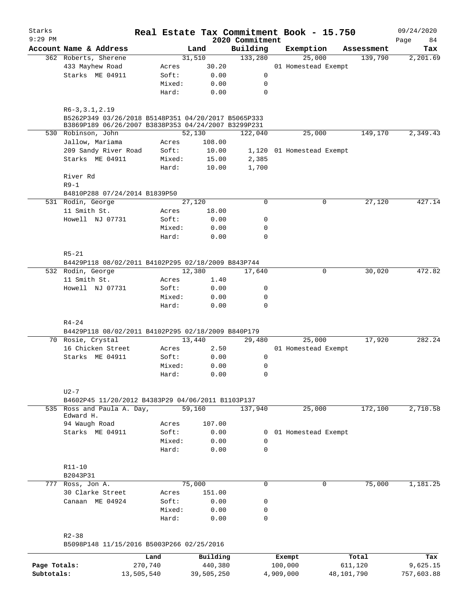| Starks       |                                                                                                            |                 |                |                     | Real Estate Tax Commitment Book - 15.750 |            | 09/24/2020      |
|--------------|------------------------------------------------------------------------------------------------------------|-----------------|----------------|---------------------|------------------------------------------|------------|-----------------|
| $9:29$ PM    | Account Name & Address                                                                                     |                 |                | 2020 Commitment     |                                          | Assessment | Page<br>84      |
|              | 362 Roberts, Sherene                                                                                       |                 | Land<br>31,510 | Building<br>133,280 | Exemption<br>25,000                      | 139,790    | Tax<br>2,201.69 |
|              | 433 Mayhew Road                                                                                            | Acres           | 30.20          |                     | 01 Homestead Exempt                      |            |                 |
|              | Starks ME 04911                                                                                            | Soft:           | 0.00           | 0                   |                                          |            |                 |
|              |                                                                                                            | Mixed:          | 0.00           | 0                   |                                          |            |                 |
|              |                                                                                                            | Hard:           | 0.00           | $\mathbf 0$         |                                          |            |                 |
|              |                                                                                                            |                 |                |                     |                                          |            |                 |
|              | $R6-3, 3.1, 2.19$                                                                                          |                 |                |                     |                                          |            |                 |
|              | B5262P349 03/26/2018 B5148P351 04/20/2017 B5065P333<br>B3869P189 06/26/2007 B3838P353 04/24/2007 B3299P231 |                 |                |                     |                                          |            |                 |
|              | 530 Robinson, John                                                                                         |                 | 52,130         | 122,040             | 25,000                                   | 149,170    | 2,349.43        |
|              | Jallow, Mariama                                                                                            | Acres           | 108.00         |                     |                                          |            |                 |
|              | 209 Sandy River Road                                                                                       | Soft:           | 10.00          |                     | 1,120 01 Homestead Exempt                |            |                 |
|              | Starks ME 04911                                                                                            | Mixed:          | 15.00          | 2,385               |                                          |            |                 |
|              |                                                                                                            | Hard:           | 10.00          | 1,700               |                                          |            |                 |
|              | River Rd                                                                                                   |                 |                |                     |                                          |            |                 |
|              | $R9-1$                                                                                                     |                 |                |                     |                                          |            |                 |
|              | B4810P288 07/24/2014 B1839P50                                                                              |                 |                |                     |                                          |            |                 |
|              | 531 Rodin, George                                                                                          |                 | 27,120         | $\mathbf 0$         | 0                                        | 27,120     | 427.14          |
|              | 11 Smith St.                                                                                               | Acres           | 18.00          |                     |                                          |            |                 |
|              | Howell NJ 07731                                                                                            | Soft:           | 0.00           | 0                   |                                          |            |                 |
|              |                                                                                                            | Mixed:          | 0.00           | 0                   |                                          |            |                 |
|              |                                                                                                            | Hard:           | 0.00           | 0                   |                                          |            |                 |
|              |                                                                                                            |                 |                |                     |                                          |            |                 |
|              | $R5 - 21$                                                                                                  |                 |                |                     |                                          |            |                 |
|              | B4429P118 08/02/2011 B4102P295 02/18/2009 B843P744                                                         |                 |                |                     |                                          |            |                 |
|              | 532 Rodin, George                                                                                          |                 | 12,380         | 17,640              | $\mathbf 0$                              | 30,020     | 472.82          |
|              | 11 Smith St.                                                                                               | Acres           | 1.40           |                     |                                          |            |                 |
|              | Howell NJ 07731                                                                                            | Soft:           | 0.00           | 0                   |                                          |            |                 |
|              |                                                                                                            | Mixed:<br>Hard: | 0.00<br>0.00   | 0<br>0              |                                          |            |                 |
|              |                                                                                                            |                 |                |                     |                                          |            |                 |
|              | $R4 - 24$                                                                                                  |                 |                |                     |                                          |            |                 |
|              | B4429P118 08/02/2011 B4102P295 02/18/2009 B840P179                                                         |                 |                |                     |                                          |            |                 |
|              | 70 Rosie, Crystal                                                                                          |                 | 13,440         | 29,480              | 25,000                                   | 17,920     | 282.24          |
|              | 16 Chicken Street                                                                                          | Acres           | 2.50           |                     | 01 Homestead Exempt                      |            |                 |
|              | Starks ME 04911                                                                                            | Soft:           | 0.00           | 0                   |                                          |            |                 |
|              |                                                                                                            | Mixed:          | 0.00           | 0                   |                                          |            |                 |
|              |                                                                                                            | Hard:           | 0.00           | 0                   |                                          |            |                 |
|              |                                                                                                            |                 |                |                     |                                          |            |                 |
|              | $U2-7$                                                                                                     |                 |                |                     |                                          |            |                 |
|              | B4602P45 11/20/2012 B4383P29 04/06/2011 B1103P137                                                          |                 |                |                     |                                          |            |                 |
|              | 535 Ross and Paula A. Day,                                                                                 |                 | 59,160         | 137,940             | 25,000                                   | 172,100    | 2,710.58        |
|              | Edward H.<br>94 Waugh Road                                                                                 | Acres           | 107.00         |                     |                                          |            |                 |
|              | Starks ME 04911                                                                                            | Soft:           | 0.00           | 0                   | 01 Homestead Exempt                      |            |                 |
|              |                                                                                                            | Mixed:          | 0.00           | 0                   |                                          |            |                 |
|              |                                                                                                            | Hard:           | 0.00           | $\mathbf 0$         |                                          |            |                 |
|              |                                                                                                            |                 |                |                     |                                          |            |                 |
|              | R11-10                                                                                                     |                 |                |                     |                                          |            |                 |
|              | B2043P31                                                                                                   |                 |                |                     |                                          |            |                 |
|              | 777 Ross, Jon A.                                                                                           |                 | 75,000         | 0                   | 0                                        | 75,000     | 1,181.25        |
|              | 30 Clarke Street                                                                                           | Acres           | 151.00         |                     |                                          |            |                 |
|              | Canaan ME 04924                                                                                            | Soft:           | 0.00           | 0                   |                                          |            |                 |
|              |                                                                                                            | Mixed:          | 0.00           | 0                   |                                          |            |                 |
|              |                                                                                                            | Hard:           | 0.00           | 0                   |                                          |            |                 |
|              |                                                                                                            |                 |                |                     |                                          |            |                 |
|              | $R2 - 38$                                                                                                  |                 |                |                     |                                          |            |                 |
|              | B5098P148 11/15/2016 B5003P266 02/25/2016                                                                  |                 |                |                     |                                          |            |                 |
|              |                                                                                                            | Land            | Building       |                     | Exempt                                   | Total      | Tax             |
| Page Totals: | 270,740                                                                                                    |                 | 440,380        |                     | 100,000                                  | 611,120    | 9,625.15        |
| Subtotals:   | 13,505,540                                                                                                 |                 | 39,505,250     |                     | 4,909,000                                | 48,101,790 | 757,603.88      |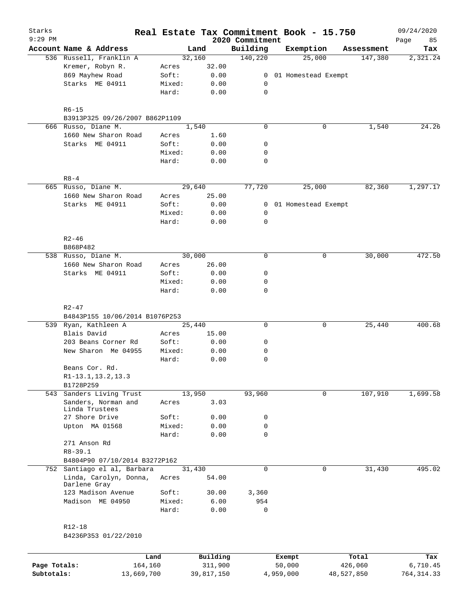| Starks       |                                        |        |            | Real Estate Tax Commitment Book - 15.750 |           |                       |            | 09/24/2020        |
|--------------|----------------------------------------|--------|------------|------------------------------------------|-----------|-----------------------|------------|-------------------|
| $9:29$ PM    | Account Name & Address                 |        | Land       | 2020 Commitment<br>Building              |           | Exemption             | Assessment | Page<br>85<br>Tax |
|              | 536 Russell, Franklin A                |        | 32,160     | 140,220                                  |           | 25,000                | 147,380    | 2,321.24          |
|              | Kremer, Robyn R.                       | Acres  | 32.00      |                                          |           |                       |            |                   |
|              | 869 Mayhew Road                        | Soft:  | 0.00       |                                          |           | 0 01 Homestead Exempt |            |                   |
|              | Starks ME 04911                        | Mixed: | 0.00       | 0                                        |           |                       |            |                   |
|              |                                        | Hard:  | 0.00       | 0                                        |           |                       |            |                   |
|              | $R6 - 15$                              |        |            |                                          |           |                       |            |                   |
|              | B3913P325 09/26/2007 B862P1109         |        |            |                                          |           |                       |            |                   |
|              | 666 Russo, Diane M.                    |        | 1,540      | $\mathbf 0$                              |           | 0                     | 1,540      | 24.26             |
|              | 1660 New Sharon Road                   | Acres  | 1.60       |                                          |           |                       |            |                   |
|              | Starks ME 04911                        | Soft:  | 0.00       | 0                                        |           |                       |            |                   |
|              |                                        | Mixed: | 0.00       | 0                                        |           |                       |            |                   |
|              |                                        | Hard:  | 0.00       | 0                                        |           |                       |            |                   |
|              | $R8 - 4$                               |        |            |                                          |           |                       |            |                   |
|              | 665 Russo, Diane M.                    |        | 29,640     | 77,720                                   |           | 25,000                | 82,360     | 1,297.17          |
|              | 1660 New Sharon Road                   | Acres  | 25.00      |                                          |           |                       |            |                   |
|              | Starks ME 04911                        | Soft:  | 0.00       |                                          |           | 0 01 Homestead Exempt |            |                   |
|              |                                        | Mixed: | 0.00       | 0                                        |           |                       |            |                   |
|              |                                        | Hard:  | 0.00       | 0                                        |           |                       |            |                   |
|              | $R2 - 46$                              |        |            |                                          |           |                       |            |                   |
|              | B868P482                               |        |            |                                          |           |                       |            |                   |
|              | 538 Russo, Diane M.                    |        | 30,000     | $\mathbf 0$                              |           | 0                     | 30,000     | 472.50            |
|              | 1660 New Sharon Road                   | Acres  | 26.00      |                                          |           |                       |            |                   |
|              | Starks ME 04911                        | Soft:  | 0.00       | 0                                        |           |                       |            |                   |
|              |                                        | Mixed: | 0.00       | 0                                        |           |                       |            |                   |
|              |                                        | Hard:  | 0.00       | 0                                        |           |                       |            |                   |
|              | $R2 - 47$                              |        |            |                                          |           |                       |            |                   |
|              | B4843P155 10/06/2014 B1076P253         |        |            |                                          |           |                       |            |                   |
|              | 539 Ryan, Kathleen A                   |        | 25,440     | 0                                        |           | 0                     | 25,440     | 400.68            |
|              | Blais David                            | Acres  | 15.00      |                                          |           |                       |            |                   |
|              | 203 Beans Corner Rd                    | Soft:  | 0.00       | 0                                        |           |                       |            |                   |
|              | New Sharon Me 04955                    | Mixed: | 0.00       | 0                                        |           |                       |            |                   |
|              |                                        | Hard:  | 0.00       | 0                                        |           |                       |            |                   |
|              | Beans Cor. Rd.                         |        |            |                                          |           |                       |            |                   |
|              | R1-13.1, 13.2, 13.3                    |        |            |                                          |           |                       |            |                   |
|              | B1728P259                              |        |            |                                          |           |                       |            |                   |
|              | 543 Sanders Living Trust               |        | 13,950     | 93,960                                   |           | $\mathbf 0$           | 107,910    | 1,699.58          |
|              | Sanders, Norman and<br>Linda Trustees  | Acres  | 3.03       |                                          |           |                       |            |                   |
|              | 27 Shore Drive                         | Soft:  | 0.00       | 0                                        |           |                       |            |                   |
|              | Upton MA 01568                         | Mixed: | 0.00       | 0                                        |           |                       |            |                   |
|              |                                        | Hard:  | 0.00       | $\mathbf 0$                              |           |                       |            |                   |
|              | 271 Anson Rd                           |        |            |                                          |           |                       |            |                   |
|              | $R8 - 39.1$                            |        |            |                                          |           |                       |            |                   |
|              | B4804P90 07/10/2014 B3272P162          |        |            |                                          |           |                       |            |                   |
|              | 752 Santiago el al, Barbara            |        | 31,430     | $\Omega$                                 |           | $\mathbf 0$           | 31,430     | 495.02            |
|              | Linda, Carolyn, Donna,<br>Darlene Gray | Acres  | 54.00      |                                          |           |                       |            |                   |
|              | 123 Madison Avenue                     | Soft:  | 30.00      | 3,360                                    |           |                       |            |                   |
|              | Madison ME 04950                       | Mixed: | 6.00       | 954                                      |           |                       |            |                   |
|              |                                        | Hard:  | 0.00       | 0                                        |           |                       |            |                   |
|              | R12-18                                 |        |            |                                          |           |                       |            |                   |
|              | B4236P353 01/22/2010                   |        |            |                                          |           |                       |            |                   |
|              |                                        | Land   | Building   |                                          | Exempt    |                       | Total      | Tax               |
| Page Totals: | 164,160                                |        | 311,900    |                                          | 50,000    |                       | 426,060    | 6,710.45          |
| Subtotals:   | 13,669,700                             |        | 39,817,150 |                                          | 4,959,000 |                       | 48,527,850 | 764, 314.33       |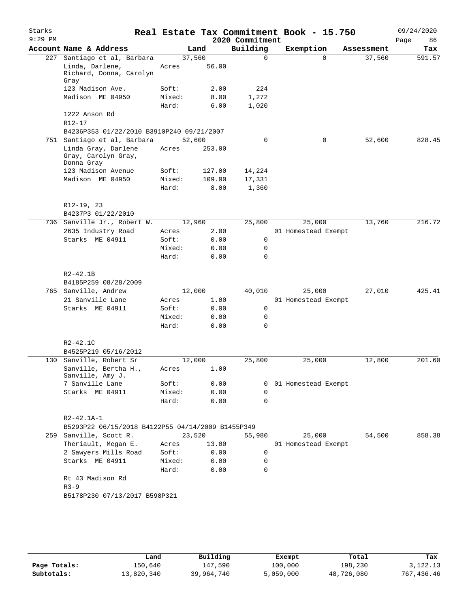| Starks<br>$9:29$ PM |                                                          |        |        | 2020 Commitment | Real Estate Tax Commitment Book - 15.750 |            | 09/24/2020<br>Page<br>86 |
|---------------------|----------------------------------------------------------|--------|--------|-----------------|------------------------------------------|------------|--------------------------|
|                     | Account Name & Address                                   |        | Land   | Building        | Exemption                                | Assessment | Tax                      |
| 227                 | Santiago et al, Barbara                                  |        | 37,560 | $\Omega$        | $\Omega$                                 | 37,560     | 591.57                   |
|                     | Linda, Darlene,<br>Richard, Donna, Carolyn<br>Gray       | Acres  | 56.00  |                 |                                          |            |                          |
|                     | 123 Madison Ave.                                         | Soft:  | 2.00   | 224             |                                          |            |                          |
|                     | Madison ME 04950                                         | Mixed: | 8.00   | 1,272           |                                          |            |                          |
|                     |                                                          | Hard:  | 6.00   | 1,020           |                                          |            |                          |
|                     | 1222 Anson Rd                                            |        |        |                 |                                          |            |                          |
|                     | $R12 - 17$                                               |        |        |                 |                                          |            |                          |
|                     | B4236P353 01/22/2010 B3910P240 09/21/2007                |        |        |                 |                                          |            |                          |
| 751                 | Santiago et al, Barbara                                  |        | 52,600 | $\mathbf 0$     | 0                                        | 52,600     | 828.45                   |
|                     | Linda Gray, Darlene<br>Gray, Carolyn Gray,<br>Donna Gray | Acres  | 253.00 |                 |                                          |            |                          |
|                     | 123 Madison Avenue                                       | Soft:  | 127.00 | 14,224          |                                          |            |                          |
|                     | Madison ME 04950                                         | Mixed: | 109.00 | 17,331          |                                          |            |                          |
|                     |                                                          | Hard:  | 8.00   | 1,360           |                                          |            |                          |
|                     | R12-19, 23                                               |        |        |                 |                                          |            |                          |
|                     | B4237P3 01/22/2010                                       |        |        |                 |                                          |            |                          |
| 736                 | Sanville Jr., Robert W.                                  |        | 12,960 | 25,800          | 25,000                                   | 13,760     | 216.72                   |
|                     | 2635 Industry Road                                       | Acres  | 2.00   |                 | 01 Homestead Exempt                      |            |                          |
|                     | Starks ME 04911                                          | Soft:  | 0.00   | 0               |                                          |            |                          |
|                     |                                                          | Mixed: | 0.00   | 0               |                                          |            |                          |
|                     |                                                          | Hard:  | 0.00   | 0               |                                          |            |                          |
|                     | $R2 - 42.1B$                                             |        |        |                 |                                          |            |                          |
|                     | B4185P259 08/28/2009                                     |        |        |                 |                                          |            |                          |
| 765                 | Sanville, Andrew                                         |        | 12,000 | 40,010          | 25,000                                   | 27,010     | 425.41                   |
|                     | 21 Sanville Lane                                         | Acres  | 1.00   |                 | 01 Homestead Exempt                      |            |                          |
|                     | Starks ME 04911                                          | Soft:  | 0.00   | 0               |                                          |            |                          |
|                     |                                                          | Mixed: | 0.00   | 0               |                                          |            |                          |
|                     |                                                          | Hard:  | 0.00   | $\Omega$        |                                          |            |                          |
|                     | $R2 - 42.1C$                                             |        |        |                 |                                          |            |                          |
|                     | B4525P219 05/16/2012                                     |        |        |                 |                                          |            |                          |
| 130                 | Sanville, Robert Sr                                      |        | 12,000 | 25,800          | 25,000                                   | 12,800     | 201.60                   |
|                     | Sanville, Bertha H.,<br>Sanville, Amy J.                 | Acres  | 1.00   |                 |                                          |            |                          |
|                     | 7 Sanville Lane                                          | Soft:  | 0.00   | 0               | 01 Homestead Exempt                      |            |                          |
|                     | Starks ME 04911                                          | Mixed: | 0.00   | 0               |                                          |            |                          |
|                     |                                                          | Hard:  | 0.00   | 0               |                                          |            |                          |
|                     | R2-42.1A-1                                               |        |        |                 |                                          |            |                          |
|                     | B5293P22 06/15/2018 B4122P55 04/14/2009 B1455P349        |        |        |                 |                                          |            |                          |
|                     | 259 Sanville, Scott R.                                   |        | 23,520 | 55,980          | 25,000                                   | 54,500     | 858.38                   |
|                     | Theriault, Megan E.                                      | Acres  | 13.00  |                 | 01 Homestead Exempt                      |            |                          |
|                     | 2 Sawyers Mills Road                                     | Soft:  | 0.00   | 0               |                                          |            |                          |
|                     | Starks ME 04911                                          | Mixed: | 0.00   | 0               |                                          |            |                          |
|                     |                                                          | Hard:  | 0.00   | 0               |                                          |            |                          |
|                     | Rt 43 Madison Rd                                         |        |        |                 |                                          |            |                          |
|                     | $R3 - 9$                                                 |        |        |                 |                                          |            |                          |
|                     | B5178P230 07/13/2017 B598P321                            |        |        |                 |                                          |            |                          |
|                     |                                                          |        |        |                 |                                          |            |                          |
|                     |                                                          |        |        |                 |                                          |            |                          |
|                     |                                                          |        |        |                 |                                          |            |                          |

|              | Land       | Building   | Exempt    | Total      | Tax         |
|--------------|------------|------------|-----------|------------|-------------|
| Page Totals: | 150,640    | 147,590    | 100,000   | 198,230    | 3,122.13    |
| Subtotals:   | 13,820,340 | 39,964,740 | 5,059,000 | 48,726,080 | 767, 436.46 |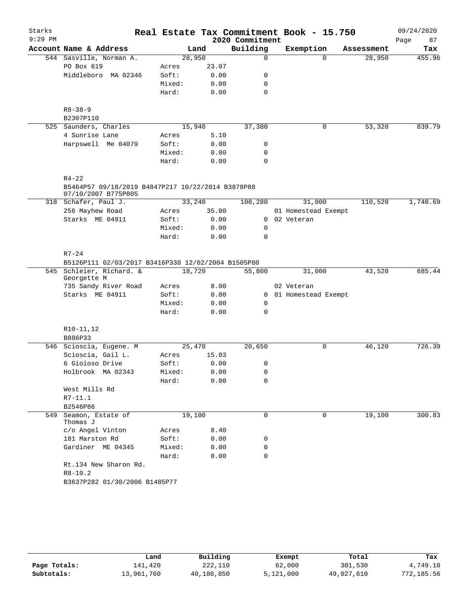| Starks    |                                                                |        |       |                 | Real Estate Tax Commitment Book - 15.750 |            | 09/24/2020 |
|-----------|----------------------------------------------------------------|--------|-------|-----------------|------------------------------------------|------------|------------|
| $9:29$ PM |                                                                |        |       | 2020 Commitment |                                          |            | 87<br>Page |
|           | Account Name & Address                                         | Land   |       | Building        | Exemption                                | Assessment | Tax        |
|           | 544 Sasville, Norman A.                                        | 28,950 |       | $\mathsf{O}$    | $\Omega$                                 | 28,950     | 455.96     |
|           | PO Box 619                                                     | Acres  | 23.07 |                 |                                          |            |            |
|           | Middleboro MA 02346                                            | Soft:  | 0.00  | 0               |                                          |            |            |
|           |                                                                | Mixed: | 0.00  | 0               |                                          |            |            |
|           |                                                                | Hard:  | 0.00  | $\mathbf 0$     |                                          |            |            |
|           | $R8 - 38 - 9$<br>B2307P110                                     |        |       |                 |                                          |            |            |
|           | 525 Saunders, Charles                                          | 15,940 |       | 37,380          | 0                                        | 53,320     | 839.79     |
|           | 4 Sunrise Lane                                                 | Acres  | 5.10  |                 |                                          |            |            |
|           | Harpswell Me 04079                                             | Soft:  | 0.00  | 0               |                                          |            |            |
|           |                                                                | Mixed: | 0.00  | 0               |                                          |            |            |
|           |                                                                | Hard:  | 0.00  | 0               |                                          |            |            |
|           |                                                                |        |       |                 |                                          |            |            |
|           | $R4 - 22$<br>B5464P57 09/18/2019 B4847P217 10/22/2014 B3878P88 |        |       |                 |                                          |            |            |
|           | 07/10/2007 B775P805<br>318 Schafer, Paul J.                    | 33,240 |       | 108,280         | 31,000                                   | 110,520    | 1,740.69   |
|           | 256 Mayhew Road                                                | Acres  | 35.00 |                 | 01 Homestead Exempt                      |            |            |
|           | Starks ME 04911                                                | Soft:  | 0.00  | $\Omega$        | 02 Veteran                               |            |            |
|           |                                                                | Mixed: | 0.00  | 0               |                                          |            |            |
|           |                                                                | Hard:  | 0.00  | $\Omega$        |                                          |            |            |
|           |                                                                |        |       |                 |                                          |            |            |
|           | $R7 - 24$                                                      |        |       |                 |                                          |            |            |
|           | B5126P111 02/03/2017 B3416P338 12/02/2004 B1505P80             |        |       |                 |                                          |            |            |
|           | 545 Schleier, Richard. &<br>Georgette M                        | 18,720 |       | 55,800          | 31,000                                   | 43,520     | 685.44     |
|           | 735 Sandy River Road                                           | Acres  | 8.00  |                 | 02 Veteran                               |            |            |
|           | Starks ME 04911                                                | Soft:  | 0.00  | $\overline{0}$  | 01 Homestead Exempt                      |            |            |
|           |                                                                | Mixed: | 0.00  | 0               |                                          |            |            |
|           |                                                                | Hard:  | 0.00  | 0               |                                          |            |            |
|           | $R10-11, 12$                                                   |        |       |                 |                                          |            |            |
|           | B886P33                                                        |        |       |                 |                                          |            |            |
|           | 546 Scioscia, Eugene. M                                        | 25,470 |       | 20,650          | 0                                        | 46,120     | 726.39     |
|           | Scioscia, Gail L.                                              | Acres  | 15.03 |                 |                                          |            |            |
|           | 6 Gioioso Drive                                                | Soft:  | 0.00  | 0               |                                          |            |            |
|           | Holbrook MA 02343                                              | Mixed: | 0.00  | 0               |                                          |            |            |
|           |                                                                | Hard:  | 0.00  | 0               |                                          |            |            |
|           | West Mills Rd                                                  |        |       |                 |                                          |            |            |
|           | R7-11.1                                                        |        |       |                 |                                          |            |            |
|           | B2546P86                                                       |        |       |                 |                                          |            |            |
| 549       | Seamon, Estate of<br>Thomas J                                  | 19,100 |       | $\Omega$        | 0                                        | 19,100     | 300.83     |
|           | c/o Angel Vinton                                               | Acres  | 8.40  |                 |                                          |            |            |
|           | 181 Marston Rd                                                 | Soft:  | 0.00  | 0               |                                          |            |            |
|           | Gardiner ME 04345                                              | Mixed: | 0.00  | 0               |                                          |            |            |
|           |                                                                | Hard:  | 0.00  | $\mathbf 0$     |                                          |            |            |
|           | Rt.134 New Sharon Rd.                                          |        |       |                 |                                          |            |            |
|           | $R8 - 10.2$                                                    |        |       |                 |                                          |            |            |
|           | B3637P282 01/30/2006 B1485P77                                  |        |       |                 |                                          |            |            |

|              | Land       | Building   | Exempt    | Total      | Tax        |
|--------------|------------|------------|-----------|------------|------------|
| Page Totals: | 141,420    | 222,110    | 62,000    | 301,530    | 4,749.10   |
| Subtotals:   | 13,961,760 | 40,186,850 | 5,121,000 | 49,027,610 | 772,185.56 |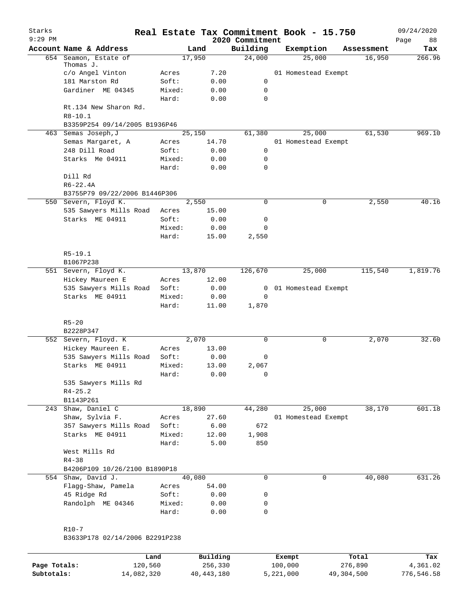| Starks<br>$9:29$ PM |                                |        |        | Real Estate Tax Commitment Book - 15.750<br>2020 Commitment |                     |            | 09/24/2020<br>Page<br>88 |
|---------------------|--------------------------------|--------|--------|-------------------------------------------------------------|---------------------|------------|--------------------------|
|                     | Account Name & Address         |        | Land   | Building                                                    | Exemption           | Assessment | Tax                      |
| 654                 | Seamon, Estate of              |        | 17,950 | 24,000                                                      | 25,000              | 16,950     | 266.96                   |
|                     | Thomas J.                      |        |        |                                                             |                     |            |                          |
|                     | c/o Angel Vinton               | Acres  | 7.20   |                                                             | 01 Homestead Exempt |            |                          |
|                     | 181 Marston Rd                 | Soft:  | 0.00   | $\mathbf 0$                                                 |                     |            |                          |
|                     | Gardiner ME 04345              | Mixed: | 0.00   | $\mathbf 0$                                                 |                     |            |                          |
|                     |                                | Hard:  | 0.00   | 0                                                           |                     |            |                          |
|                     | Rt.134 New Sharon Rd.          |        |        |                                                             |                     |            |                          |
|                     | $R8 - 10.1$                    |        |        |                                                             |                     |            |                          |
|                     | B3359P254 09/14/2005 B1936P46  |        |        |                                                             |                     |            |                          |
|                     | 463 Semas Joseph, J            |        | 25,150 | 61,380                                                      | 25,000              | 61,530     | 969.10                   |
|                     | Semas Margaret, A              | Acres  | 14.70  |                                                             | 01 Homestead Exempt |            |                          |
|                     | 248 Dill Road                  | Soft:  | 0.00   | $\mathsf{O}$                                                |                     |            |                          |
|                     | Starks Me 04911                | Mixed: | 0.00   | 0                                                           |                     |            |                          |
|                     |                                | Hard:  | 0.00   | 0                                                           |                     |            |                          |
|                     | Dill Rd                        |        |        |                                                             |                     |            |                          |
|                     | $R6 - 22.4A$                   |        |        |                                                             |                     |            |                          |
|                     | B3755P79 09/22/2006 B1446P306  |        |        |                                                             |                     |            |                          |
|                     | 550 Severn, Floyd K.           |        | 2,550  | 0                                                           | 0                   | 2,550      | 40.16                    |
|                     | 535 Sawyers Mills Road         | Acres  | 15.00  |                                                             |                     |            |                          |
|                     | Starks ME 04911                | Soft:  | 0.00   | 0                                                           |                     |            |                          |
|                     |                                | Mixed: | 0.00   | 0                                                           |                     |            |                          |
|                     |                                | Hard:  | 15.00  | 2,550                                                       |                     |            |                          |
|                     |                                |        |        |                                                             |                     |            |                          |
|                     | $R5 - 19.1$                    |        |        |                                                             |                     |            |                          |
|                     | B1067P238                      |        |        |                                                             |                     |            |                          |
|                     | 551 Severn, Floyd K.           |        | 13,870 | 126,670                                                     | 25,000              | 115,540    | 1,819.76                 |
|                     | Hickey Maureen E               | Acres  | 12.00  |                                                             |                     |            |                          |
|                     | 535 Sawyers Mills Road         | Soft:  | 0.00   | 0                                                           | 01 Homestead Exempt |            |                          |
|                     | Starks ME 04911                | Mixed: | 0.00   | $\mathbf 0$                                                 |                     |            |                          |
|                     |                                | Hard:  | 11.00  | 1,870                                                       |                     |            |                          |
|                     | $R5 - 20$                      |        |        |                                                             |                     |            |                          |
|                     | B2228P347                      |        |        |                                                             |                     |            |                          |
|                     | 552 Severn, Floyd. K           |        | 2,070  | 0                                                           | 0                   | 2,070      | 32.60                    |
|                     | Hickey Maureen E.              | Acres  | 13.00  |                                                             |                     |            |                          |
|                     | 535 Sawyers Mills Road         | Soft:  | 0.00   | 0                                                           |                     |            |                          |
|                     | Starks ME 04911                | Mixed: | 13.00  | 2,067                                                       |                     |            |                          |
|                     |                                | Hard:  | 0.00   | 0                                                           |                     |            |                          |
|                     | 535 Sawyers Mills Rd           |        |        |                                                             |                     |            |                          |
|                     | $R4 - 25.2$                    |        |        |                                                             |                     |            |                          |
|                     | B1143P261                      |        |        |                                                             |                     |            |                          |
|                     | 243 Shaw, Daniel C             |        | 18,890 | 44,280                                                      | 25,000              | 38,170     | 601.18                   |
|                     | Shaw, Sylvia F.                | Acres  | 27.60  |                                                             | 01 Homestead Exempt |            |                          |
|                     | 357 Sawyers Mills Road         | Soft:  | 6.00   | 672                                                         |                     |            |                          |
|                     | Starks ME 04911                | Mixed: | 12.00  | 1,908                                                       |                     |            |                          |
|                     |                                | Hard:  | 5.00   | 850                                                         |                     |            |                          |
|                     | West Mills Rd                  |        |        |                                                             |                     |            |                          |
|                     | $R4 - 38$                      |        |        |                                                             |                     |            |                          |
|                     | B4206P109 10/26/2100 B1890P18  |        |        |                                                             |                     |            |                          |
|                     | 554 Shaw, David J.             |        | 40,080 | 0                                                           | 0                   | 40,080     | 631.26                   |
|                     | Flagg-Shaw, Pamela             |        | 54.00  |                                                             |                     |            |                          |
|                     |                                | Acres  |        |                                                             |                     |            |                          |
|                     | 45 Ridge Rd                    | Soft:  | 0.00   | 0                                                           |                     |            |                          |
|                     | Randolph ME 04346              | Mixed: | 0.00   | 0                                                           |                     |            |                          |
|                     |                                | Hard:  | 0.00   | 0                                                           |                     |            |                          |
|                     |                                |        |        |                                                             |                     |            |                          |
|                     | $R10-7$                        |        |        |                                                             |                     |            |                          |
|                     | B3633P178 02/14/2006 B2291P238 |        |        |                                                             |                     |            |                          |
|                     |                                |        |        |                                                             |                     |            |                          |

|              | Land       | Building   | Exempt    | Total      | Tax        |
|--------------|------------|------------|-----------|------------|------------|
| Page Totals: | 120,560    | 256,330    | 100,000   | 276,890    | 4,361.02   |
| Subtotals:   | 14,082,320 | 40,443,180 | 5,221,000 | 49,304,500 | 776,546.58 |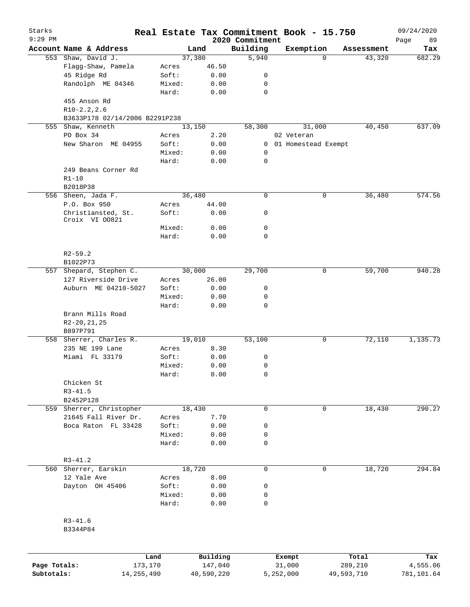| Starks       |                                              |                 | Real Estate Tax Commitment Book - 15.750 |                             |                     |             |                      | 09/24/2020      |
|--------------|----------------------------------------------|-----------------|------------------------------------------|-----------------------------|---------------------|-------------|----------------------|-----------------|
| $9:29$ PM    | Account Name & Address                       |                 | Land                                     | 2020 Commitment<br>Building |                     |             |                      | Page<br>89      |
|              | 553 Shaw, David J.                           |                 | 37,380                                   | 5,940                       | Exemption           | $\Omega$    | Assessment<br>43,320 | Tax<br>682.29   |
|              | Flagg-Shaw, Pamela                           | Acres           | 46.50                                    |                             |                     |             |                      |                 |
|              | 45 Ridge Rd                                  | Soft:           | 0.00                                     | 0                           |                     |             |                      |                 |
|              | Randolph ME 04346                            | Mixed:          | 0.00                                     | 0                           |                     |             |                      |                 |
|              |                                              | Hard:           | 0.00                                     | $\mathbf 0$                 |                     |             |                      |                 |
|              | 455 Anson Rd<br>$R10-2.2, 2.6$               |                 |                                          |                             |                     |             |                      |                 |
|              | B3633P178 02/14/2006 B2291P238               |                 |                                          |                             |                     |             |                      |                 |
|              | 555 Shaw, Kenneth                            |                 | 13,150                                   | 58,300                      |                     | 31,000      | 40,450               | 637.09          |
|              | PO Box 34                                    | Acres           | 2.20                                     |                             | 02 Veteran          |             |                      |                 |
|              | New Sharon ME 04955                          | Soft:           | 0.00                                     | 0                           | 01 Homestead Exempt |             |                      |                 |
|              |                                              | Mixed:          | 0.00                                     | 0                           |                     |             |                      |                 |
|              |                                              | Hard:           | 0.00                                     | $\mathbf 0$                 |                     |             |                      |                 |
|              | 249 Beans Corner Rd                          |                 |                                          |                             |                     |             |                      |                 |
|              | $R1 - 10$                                    |                 |                                          |                             |                     |             |                      |                 |
|              | B2018P38                                     |                 |                                          |                             |                     |             |                      |                 |
|              | 556 Sheen, Jada F.                           |                 | 36,480                                   | $\mathbf 0$                 |                     | 0           | 36,480               | 574.56          |
|              | P.O. Box 950                                 | Acres           | 44.00                                    |                             |                     |             |                      |                 |
|              | Christiansted, St.                           | Soft:           | 0.00                                     | 0                           |                     |             |                      |                 |
|              | Croix VI 00821                               |                 |                                          |                             |                     |             |                      |                 |
|              |                                              | Mixed:          | 0.00                                     | $\mathbf 0$                 |                     |             |                      |                 |
|              |                                              | Hard:           | 0.00                                     | $\mathbf 0$                 |                     |             |                      |                 |
|              | $R2 - 59.2$                                  |                 |                                          |                             |                     |             |                      |                 |
|              | B1022P73                                     |                 |                                          |                             |                     |             |                      |                 |
|              | 557 Shepard, Stephen C.                      |                 | 30,000                                   | 29,700                      |                     | 0           | 59,700               | 940.28          |
|              | 127 Riverside Drive                          | Acres           | 26.00                                    |                             |                     |             |                      |                 |
|              | Auburn ME 04210-5027                         | Soft:           | 0.00                                     | 0                           |                     |             |                      |                 |
|              |                                              | Mixed:          | 0.00                                     | 0                           |                     |             |                      |                 |
|              |                                              | Hard:           | 0.00                                     | $\mathbf 0$                 |                     |             |                      |                 |
|              | Brann Mills Road                             |                 |                                          |                             |                     |             |                      |                 |
|              | R2-20, 21, 25                                |                 |                                          |                             |                     |             |                      |                 |
|              | B897P791<br>558 Sherrer, Charles R.          |                 | 19,010                                   | 53,100                      |                     | 0           | 72,110               | 1,135.73        |
|              | 235 NE 199 Lane                              | Acres           | 8.30                                     |                             |                     |             |                      |                 |
|              | Miami FL 33179                               | Soft:           | 0.00                                     | 0                           |                     |             |                      |                 |
|              |                                              | Mixed:          |                                          | 0                           |                     |             |                      |                 |
|              |                                              |                 | 0.00                                     |                             |                     |             |                      |                 |
|              |                                              | Hard:           | 0.00                                     | 0                           |                     |             |                      |                 |
|              | Chicken St                                   |                 |                                          |                             |                     |             |                      |                 |
|              | $R3 - 41.5$                                  |                 |                                          |                             |                     |             |                      |                 |
|              | B2452P128                                    |                 | 18,430                                   | $\mathbf 0$                 |                     | $\mathbf 0$ | 18,430               | 290.27          |
| 559          | Sherrer, Christopher<br>21645 Fall River Dr. |                 |                                          |                             |                     |             |                      |                 |
|              | Boca Raton FL 33428                          | Acres<br>Soft:  | 7.70                                     |                             |                     |             |                      |                 |
|              |                                              |                 | 0.00                                     | 0                           |                     |             |                      |                 |
|              |                                              | Mixed:<br>Hard: | 0.00                                     | 0<br>$\mathbf 0$            |                     |             |                      |                 |
|              |                                              |                 | 0.00                                     |                             |                     |             |                      |                 |
|              | $R3 - 41.2$                                  |                 |                                          |                             |                     |             |                      |                 |
|              | 560 Sherrer, Earskin                         |                 | 18,720                                   | $\mathbf 0$                 |                     | $\mathbf 0$ |                      | 294.84          |
|              | 12 Yale Ave                                  |                 | 8.00                                     |                             |                     |             | 18,720               |                 |
|              | Dayton OH 45406                              | Acres<br>Soft:  | 0.00                                     | 0                           |                     |             |                      |                 |
|              |                                              |                 |                                          |                             |                     |             |                      |                 |
|              |                                              | Mixed:          | 0.00                                     | $\mathbf 0$                 |                     |             |                      |                 |
|              |                                              | Hard:           | 0.00                                     | $\mathbf 0$                 |                     |             |                      |                 |
|              | $R3 - 41.6$                                  |                 |                                          |                             |                     |             |                      |                 |
|              | B3344P84                                     |                 |                                          |                             |                     |             |                      |                 |
|              |                                              |                 |                                          |                             |                     |             |                      |                 |
| Page Totals: |                                              | Land<br>173,170 | Building<br>147,040                      |                             | Exempt<br>31,000    |             | Total<br>289,210     | Tax<br>4,555.06 |
| Subtotals:   | 14, 255, 490                                 |                 | 40,590,220                               |                             | 5,252,000           |             | 49,593,710           | 781,101.64      |
|              |                                              |                 |                                          |                             |                     |             |                      |                 |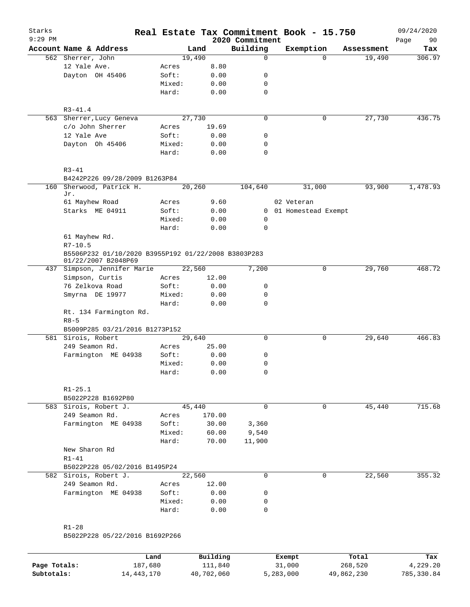| Starks<br>$9:29$ PM |                                                                            |        |        |        | 2020 Commitment | Real Estate Tax Commitment Book - 15.750 |            | 09/24/2020<br>90<br>Page |
|---------------------|----------------------------------------------------------------------------|--------|--------|--------|-----------------|------------------------------------------|------------|--------------------------|
|                     | Account Name & Address                                                     |        | Land   |        | Building        | Exemption                                | Assessment | Tax                      |
|                     | 562 Sherrer, John                                                          |        | 19,490 |        | 0               | $\Omega$                                 | 19,490     | 306.97                   |
|                     | 12 Yale Ave.                                                               | Acres  |        | 8.80   |                 |                                          |            |                          |
|                     | Dayton OH 45406                                                            | Soft:  |        | 0.00   | 0               |                                          |            |                          |
|                     |                                                                            | Mixed: |        | 0.00   | 0               |                                          |            |                          |
|                     |                                                                            | Hard:  |        | 0.00   | 0               |                                          |            |                          |
|                     | $R3 - 41.4$                                                                |        |        |        |                 |                                          |            |                          |
|                     | 563 Sherrer, Lucy Geneva                                                   |        | 27,730 |        | $\Omega$        | 0                                        | 27,730     | 436.75                   |
|                     | c/o John Sherrer                                                           | Acres  |        | 19.69  |                 |                                          |            |                          |
|                     | 12 Yale Ave                                                                | Soft:  |        | 0.00   | 0               |                                          |            |                          |
|                     | Dayton Oh 45406                                                            | Mixed: |        | 0.00   | 0               |                                          |            |                          |
|                     |                                                                            | Hard:  |        | 0.00   | $\Omega$        |                                          |            |                          |
|                     | $R3 - 41$<br>B4242P226 09/28/2009 B1263P84                                 |        |        |        |                 |                                          |            |                          |
| 160                 | Sherwood, Patrick H.                                                       |        | 20,260 |        | 104,640         | 31,000                                   | 93,900     | 1,478.93                 |
|                     | Jr.                                                                        |        |        |        |                 |                                          |            |                          |
|                     | 61 Mayhew Road                                                             | Acres  |        | 9.60   |                 | 02 Veteran                               |            |                          |
|                     | Starks ME 04911                                                            | Soft:  |        | 0.00   |                 | 0 01 Homestead Exempt                    |            |                          |
|                     |                                                                            | Mixed: |        | 0.00   | 0               |                                          |            |                          |
|                     |                                                                            | Hard:  |        | 0.00   | 0               |                                          |            |                          |
|                     | 61 Mayhew Rd.                                                              |        |        |        |                 |                                          |            |                          |
|                     | $R7 - 10.5$                                                                |        |        |        |                 |                                          |            |                          |
|                     | B5506P232 01/10/2020 B3955P192 01/22/2008 B3803P283<br>01/22/2007 B2048P69 |        |        |        |                 |                                          |            |                          |
|                     | 437 Simpson, Jennifer Marie                                                |        | 22,560 |        | 7,200           | 0                                        | 29,760     | 468.72                   |
|                     | Simpson, Curtis                                                            | Acres  |        | 12.00  |                 |                                          |            |                          |
|                     | 76 Zelkova Road                                                            | Soft:  |        | 0.00   | 0               |                                          |            |                          |
|                     | Smyrna DE 19977                                                            | Mixed: |        | 0.00   | 0               |                                          |            |                          |
|                     |                                                                            | Hard:  |        | 0.00   | $\mathbf 0$     |                                          |            |                          |
|                     | Rt. 134 Farmington Rd.<br>$R8 - 5$                                         |        |        |        |                 |                                          |            |                          |
|                     | B5009P285 03/21/2016 B1273P152                                             |        |        |        |                 |                                          |            |                          |
|                     | 581 Sirois, Robert                                                         |        | 29,640 |        | 0               | 0                                        | 29,640     | 466.83                   |
|                     | 249 Seamon Rd.                                                             | Acres  |        | 25.00  |                 |                                          |            |                          |
|                     | Farmington ME 04938                                                        | Soft:  |        | 0.00   | 0               |                                          |            |                          |
|                     |                                                                            | Mixed: |        | 0.00   | 0               |                                          |            |                          |
|                     |                                                                            | Hard:  |        | 0.00   | $\mathsf{O}$    |                                          |            |                          |
|                     | $R1 - 25.1$                                                                |        |        |        |                 |                                          |            |                          |
|                     | B5022P228 B1692P80                                                         |        |        |        |                 |                                          |            |                          |
|                     | 583 Sirois, Robert J.                                                      |        | 45,440 |        | 0               | 0                                        | 45,440     | 715.68                   |
|                     | 249 Seamon Rd.                                                             | Acres  |        | 170.00 |                 |                                          |            |                          |
|                     | Farmington ME 04938                                                        | Soft:  |        | 30.00  | 3,360           |                                          |            |                          |
|                     |                                                                            | Mixed: |        | 60.00  | 9,540           |                                          |            |                          |
|                     |                                                                            | Hard:  |        | 70.00  | 11,900          |                                          |            |                          |
|                     | New Sharon Rd                                                              |        |        |        |                 |                                          |            |                          |
|                     | $R1 - 41$                                                                  |        |        |        |                 |                                          |            |                          |
|                     | B5022P228 05/02/2016 B1495P24                                              |        |        |        |                 |                                          |            |                          |
|                     | 582 Sirois, Robert J.                                                      |        | 22,560 |        | 0               | $\mathsf{O}$                             | 22,560     | 355.32                   |
|                     | 249 Seamon Rd.                                                             | Acres  |        | 12.00  |                 |                                          |            |                          |
|                     | Farmington ME 04938                                                        | Soft:  |        | 0.00   | 0               |                                          |            |                          |
|                     |                                                                            | Mixed: |        | 0.00   | 0               |                                          |            |                          |
|                     |                                                                            | Hard:  |        | 0.00   | 0               |                                          |            |                          |
|                     |                                                                            |        |        |        |                 |                                          |            |                          |
|                     | $R1 - 28$                                                                  |        |        |        |                 |                                          |            |                          |
|                     | B5022P228 05/22/2016 B1692P266                                             |        |        |        |                 |                                          |            |                          |
|                     |                                                                            |        |        |        |                 |                                          |            |                          |

|              | Land       | Building   | Exempt    | Total      | Tax         |
|--------------|------------|------------|-----------|------------|-------------|
| Page Totals: | 187.680    | 111,840    | 31,000    | 268,520    | 4,229.20    |
| Subtotals:   | 14,443,170 | 40,702,060 | 5,283,000 | 49,862,230 | 785, 330.84 |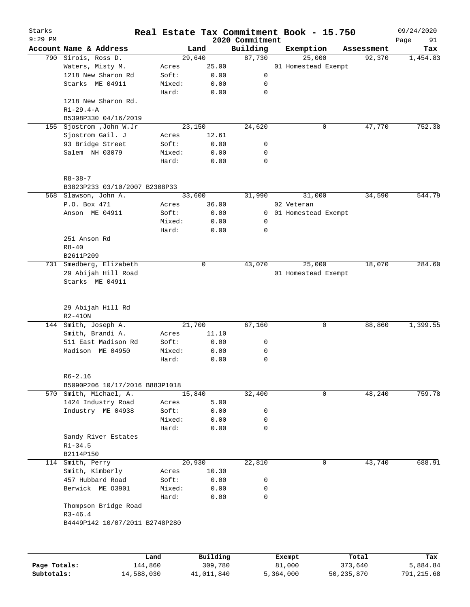| Starks       |                                     | Real Estate Tax Commitment Book - 15.750 |          |                             |                  |                     |            | 09/24/2020        |
|--------------|-------------------------------------|------------------------------------------|----------|-----------------------------|------------------|---------------------|------------|-------------------|
| 9:29 PM      | Account Name & Address              |                                          | Land     | 2020 Commitment<br>Building |                  | Exemption           | Assessment | Page<br>91<br>Tax |
|              | 790 Sirois, Ross D.                 |                                          | 29,640   | 87,730                      |                  | 25,000              | 92,370     | 1,454.83          |
|              | Waters, Misty M.                    | Acres                                    | 25.00    |                             |                  | 01 Homestead Exempt |            |                   |
|              | 1218 New Sharon Rd                  | Soft:                                    | 0.00     | 0                           |                  |                     |            |                   |
|              | Starks ME 04911                     | Mixed:                                   | 0.00     | 0                           |                  |                     |            |                   |
|              |                                     | Hard:                                    | 0.00     | $\mathbf 0$                 |                  |                     |            |                   |
|              | 1218 New Sharon Rd.                 |                                          |          |                             |                  |                     |            |                   |
|              | $R1 - 29.4 - A$                     |                                          |          |                             |                  |                     |            |                   |
|              | B5398P330 04/16/2019                |                                          |          |                             |                  |                     |            |                   |
| 155          | Sjostrom , John W.Jr                |                                          | 23,150   | 24,620                      |                  | 0                   | 47,770     | 752.38            |
|              | Sjostrom Gail. J                    | Acres                                    | 12.61    |                             |                  |                     |            |                   |
|              | 93 Bridge Street                    | Soft:                                    | 0.00     | 0                           |                  |                     |            |                   |
|              | Salem NH 03079                      | Mixed:                                   | 0.00     | 0                           |                  |                     |            |                   |
|              |                                     | Hard:                                    | 0.00     | 0                           |                  |                     |            |                   |
|              | $R8 - 38 - 7$                       |                                          |          |                             |                  |                     |            |                   |
|              | B3823P233 03/10/2007 B2308P33       |                                          |          |                             |                  |                     |            |                   |
|              | 568 Slawson, John A.                |                                          | 33,600   | 31,990                      |                  | 31,000              | 34,590     | 544.79            |
|              | P.O. Box 471                        | Acres                                    | 36.00    |                             | 02 Veteran       |                     |            |                   |
|              | Anson ME 04911                      | Soft:                                    | 0.00     | 0                           |                  | 01 Homestead Exempt |            |                   |
|              |                                     | Mixed:                                   | 0.00     | 0                           |                  |                     |            |                   |
|              |                                     | Hard:                                    | 0.00     | 0                           |                  |                     |            |                   |
|              | 251 Anson Rd                        |                                          |          |                             |                  |                     |            |                   |
|              | $R8 - 40$<br>B2611P209              |                                          |          |                             |                  |                     |            |                   |
| 731          | Smedberg, Elizabeth                 |                                          | 0        | 43,070                      |                  | 25,000              | 18,070     | 284.60            |
|              | 29 Abijah Hill Road                 |                                          |          |                             |                  | 01 Homestead Exempt |            |                   |
|              | Starks ME 04911                     |                                          |          |                             |                  |                     |            |                   |
|              | 29 Abijah Hill Rd                   |                                          |          |                             |                  |                     |            |                   |
|              | $R2 - 410N$                         |                                          |          |                             |                  |                     |            |                   |
| 144          | Smith, Joseph A.                    |                                          | 21,700   | 67,160                      |                  | 0                   | 88,860     | 1,399.55          |
|              | Smith, Brandi A.                    | Acres                                    | 11.10    |                             |                  |                     |            |                   |
|              | 511 East Madison Rd                 | Soft:                                    | 0.00     | 0                           |                  |                     |            |                   |
|              | Madison ME 04950                    | Mixed:                                   | 0.00     | 0                           |                  |                     |            |                   |
|              |                                     | Hard:                                    | 0.00     | 0                           |                  |                     |            |                   |
|              | $R6 - 2.16$                         |                                          |          |                             |                  |                     |            |                   |
|              | B5090P206 10/17/2016 B883P1018      |                                          |          |                             |                  |                     |            |                   |
|              | 570 Smith, Michael, A.              |                                          | 15,840   | 32,400                      |                  | 0                   | 48,240     | 759.78            |
|              | 1424 Industry Road                  | Acres                                    | 5.00     |                             |                  |                     |            |                   |
|              | Industry ME 04938                   | Soft:                                    | 0.00     | 0                           |                  |                     |            |                   |
|              |                                     | Mixed:                                   | 0.00     | 0                           |                  |                     |            |                   |
|              |                                     | Hard:                                    | 0.00     | 0                           |                  |                     |            |                   |
|              | Sandy River Estates                 |                                          |          |                             |                  |                     |            |                   |
|              | $R1 - 34.5$                         |                                          |          |                             |                  |                     |            |                   |
|              | B2114P150                           |                                          |          |                             |                  |                     |            |                   |
| 114          | Smith, Perry                        |                                          | 20,930   | 22,810                      |                  | 0                   | 43,740     | 688.91            |
|              | Smith, Kimberly                     | Acres                                    | 10.30    |                             |                  |                     |            |                   |
|              | 457 Hubbard Road                    | Soft:                                    | 0.00     | 0                           |                  |                     |            |                   |
|              | Berwick ME 03901                    | Mixed:                                   | 0.00     | 0                           |                  |                     |            |                   |
|              |                                     | Hard:                                    | 0.00     | $\mathbf 0$                 |                  |                     |            |                   |
|              | Thompson Bridge Road<br>$R3 - 46.4$ |                                          |          |                             |                  |                     |            |                   |
|              | B4449P142 10/07/2011 B2748P280      |                                          |          |                             |                  |                     |            |                   |
|              |                                     |                                          |          |                             |                  |                     |            |                   |
|              |                                     | Land                                     | Building |                             |                  |                     | Total      |                   |
| Page Totals: |                                     | 144,860                                  | 309,780  |                             | Exempt<br>81,000 |                     | 373,640    | Tax<br>5,884.84   |
|              |                                     |                                          |          |                             |                  |                     |            |                   |

**Subtotals:** 14,588,030 41,011,840 5,364,000 50,235,870 791,215.68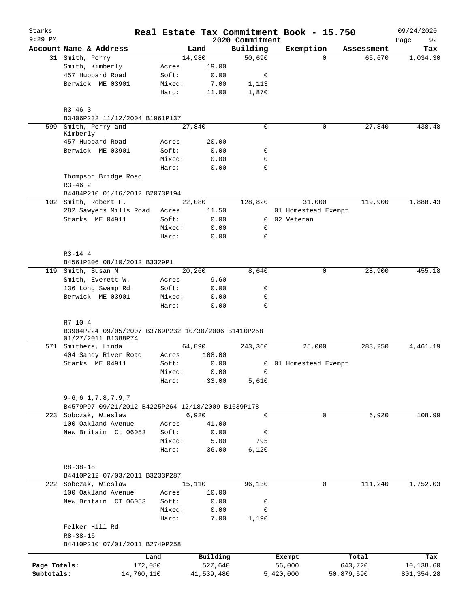| Starks<br>$9:29$ PM |                                                                                           |            |                 |              | 2020 Commitment | Real Estate Tax Commitment Book - 15.750 |            | 09/24/2020<br>92<br>Page |
|---------------------|-------------------------------------------------------------------------------------------|------------|-----------------|--------------|-----------------|------------------------------------------|------------|--------------------------|
|                     | Account Name & Address                                                                    |            |                 | Land         | Building        | Exemption                                | Assessment | Tax                      |
|                     | 31 Smith, Perry                                                                           |            |                 | 14,980       | 50,690          | $\Omega$                                 | 65,670     | 1,034.30                 |
|                     | Smith, Kimberly                                                                           |            | Acres           | 19.00        |                 |                                          |            |                          |
|                     | 457 Hubbard Road                                                                          |            | Soft:           | 0.00         | 0               |                                          |            |                          |
|                     | Berwick ME 03901                                                                          |            | Mixed:          | 7.00         | 1,113           |                                          |            |                          |
|                     |                                                                                           |            | Hard:           | 11.00        | 1,870           |                                          |            |                          |
|                     | $R3 - 46.3$                                                                               |            |                 |              |                 |                                          |            |                          |
|                     | B3406P232 11/12/2004 B1961P137                                                            |            |                 |              |                 |                                          |            |                          |
| 599                 | Smith, Perry and<br>Kimberly                                                              |            |                 | 27,840       | $\Omega$        | 0                                        | 27,840     | 438.48                   |
|                     | 457 Hubbard Road                                                                          |            | Acres           | 20.00        |                 |                                          |            |                          |
|                     | Berwick ME 03901                                                                          |            | Soft:           | 0.00         | 0               |                                          |            |                          |
|                     |                                                                                           |            | Mixed:          | 0.00         | 0               |                                          |            |                          |
|                     |                                                                                           |            | Hard:           | 0.00         | 0               |                                          |            |                          |
|                     | Thompson Bridge Road<br>$R3 - 46.2$                                                       |            |                 |              |                 |                                          |            |                          |
|                     | B4484P210 01/16/2012 B2073P194                                                            |            |                 |              |                 |                                          |            |                          |
|                     | 102 Smith, Robert F.                                                                      |            |                 | 22,080       | 128,820         | 31,000                                   | 119,900    | 1,888.43                 |
|                     | 282 Sawyers Mills Road                                                                    |            | Acres           | 11.50        |                 | 01 Homestead Exempt                      |            |                          |
|                     | Starks ME 04911                                                                           |            | Soft:           | 0.00         |                 | 0 02 Veteran                             |            |                          |
|                     |                                                                                           |            | Mixed:          | 0.00         | 0               |                                          |            |                          |
|                     |                                                                                           |            | Hard:           | 0.00         | 0               |                                          |            |                          |
|                     | $R3 - 14.4$<br>B4561P306 08/10/2012 B3329P1                                               |            |                 |              |                 |                                          |            |                          |
|                     | 119 Smith, Susan M                                                                        |            |                 | 20,260       | 8,640           | 0                                        | 28,900     | 455.18                   |
|                     | Smith, Everett W.                                                                         |            | Acres           | 9.60         |                 |                                          |            |                          |
|                     |                                                                                           |            |                 |              |                 |                                          |            |                          |
|                     | 136 Long Swamp Rd.                                                                        |            | Soft:           | 0.00         | 0               |                                          |            |                          |
|                     | Berwick ME 03901                                                                          |            | Mixed:<br>Hard: | 0.00<br>0.00 | 0<br>0          |                                          |            |                          |
|                     | $R7 - 10.4$<br>B3904P224 09/05/2007 B3769P232 10/30/2006 B1410P258<br>01/27/2011 B1388P74 |            |                 |              |                 |                                          |            |                          |
|                     | 571 Smithers, Linda                                                                       |            |                 | 64,890       | 243,360         | 25,000                                   | 283,250    | 4,461.19                 |
|                     | 404 Sandy River Road                                                                      |            | Acres           | 108.00       |                 |                                          |            |                          |
|                     | Starks ME 04911                                                                           |            | Soft:           | 0.00         |                 | 0 01 Homestead Exempt                    |            |                          |
|                     |                                                                                           |            | Mixed:          | 0.00         | $\Omega$        |                                          |            |                          |
|                     |                                                                                           |            | Hard:           | 33.00        | 5,610           |                                          |            |                          |
|                     | $9 - 6, 6.1, 7.8, 7.9, 7$<br>B4579P97 09/21/2012 B4225P264 12/18/2009 B1639P178           |            |                 |              |                 |                                          |            |                          |
|                     | 223 Sobczak, Wieslaw                                                                      |            |                 | 6,920        | 0               | 0                                        | 6,920      | 108.99                   |
|                     | 100 Oakland Avenue                                                                        |            | Acres           | 41.00        |                 |                                          |            |                          |
|                     | New Britain Ct 06053                                                                      |            | Soft:           | 0.00         | 0               |                                          |            |                          |
|                     |                                                                                           |            | Mixed:          | 5.00         | 795             |                                          |            |                          |
|                     |                                                                                           |            | Hard:           | 36.00        | 6,120           |                                          |            |                          |
|                     | $R8 - 38 - 18$                                                                            |            |                 |              |                 |                                          |            |                          |
|                     | B4410P212 07/03/2011 B3233P287                                                            |            |                 |              |                 |                                          |            |                          |
|                     | 222 Sobczak, Wieslaw                                                                      |            |                 | 15,110       | 96,130          | 0                                        | 111,240    | 1,752.03                 |
|                     | 100 Oakland Avenue                                                                        |            | Acres           | 10.00        |                 |                                          |            |                          |
|                     | New Britain CT 06053                                                                      |            | Soft:           | 0.00         | 0               |                                          |            |                          |
|                     |                                                                                           |            | Mixed:          | 0.00         | 0               |                                          |            |                          |
|                     |                                                                                           |            | Hard:           | 7.00         | 1,190           |                                          |            |                          |
|                     | Felker Hill Rd<br>$R8 - 38 - 16$                                                          |            |                 |              |                 |                                          |            |                          |
|                     | B4410P210 07/01/2011 B2749P258                                                            |            |                 |              |                 |                                          |            |                          |
|                     |                                                                                           | Land       |                 | Building     |                 | Exempt                                   | Total      | Tax                      |
| Page Totals:        |                                                                                           | 172,080    |                 | 527,640      |                 | 56,000                                   | 643,720    | 10,138.60                |
| Subtotals:          |                                                                                           | 14,760,110 |                 | 41,539,480   |                 | 5,420,000<br>50,879,590                  |            | 801, 354.28              |
|                     |                                                                                           |            |                 |              |                 |                                          |            |                          |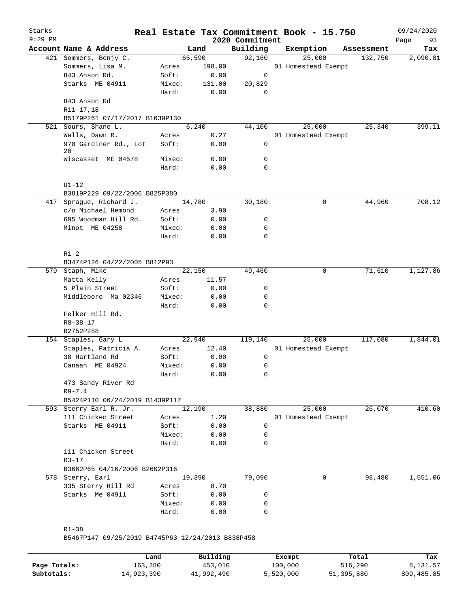| Starks<br>$9:29$ PM |                                                   |        |        | 2020 Commitment | Real Estate Tax Commitment Book - 15.750 |            | 09/24/2020<br>Page<br>93 |
|---------------------|---------------------------------------------------|--------|--------|-----------------|------------------------------------------|------------|--------------------------|
|                     | Account Name & Address                            |        | Land   | Building        | Exemption                                | Assessment | Tax                      |
|                     | 421 Sommers, Benjy C.                             |        | 65,590 | 92,160          | 25,000                                   | 132,750    | 2,090.81                 |
|                     | Sommers, Lisa M.                                  | Acres  | 198.00 |                 | 01 Homestead Exempt                      |            |                          |
|                     | 843 Anson Rd.                                     | Soft:  | 0.00   | 0               |                                          |            |                          |
|                     | Starks ME 04911                                   | Mixed: | 131.00 | 20,829          |                                          |            |                          |
|                     |                                                   | Hard:  | 0.00   | $\mathbf 0$     |                                          |            |                          |
|                     | 843 Anson Rd                                      |        |        |                 |                                          |            |                          |
|                     | R11-17,18                                         |        |        |                 |                                          |            |                          |
|                     | B5179P261 07/17/2017 B1639P130                    |        |        |                 |                                          |            |                          |
|                     | 521 Sours, Shane L.                               |        | 6,240  | 44,100          | 25,000                                   | 25,340     | 399.11                   |
|                     | Walls, Dawn R.                                    | Acres  | 0.27   |                 | 01 Homestead Exempt                      |            |                          |
|                     | 970 Gardiner Rd., Lot                             | Soft:  | 0.00   | 0               |                                          |            |                          |
|                     | 20                                                |        |        | 0               |                                          |            |                          |
|                     | Wiscasset ME 04578                                | Mixed: | 0.00   | 0               |                                          |            |                          |
|                     |                                                   | Hard:  | 0.00   |                 |                                          |            |                          |
|                     | $UI-12$                                           |        |        |                 |                                          |            |                          |
|                     | B3819P229 09/22/2006 B825P380                     |        |        |                 |                                          |            |                          |
|                     | 417 Sprague, Richard J.                           |        | 14,780 | 30,180          | 0                                        | 44,960     | 708.12                   |
|                     | c/o Michael Hemond                                | Acres  | 3.90   |                 |                                          |            |                          |
|                     | 695 Woodman Hill Rd.                              | Soft:  | 0.00   | 0               |                                          |            |                          |
|                     | Minot ME 04258                                    | Mixed: | 0.00   | 0               |                                          |            |                          |
|                     |                                                   | Hard:  | 0.00   | 0               |                                          |            |                          |
|                     |                                                   |        |        |                 |                                          |            |                          |
|                     | $R1-2$                                            |        |        |                 |                                          |            |                          |
|                     | B3474P126 04/22/2005 B812P93                      |        |        |                 |                                          |            |                          |
|                     | 579 Staph, Mike                                   |        | 22,150 | 49,460          | 0                                        | 71,610     | 1,127.86                 |
|                     | Matta Kelly                                       | Acres  | 11.57  |                 |                                          |            |                          |
|                     | 5 Plain Street                                    | Soft:  | 0.00   | 0               |                                          |            |                          |
|                     | Middleboro Ma 02346                               | Mixed: | 0.00   | 0               |                                          |            |                          |
|                     |                                                   | Hard:  | 0.00   | $\mathbf 0$     |                                          |            |                          |
|                     | Felker Hill Rd.                                   |        |        |                 |                                          |            |                          |
|                     | R8-38.17                                          |        |        |                 |                                          |            |                          |
|                     | B2752P288                                         |        |        |                 |                                          |            |                          |
|                     | 154 Staples, Gary L                               |        | 22,940 | 119,140         | 25,000                                   | 117,080    | 1,844.01                 |
|                     | Staples, Patricia A.                              | Acres  | 12.40  |                 | 01 Homestead Exempt                      |            |                          |
|                     | 38 Hartland Rd                                    | Soft:  | 0.00   | 0               |                                          |            |                          |
|                     | Canaan ME 04924                                   | Mixed: | 0.00   | 0               |                                          |            |                          |
|                     |                                                   | Hard:  | 0.00   | 0               |                                          |            |                          |
|                     | 473 Sandy River Rd                                |        |        |                 |                                          |            |                          |
|                     | $R9 - 7.4$                                        |        |        |                 |                                          |            |                          |
|                     | B5424P110 06/24/2019 B1439P117                    |        |        |                 |                                          |            |                          |
|                     | 593 Sterry Earl R. Jr.                            | 12,190 |        | 38,880          | 25,000                                   | 26,070     | 410.60                   |
|                     | 111 Chicken Street                                | Acres  | 1.20   |                 | 01 Homestead Exempt                      |            |                          |
|                     | Starks ME 04911                                   | Soft:  | 0.00   | 0               |                                          |            |                          |
|                     |                                                   | Mixed: | 0.00   | 0               |                                          |            |                          |
|                     |                                                   | Hard:  | 0.00   | $\Omega$        |                                          |            |                          |
|                     | 111 Chicken Street                                |        |        |                 |                                          |            |                          |
|                     | $R3 - 17$                                         |        |        |                 |                                          |            |                          |
|                     | B3662P65 04/16/2006 B2602P316                     |        |        |                 |                                          |            |                          |
|                     | 578 Sterry, Earl                                  |        | 19,390 | 79,090          | 0                                        | 98,480     | 1,551.06                 |
|                     | 335 Sterry Hill Rd                                | Acres  | 8.70   |                 |                                          |            |                          |
|                     | Starks Me 04911                                   | Soft:  | 0.00   | 0               |                                          |            |                          |
|                     |                                                   | Mixed: | 0.00   | 0               |                                          |            |                          |
|                     |                                                   | Hard:  | 0.00   | $\mathbf 0$     |                                          |            |                          |
|                     |                                                   |        |        |                 |                                          |            |                          |
|                     | $R1 - 38$                                         |        |        |                 |                                          |            |                          |
|                     | B5467P147 09/25/2019 B4745P63 12/24/2013 B838P458 |        |        |                 |                                          |            |                          |
|                     |                                                   |        |        |                 |                                          |            |                          |

|              | Land       | Building   | Exempt    | Total      | Tax        |
|--------------|------------|------------|-----------|------------|------------|
| Page Totals: | 163,280    | 453,010    | 100,000   | 516,290    | 8,131.57   |
| Subtotals:   | 14,923,390 | 41,992,490 | 5,520,000 | 51,395,880 | 809,485.85 |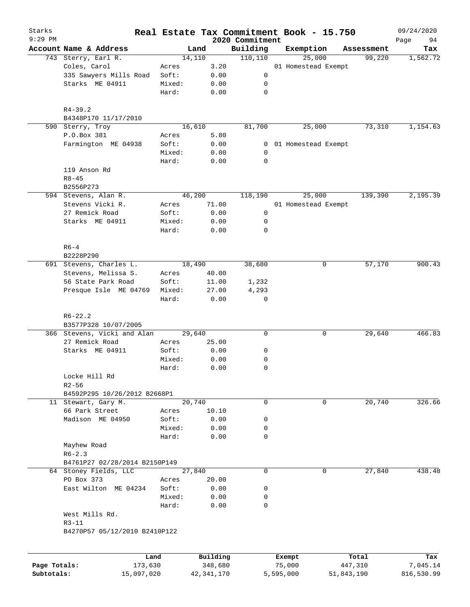| Starks<br>$9:29$ PM |                                                     |                 |               | 2020 Commitment | Real Estate Tax Commitment Book - 15.750 |            | 09/24/2020<br>Page<br>94 |
|---------------------|-----------------------------------------------------|-----------------|---------------|-----------------|------------------------------------------|------------|--------------------------|
|                     | Account Name & Address                              |                 | Land          | Building        | Exemption                                | Assessment | Tax                      |
|                     | 743 Sterry, Earl R.                                 |                 | 14,110        | 110, 110        | 25,000                                   | 99,220     | 1,562.72                 |
|                     | Coles, Carol                                        | Acres           | 3.20          |                 | 01 Homestead Exempt                      |            |                          |
|                     | 335 Sawyers Mills Road                              | Soft:           | 0.00          | 0               |                                          |            |                          |
|                     | Starks ME 04911                                     | Mixed:          | 0.00          | 0               |                                          |            |                          |
|                     |                                                     | Hard:           | 0.00          | 0               |                                          |            |                          |
|                     | $R4 - 39.2$                                         |                 |               |                 |                                          |            |                          |
|                     | B4348P170 11/17/2010                                |                 |               |                 |                                          |            |                          |
|                     | 590 Sterry, Troy                                    |                 | 16,610        | 81,700          | 25,000                                   | 73,310     | 1,154.63                 |
|                     | P.O.Box 381                                         | Acres           | 5.80          |                 |                                          |            |                          |
|                     | Farmington ME 04938                                 | Soft:           | 0.00          | 0               | 01 Homestead Exempt                      |            |                          |
|                     |                                                     | Mixed:          | 0.00          | $\mathbf 0$     |                                          |            |                          |
|                     |                                                     | Hard:           | 0.00          | 0               |                                          |            |                          |
|                     | 119 Anson Rd                                        |                 |               |                 |                                          |            |                          |
|                     | $R8 - 45$                                           |                 |               |                 |                                          |            |                          |
|                     | B2556P273                                           |                 | 46,200        | 118,190         |                                          | 139,390    |                          |
|                     | 594 Stevens, Alan R.<br>Stevens Vicki R.            |                 |               |                 | 25,000                                   |            | 2,195.39                 |
|                     |                                                     | Acres           | 71.00         |                 | 01 Homestead Exempt                      |            |                          |
|                     | 27 Remick Road                                      | Soft:           | 0.00          | 0               |                                          |            |                          |
|                     | Starks ME 04911                                     | Mixed:          | 0.00          | 0               |                                          |            |                          |
|                     |                                                     | Hard:           | 0.00          | 0               |                                          |            |                          |
|                     | $R6-4$                                              |                 |               |                 |                                          |            |                          |
|                     | B2228P290                                           |                 | 18,490        | 38,680          | 0                                        | 57,170     | 900.43                   |
|                     | 691 Stevens, Charles L.                             |                 |               |                 |                                          |            |                          |
|                     | Stevens, Melissa S.                                 | Acres           | 40.00         |                 |                                          |            |                          |
|                     | 56 State Park Road                                  | Soft:           | 11.00         | 1,232<br>4,293  |                                          |            |                          |
|                     | Presque Isle ME 04769                               | Mixed:<br>Hard: | 27.00<br>0.00 | 0               |                                          |            |                          |
|                     |                                                     |                 |               |                 |                                          |            |                          |
|                     | $R6 - 22.2$                                         |                 |               |                 |                                          |            |                          |
|                     | B3577P328 10/07/2005<br>366 Stevens, Vicki and Alan |                 | 29,640        | $\mathbf 0$     | 0                                        | 29,640     | 466.83                   |
|                     | 27 Remick Road                                      | Acres           | 25.00         |                 |                                          |            |                          |
|                     | Starks ME 04911                                     | Soft:           | 0.00          | 0               |                                          |            |                          |
|                     |                                                     | Mixed:          | 0.00          | 0               |                                          |            |                          |
|                     |                                                     | Hard:           | 0.00          | $\mathbf 0$     |                                          |            |                          |
|                     | Locke Hill Rd                                       |                 |               |                 |                                          |            |                          |
|                     | $R2 - 56$                                           |                 |               |                 |                                          |            |                          |
|                     | B4592P295 10/26/2012 B2668P1                        |                 |               |                 |                                          |            |                          |
|                     | 11 Stewart, Gary M.                                 |                 | 20,740        | 0               | 0                                        | 20,740     | 326.66                   |
|                     | 66 Park Street                                      | Acres           | 10.10         |                 |                                          |            |                          |
|                     | Madison ME 04950                                    | Soft:           | 0.00          | 0               |                                          |            |                          |
|                     |                                                     | Mixed:          | 0.00          | 0               |                                          |            |                          |
|                     |                                                     |                 |               | 0               |                                          |            |                          |
|                     |                                                     | Hard:           | 0.00          |                 |                                          |            |                          |
|                     | Mayhew Road<br>$R6 - 2.3$                           |                 |               |                 |                                          |            |                          |
|                     | B4761P27 02/28/2014 B2150P149                       |                 |               |                 |                                          |            |                          |
|                     | 64 Stoney Fields, LLC                               |                 | 27,840        | $\mathbf 0$     | 0                                        | 27,840     | 438.48                   |
|                     | PO Box 373                                          | Acres           | 20.00         |                 |                                          |            |                          |
|                     |                                                     | Soft:           |               | 0               |                                          |            |                          |
|                     | East Wilton ME 04234                                | Mixed:          | 0.00<br>0.00  | 0               |                                          |            |                          |
|                     |                                                     | Hard:           | 0.00          | $\mathbf 0$     |                                          |            |                          |
|                     | West Mills Rd.                                      |                 |               |                 |                                          |            |                          |
|                     | $R3 - 11$                                           |                 |               |                 |                                          |            |                          |
|                     | B4270P57 05/12/2010 B2410P122                       |                 |               |                 |                                          |            |                          |
|                     |                                                     |                 |               |                 |                                          |            |                          |
|                     |                                                     | Land            | Building      |                 | Exempt                                   | Total      | Tax                      |
| Page Totals:        | 173,630                                             |                 | 348,680       |                 | 75,000                                   | 447,310    | 7,045.14                 |

**Subtotals:** 15,097,020 42,341,170 5,595,000 51,843,190 816,530.99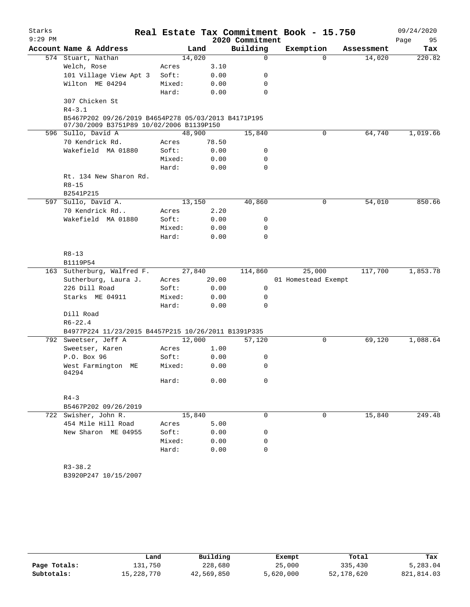| Starks<br>$9:29$ PM |                                                                                                 |        |       | 2020 Commitment | Real Estate Tax Commitment Book - 15.750 |            | 09/24/2020<br>95 |
|---------------------|-------------------------------------------------------------------------------------------------|--------|-------|-----------------|------------------------------------------|------------|------------------|
|                     | Account Name & Address                                                                          |        | Land  | Building        | Exemption                                | Assessment | Page<br>Tax      |
|                     | 574 Stuart, Nathan                                                                              | 14,020 |       | 0               | $\Omega$                                 | 14,020     | 220.82           |
|                     | Welch, Rose                                                                                     | Acres  | 3.10  |                 |                                          |            |                  |
|                     | 101 Village View Apt 3                                                                          | Soft:  | 0.00  | 0               |                                          |            |                  |
|                     |                                                                                                 |        |       |                 |                                          |            |                  |
|                     | Wilton ME 04294                                                                                 | Mixed: | 0.00  | 0               |                                          |            |                  |
|                     |                                                                                                 | Hard:  | 0.00  | $\mathbf 0$     |                                          |            |                  |
|                     | 307 Chicken St                                                                                  |        |       |                 |                                          |            |                  |
|                     | $R4 - 3.1$                                                                                      |        |       |                 |                                          |            |                  |
|                     | B5467P202 09/26/2019 B4654P278 05/03/2013 B4171P195<br>07/30/2009 B3751P89 10/02/2006 B1139P150 |        |       |                 |                                          |            |                  |
|                     | 596 Sullo, David A                                                                              | 48,900 |       | 15,840          | 0                                        | 64,740     | 1,019.66         |
|                     | 70 Kendrick Rd.                                                                                 | Acres  | 78.50 |                 |                                          |            |                  |
|                     | Wakefield MA 01880                                                                              | Soft:  | 0.00  | 0               |                                          |            |                  |
|                     |                                                                                                 | Mixed: | 0.00  | 0               |                                          |            |                  |
|                     |                                                                                                 | Hard:  | 0.00  | 0               |                                          |            |                  |
|                     | Rt. 134 New Sharon Rd.                                                                          |        |       |                 |                                          |            |                  |
|                     | $R8 - 15$                                                                                       |        |       |                 |                                          |            |                  |
|                     | B2541P215                                                                                       |        |       |                 |                                          |            |                  |
|                     | 597 Sullo, David A.                                                                             |        |       |                 | 0                                        |            | 850.66           |
|                     |                                                                                                 | 13,150 |       | 40,860          |                                          | 54,010     |                  |
|                     | 70 Kendrick Rd                                                                                  | Acres  | 2.20  |                 |                                          |            |                  |
|                     | Wakefield MA 01880                                                                              | Soft:  | 0.00  | 0               |                                          |            |                  |
|                     |                                                                                                 | Mixed: | 0.00  | 0               |                                          |            |                  |
|                     |                                                                                                 | Hard:  | 0.00  | 0               |                                          |            |                  |
|                     |                                                                                                 |        |       |                 |                                          |            |                  |
|                     | $R8 - 13$                                                                                       |        |       |                 |                                          |            |                  |
|                     | B1119P54                                                                                        |        |       |                 |                                          |            |                  |
|                     | 163 Sutherburg, Walfred F.                                                                      | 27,840 |       | 114,860         | 25,000                                   | 117,700    | 1,853.78         |
|                     | Sutherburg, Laura J.                                                                            | Acres  | 20.00 |                 | 01 Homestead Exempt                      |            |                  |
|                     | 226 Dill Road                                                                                   | Soft:  | 0.00  | 0               |                                          |            |                  |
|                     | Starks ME 04911                                                                                 | Mixed: | 0.00  | 0               |                                          |            |                  |
|                     |                                                                                                 | Hard:  | 0.00  | 0               |                                          |            |                  |
|                     | Dill Road                                                                                       |        |       |                 |                                          |            |                  |
|                     | $R6 - 22.4$                                                                                     |        |       |                 |                                          |            |                  |
|                     | B4977P224 11/23/2015 B4457P215 10/26/2011 B1391P335                                             |        |       |                 |                                          |            |                  |
|                     | 792 Sweetser, Jeff A                                                                            | 12,000 |       | 57,120          | 0                                        | 69,120     | 1,088.64         |
|                     | Sweetser, Karen                                                                                 | Acres  | 1.00  |                 |                                          |            |                  |
|                     | P.O. Box 96                                                                                     | Soft:  | 0.00  | 0               |                                          |            |                  |
|                     | West Farmington ME<br>04294                                                                     | Mixed: | 0.00  | 0               |                                          |            |                  |
|                     |                                                                                                 | Hard:  | 0.00  | 0               |                                          |            |                  |
|                     |                                                                                                 |        |       |                 |                                          |            |                  |
|                     | $R4 - 3$                                                                                        |        |       |                 |                                          |            |                  |
|                     | B5467P202 09/26/2019                                                                            |        |       |                 |                                          |            |                  |
|                     | 722 Swisher, John R.                                                                            | 15,840 |       | 0               | 0                                        | 15,840     | 249.48           |
|                     | 454 Mile Hill Road                                                                              | Acres  | 5.00  |                 |                                          |            |                  |
|                     | New Sharon ME 04955                                                                             | Soft:  | 0.00  | 0               |                                          |            |                  |
|                     |                                                                                                 | Mixed: | 0.00  | 0               |                                          |            |                  |
|                     |                                                                                                 | Hard:  | 0.00  | 0               |                                          |            |                  |
|                     |                                                                                                 |        |       |                 |                                          |            |                  |
|                     | $R3 - 38.2$                                                                                     |        |       |                 |                                          |            |                  |
|                     | B3920P247 10/15/2007                                                                            |        |       |                 |                                          |            |                  |

|              | Land       | Building   | Exempt    | Total      | Tax        |
|--------------|------------|------------|-----------|------------|------------|
| Page Totals: | ⊥31,750    | 228,680    | 25,000    | 335,430    | 5,283.04   |
| Subtotals:   | 15,228,770 | 42,569,850 | 5,620,000 | 52,178,620 | 821,814.03 |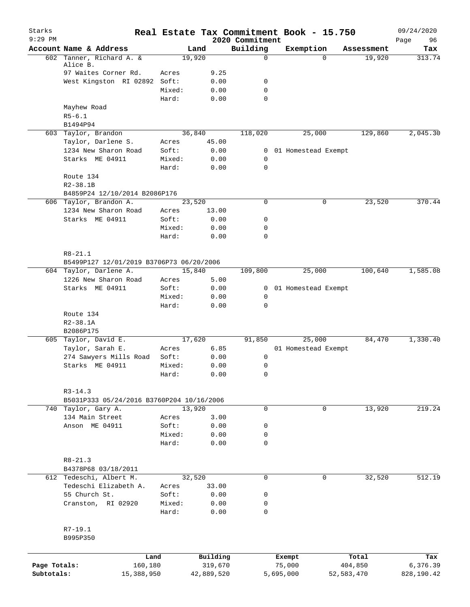| Starks       |                                           |                 | Real Estate Tax Commitment Book - 15.750 |                             |           |                     |              | 09/24/2020        |
|--------------|-------------------------------------------|-----------------|------------------------------------------|-----------------------------|-----------|---------------------|--------------|-------------------|
| $9:29$ PM    | Account Name & Address                    |                 | Land                                     | 2020 Commitment<br>Building |           | Exemption           | Assessment   | 96<br>Page<br>Tax |
| 602          | Tanner, Richard A. &                      |                 | 19,920                                   | $\mathbf 0$                 |           | $\Omega$            | 19,920       | 313.74            |
|              | Alice B.                                  |                 |                                          |                             |           |                     |              |                   |
|              | 97 Waites Corner Rd.                      | Acres           | 9.25                                     |                             |           |                     |              |                   |
|              | West Kingston RI 02892 Soft:              |                 | 0.00                                     | 0                           |           |                     |              |                   |
|              |                                           | Mixed:<br>Hard: | 0.00<br>0.00                             | $\mathbf 0$<br>$\mathbf 0$  |           |                     |              |                   |
|              | Mayhew Road                               |                 |                                          |                             |           |                     |              |                   |
|              | $R5 - 6.1$                                |                 |                                          |                             |           |                     |              |                   |
|              | B1494P94                                  |                 |                                          |                             |           |                     |              |                   |
|              | 603 Taylor, Brandon                       |                 | 36,840                                   | 118,020                     |           | 25,000              | 129,860      | 2,045.30          |
|              | Taylor, Darlene S.                        | Acres           | 45.00                                    |                             |           |                     |              |                   |
|              | 1234 New Sharon Road                      | Soft:           | 0.00                                     | $\overline{0}$              |           | 01 Homestead Exempt |              |                   |
|              | Starks ME 04911                           | Mixed:          | 0.00                                     | $\mathbf 0$                 |           |                     |              |                   |
|              |                                           | Hard:           | 0.00                                     | $\mathbf 0$                 |           |                     |              |                   |
|              | Route 134                                 |                 |                                          |                             |           |                     |              |                   |
|              | $R2 - 38.1B$                              |                 |                                          |                             |           |                     |              |                   |
|              | B4859P24 12/10/2014 B2086P176             |                 |                                          |                             |           |                     |              |                   |
|              | 606 Taylor, Brandon A.                    |                 | 23,520                                   | $\mathbf 0$                 |           | 0                   | 23,520       | 370.44            |
|              | 1234 New Sharon Road                      | Acres           | 13.00                                    |                             |           |                     |              |                   |
|              | Starks ME 04911                           | Soft:           | 0.00                                     | 0                           |           |                     |              |                   |
|              |                                           | Mixed:          | 0.00                                     | 0                           |           |                     |              |                   |
|              |                                           | Hard:           | 0.00                                     | $\mathbf 0$                 |           |                     |              |                   |
|              |                                           |                 |                                          |                             |           |                     |              |                   |
|              | $R8 - 21.1$                               |                 |                                          |                             |           |                     |              |                   |
|              | B5499P127 12/01/2019 B3706P73 06/20/2006  |                 |                                          |                             |           |                     |              |                   |
|              | 604 Taylor, Darlene A.                    |                 | 15,840                                   | 109,800                     |           | 25,000              | 100,640      | 1,585.08          |
|              | 1226 New Sharon Road                      | Acres           | 5.00                                     |                             |           |                     |              |                   |
|              | Starks ME 04911                           | Soft:           | 0.00                                     | $\overline{0}$              |           | 01 Homestead Exempt |              |                   |
|              |                                           | Mixed:          | 0.00                                     | $\mathbf 0$                 |           |                     |              |                   |
|              |                                           | Hard:           | 0.00                                     | $\mathbf 0$                 |           |                     |              |                   |
|              | Route 134                                 |                 |                                          |                             |           |                     |              |                   |
|              | $R2 - 38.1A$<br>B2086P175                 |                 |                                          |                             |           |                     |              |                   |
|              | 605 Taylor, David E.                      |                 | 17,620                                   | 91,850                      |           | 25,000              | 84,470       | 1,330.40          |
|              | Taylor, Sarah E.                          | Acres           | 6.85                                     |                             |           | 01 Homestead Exempt |              |                   |
|              | 274 Sawyers Mills Road                    | Soft:           | 0.00                                     | 0                           |           |                     |              |                   |
|              | Starks ME 04911                           | Mixed:          | 0.00                                     | 0                           |           |                     |              |                   |
|              |                                           | Hard:           | 0.00                                     | 0                           |           |                     |              |                   |
|              |                                           |                 |                                          |                             |           |                     |              |                   |
|              | $R3 - 14.3$                               |                 |                                          |                             |           |                     |              |                   |
|              | B5031P333 05/24/2016 B3760P204 10/16/2006 |                 |                                          |                             |           |                     |              |                   |
|              | 740 Taylor, Gary A.                       |                 | 13,920                                   | $\mathbf 0$                 |           | 0                   | 13,920       | 219.24            |
|              | 134 Main Street                           | Acres           | 3.00                                     |                             |           |                     |              |                   |
|              | Anson ME 04911                            | Soft:           | 0.00                                     | 0                           |           |                     |              |                   |
|              |                                           | Mixed:          | 0.00                                     | 0                           |           |                     |              |                   |
|              |                                           | Hard:           | 0.00                                     | $\mathbf 0$                 |           |                     |              |                   |
|              |                                           |                 |                                          |                             |           |                     |              |                   |
|              | $R8 - 21.3$                               |                 |                                          |                             |           |                     |              |                   |
|              | B4378P68 03/18/2011                       |                 |                                          |                             |           |                     |              |                   |
|              | 612 Tedeschi, Albert M.                   |                 | 32,520                                   | $\mathbf 0$                 |           | 0                   | 32,520       | 512.19            |
|              | Tedeschi Elizabeth A.                     | Acres           | 33.00                                    |                             |           |                     |              |                   |
|              | 55 Church St.                             | Soft:<br>Mixed: | 0.00<br>0.00                             | 0<br>0                      |           |                     |              |                   |
|              | Cranston, RI 02920                        | Hard:           | 0.00                                     | 0                           |           |                     |              |                   |
|              |                                           |                 |                                          |                             |           |                     |              |                   |
|              | R7-19.1                                   |                 |                                          |                             |           |                     |              |                   |
|              | B995P350                                  |                 |                                          |                             |           |                     |              |                   |
|              |                                           |                 |                                          |                             |           |                     |              |                   |
|              | Land                                      |                 | Building                                 |                             | Exempt    |                     | Total        | Tax               |
| Page Totals: | 160,180                                   |                 | 319,670                                  |                             | 75,000    |                     | 404,850      | 6,376.39          |
| Subtotals:   | 15,388,950                                |                 | 42,889,520                               |                             | 5,695,000 |                     | 52, 583, 470 | 828,190.42        |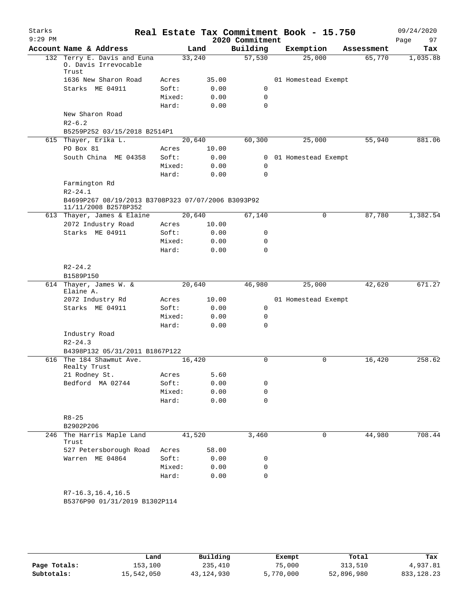| Starks<br>$9:29$ PM |                                                                            |                |              | 2020 Commitment | Real Estate Tax Commitment Book - 15.750 |            | 09/24/2020<br>97<br>Page |
|---------------------|----------------------------------------------------------------------------|----------------|--------------|-----------------|------------------------------------------|------------|--------------------------|
|                     | Account Name & Address                                                     |                | Land         | Building        | Exemption                                | Assessment | Tax                      |
|                     | 132 Terry E. Davis and Euna<br>0. Davis Irrevocable<br>Trust               |                | 33,240       | 57,530          | 25,000                                   | 65,770     | 1,035.88                 |
|                     | 1636 New Sharon Road                                                       | Acres          | 35.00        |                 | 01 Homestead Exempt                      |            |                          |
|                     | Starks ME 04911                                                            | Soft:          | 0.00         | 0               |                                          |            |                          |
|                     |                                                                            | Mixed:         | 0.00         | 0               |                                          |            |                          |
|                     |                                                                            | Hard:          | 0.00         | $\Omega$        |                                          |            |                          |
|                     | New Sharon Road                                                            |                |              |                 |                                          |            |                          |
|                     | $R2-6.2$<br>B5259P252 03/15/2018 B2514P1                                   |                |              |                 |                                          |            |                          |
|                     | 615 Thayer, Erika L.                                                       |                | 20,640       | 60,300          | 25,000                                   | 55,940     | 881.06                   |
|                     | PO Box 81                                                                  | Acres          | 10.00        |                 |                                          |            |                          |
|                     | South China ME 04358                                                       | Soft:          | 0.00         | $\mathbf{0}$    | 01 Homestead Exempt                      |            |                          |
|                     |                                                                            | Mixed:         | 0.00         | 0               |                                          |            |                          |
|                     |                                                                            | Hard:          | 0.00         | $\mathbf 0$     |                                          |            |                          |
|                     | Farmington Rd<br>$R2 - 24.1$                                               |                |              |                 |                                          |            |                          |
|                     | B4699P267 08/19/2013 B3708P323 07/07/2006 B3093P92<br>11/11/2008 B2578P352 |                |              |                 |                                          |            |                          |
|                     | 613 Thayer, James & Elaine                                                 |                | 20,640       | 67,140          | 0                                        | 87,780     | 1,382.54                 |
|                     | 2072 Industry Road                                                         | Acres          | 10.00        |                 |                                          |            |                          |
|                     | Starks ME 04911                                                            | Soft:          | 0.00         | 0               |                                          |            |                          |
|                     |                                                                            | Mixed:         | 0.00         | 0               |                                          |            |                          |
|                     |                                                                            | Hard:          | 0.00         | $\Omega$        |                                          |            |                          |
|                     | $R2 - 24.2$                                                                |                |              |                 |                                          |            |                          |
|                     | B1589P150                                                                  |                |              |                 |                                          |            |                          |
|                     | 614 Thayer, James W. &                                                     |                | 20,640       | 46,980          | 25,000                                   | 42,620     | 671.27                   |
|                     | Elaine A.                                                                  |                |              |                 |                                          |            |                          |
|                     | 2072 Industry Rd<br>Starks ME 04911                                        | Acres<br>Soft: | 10.00        | 0               | 01 Homestead Exempt                      |            |                          |
|                     |                                                                            | Mixed:         | 0.00<br>0.00 | 0               |                                          |            |                          |
|                     |                                                                            | Hard:          | 0.00         | $\Omega$        |                                          |            |                          |
|                     | Industry Road                                                              |                |              |                 |                                          |            |                          |
|                     | $R2 - 24.3$                                                                |                |              |                 |                                          |            |                          |
|                     | B4398P132 05/31/2011 B1867P122                                             |                |              |                 |                                          |            |                          |
|                     | 616 The 184 Shawmut Ave.                                                   |                | 16,420       | 0               | $\mathbf 0$                              | 16,420     | 258.62                   |
|                     | Realty Trust                                                               |                |              |                 |                                          |            |                          |
|                     | 21 Rodney St.                                                              | Acres          | 5.60         |                 |                                          |            |                          |
|                     | Bedford MA 02744                                                           | Soft:          | 0.00         | 0               |                                          |            |                          |
|                     |                                                                            | Mixed:         | 0.00         | 0               |                                          |            |                          |
|                     |                                                                            | Hard:          | 0.00         | $\mathbf 0$     |                                          |            |                          |
|                     | $R8 - 25$                                                                  |                |              |                 |                                          |            |                          |
|                     | B2902P206                                                                  |                |              |                 |                                          |            |                          |
| 246                 | The Harris Maple Land<br>Trust                                             |                | 41,520       | 3,460           | 0                                        | 44,980     | 708.44                   |
|                     | 527 Petersborough Road                                                     | Acres          | 58.00        |                 |                                          |            |                          |
|                     | Warren ME 04864                                                            | Soft:          | 0.00         | 0               |                                          |            |                          |
|                     |                                                                            | Mixed:         | 0.00         | 0               |                                          |            |                          |
|                     |                                                                            | Hard:          | 0.00         | $\mathbf 0$     |                                          |            |                          |
|                     | $R7-16.3, 16.4, 16.5$<br>B5376P90 01/31/2019 B1302P114                     |                |              |                 |                                          |            |                          |
|                     |                                                                            |                |              |                 |                                          |            |                          |
|                     |                                                                            |                |              |                 |                                          |            |                          |

|              | Land       | Building   | Exempt    | Total      | Tax          |
|--------------|------------|------------|-----------|------------|--------------|
| Page Totals: | 153,100    | 235,410    | 75,000    | 313,510    | 4,937.81     |
| Subtotals:   | 15,542,050 | 43,124,930 | 5,770,000 | 52,896,980 | 833, 128, 23 |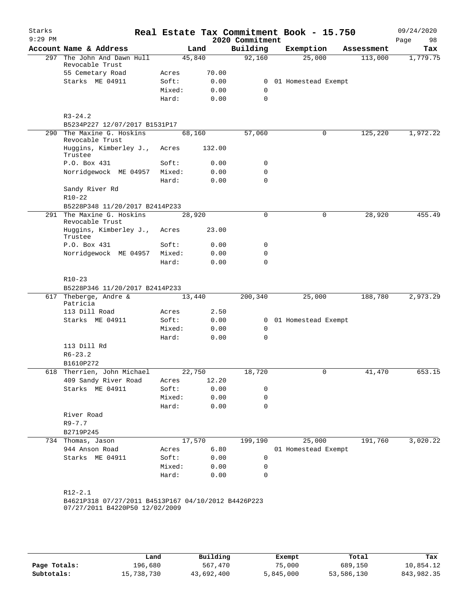| Starks<br>$9:29$ PM |                                                     |                |              | Real Estate Tax Commitment Book - 15.750<br>2020 Commitment |                     |            | 09/24/2020<br>Page<br>98 |
|---------------------|-----------------------------------------------------|----------------|--------------|-------------------------------------------------------------|---------------------|------------|--------------------------|
|                     | Account Name & Address                              |                | Land         | Building                                                    | Exemption           | Assessment | Tax                      |
|                     | 297 The John And Dawn Hull<br>Revocable Trust       | 45,840         |              | 92,160                                                      | 25,000              | 113,000    | 1,779.75                 |
|                     | 55 Cemetary Road                                    | Acres          | 70.00        |                                                             |                     |            |                          |
|                     | Starks ME 04911                                     | Soft:          | 0.00         | 0                                                           | 01 Homestead Exempt |            |                          |
|                     |                                                     | Mixed:         | 0.00         | 0                                                           |                     |            |                          |
|                     |                                                     | Hard:          | 0.00         | 0                                                           |                     |            |                          |
|                     | $R3 - 24.2$<br>B5234P227 12/07/2017 B1531P17        |                |              |                                                             |                     |            |                          |
| 290                 | The Maxine G. Hoskins                               | 68,160         |              | 57,060                                                      | 0                   | 125,220    | 1,972.22                 |
|                     | Revocable Trust<br>Huggins, Kimberley J.,           | Acres          | 132.00       |                                                             |                     |            |                          |
|                     | Trustee                                             |                |              |                                                             |                     |            |                          |
|                     | P.O. Box 431                                        | Soft:          | 0.00         | 0                                                           |                     |            |                          |
|                     | Norridgewock ME 04957                               | Mixed:         | 0.00         | 0                                                           |                     |            |                          |
|                     |                                                     | Hard:          | 0.00         | $\Omega$                                                    |                     |            |                          |
|                     | Sandy River Rd                                      |                |              |                                                             |                     |            |                          |
|                     | $R10-22$                                            |                |              |                                                             |                     |            |                          |
|                     | B5228P348 11/20/2017 B2414P233                      |                |              |                                                             |                     |            |                          |
| 291                 | The Maxine G. Hoskins<br>Revocable Trust            | 28,920         |              | $\Omega$                                                    | $\Omega$            | 28,920     | 455.49                   |
|                     | Huggins, Kimberley J.,<br>Trustee                   | Acres          | 23.00        |                                                             |                     |            |                          |
|                     | P.O. Box 431                                        | Soft:          | 0.00         | 0                                                           |                     |            |                          |
|                     | Norridgewock ME 04957                               | Mixed:         | 0.00         | 0                                                           |                     |            |                          |
|                     |                                                     | Hard:          | 0.00         | $\Omega$                                                    |                     |            |                          |
|                     | $R10-23$<br>B5228P346 11/20/2017 B2414P233          |                |              |                                                             |                     |            |                          |
|                     | 617 Theberge, Andre &                               | 13,440         |              | 200,340                                                     | 25,000              | 188,780    | 2,973.29                 |
|                     | Patricia                                            |                |              |                                                             |                     |            |                          |
|                     | 113 Dill Road                                       | Acres          | 2.50         |                                                             |                     |            |                          |
|                     | Starks ME 04911                                     | Soft:          | 0.00         | $\mathbf{0}$                                                | 01 Homestead Exempt |            |                          |
|                     |                                                     | Mixed:         | 0.00         | 0                                                           |                     |            |                          |
|                     |                                                     | Hard:          | 0.00         | 0                                                           |                     |            |                          |
|                     | 113 Dill Rd                                         |                |              |                                                             |                     |            |                          |
|                     | $R6 - 23.2$                                         |                |              |                                                             |                     |            |                          |
|                     | B1610P272                                           |                |              |                                                             |                     |            |                          |
|                     | 618 Therrien, John Michael                          | 22,750         |              | 18,720                                                      | U                   | 41,470     | 653.15                   |
|                     | 409 Sandy River Road                                | Acres          | 12.20        |                                                             |                     |            |                          |
|                     | Starks ME 04911                                     | Soft:          | 0.00         | 0                                                           |                     |            |                          |
|                     |                                                     | Mixed:         | 0.00         | 0                                                           |                     |            |                          |
|                     |                                                     | Hard:          | 0.00         | 0                                                           |                     |            |                          |
|                     | River Road                                          |                |              |                                                             |                     |            |                          |
|                     | $R9 - 7.7$                                          |                |              |                                                             |                     |            |                          |
|                     | B2719P245                                           |                |              |                                                             |                     | 191,760    |                          |
|                     | 734 Thomas, Jason                                   | 17,570         |              | 199,190                                                     | 25,000              |            | 3,020.22                 |
|                     | 944 Anson Road<br>Starks ME 04911                   | Acres<br>Soft: | 6.80<br>0.00 | 0                                                           | 01 Homestead Exempt |            |                          |
|                     |                                                     |                |              |                                                             |                     |            |                          |
|                     |                                                     | Mixed:         | 0.00         | 0                                                           |                     |            |                          |
|                     |                                                     | Hard:          | 0.00         | 0                                                           |                     |            |                          |
|                     | $R12 - 2.1$                                         |                |              |                                                             |                     |            |                          |
|                     | B4621P318 07/27/2011 B4513P167 04/10/2012 B4426P223 |                |              |                                                             |                     |            |                          |
|                     | 07/27/2011 B4220P50 12/02/2009                      |                |              |                                                             |                     |            |                          |
|                     |                                                     |                |              |                                                             |                     |            |                          |

|              | Land       | Building   | Exempt    | Total      | Tax        |
|--------------|------------|------------|-----------|------------|------------|
| Page Totals: | 196,680    | 567,470    | 75,000    | 689,150    | 10,854.12  |
| Subtotals:   | 15,738,730 | 43,692,400 | 5,845,000 | 53,586,130 | 843,982.35 |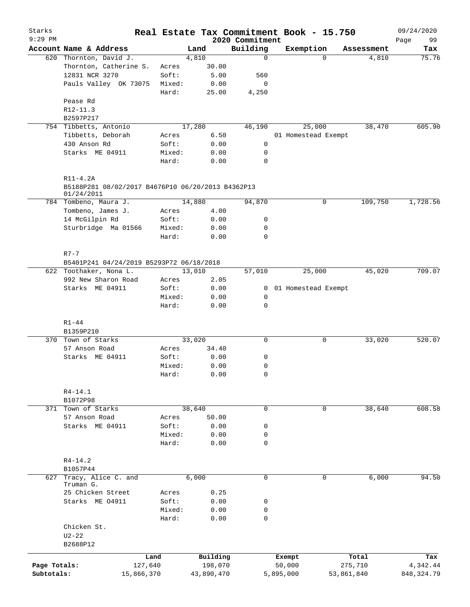| Starks<br>$9:29$ PM |                                                      |                 |              | 2020 Commitment  | Real Estate Tax Commitment Book - 15.750 |             |            | 09/24/2020        |
|---------------------|------------------------------------------------------|-----------------|--------------|------------------|------------------------------------------|-------------|------------|-------------------|
|                     | Account Name & Address                               |                 | Land         | Building         | Exemption                                |             | Assessment | 99<br>Page<br>Tax |
|                     | 620 Thornton, David J.                               |                 | 4,810        | $\mathbf 0$      |                                          | $\Omega$    | 4,810      | 75.76             |
|                     | Thornton, Catherine S.                               | Acres           | 30.00        |                  |                                          |             |            |                   |
|                     | 12831 NCR 3270                                       | Soft:           | 5.00         | 560              |                                          |             |            |                   |
|                     | Pauls Valley OK 73075                                | Mixed:          | 0.00         | 0                |                                          |             |            |                   |
|                     |                                                      | Hard:           | 25.00        | 4,250            |                                          |             |            |                   |
|                     | Pease Rd                                             |                 |              |                  |                                          |             |            |                   |
|                     | $R12 - 11.3$                                         |                 |              |                  |                                          |             |            |                   |
|                     | B2597P217                                            |                 |              |                  |                                          |             |            |                   |
|                     | 754 Tibbetts, Antonio                                |                 | 17,280       | 46,190           | 25,000                                   |             | 38,470     | 605.90            |
|                     | Tibbetts, Deborah                                    | Acres           | 6.50         |                  | 01 Homestead Exempt                      |             |            |                   |
|                     | 430 Anson Rd                                         | Soft:           | 0.00         | 0                |                                          |             |            |                   |
|                     | Starks ME 04911                                      | Mixed:          | 0.00         | 0                |                                          |             |            |                   |
|                     |                                                      | Hard:           | 0.00         | $\mathbf 0$      |                                          |             |            |                   |
|                     | $R11-4.2A$                                           |                 |              |                  |                                          |             |            |                   |
|                     | B5188P281 08/02/2017 B4676P10 06/20/2013 B4362P13    |                 |              |                  |                                          |             |            |                   |
|                     | 01/24/2011<br>784 Tombeno, Maura J.                  |                 | 14,880       | 94,870           |                                          | 0           | 109,750    | 1,728.56          |
|                     | Tombeno, James J.                                    | Acres           | 4.00         |                  |                                          |             |            |                   |
|                     | 14 McGilpin Rd                                       | Soft:           | 0.00         | 0                |                                          |             |            |                   |
|                     |                                                      |                 |              |                  |                                          |             |            |                   |
|                     | Sturbridge Ma 01566                                  | Mixed:<br>Hard: | 0.00<br>0.00 | 0<br>$\mathbf 0$ |                                          |             |            |                   |
|                     |                                                      |                 |              |                  |                                          |             |            |                   |
|                     | $R7 - 7$<br>B5401P241 04/24/2019 B5293P72 06/18/2018 |                 |              |                  |                                          |             |            |                   |
|                     | 622 Toothaker, Nona L.                               |                 | 13,010       | 57,010           | 25,000                                   |             | 45,020     | 709.07            |
|                     | 992 New Sharon Road                                  | Acres           | 2.05         |                  |                                          |             |            |                   |
|                     | Starks ME 04911                                      | Soft:           | 0.00         |                  | 0 01 Homestead Exempt                    |             |            |                   |
|                     |                                                      | Mixed:          | 0.00         | 0                |                                          |             |            |                   |
|                     |                                                      | Hard:           | 0.00         | $\mathbf 0$      |                                          |             |            |                   |
|                     |                                                      |                 |              |                  |                                          |             |            |                   |
|                     | $R1 - 44$<br>B1359P210                               |                 |              |                  |                                          |             |            |                   |
|                     | 370 Town of Starks                                   |                 | 33,020       | $\mathbf 0$      |                                          | 0           | 33,020     | 520.07            |
|                     | 57 Anson Road                                        | Acres           | 34.40        |                  |                                          |             |            |                   |
|                     | Starks ME 04911                                      | Soft:           | 0.00         | 0                |                                          |             |            |                   |
|                     |                                                      | Mixed:          | 0.00         | $\mathbf 0$      |                                          |             |            |                   |
|                     |                                                      | Hard:           | 0.00         | 0                |                                          |             |            |                   |
|                     |                                                      |                 |              |                  |                                          |             |            |                   |
|                     | $R4 - 14.1$<br>B1072P98                              |                 |              |                  |                                          |             |            |                   |
|                     | 371 Town of Starks                                   |                 | 38,640       | $\mathbf 0$      |                                          | $\mathbf 0$ | 38,640     | 608.58            |
|                     | 57 Anson Road                                        | Acres           | 50.00        |                  |                                          |             |            |                   |
|                     | Starks ME 04911                                      | Soft:           | 0.00         | 0                |                                          |             |            |                   |
|                     |                                                      | Mixed:          | 0.00         | 0                |                                          |             |            |                   |
|                     |                                                      | Hard:           | 0.00         | $\mathbf 0$      |                                          |             |            |                   |
|                     | $R4 - 14.2$                                          |                 |              |                  |                                          |             |            |                   |
|                     | B1057P44                                             |                 |              |                  |                                          |             |            |                   |
| 627                 | Tracy, Alice C. and<br>Truman G.                     |                 | 6,000        | $\mathbf 0$      |                                          | 0           | 6,000      | 94.50             |
|                     | 25 Chicken Street                                    | Acres           | 0.25         |                  |                                          |             |            |                   |
|                     | Starks ME 04911                                      | Soft:           | 0.00         | 0                |                                          |             |            |                   |
|                     |                                                      | Mixed:          | 0.00         | $\mathbf 0$      |                                          |             |            |                   |
|                     |                                                      | Hard:           | 0.00         | $\mathbf 0$      |                                          |             |            |                   |
|                     | Chicken St.                                          |                 |              |                  |                                          |             |            |                   |
|                     | $U2-22$                                              |                 |              |                  |                                          |             |            |                   |
|                     | B2688P12                                             |                 |              |                  |                                          |             |            |                   |
|                     |                                                      | Land            | Building     |                  | Exempt                                   |             | Total      | Tax               |
| Page Totals:        | 127,640                                              |                 | 198,070      |                  | 50,000                                   |             | 275,710    | 4,342.44          |
| Subtotals:          | 15,866,370                                           |                 | 43,890,470   |                  | 5,895,000                                | 53,861,840  |            | 848, 324.79       |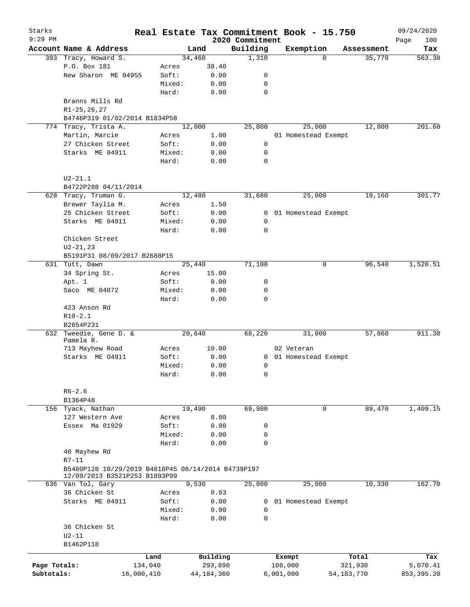| Starks<br>$9:29$ PM |                                                                                     |            |                 |                    |              | Real Estate Tax Commitment Book - 15.750 |           |                       |              |            | 09/24/2020         |
|---------------------|-------------------------------------------------------------------------------------|------------|-----------------|--------------------|--------------|------------------------------------------|-----------|-----------------------|--------------|------------|--------------------|
|                     | Account Name & Address                                                              |            |                 | Land               |              | 2020 Commitment<br>Building              |           | Exemption             |              | Assessment | 100<br>Page<br>Tax |
|                     | 393 Tracy, Howard S.                                                                |            |                 | 34,460             |              | 1,310                                    |           | $\Omega$              |              | 35,770     | 563.38             |
|                     | P.O. Box 181                                                                        |            | Acres           | 38.40              |              |                                          |           |                       |              |            |                    |
|                     | New Sharon ME 04955                                                                 |            | Soft:           |                    | 0.00         | 0                                        |           |                       |              |            |                    |
|                     |                                                                                     |            | Mixed:          |                    | 0.00         | 0                                        |           |                       |              |            |                    |
|                     |                                                                                     |            | Hard:           |                    | 0.00         | $\mathbf 0$                              |           |                       |              |            |                    |
|                     | Branns Mills Rd                                                                     |            |                 |                    |              |                                          |           |                       |              |            |                    |
|                     | $R1 - 25, 26, 27$<br>B4746P319 01/02/2014 B1834P58                                  |            |                 |                    |              |                                          |           |                       |              |            |                    |
|                     | 774 Tracy, Trista A.                                                                |            |                 | 12,000             |              | 25,800                                   |           | 25,000                |              | 12,800     | 201.60             |
|                     | Martin, Marcie                                                                      |            | Acres           |                    | 1.00         |                                          |           | 01 Homestead Exempt   |              |            |                    |
|                     | 27 Chicken Street                                                                   |            | Soft:           |                    | 0.00         | $\mathbf 0$                              |           |                       |              |            |                    |
|                     |                                                                                     |            |                 |                    |              |                                          |           |                       |              |            |                    |
|                     | Starks ME 04911                                                                     |            | Mixed:<br>Hard: |                    | 0.00<br>0.00 | 0<br>0                                   |           |                       |              |            |                    |
|                     | $U2 - 21.1$                                                                         |            |                 |                    |              |                                          |           |                       |              |            |                    |
|                     | B4722P288 04/11/2014                                                                |            |                 |                    |              |                                          |           |                       |              |            |                    |
|                     | 628 Tracy, Truman G.                                                                |            |                 | 12,480             |              | 31,680                                   |           | 25,000                |              | 19,160     | 301.77             |
|                     | Brewer Taylia M.                                                                    |            | Acres           |                    | 1.50         |                                          |           |                       |              |            |                    |
|                     | 25 Chicken Street                                                                   |            | Soft:           |                    | 0.00         | $\mathbf{0}$                             |           | 01 Homestead Exempt   |              |            |                    |
|                     | Starks ME 04911                                                                     |            | Mixed:          |                    | 0.00         | 0                                        |           |                       |              |            |                    |
|                     |                                                                                     |            | Hard:           |                    | 0.00         | $\mathbf 0$                              |           |                       |              |            |                    |
|                     | Chicken Street                                                                      |            |                 |                    |              |                                          |           |                       |              |            |                    |
|                     |                                                                                     |            |                 |                    |              |                                          |           |                       |              |            |                    |
|                     | $U2 - 21, 23$                                                                       |            |                 |                    |              |                                          |           |                       |              |            |                    |
|                     | B5191P31 08/09/2017 B2688P15                                                        |            |                 |                    |              |                                          |           |                       |              |            |                    |
|                     | 631 Tutt, Dawn                                                                      |            |                 | 25,440             |              | 71,100                                   |           | 0                     |              | 96,540     | 1,520.51           |
|                     | 34 Spring St.                                                                       |            | Acres           | 15.00              |              |                                          |           |                       |              |            |                    |
|                     | Apt. 1                                                                              |            | Soft:           |                    | 0.00         | 0                                        |           |                       |              |            |                    |
|                     | Saco ME 04072                                                                       |            | Mixed:          |                    | 0.00         | 0                                        |           |                       |              |            |                    |
|                     |                                                                                     |            | Hard:           |                    | 0.00         | 0                                        |           |                       |              |            |                    |
|                     | 423 Anson Rd                                                                        |            |                 |                    |              |                                          |           |                       |              |            |                    |
|                     | $R10 - 2.1$                                                                         |            |                 |                    |              |                                          |           |                       |              |            |                    |
|                     | B2654P231                                                                           |            |                 |                    |              |                                          |           |                       |              |            |                    |
| 632                 | Tweedie, Gene D. &                                                                  |            |                 | 20,640             |              | 68,220                                   |           | 31,000                |              | 57,860     | 911.30             |
|                     | Pamela R.                                                                           |            |                 |                    |              |                                          |           |                       |              |            |                    |
|                     | 713 Mayhew Road                                                                     |            | Acres           | 10.00              |              |                                          |           | 02 Veteran            |              |            |                    |
|                     | Starks ME 04911                                                                     |            | Soft:           |                    | 0.00         |                                          |           | 0 01 Homestead Exempt |              |            |                    |
|                     |                                                                                     |            | Mixed:          |                    | 0.00         | 0                                        |           |                       |              |            |                    |
|                     |                                                                                     |            | Hard:           |                    | 0.00         | 0                                        |           |                       |              |            |                    |
|                     | $R6 - 2.6$                                                                          |            |                 |                    |              |                                          |           |                       |              |            |                    |
|                     | B1364P48                                                                            |            |                 |                    |              |                                          |           |                       |              |            |                    |
|                     | 156 Tyack, Nathan                                                                   |            |                 | 19,490             |              | 69,980                                   |           | 0                     |              | 89,470     | 1,409.15           |
|                     | 127 Western Ave                                                                     |            | Acres           |                    | 8.80         |                                          |           |                       |              |            |                    |
|                     | Essex Ma 01929                                                                      |            | Soft:           |                    | 0.00         | 0                                        |           |                       |              |            |                    |
|                     |                                                                                     |            | Mixed:          |                    | 0.00         | 0                                        |           |                       |              |            |                    |
|                     |                                                                                     |            | Hard:           |                    | 0.00         | $\mathbf 0$                              |           |                       |              |            |                    |
|                     | 40 Mayhew Rd                                                                        |            |                 |                    |              |                                          |           |                       |              |            |                    |
|                     |                                                                                     |            |                 |                    |              |                                          |           |                       |              |            |                    |
|                     | $R7-11$                                                                             |            |                 |                    |              |                                          |           |                       |              |            |                    |
|                     | B5480P128 10/29/2019 B4818P45 08/14/2014 B4739P197<br>12/09/2013 B3521P253 B1893P99 |            |                 |                    |              |                                          |           |                       |              |            |                    |
|                     | 636 Van Tol, Gary                                                                   |            |                 | $\overline{9,530}$ |              | 25,800                                   |           | 25,000                |              | 10,330     | 162.70             |
|                     | 36 Chicken St                                                                       |            | Acres           |                    | 0.63         |                                          |           |                       |              |            |                    |
|                     | Starks ME 04911                                                                     |            | Soft:           |                    | 0.00         | 0                                        |           | 01 Homestead Exempt   |              |            |                    |
|                     |                                                                                     |            | Mixed:          |                    | 0.00         | 0                                        |           |                       |              |            |                    |
|                     |                                                                                     |            | Hard:           |                    | 0.00         | $\mathbf 0$                              |           |                       |              |            |                    |
|                     | 36 Chicken St                                                                       |            |                 |                    |              |                                          |           |                       |              |            |                    |
|                     | $U2-11$                                                                             |            |                 |                    |              |                                          |           |                       |              |            |                    |
|                     | B1462P118                                                                           |            |                 |                    |              |                                          |           |                       |              |            |                    |
|                     |                                                                                     |            |                 |                    |              |                                          |           |                       |              |            |                    |
|                     |                                                                                     | Land       |                 | Building           |              |                                          | Exempt    |                       |              | Total      | Tax                |
| Page Totals:        |                                                                                     | 134,040    |                 | 293,890            |              |                                          | 106,000   |                       |              | 321,930    | 5,070.41           |
| Subtotals:          |                                                                                     | 16,000,410 |                 | 44, 184, 360       |              |                                          | 6,001,000 |                       | 54, 183, 770 |            | 853, 395.20        |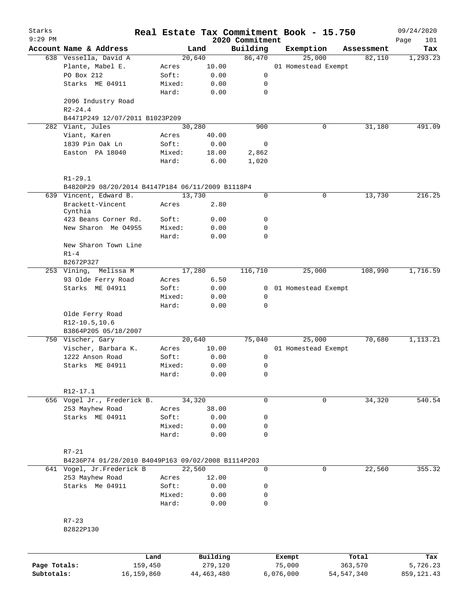| Starks       |                                                    |        |              |                             | Real Estate Tax Commitment Book - 15.750 |                      | 09/24/2020         |
|--------------|----------------------------------------------------|--------|--------------|-----------------------------|------------------------------------------|----------------------|--------------------|
| 9:29 PM      | Account Name & Address                             |        | Land         | 2020 Commitment<br>Building |                                          |                      | Page<br>101<br>Tax |
|              | 638 Vessella, David A                              |        | 20,640       | 86,470                      | Exemption<br>25,000                      | Assessment<br>82,110 | 1,293.23           |
|              | Plante, Mabel E.                                   |        | 10.00        |                             | 01 Homestead Exempt                      |                      |                    |
|              | PO Box 212                                         | Acres  |              |                             |                                          |                      |                    |
|              |                                                    | Soft:  | 0.00         | 0                           |                                          |                      |                    |
|              | Starks ME 04911                                    | Mixed: | 0.00         | 0                           |                                          |                      |                    |
|              |                                                    | Hard:  | 0.00         | 0                           |                                          |                      |                    |
|              | 2096 Industry Road                                 |        |              |                             |                                          |                      |                    |
|              | $R2 - 24.4$                                        |        |              |                             |                                          |                      |                    |
|              | B4471P249 12/07/2011 B1023P209                     |        |              |                             |                                          |                      |                    |
|              | 282 Viant, Jules                                   |        | 30,280       | 900                         | 0                                        | 31,180               | 491.09             |
|              | Viant, Karen                                       | Acres  | 40.00        |                             |                                          |                      |                    |
|              | 1839 Pin Oak Ln                                    | Soft:  | 0.00         | 0                           |                                          |                      |                    |
|              | Easton PA 18040                                    | Mixed: | 18.00        | 2,862                       |                                          |                      |                    |
|              |                                                    | Hard:  | 6.00         | 1,020                       |                                          |                      |                    |
|              | $R1 - 29.1$                                        |        |              |                             |                                          |                      |                    |
|              | B4820P29 08/20/2014 B4147P184 06/11/2009 B1118P4   |        |              |                             |                                          |                      |                    |
|              | 639 Vincent, Edward B.                             |        | 13,730       | 0                           | 0                                        | 13,730               | 216.25             |
|              | Brackett-Vincent<br>Cynthia                        | Acres  | 2.80         |                             |                                          |                      |                    |
|              | 423 Beans Corner Rd.                               | Soft:  | 0.00         | 0                           |                                          |                      |                    |
|              | New Sharon Me 04955                                | Mixed: | 0.00         | 0                           |                                          |                      |                    |
|              |                                                    | Hard:  | 0.00         | 0                           |                                          |                      |                    |
|              | New Sharon Town Line                               |        |              |                             |                                          |                      |                    |
|              | $R1-4$                                             |        |              |                             |                                          |                      |                    |
|              | B2672P327                                          |        |              |                             |                                          |                      |                    |
|              | Melissa M<br>253 Vining,                           |        | 17,280       | 116,710                     | 25,000                                   | 108,990              | 1,716.59           |
|              | 93 Olde Ferry Road                                 | Acres  | 6.50         |                             |                                          |                      |                    |
|              | Starks ME 04911                                    | Soft:  |              |                             |                                          |                      |                    |
|              |                                                    |        | 0.00         | $\mathbf{0}$                | 01 Homestead Exempt                      |                      |                    |
|              |                                                    | Mixed: | 0.00         | $\mathbf 0$                 |                                          |                      |                    |
|              |                                                    | Hard:  | 0.00         | 0                           |                                          |                      |                    |
|              | Olde Ferry Road                                    |        |              |                             |                                          |                      |                    |
|              | R12-10.5,10.6                                      |        |              |                             |                                          |                      |                    |
|              | B3864P205 05/18/2007                               |        |              |                             |                                          |                      |                    |
|              | 750 Vischer, Gary                                  |        | 20,640       | 75,040                      | 25,000                                   | 70,680               | 1,113.21           |
|              | Vischer, Barbara K.                                | Acres  | 10.00        |                             | 01 Homestead Exempt                      |                      |                    |
|              | 1222 Anson Road                                    | Soft:  | 0.00         | 0                           |                                          |                      |                    |
|              | Starks ME 04911                                    | Mixed: | 0.00         | 0                           |                                          |                      |                    |
|              |                                                    | Hard:  | 0.00         | 0                           |                                          |                      |                    |
|              | R12-17.1                                           |        |              |                             |                                          |                      |                    |
|              | 656 Vogel Jr., Frederick B.                        |        | 34,320       | 0                           | 0                                        | 34,320               | 540.54             |
|              | 253 Mayhew Road                                    | Acres  | 38.00        |                             |                                          |                      |                    |
|              | Starks ME 04911                                    | Soft:  | 0.00         | 0                           |                                          |                      |                    |
|              |                                                    |        |              |                             |                                          |                      |                    |
|              |                                                    | Mixed: | 0.00         | 0                           |                                          |                      |                    |
|              |                                                    | Hard:  | 0.00         | 0                           |                                          |                      |                    |
|              | $R7 - 21$                                          |        |              |                             |                                          |                      |                    |
|              | B4236P74 01/28/2010 B4049P163 09/02/2008 B1114P203 |        |              |                             |                                          |                      |                    |
|              | 641 Vogel, Jr.Frederick B                          |        | 22,560       | $\mathbf 0$                 | 0                                        | 22,560               | 355.32             |
|              | 253 Mayhew Road                                    | Acres  | 12.00        |                             |                                          |                      |                    |
|              | Starks Me 04911                                    | Soft:  | 0.00         | 0                           |                                          |                      |                    |
|              |                                                    | Mixed: | 0.00         | 0                           |                                          |                      |                    |
|              |                                                    | Hard:  | 0.00         | 0                           |                                          |                      |                    |
|              |                                                    |        |              |                             |                                          |                      |                    |
|              | $R7 - 23$<br>B2822P130                             |        |              |                             |                                          |                      |                    |
|              |                                                    |        |              |                             |                                          |                      |                    |
|              | Land                                               |        | Building     |                             | Exempt                                   | Total                | Tax                |
| Page Totals: | 159,450                                            |        | 279,120      |                             | 75,000                                   | 363,570              | 5,726.23           |
| Subtotals:   | 16,159,860                                         |        | 44, 463, 480 |                             | 6,076,000                                | 54, 547, 340         | 859, 121.43        |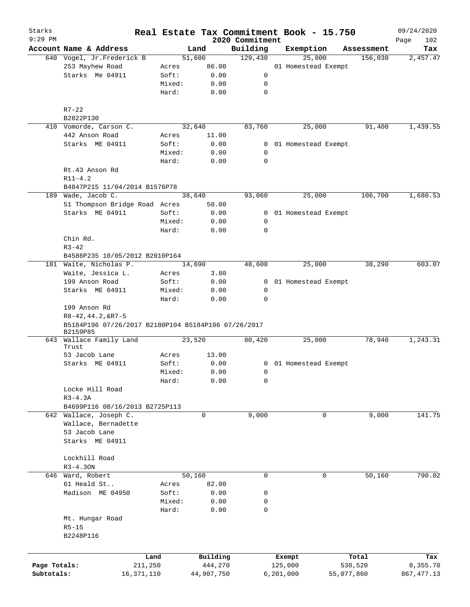| Starks       |                                                                 |        |            |      |                             | Real Estate Tax Commitment Book - 15.750 |            | 09/24/2020         |
|--------------|-----------------------------------------------------------------|--------|------------|------|-----------------------------|------------------------------------------|------------|--------------------|
| $9:29$ PM    | Account Name & Address                                          |        | Land       |      | 2020 Commitment<br>Building | Exemption                                | Assessment | 102<br>Page<br>Tax |
|              | 640 Vogel, Jr.Frederick B                                       |        | 51,600     |      | 129,430                     | 25,000                                   | 156,030    | 2,457.47           |
|              | 253 Mayhew Road                                                 | Acres  | 86.00      |      |                             | 01 Homestead Exempt                      |            |                    |
|              | Starks Me 04911                                                 | Soft:  |            | 0.00 | $\mathsf{O}$                |                                          |            |                    |
|              |                                                                 | Mixed: |            | 0.00 | 0                           |                                          |            |                    |
|              |                                                                 | Hard:  |            | 0.00 | 0                           |                                          |            |                    |
|              | $R7 - 22$                                                       |        |            |      |                             |                                          |            |                    |
|              | B2822P130                                                       |        |            |      |                             |                                          |            |                    |
|              | 410 Vomorde, Carson C.                                          |        | 32,640     |      | 83,760                      | 25,000                                   | 91,400     | 1,439.55           |
|              | 442 Anson Road                                                  | Acres  | 11.00      |      |                             |                                          |            |                    |
|              | Starks ME 04911                                                 | Soft:  |            | 0.00 |                             | 0 01 Homestead Exempt                    |            |                    |
|              |                                                                 | Mixed: |            | 0.00 | 0                           |                                          |            |                    |
|              |                                                                 | Hard:  |            | 0.00 | 0                           |                                          |            |                    |
|              | Rt.43 Anson Rd                                                  |        |            |      |                             |                                          |            |                    |
|              | $R11 - 4.2$                                                     |        |            |      |                             |                                          |            |                    |
|              | B4847P215 11/04/2014 B1576P78                                   |        |            |      |                             |                                          |            |                    |
|              | 189 Wade, Jacob C.                                              |        | 38,640     |      | 93,060                      | 25,000                                   | 106,700    | 1,680.53           |
|              | 51 Thompson Bridge Road Acres                                   |        | 50.00      |      |                             |                                          |            |                    |
|              | Starks ME 04911                                                 | Soft:  |            | 0.00 |                             | 0 01 Homestead Exempt                    |            |                    |
|              |                                                                 | Mixed: |            | 0.00 | 0                           |                                          |            |                    |
|              |                                                                 | Hard:  |            | 0.00 | $\mathbf 0$                 |                                          |            |                    |
|              | Chin Rd.                                                        |        |            |      |                             |                                          |            |                    |
|              | $R3 - 42$                                                       |        |            |      |                             |                                          |            |                    |
|              | B4586P235 10/05/2012 B2010P164                                  |        |            |      |                             |                                          |            |                    |
|              | 181 Waite, Nicholas P.                                          |        | 14,690     |      | 48,600                      | 25,000                                   | 38,290     | 603.07             |
|              | Waite, Jessica L.                                               | Acres  |            | 3.80 |                             |                                          |            |                    |
|              | 199 Anson Road                                                  | Soft:  |            | 0.00 |                             | 0 01 Homestead Exempt                    |            |                    |
|              | Starks ME 04911                                                 | Mixed: |            | 0.00 | 0                           |                                          |            |                    |
|              |                                                                 | Hard:  |            | 0.00 | 0                           |                                          |            |                    |
|              | 199 Anson Rd<br>$R8 - 42, 44.2, 6R7 - 5$                        |        |            |      |                             |                                          |            |                    |
|              | B5184P196 07/26/2017 B2180P104 B5184P196 07/26/2017<br>B2159P85 |        |            |      |                             |                                          |            |                    |
|              | 643 Wallace Family Land<br>Trust                                |        | 23,520     |      | 80,420                      | 25,000                                   | 78,940     | 1,243.31           |
|              | 53 Jacob Lane                                                   | Acres  | 13.00      |      |                             |                                          |            |                    |
|              | Starks ME 04911                                                 | Soft:  |            | 0.00 |                             | 0 01 Homestead Exempt                    |            |                    |
|              |                                                                 | Mixed: |            | 0.00 | $\overline{0}$              |                                          |            |                    |
|              |                                                                 | Hard:  |            | 0.00 | 0                           |                                          |            |                    |
|              | Locke Hill Road                                                 |        |            |      |                             |                                          |            |                    |
|              | $R3 - 4.3A$                                                     |        |            |      |                             |                                          |            |                    |
|              | B4699P116 08/16/2013 B2725P113                                  |        |            |      |                             |                                          |            |                    |
| 642          | Wallace, Joseph C.                                              |        | 0          |      | 9,000                       | 0                                        | 9,000      | 141.75             |
|              | Wallace, Bernadette                                             |        |            |      |                             |                                          |            |                    |
|              | 53 Jacob Lane                                                   |        |            |      |                             |                                          |            |                    |
|              | Starks ME 04911                                                 |        |            |      |                             |                                          |            |                    |
|              |                                                                 |        |            |      |                             |                                          |            |                    |
|              | Lockhill Road                                                   |        |            |      |                             |                                          |            |                    |
|              | $R3 - 4.30N$                                                    |        |            |      |                             |                                          |            |                    |
|              | 646 Ward, Robert                                                |        | 50,160     |      | 0                           | 0                                        | 50,160     | 790.02             |
|              | 61 Heald St                                                     | Acres  | 82.00      |      |                             |                                          |            |                    |
|              | Madison ME 04950                                                | Soft:  |            | 0.00 | 0                           |                                          |            |                    |
|              |                                                                 | Mixed: |            | 0.00 |                             |                                          |            |                    |
|              |                                                                 |        |            |      | 0<br>0                      |                                          |            |                    |
|              |                                                                 | Hard:  |            | 0.00 |                             |                                          |            |                    |
|              | Mt. Hungar Road                                                 |        |            |      |                             |                                          |            |                    |
|              | $R5 - 15$                                                       |        |            |      |                             |                                          |            |                    |
|              | B2248P116                                                       |        |            |      |                             |                                          |            |                    |
|              |                                                                 |        |            |      |                             |                                          |            |                    |
|              | Land                                                            |        | Building   |      |                             | Exempt                                   | Total      | Tax                |
| Page Totals: | 211,250                                                         |        | 444,270    |      |                             | 125,000                                  | 530,520    | 8,355.70           |
| Subtotals:   | 16, 371, 110                                                    |        | 44,907,750 |      |                             | 6, 201, 000                              | 55,077,860 | 867, 477.13        |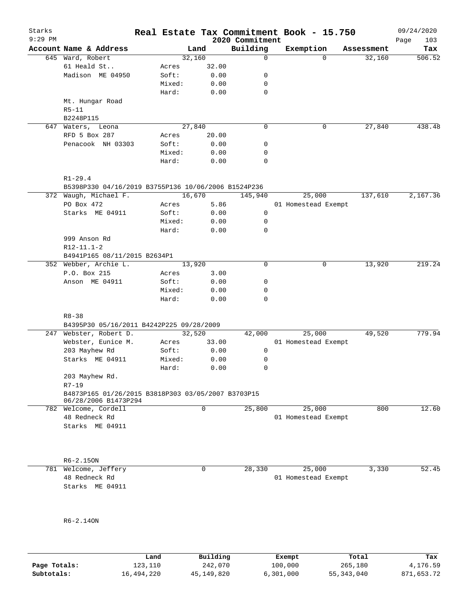| Starks<br>$9:29$ PM |                                                     |        |             | 2020 Commitment | Real Estate Tax Commitment Book - 15.750 |            | 09/24/2020<br>103 |
|---------------------|-----------------------------------------------------|--------|-------------|-----------------|------------------------------------------|------------|-------------------|
|                     | Account Name & Address                              | Land   |             | Building        | Exemption                                | Assessment | Page<br>Tax       |
|                     | 645 Ward, Robert                                    | 32,160 |             | 0               | $\Omega$                                 | 32,160     | 506.52            |
|                     | 61 Heald St                                         | Acres  | 32.00       |                 |                                          |            |                   |
|                     | Madison ME 04950                                    | Soft:  | 0.00        | 0               |                                          |            |                   |
|                     |                                                     | Mixed: | 0.00        | 0               |                                          |            |                   |
|                     |                                                     | Hard:  | 0.00        | 0               |                                          |            |                   |
|                     | Mt. Hungar Road                                     |        |             |                 |                                          |            |                   |
|                     | $R5 - 11$                                           |        |             |                 |                                          |            |                   |
|                     | B2248P115                                           |        |             |                 |                                          |            |                   |
|                     | 647 Waters, Leona                                   | 27,840 |             | 0               | 0                                        | 27,840     | 438.48            |
|                     | RFD 5 Box 287                                       | Acres  | 20.00       |                 |                                          |            |                   |
|                     | Penacook NH 03303                                   | Soft:  | 0.00        | 0               |                                          |            |                   |
|                     |                                                     | Mixed: | 0.00        | 0               |                                          |            |                   |
|                     |                                                     | Hard:  | 0.00        | 0               |                                          |            |                   |
|                     |                                                     |        |             |                 |                                          |            |                   |
|                     | $R1 - 29.4$                                         |        |             |                 |                                          |            |                   |
|                     | B5398P330 04/16/2019 B3755P136 10/06/2006 B1524P236 |        |             |                 |                                          |            |                   |
|                     | 372 Waugh, Michael F.                               | 16,670 |             | 145,940         | 25,000                                   | 137,610    | 2,167.36          |
|                     | PO Box 472                                          | Acres  | 5.86        |                 | 01 Homestead Exempt                      |            |                   |
|                     | Starks ME 04911                                     | Soft:  | 0.00        | 0               |                                          |            |                   |
|                     |                                                     | Mixed: | 0.00        | 0               |                                          |            |                   |
|                     |                                                     | Hard:  | 0.00        | $\mathbf 0$     |                                          |            |                   |
|                     | 999 Anson Rd                                        |        |             |                 |                                          |            |                   |
|                     | $R12 - 11.1 - 2$                                    |        |             |                 |                                          |            |                   |
|                     | B4941P165 08/11/2015 B2634P1                        |        |             |                 |                                          |            |                   |
|                     | 352 Webber, Archie L.                               | 13,920 |             | $\mathbf 0$     | 0                                        | 13,920     | 219.24            |
|                     | P.O. Box 215                                        | Acres  | 3.00        |                 |                                          |            |                   |
|                     | Anson ME 04911                                      | Soft:  | 0.00        | 0               |                                          |            |                   |
|                     |                                                     | Mixed: | 0.00        | 0               |                                          |            |                   |
|                     |                                                     | Hard:  | 0.00        | $\Omega$        |                                          |            |                   |
|                     |                                                     |        |             |                 |                                          |            |                   |
|                     | $R8 - 38$                                           |        |             |                 |                                          |            |                   |
|                     | B4395P30 05/16/2011 B4242P225 09/28/2009            |        |             |                 |                                          |            |                   |
|                     | 247 Webster, Robert D.                              | 32,520 |             | 42,000          | 25,000                                   | 49,520     | 779.94            |
|                     | Webster, Eunice M.                                  | Acres  | 33.00       |                 | 01 Homestead Exempt                      |            |                   |
|                     | 203 Mayhew Rd                                       | Soft:  | 0.00        | 0               |                                          |            |                   |
|                     | Starks ME 04911                                     | Mixed: | 0.00        | 0               |                                          |            |                   |
|                     | 203 Mayhew Rd.                                      | Hard:  | 0.00        | 0               |                                          |            |                   |
|                     | $R7 - 19$                                           |        |             |                 |                                          |            |                   |
|                     | B4873P165 01/26/2015 B3818P303 03/05/2007 B3703P15  |        |             |                 |                                          |            |                   |
|                     | 06/28/2006 B1473P294                                |        |             |                 |                                          |            |                   |
|                     | 782 Welcome, Cordell                                |        | 0           | 25,800          | 25,000                                   | 800        | 12.60             |
|                     | 48 Redneck Rd                                       |        |             |                 | 01 Homestead Exempt                      |            |                   |
|                     | Starks ME 04911                                     |        |             |                 |                                          |            |                   |
|                     |                                                     |        |             |                 |                                          |            |                   |
|                     |                                                     |        |             |                 |                                          |            |                   |
|                     |                                                     |        |             |                 |                                          |            |                   |
|                     | R6-2.15ON                                           |        |             |                 |                                          |            |                   |
|                     | 781 Welcome, Jeffery                                |        | $\mathbf 0$ | 28,330          | 25,000                                   | 3,330      | 52.45             |
|                     | 48 Redneck Rd                                       |        |             |                 | 01 Homestead Exempt                      |            |                   |
|                     | Starks ME 04911                                     |        |             |                 |                                          |            |                   |
|                     |                                                     |        |             |                 |                                          |            |                   |
|                     |                                                     |        |             |                 |                                          |            |                   |
|                     |                                                     |        |             |                 |                                          |            |                   |
|                     | R6-2.14ON                                           |        |             |                 |                                          |            |                   |
|                     |                                                     |        |             |                 |                                          |            |                   |
|                     |                                                     |        |             |                 |                                          |            |                   |
|                     |                                                     |        |             |                 |                                          |            |                   |

|              | Land       | Building   | Exempt    | Total      | Tax        |
|--------------|------------|------------|-----------|------------|------------|
| Page Totals: | 123,110    | 242,070    | 100,000   | 265,180    | 4,176.59   |
| Subtotals:   | 16,494,220 | 45,149,820 | 6,301,000 | 55,343,040 | 871,653.72 |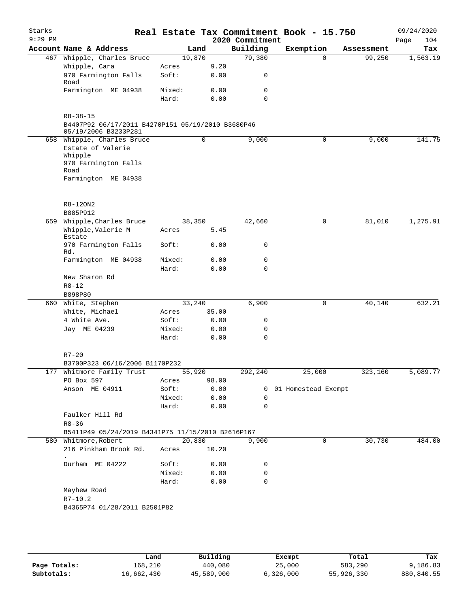| Starks<br>$9:29$ PM |                                                                                                                   |                 |               | 2020 Commitment | Real Estate Tax Commitment Book - 15.750 |            | 09/24/2020<br>Page<br>104 |
|---------------------|-------------------------------------------------------------------------------------------------------------------|-----------------|---------------|-----------------|------------------------------------------|------------|---------------------------|
|                     | Account Name & Address                                                                                            | Land            |               | Building        | Exemption                                | Assessment | Tax                       |
|                     | 467 Whipple, Charles Bruce                                                                                        | 19,870          |               | 79,380          | $\Omega$                                 | 99,250     | 1,563.19                  |
|                     | Whipple, Cara                                                                                                     | Acres           | 9.20          |                 |                                          |            |                           |
|                     | 970 Farmington Falls<br>Road                                                                                      | Soft:           | 0.00          | 0               |                                          |            |                           |
|                     | Farmington ME 04938                                                                                               | Mixed:          | 0.00          | 0               |                                          |            |                           |
|                     |                                                                                                                   | Hard:           | 0.00          | $\Omega$        |                                          |            |                           |
|                     | $R8 - 38 - 15$<br>B4407P92 06/17/2011 B4270P151 05/19/2010 B3680P46<br>05/19/2006 B3233P281                       |                 |               |                 |                                          |            |                           |
|                     | 658 Whipple, Charles Bruce<br>Estate of Valerie<br>Whipple<br>970 Farmington Falls<br>Road<br>Farmington ME 04938 |                 | 0             | 9,000           | 0                                        | 9,000      | 141.75                    |
|                     | R8-120N2                                                                                                          |                 |               |                 |                                          |            |                           |
|                     | B885P912                                                                                                          |                 |               |                 |                                          |            |                           |
| 659                 | Whipple, Charles Bruce                                                                                            | 38,350          |               | 42,660          | 0                                        | 81,010     | 1,275.91                  |
|                     | Whipple, Valerie M<br>Estate                                                                                      | Acres           | 5.45          |                 |                                          |            |                           |
|                     | 970 Farmington Falls<br>Rd.                                                                                       | Soft:           | 0.00          | 0               |                                          |            |                           |
|                     | Farmington ME 04938                                                                                               | Mixed:<br>Hard: | 0.00<br>0.00  | 0<br>$\Omega$   |                                          |            |                           |
|                     | New Sharon Rd                                                                                                     |                 |               |                 |                                          |            |                           |
|                     | $R8 - 12$                                                                                                         |                 |               |                 |                                          |            |                           |
|                     | B898P80                                                                                                           |                 |               |                 |                                          |            |                           |
|                     | 660 White, Stephen                                                                                                | 33,240          |               | 6,900           | 0                                        | 40,140     | 632.21                    |
|                     | White, Michael                                                                                                    | Acres           | 35.00         |                 |                                          |            |                           |
|                     | 4 White Ave.                                                                                                      | Soft:           | 0.00          | 0               |                                          |            |                           |
|                     | Jay ME 04239                                                                                                      | Mixed:          | 0.00          | 0               |                                          |            |                           |
|                     |                                                                                                                   | Hard:           | 0.00          | 0               |                                          |            |                           |
|                     | $R7 - 20$                                                                                                         |                 |               |                 |                                          |            |                           |
|                     | B3700P323 06/16/2006 B1170P232                                                                                    |                 |               |                 |                                          |            |                           |
|                     | 177 Whitmore Family Trust                                                                                         | 55,920          |               | 292,240         | 25,000                                   | 323,160    | 5,089.77                  |
|                     | PO Box 597<br>Anson ME 04911                                                                                      | Acres<br>Soft:  | 98.00<br>0.00 |                 | 0 01 Homestead Exempt                    |            |                           |
|                     |                                                                                                                   | Mixed:          | 0.00          | 0               |                                          |            |                           |
|                     |                                                                                                                   | Hard:           | 0.00          | 0               |                                          |            |                           |
|                     | Faulker Hill Rd<br>$R8 - 36$                                                                                      |                 |               |                 |                                          |            |                           |
|                     | B5411P49 05/24/2019 B4341P75 11/15/2010 B2616P167                                                                 |                 |               |                 |                                          |            |                           |
|                     | 580 Whitmore, Robert                                                                                              | 20,830          |               | 9,900           | 0                                        | 30,730     | 484.00                    |
|                     | 216 Pinkham Brook Rd.                                                                                             | Acres           | 10.20         |                 |                                          |            |                           |
|                     | Durham ME 04222                                                                                                   | Soft:           | 0.00          | 0               |                                          |            |                           |
|                     |                                                                                                                   | Mixed:          | 0.00          | 0               |                                          |            |                           |
|                     |                                                                                                                   | Hard:           | 0.00          | 0               |                                          |            |                           |
|                     | Mayhew Road<br>$R7 - 10.2$                                                                                        |                 |               |                 |                                          |            |                           |
|                     | B4365P74 01/28/2011 B2501P82                                                                                      |                 |               |                 |                                          |            |                           |
|                     |                                                                                                                   |                 |               |                 |                                          |            |                           |

|              | Land       | Building   | Exempt    | Total      | Tax        |
|--------------|------------|------------|-----------|------------|------------|
| Page Totals: | 168,210    | 440,080    | 25,000    | 583,290    | 9,186.83   |
| Subtotals:   | 16,662,430 | 45,589,900 | 6,326,000 | 55,926,330 | 880,840.55 |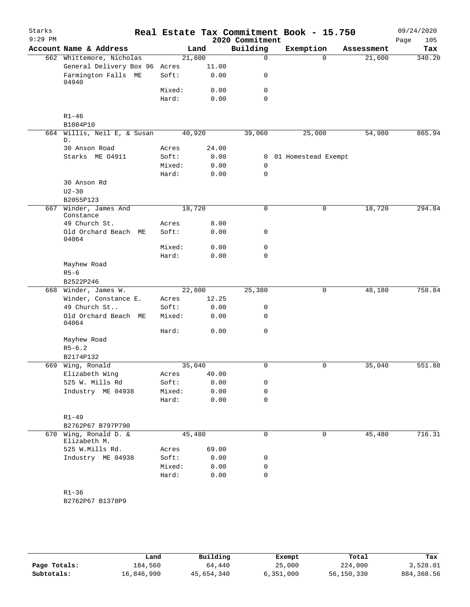| Starks<br>$9:29$ PM |                                   |                 |              | 2020 Commitment  | Real Estate Tax Commitment Book - 15.750 |            | 09/24/2020<br>Page<br>105 |
|---------------------|-----------------------------------|-----------------|--------------|------------------|------------------------------------------|------------|---------------------------|
|                     | Account Name & Address            |                 | Land         | Building         | Exemption                                | Assessment | Tax                       |
|                     | 662 Whittemore, Nicholas          | 21,600          |              | $\mathbf 0$      | $\Omega$                                 | 21,600     | 340.20                    |
|                     | General Delivery Box 96           | Acres           | 11.00        |                  |                                          |            |                           |
|                     | Farmington Falls ME<br>04940      | Soft:           | 0.00         | 0                |                                          |            |                           |
|                     |                                   | Mixed:          | 0.00         | 0                |                                          |            |                           |
|                     |                                   | Hard:           | 0.00         | $\mathbf 0$      |                                          |            |                           |
|                     | $R1 - 46$<br>B1084P10             |                 |              |                  |                                          |            |                           |
| 664                 | Willis, Neil E, & Susan           | 40,920          |              | 39,060           | 25,000                                   | 54,980     | 865.94                    |
|                     | D.                                |                 |              |                  |                                          |            |                           |
|                     | 30 Anson Road                     | Acres           | 24.00        |                  |                                          |            |                           |
|                     | Starks ME 04911                   | Soft:           | 0.00         | 0                | 01 Homestead Exempt                      |            |                           |
|                     |                                   | Mixed:<br>Hard: | 0.00<br>0.00 | 0<br>$\mathbf 0$ |                                          |            |                           |
|                     | 30 Anson Rd                       |                 |              |                  |                                          |            |                           |
|                     | $U2 - 30$                         |                 |              |                  |                                          |            |                           |
|                     | B2055P123                         |                 |              |                  |                                          |            |                           |
| 667                 | Winder, James And                 | 18,720          |              | 0                | $\mathsf{O}$                             | 18,720     | 294.84                    |
|                     | Constance                         |                 |              |                  |                                          |            |                           |
|                     | 49 Church St.                     | Acres           | 8.00         |                  |                                          |            |                           |
|                     | Old Orchard Beach ME<br>04064     | Soft:           | 0.00         | 0                |                                          |            |                           |
|                     |                                   | Mixed:          | 0.00         | 0                |                                          |            |                           |
|                     |                                   | Hard:           | 0.00         | $\mathbf 0$      |                                          |            |                           |
|                     | Mayhew Road                       |                 |              |                  |                                          |            |                           |
|                     | $R5 - 6$<br>B2522P246             |                 |              |                  |                                          |            |                           |
| 668                 | Winder, James W.                  | 22,800          |              | 25,380           | 0                                        | 48,180     | 758.84                    |
|                     | Winder, Constance E.              | Acres           | 12.25        |                  |                                          |            |                           |
|                     | 49 Church St                      | Soft:           | 0.00         | 0                |                                          |            |                           |
|                     | Old Orchard Beach ME<br>04064     | Mixed:          | 0.00         | $\mathbf 0$      |                                          |            |                           |
|                     |                                   | Hard:           | 0.00         | 0                |                                          |            |                           |
|                     | Mayhew Road                       |                 |              |                  |                                          |            |                           |
|                     | $R5 - 6.2$                        |                 |              |                  |                                          |            |                           |
|                     | B2174P132                         |                 |              |                  |                                          |            |                           |
| 669                 | Wing, Ronald                      | 35,040          |              | 0                | $\mathbf 0$                              | 35,040     | 551.88                    |
|                     | Elizabeth Wing                    | Acres           | 40.00        |                  |                                          |            |                           |
|                     | 525 W. Mills Rd                   | Soft:           | 0.00         | 0                |                                          |            |                           |
|                     | Industry ME 04938                 | Mixed:          | 0.00         | 0                |                                          |            |                           |
|                     |                                   | Hard:           | 0.00         | $\mathbf 0$      |                                          |            |                           |
|                     | $R1 - 49$                         |                 |              |                  |                                          |            |                           |
|                     | B2762P67 B797P790                 |                 |              |                  |                                          |            |                           |
| 670                 | Wing, Ronald D. &<br>Elizabeth M. | 45,480          |              | $\mathbf 0$      | $\mathbf 0$                              | 45,480     | 716.31                    |
|                     | 525 W.Mills Rd.                   | Acres           | 69.00        |                  |                                          |            |                           |
|                     | Industry ME 04938                 | Soft:           | 0.00         | 0                |                                          |            |                           |
|                     |                                   | Mixed:          | 0.00         | 0                |                                          |            |                           |
|                     |                                   | Hard:           | 0.00         | $\mathbf 0$      |                                          |            |                           |
|                     | $R1 - 36$                         |                 |              |                  |                                          |            |                           |
|                     | B2762P67 B1378P9                  |                 |              |                  |                                          |            |                           |
|                     |                                   |                 |              |                  |                                          |            |                           |
|                     |                                   |                 |              |                  |                                          |            |                           |

|              | Land       | Building   | Exempt    | Total      | Tax         |
|--------------|------------|------------|-----------|------------|-------------|
| Page Totals: | 184,560    | 64,440     | 25,000    | 224,000    | 3,528.01    |
| Subtotals:   | 16,846,990 | 45,654,340 | 6,351,000 | 56,150,330 | 884, 368.56 |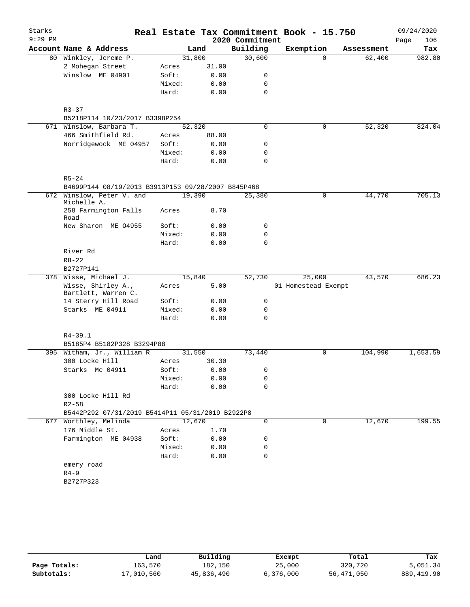| Starks    |                                                    |        |        |                 | Real Estate Tax Commitment Book - 15.750 |            | 09/24/2020  |
|-----------|----------------------------------------------------|--------|--------|-----------------|------------------------------------------|------------|-------------|
| $9:29$ PM |                                                    |        |        | 2020 Commitment |                                          |            | Page<br>106 |
|           | Account Name & Address                             |        | Land   | Building        | Exemption                                | Assessment | Tax         |
|           | 80 Winkley, Jereme P.                              |        | 31,800 | 30,600          | $\Omega$                                 | 62,400     | 982.80      |
|           | 2 Mohegan Street                                   | Acres  | 31.00  |                 |                                          |            |             |
|           | Winslow ME 04901                                   | Soft:  | 0.00   | 0               |                                          |            |             |
|           |                                                    | Mixed: | 0.00   | 0               |                                          |            |             |
|           |                                                    | Hard:  | 0.00   | $\mathbf 0$     |                                          |            |             |
|           | $R3 - 37$                                          |        |        |                 |                                          |            |             |
|           |                                                    |        |        |                 |                                          |            |             |
|           | B5218P114 10/23/2017 B3398P254                     |        |        |                 |                                          |            |             |
|           | 671 Winslow, Barbara T.                            |        | 52,320 | 0               | 0                                        | 52,320     | 824.04      |
|           | 466 Smithfield Rd.                                 | Acres  | 88.00  |                 |                                          |            |             |
|           | Norridgewock ME 04957                              | Soft:  | 0.00   | 0               |                                          |            |             |
|           |                                                    | Mixed: | 0.00   | 0               |                                          |            |             |
|           |                                                    | Hard:  | 0.00   | $\mathbf 0$     |                                          |            |             |
|           | $R5 - 24$                                          |        |        |                 |                                          |            |             |
|           | B4699P144 08/19/2013 B3913P153 09/28/2007 B845P468 |        |        |                 |                                          |            |             |
| 672       | Winslow, Peter V. and<br>Michelle A.               |        | 19,390 | 25,380          | $\mathbf 0$                              | 44,770     | 705.13      |
|           | 258 Farmington Falls<br>Road                       | Acres  | 8.70   |                 |                                          |            |             |
|           | New Sharon ME 04955                                | Soft:  | 0.00   | 0               |                                          |            |             |
|           |                                                    | Mixed: | 0.00   | 0               |                                          |            |             |
|           |                                                    | Hard:  | 0.00   | $\mathbf 0$     |                                          |            |             |
|           | River Rd                                           |        |        |                 |                                          |            |             |
|           | $R8 - 22$                                          |        |        |                 |                                          |            |             |
|           | B2727P141                                          |        |        |                 |                                          |            |             |
|           | 378 Wisse, Michael J.                              |        | 15,840 | 52,730          | 25,000                                   | 43,570     | 686.23      |
|           | Wisse, Shirley A.,<br>Bartlett, Warren C.          | Acres  | 5.00   |                 | 01 Homestead Exempt                      |            |             |
|           | 14 Sterry Hill Road                                | Soft:  | 0.00   | 0               |                                          |            |             |
|           | Starks ME 04911                                    | Mixed: | 0.00   | 0               |                                          |            |             |
|           |                                                    | Hard:  | 0.00   | 0               |                                          |            |             |
|           | $R4 - 39.1$                                        |        |        |                 |                                          |            |             |
|           | B5185P4 B5182P328 B3294P88                         |        |        |                 |                                          |            |             |
|           | 395 Witham, Jr., William R                         |        | 31,550 | 73,440          | $\mathbf 0$                              | 104,990    | 1,653.59    |
|           | 300 Locke Hill                                     | Acres  | 30.30  |                 |                                          |            |             |
|           |                                                    | Soft:  | 0.00   | $\Omega$        |                                          |            |             |
|           | Starks Me 04911                                    |        |        |                 |                                          |            |             |
|           |                                                    | Mixed: | 0.00   | 0               |                                          |            |             |
|           |                                                    | Hard:  | 0.00   | 0               |                                          |            |             |
|           | 300 Locke Hill Rd                                  |        |        |                 |                                          |            |             |
|           | $R2 - 58$                                          |        |        |                 |                                          |            |             |
|           | B5442P292 07/31/2019 B5414P11 05/31/2019 B2922P8   |        |        |                 |                                          |            |             |
|           | 677 Worthley, Melinda                              |        | 12,670 | 0               | 0                                        | 12,670     | 199.55      |
|           | 176 Middle St.                                     | Acres  | 1.70   |                 |                                          |            |             |
|           | Farmington ME 04938                                | Soft:  | 0.00   | 0               |                                          |            |             |
|           |                                                    | Mixed: | 0.00   | 0               |                                          |            |             |
|           |                                                    | Hard:  | 0.00   | 0               |                                          |            |             |
|           | emery road                                         |        |        |                 |                                          |            |             |
|           | $R4-9$                                             |        |        |                 |                                          |            |             |
|           | B2727P323                                          |        |        |                 |                                          |            |             |
|           |                                                    |        |        |                 |                                          |            |             |

|              | Land       | Building   | Exempt    | Total      | Tax        |
|--------------|------------|------------|-----------|------------|------------|
| Page Totals: | 163,570    | 182,150    | 25,000    | 320,720    | 5,051.34   |
| Subtotals:   | 17,010,560 | 45,836,490 | 6,376,000 | 56,471,050 | 889,419.90 |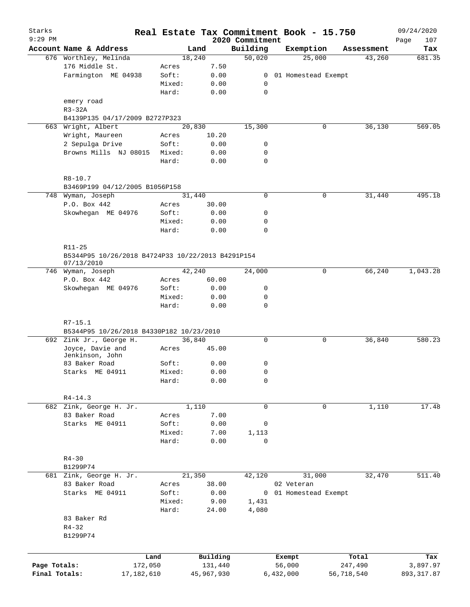| Starks<br>$9:29$ PM |                                                                 |        |            | 2020 Commitment |           | Real Estate Tax Commitment Book - 15.750 |            | 09/24/2020<br>107<br>Page |
|---------------------|-----------------------------------------------------------------|--------|------------|-----------------|-----------|------------------------------------------|------------|---------------------------|
|                     | Account Name & Address                                          |        | Land       | Building        |           | Exemption                                | Assessment | Tax                       |
|                     | 676 Worthley, Melinda                                           |        | 18,240     | 50,020          |           | 25,000                                   | 43,260     | 681.35                    |
|                     | 176 Middle St.                                                  | Acres  | 7.50       |                 |           |                                          |            |                           |
|                     | Farmington ME 04938                                             | Soft:  | 0.00       | 0               |           | 01 Homestead Exempt                      |            |                           |
|                     |                                                                 | Mixed: | 0.00       | 0               |           |                                          |            |                           |
|                     |                                                                 | Hard:  | 0.00       | $\mathbf 0$     |           |                                          |            |                           |
|                     | emery road                                                      |        |            |                 |           |                                          |            |                           |
|                     | $R3-32A$                                                        |        |            |                 |           |                                          |            |                           |
|                     | B4139P135 04/17/2009 B2727P323                                  |        |            |                 |           |                                          |            |                           |
| 663                 | Wright, Albert                                                  |        | 20,830     | 15,300          |           | 0                                        | 36,130     | 569.05                    |
|                     | Wright, Maureen                                                 | Acres  | 10.20      |                 |           |                                          |            |                           |
|                     | 2 Sepulga Drive                                                 | Soft:  | 0.00       | 0               |           |                                          |            |                           |
|                     | Browns Mills NJ 08015                                           | Mixed: | 0.00       | 0               |           |                                          |            |                           |
|                     |                                                                 | Hard:  | 0.00       | $\mathbf 0$     |           |                                          |            |                           |
|                     | $R8 - 10.7$                                                     |        |            |                 |           |                                          |            |                           |
|                     | B3469P199 04/12/2005 B1056P158                                  |        |            |                 |           |                                          |            |                           |
|                     | 748 Wyman, Joseph                                               |        | 31,440     | $\mathbf 0$     |           | 0                                        | 31,440     | 495.18                    |
|                     | P.O. Box 442                                                    | Acres  | 30.00      |                 |           |                                          |            |                           |
|                     | Skowhegan ME 04976                                              | Soft:  | 0.00       | 0               |           |                                          |            |                           |
|                     |                                                                 | Mixed: | 0.00       | 0               |           |                                          |            |                           |
|                     |                                                                 | Hard:  | 0.00       | $\mathbf 0$     |           |                                          |            |                           |
|                     | R11-25                                                          |        |            |                 |           |                                          |            |                           |
|                     | B5344P95 10/26/2018 B4724P33 10/22/2013 B4291P154<br>07/13/2010 |        |            |                 |           |                                          |            |                           |
|                     | 746 Wyman, Joseph                                               |        | 42,240     | 24,000          |           | $\mathbf 0$                              | 66,240     | 1,043.28                  |
|                     | P.O. Box 442                                                    | Acres  | 60.00      |                 |           |                                          |            |                           |
|                     | Skowhegan ME 04976                                              | Soft:  | 0.00       | 0               |           |                                          |            |                           |
|                     |                                                                 | Mixed: | 0.00       | $\mathbf 0$     |           |                                          |            |                           |
|                     |                                                                 | Hard:  | 0.00       | $\mathbf 0$     |           |                                          |            |                           |
|                     | $R7 - 15.1$                                                     |        |            |                 |           |                                          |            |                           |
|                     | B5344P95 10/26/2018 B4330P182 10/23/2010                        |        |            |                 |           |                                          |            |                           |
|                     | 692 Zink Jr., George H.                                         |        | 36,840     | $\mathbf 0$     |           | 0                                        | 36,840     | 580.23                    |
|                     | Joyce, Davie and<br>Jenkinson, John                             | Acres  | 45.00      |                 |           |                                          |            |                           |
|                     | 83 Baker Road                                                   | Soft:  | 0.00       | 0               |           |                                          |            |                           |
|                     | Starks ME 04911                                                 | Mixed: | 0.00       | 0               |           |                                          |            |                           |
|                     |                                                                 | Hard:  | 0.00       | 0               |           |                                          |            |                           |
|                     | $R4 - 14.3$                                                     |        |            |                 |           |                                          |            |                           |
|                     | 682 Zink, George H. Jr.                                         |        | 1,110      | $\mathbf 0$     |           | 0                                        | 1,110      | 17.48                     |
|                     | 83 Baker Road                                                   | Acres  | 7.00       |                 |           |                                          |            |                           |
|                     | Starks ME 04911                                                 | Soft:  | 0.00       | 0               |           |                                          |            |                           |
|                     |                                                                 | Mixed: | 7.00       | 1,113           |           |                                          |            |                           |
|                     |                                                                 | Hard:  | 0.00       | $\mathbf 0$     |           |                                          |            |                           |
|                     | $R4 - 30$                                                       |        |            |                 |           |                                          |            |                           |
|                     | B1299P74                                                        |        |            |                 |           |                                          |            |                           |
|                     | 681 Zink, George H. Jr.                                         |        | 21,350     | 42,120          |           | 31,000                                   | 32,470     | 511.40                    |
|                     | 83 Baker Road                                                   | Acres  | 38.00      |                 |           | 02 Veteran                               |            |                           |
|                     | Starks ME 04911                                                 | Soft:  | 0.00       | 0               |           | 01 Homestead Exempt                      |            |                           |
|                     |                                                                 | Mixed: | 9.00       | 1,431           |           |                                          |            |                           |
|                     |                                                                 | Hard:  | 24.00      | 4,080           |           |                                          |            |                           |
|                     | 83 Baker Rd                                                     |        |            |                 |           |                                          |            |                           |
|                     | $R4 - 32$                                                       |        |            |                 |           |                                          |            |                           |
|                     | B1299P74                                                        |        |            |                 |           |                                          |            |                           |
|                     |                                                                 |        |            |                 |           |                                          |            |                           |
|                     |                                                                 | Land   | Building   |                 | Exempt    |                                          | Total      | Tax                       |
| Page Totals:        | 172,050                                                         |        | 131,440    |                 | 56,000    |                                          | 247,490    | 3,897.97                  |
| Final Totals:       | 17, 182, 610                                                    |        | 45,967,930 |                 | 6,432,000 |                                          | 56,718,540 | 893, 317.87               |